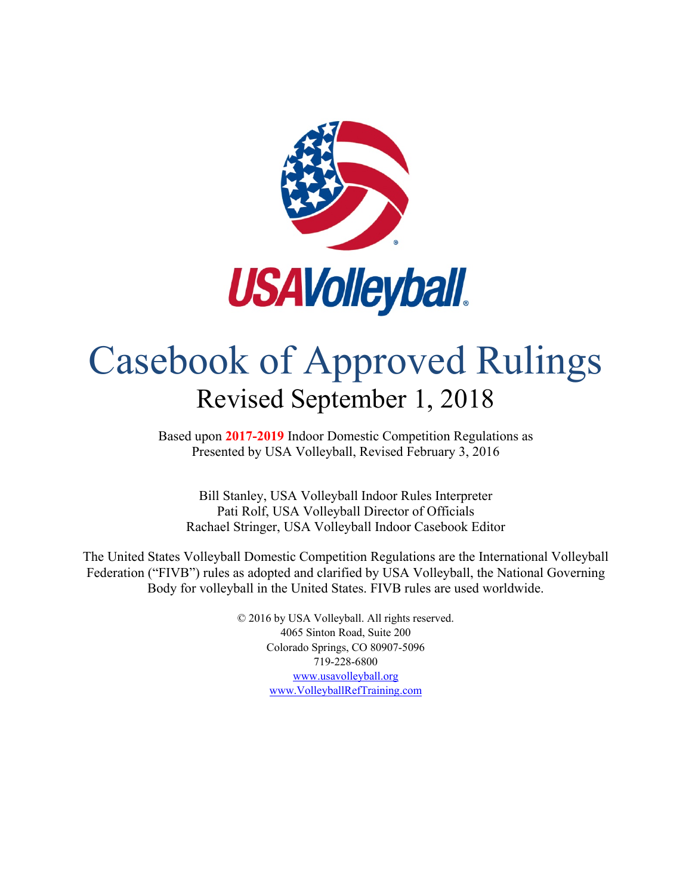

# Casebook of Approved Rulings Revised September 1, 2018

Based upon **2017-2019** Indoor Domestic Competition Regulations as Presented by USA Volleyball, Revised February 3, 2016

Bill Stanley, USA Volleyball Indoor Rules Interpreter Pati Rolf, USA Volleyball Director of Officials Rachael Stringer, USA Volleyball Indoor Casebook Editor

The United States Volleyball Domestic Competition Regulations are the International Volleyball Federation ("FIVB") rules as adopted and clarified by USA Volleyball, the National Governing Body for volleyball in the United States. FIVB rules are used worldwide.

> © 2016 by USA Volleyball. All rights reserved. 4065 Sinton Road, Suite 200 Colorado Springs, CO 80907-5096 719-228-6800 [www.usavolleyball.org](http://www.usavolleyball.org/) www.VolleyballRefTraining.com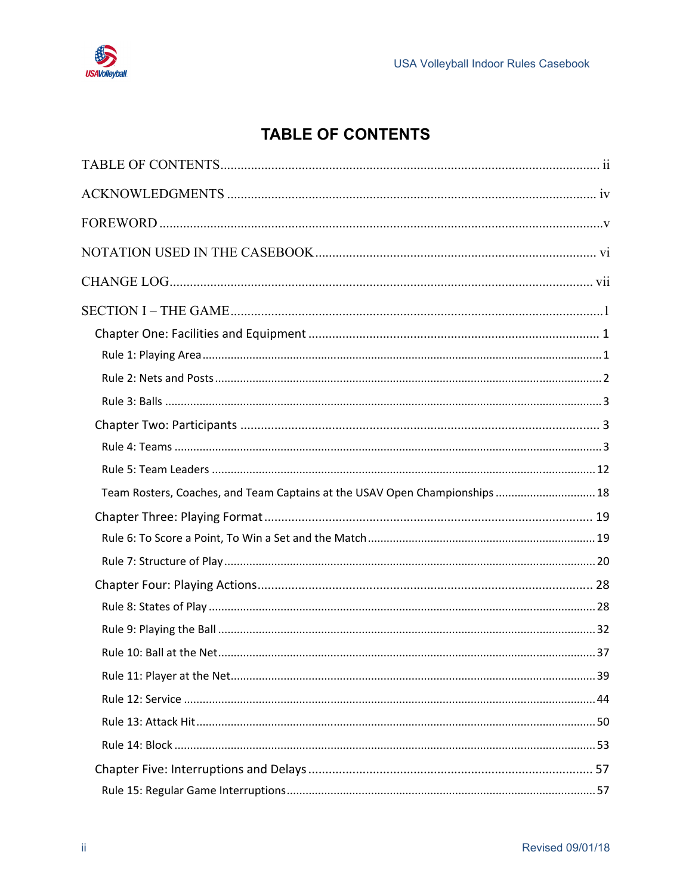

### **TABLE OF CONTENTS**

<span id="page-1-0"></span>

| Team Rosters, Coaches, and Team Captains at the USAV Open Championships  18 |  |
|-----------------------------------------------------------------------------|--|
|                                                                             |  |
|                                                                             |  |
|                                                                             |  |
|                                                                             |  |
|                                                                             |  |
|                                                                             |  |
|                                                                             |  |
|                                                                             |  |
|                                                                             |  |
|                                                                             |  |
|                                                                             |  |
|                                                                             |  |
|                                                                             |  |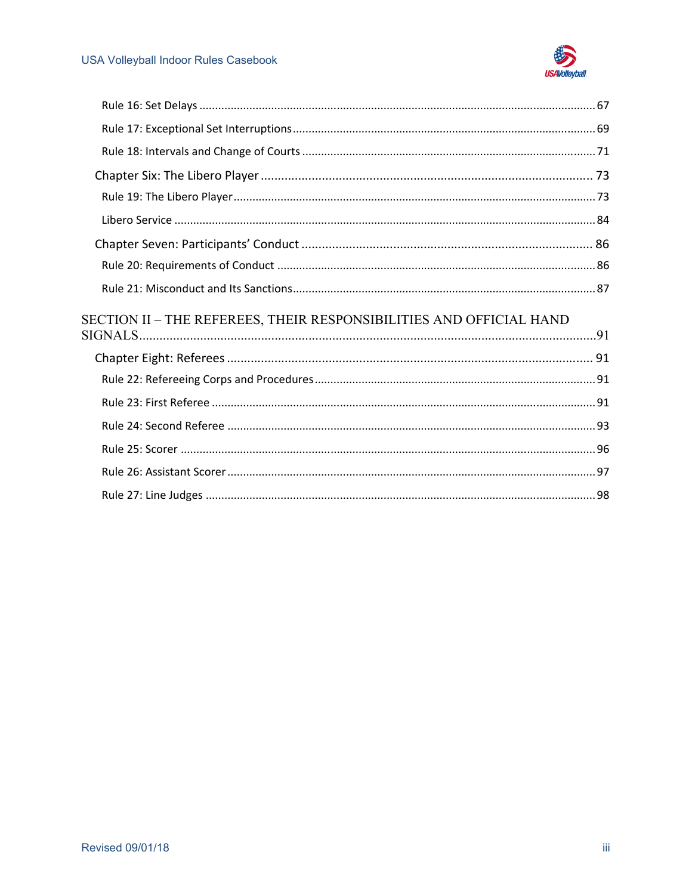

| SECTION II – THE REFEREES, THEIR RESPONSIBILITIES AND OFFICIAL HAND |  |
|---------------------------------------------------------------------|--|
|                                                                     |  |
|                                                                     |  |
|                                                                     |  |
|                                                                     |  |
|                                                                     |  |
|                                                                     |  |
|                                                                     |  |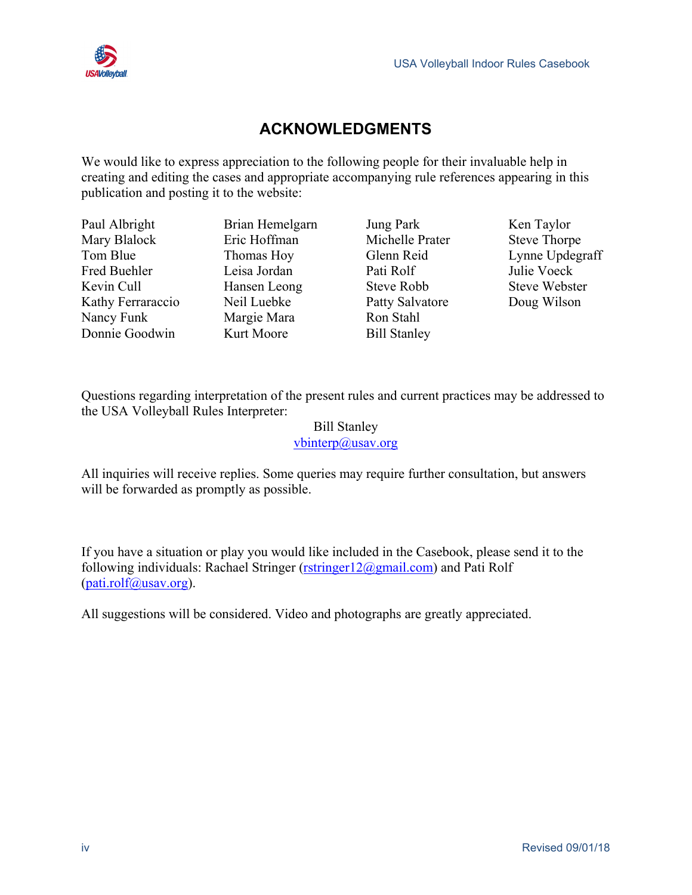



#### **ACKNOWLEDGMENTS**

<span id="page-3-0"></span>We would like to express appreciation to the following people for their invaluable help in creating and editing the cases and appropriate accompanying rule references appearing in this publication and posting it to the website:

| Paul Albright<br>Mary Blalock<br>Tom Blue<br>Fred Buehler<br>Kevin Cull | Brian Hemelgarn<br>Eric Hoffman<br>Thomas Hoy<br>Leisa Jordan<br>Hansen Leong | Jung Park<br>Michelle Prater<br>Glenn Reid<br>Pati Rolf<br>Steve Robb | Ken Taylor<br><b>Steve Thorpe</b><br>Lynne Updegraff<br>Julie Voeck<br><b>Steve Webster</b> |
|-------------------------------------------------------------------------|-------------------------------------------------------------------------------|-----------------------------------------------------------------------|---------------------------------------------------------------------------------------------|
|                                                                         |                                                                               |                                                                       |                                                                                             |
|                                                                         |                                                                               |                                                                       |                                                                                             |
|                                                                         |                                                                               |                                                                       |                                                                                             |
| Kathy Ferraraccio                                                       | Neil Luebke                                                                   | Patty Salvatore                                                       | Doug Wilson                                                                                 |
| Nancy Funk                                                              | Margie Mara                                                                   | Ron Stahl                                                             |                                                                                             |
| Donnie Goodwin                                                          | Kurt Moore                                                                    | <b>Bill Stanley</b>                                                   |                                                                                             |

Questions regarding interpretation of the present rules and current practices may be addressed to the USA Volleyball Rules Interpreter:

#### Bill Stanley [vbinterp@usav.org](mailto:vbinterp@usav.org)

All inquiries will receive replies. Some queries may require further consultation, but answers will be forwarded as promptly as possible.

If you have a situation or play you would like included in the Casebook, please send it to the following individuals: Rachael Stringer ( $rstringer12$ @gmail.com) and Pati Rolf  $(pati. \text{rolf}\omega$ usav.org).

All suggestions will be considered. Video and photographs are greatly appreciated.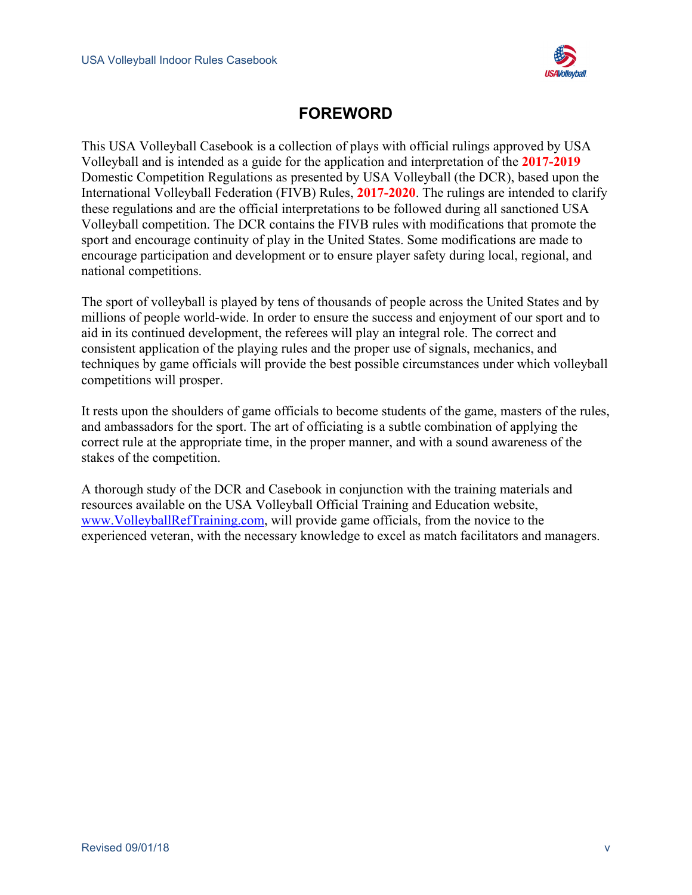

#### **FOREWORD**

<span id="page-4-0"></span>This USA Volleyball Casebook is a collection of plays with official rulings approved by USA Volleyball and is intended as a guide for the application and interpretation of the **2017-2019** Domestic Competition Regulations as presented by USA Volleyball (the DCR), based upon the International Volleyball Federation (FIVB) Rules, **2017-2020**. The rulings are intended to clarify these regulations and are the official interpretations to be followed during all sanctioned USA Volleyball competition. The DCR contains the FIVB rules with modifications that promote the sport and encourage continuity of play in the United States. Some modifications are made to encourage participation and development or to ensure player safety during local, regional, and national competitions.

The sport of volleyball is played by tens of thousands of people across the United States and by millions of people world-wide. In order to ensure the success and enjoyment of our sport and to aid in its continued development, the referees will play an integral role. The correct and consistent application of the playing rules and the proper use of signals, mechanics, and techniques by game officials will provide the best possible circumstances under which volleyball competitions will prosper.

It rests upon the shoulders of game officials to become students of the game, masters of the rules, and ambassadors for the sport. The art of officiating is a subtle combination of applying the correct rule at the appropriate time, in the proper manner, and with a sound awareness of the stakes of the competition.

A thorough study of the DCR and Casebook in conjunction with the training materials and resources available on the USA Volleyball Official Training and Education website, [www.VolleyballRefTraining.com,](http://www.volleyballreftraining.com/) will provide game officials, from the novice to the experienced veteran, with the necessary knowledge to excel as match facilitators and managers.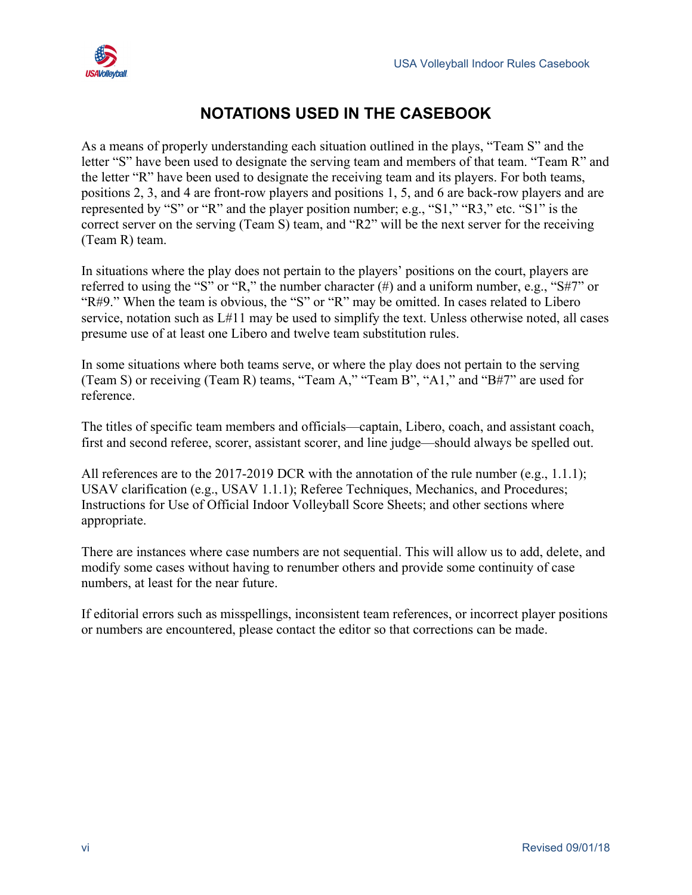

#### **NOTATIONS USED IN THE CASEBOOK**

<span id="page-5-0"></span>As a means of properly understanding each situation outlined in the plays, "Team S" and the letter "S" have been used to designate the serving team and members of that team. "Team R" and the letter "R" have been used to designate the receiving team and its players. For both teams, positions 2, 3, and 4 are front-row players and positions 1, 5, and 6 are back-row players and are represented by "S" or "R" and the player position number; e.g., "S1," "R3," etc. "S1" is the correct server on the serving (Team S) team, and "R2" will be the next server for the receiving (Team R) team.

In situations where the play does not pertain to the players' positions on the court, players are referred to using the "S" or "R," the number character (#) and a uniform number, e.g., "S#7" or "R#9." When the team is obvious, the "S" or "R" may be omitted. In cases related to Libero service, notation such as L#11 may be used to simplify the text. Unless otherwise noted, all cases presume use of at least one Libero and twelve team substitution rules.

In some situations where both teams serve, or where the play does not pertain to the serving (Team S) or receiving (Team R) teams, "Team A," "Team B", "A1," and "B#7" are used for reference.

The titles of specific team members and officials—captain, Libero, coach, and assistant coach, first and second referee, scorer, assistant scorer, and line judge—should always be spelled out.

All references are to the 2017-2019 DCR with the annotation of the rule number (e.g., 1.1.1); USAV clarification (e.g., USAV 1.1.1); Referee Techniques, Mechanics, and Procedures; Instructions for Use of Official Indoor Volleyball Score Sheets; and other sections where appropriate.

There are instances where case numbers are not sequential. This will allow us to add, delete, and modify some cases without having to renumber others and provide some continuity of case numbers, at least for the near future.

If editorial errors such as misspellings, inconsistent team references, or incorrect player positions or numbers are encountered, please contact the editor so that corrections can be made.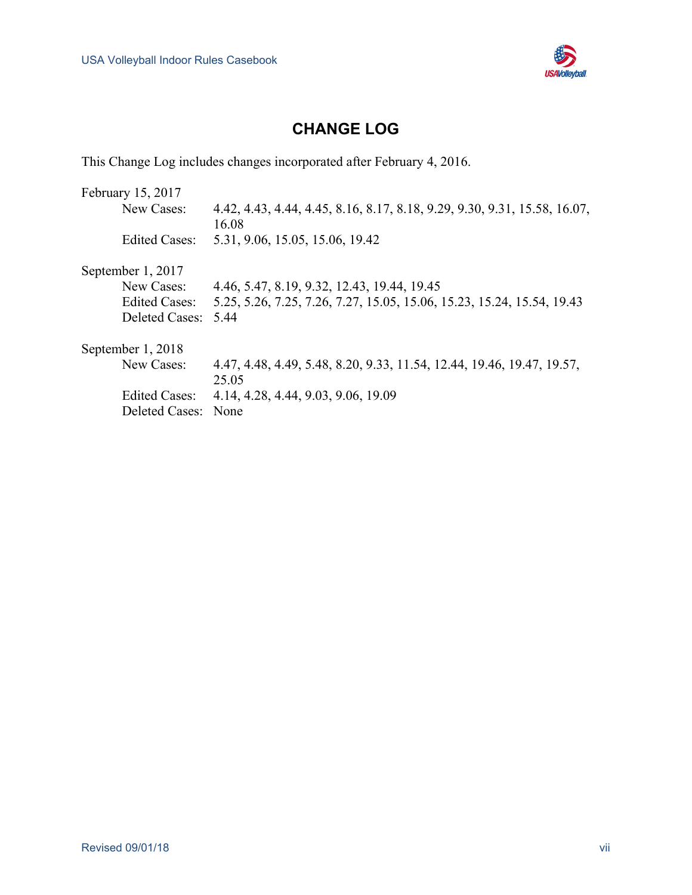

#### **CHANGE LOG**

<span id="page-6-0"></span>This Change Log includes changes incorporated after February 4, 2016.

| February 15, 2017     |                                                                           |
|-----------------------|---------------------------------------------------------------------------|
| New Cases:            | 4.42, 4.43, 4.44, 4.45, 8.16, 8.17, 8.18, 9.29, 9.30, 9.31, 15.58, 16.07, |
|                       | 16.08                                                                     |
| <b>Edited Cases:</b>  | 5.31, 9.06, 15.05, 15.06, 19.42                                           |
| September 1, 2017     |                                                                           |
| New Cases:            | 4.46, 5.47, 8.19, 9.32, 12.43, 19.44, 19.45                               |
| <b>Edited Cases:</b>  | 5.25, 5.26, 7.25, 7.26, 7.27, 15.05, 15.06, 15.23, 15.24, 15.54, 19.43    |
| Deleted Cases: 5.44   |                                                                           |
| September 1, 2018     |                                                                           |
| New Cases:            | 4.47, 4.48, 4.49, 5.48, 8.20, 9.33, 11.54, 12.44, 19.46, 19.47, 19.57,    |
|                       | 25.05                                                                     |
| Edited Cases:         | 4.14, 4.28, 4.44, 9.03, 9.06, 19.09                                       |
| <b>Deleted Cases:</b> | None                                                                      |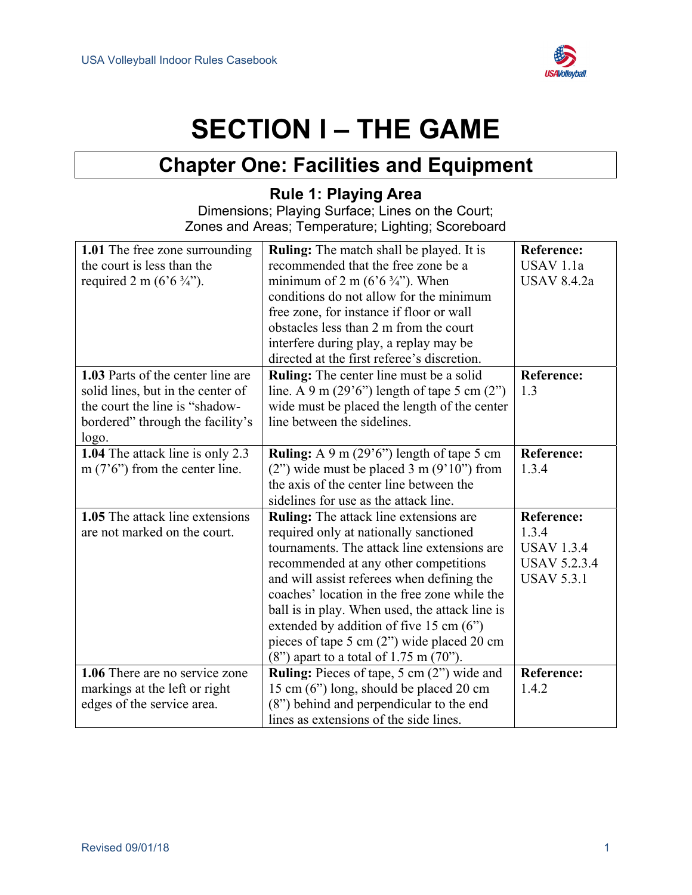

## **SECTION I – THE GAME**

## **Chapter One: Facilities and Equipment**

#### **Rule 1: Playing Area**

Dimensions; Playing Surface; Lines on the Court; Zones and Areas; Temperature; Lighting; Scoreboard

<span id="page-8-2"></span><span id="page-8-1"></span><span id="page-8-0"></span>

| 1.01 The free zone surrounding<br>the court is less than the<br>required 2 m ( $6.6\frac{3}{4}$ ").                                                   | <b>Ruling:</b> The match shall be played. It is<br>recommended that the free zone be a<br>minimum of 2 m ( $6.6\frac{3}{4}$ "). When<br>conditions do not allow for the minimum                                                                                                                                                                                                                                                                                         | <b>Reference:</b><br>USAV <sub>1.1a</sub><br><b>USAV 8.4.2a</b>                             |
|-------------------------------------------------------------------------------------------------------------------------------------------------------|-------------------------------------------------------------------------------------------------------------------------------------------------------------------------------------------------------------------------------------------------------------------------------------------------------------------------------------------------------------------------------------------------------------------------------------------------------------------------|---------------------------------------------------------------------------------------------|
|                                                                                                                                                       | free zone, for instance if floor or wall<br>obstacles less than 2 m from the court<br>interfere during play, a replay may be<br>directed at the first referee's discretion.                                                                                                                                                                                                                                                                                             |                                                                                             |
| 1.03 Parts of the center line are<br>solid lines, but in the center of<br>the court the line is "shadow-<br>bordered" through the facility's<br>logo. | <b>Ruling:</b> The center line must be a solid<br>line. A 9 m $(29'6'')$ length of tape 5 cm $(2'')$<br>wide must be placed the length of the center<br>line between the sidelines.                                                                                                                                                                                                                                                                                     | <b>Reference:</b><br>1.3                                                                    |
| 1.04 The attack line is only 2.3<br>m $(7'6'')$ from the center line.                                                                                 | <b>Ruling:</b> A 9 m $(29.6)$ length of tape 5 cm<br>$(2")$ wide must be placed 3 m $(9'10")$ from<br>the axis of the center line between the<br>sidelines for use as the attack line.                                                                                                                                                                                                                                                                                  | <b>Reference:</b><br>1.3.4                                                                  |
| 1.05 The attack line extensions<br>are not marked on the court.                                                                                       | <b>Ruling:</b> The attack line extensions are<br>required only at nationally sanctioned<br>tournaments. The attack line extensions are<br>recommended at any other competitions<br>and will assist referees when defining the<br>coaches' location in the free zone while the<br>ball is in play. When used, the attack line is<br>extended by addition of five 15 cm (6")<br>pieces of tape 5 cm (2") wide placed 20 cm<br>$(8")$ apart to a total of 1.75 m $(70")$ . | <b>Reference:</b><br>1.3.4<br><b>USAV 1.3.4</b><br><b>USAV 5.2.3.4</b><br><b>USAV 5.3.1</b> |
| 1.06 There are no service zone<br>markings at the left or right<br>edges of the service area.                                                         | Ruling: Pieces of tape, 5 cm (2") wide and<br>15 cm (6") long, should be placed 20 cm<br>(8") behind and perpendicular to the end<br>lines as extensions of the side lines.                                                                                                                                                                                                                                                                                             | <b>Reference:</b><br>1.4.2                                                                  |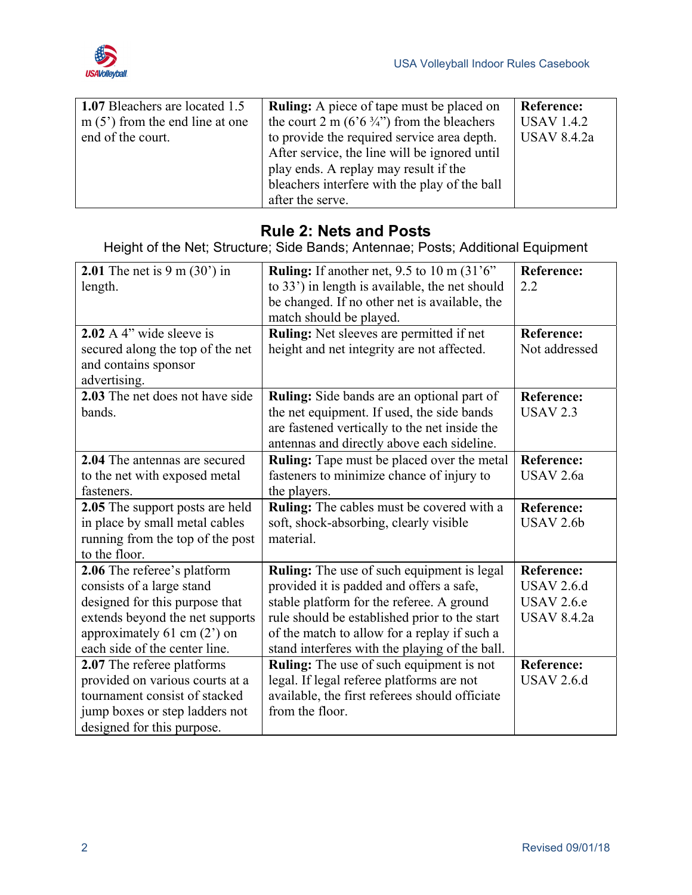

| 1.07 Bleachers are located 1.5   | <b>Ruling:</b> A piece of tape must be placed on       | <b>Reference:</b>  |
|----------------------------------|--------------------------------------------------------|--------------------|
| $m(5')$ from the end line at one | the court 2 m (6'6 $\frac{3}{4}$ ") from the bleachers | <b>USAV 1.4.2</b>  |
| end of the court.                | to provide the required service area depth.            | <b>USAV 8.4.2a</b> |
|                                  | After service, the line will be ignored until          |                    |
|                                  | play ends. A replay may result if the                  |                    |
|                                  | bleachers interfere with the play of the ball          |                    |
|                                  | after the serve.                                       |                    |

#### **Rule 2: Nets and Posts**

Height of the Net; Structure; Side Bands; Antennae; Posts; Additional Equipment

<span id="page-9-0"></span>

| <b>2.01</b> The net is $9 \text{ m } (30')$ in | <b>Ruling:</b> If another net, $9.5$ to $10 \text{ m } (31.6)$ | <b>Reference:</b>    |
|------------------------------------------------|----------------------------------------------------------------|----------------------|
| length.                                        | to 33') in length is available, the net should                 | 2.2                  |
|                                                | be changed. If no other net is available, the                  |                      |
|                                                | match should be played.                                        |                      |
| 2.02 A $4$ " wide sleeve is                    | Ruling: Net sleeves are permitted if net                       | <b>Reference:</b>    |
| secured along the top of the net               | height and net integrity are not affected.                     | Not addressed        |
| and contains sponsor                           |                                                                |                      |
| advertising.                                   |                                                                |                      |
| 2.03 The net does not have side                | Ruling: Side bands are an optional part of                     | <b>Reference:</b>    |
| bands.                                         | the net equipment. If used, the side bands                     | <b>USAV 2.3</b>      |
|                                                | are fastened vertically to the net inside the                  |                      |
|                                                | antennas and directly above each sideline.                     |                      |
| 2.04 The antennas are secured                  | Ruling: Tape must be placed over the metal                     | <b>Reference:</b>    |
| to the net with exposed metal                  | fasteners to minimize chance of injury to                      | USAV 2.6a            |
| fasteners.                                     | the players.                                                   |                      |
| <b>2.05</b> The support posts are held         | <b>Ruling:</b> The cables must be covered with a               | Reference:           |
| in place by small metal cables                 | soft, shock-absorbing, clearly visible                         | USAV <sub>2.6b</sub> |
| running from the top of the post               | material.                                                      |                      |
| to the floor.                                  |                                                                |                      |
| 2.06 The referee's platform                    | <b>Ruling:</b> The use of such equipment is legal              | <b>Reference:</b>    |
| consists of a large stand                      | provided it is padded and offers a safe,                       | <b>USAV 2.6.d</b>    |
| designed for this purpose that                 | stable platform for the referee. A ground                      | <b>USAV 2.6.e</b>    |
| extends beyond the net supports                | rule should be established prior to the start                  | <b>USAV 8.4.2a</b>   |
| approximately $61 \text{ cm} (2')$ on          | of the match to allow for a replay if such a                   |                      |
| each side of the center line.                  | stand interferes with the playing of the ball.                 |                      |
| 2.07 The referee platforms                     | Ruling: The use of such equipment is not                       | <b>Reference:</b>    |
| provided on various courts at a                | legal. If legal referee platforms are not                      | <b>USAV 2.6.d</b>    |
| tournament consist of stacked                  | available, the first referees should officiate                 |                      |
| jump boxes or step ladders not                 | from the floor.                                                |                      |
| designed for this purpose.                     |                                                                |                      |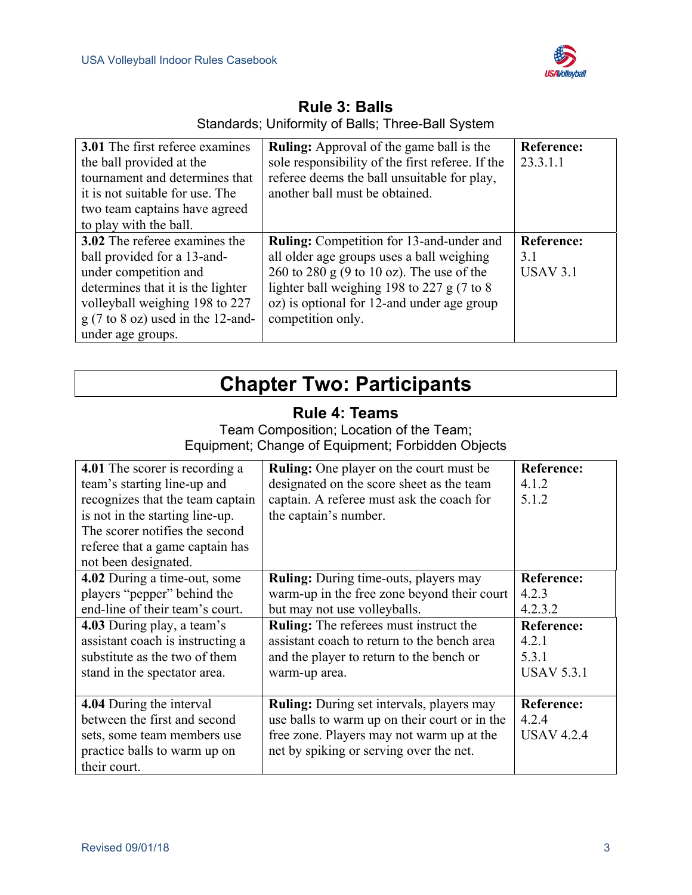

<span id="page-10-0"></span>

| <b>3.01</b> The first referee examines              | <b>Ruling:</b> Approval of the game ball is the  | <b>Reference:</b> |
|-----------------------------------------------------|--------------------------------------------------|-------------------|
| the ball provided at the                            | sole responsibility of the first referee. If the | 23.3.1.1          |
| tournament and determines that                      | referee deems the ball unsuitable for play,      |                   |
| it is not suitable for use. The                     | another ball must be obtained.                   |                   |
| two team captains have agreed                       |                                                  |                   |
| to play with the ball.                              |                                                  |                   |
| 3.02 The referee examines the                       | <b>Ruling:</b> Competition for 13-and-under and  | <b>Reference:</b> |
| ball provided for a 13-and-                         | all older age groups uses a ball weighing        | 3.1               |
| under competition and                               | 260 to 280 g (9 to 10 oz). The use of the        | <b>USAV 3.1</b>   |
| determines that it is the lighter                   | lighter ball weighing 198 to 227 g (7 to 8)      |                   |
| volleyball weighing 198 to 227                      | oz) is optional for 12-and under age group       |                   |
| $g(7 \text{ to } 8 \text{ oz})$ used in the 12-and- | competition only.                                |                   |
| under age groups.                                   |                                                  |                   |

**Rule 3: Balls**  Standards; Uniformity of Balls; Three-Ball System

## **Chapter Two: Participants**

#### **Rule 4: Teams**

Team Composition; Location of the Team; Equipment; Change of Equipment; Forbidden Objects

<span id="page-10-2"></span><span id="page-10-1"></span>

| 4.01 The scorer is recording a<br>team's starting line-up and<br>recognizes that the team captain<br>is not in the starting line-up.<br>The scorer notifies the second<br>referee that a game captain has                                                 | <b>Ruling:</b> One player on the court must be<br>designated on the score sheet as the team<br>captain. A referee must ask the coach for<br>the captain's number.                                                                                                                        | <b>Reference:</b><br>4.1.2<br>5.1.2                                                               |
|-----------------------------------------------------------------------------------------------------------------------------------------------------------------------------------------------------------------------------------------------------------|------------------------------------------------------------------------------------------------------------------------------------------------------------------------------------------------------------------------------------------------------------------------------------------|---------------------------------------------------------------------------------------------------|
| not been designated.<br>4.02 During a time-out, some<br>players "pepper" behind the<br>end-line of their team's court.<br>4.03 During play, a team's<br>assistant coach is instructing a<br>substitute as the two of them<br>stand in the spectator area. | <b>Ruling:</b> During time-outs, players may<br>warm-up in the free zone beyond their court<br>but may not use volleyballs.<br><b>Ruling:</b> The referees must instruct the<br>assistant coach to return to the bench area<br>and the player to return to the bench or<br>warm-up area. | <b>Reference:</b><br>4.2.3<br>4.2.3.2<br><b>Reference:</b><br>4.2.1<br>5.3.1<br><b>USAV 5.3.1</b> |
| 4.04 During the interval<br>between the first and second<br>sets, some team members use<br>practice balls to warm up on<br>their court.                                                                                                                   | <b>Ruling:</b> During set intervals, players may<br>use balls to warm up on their court or in the<br>free zone. Players may not warm up at the<br>net by spiking or serving over the net.                                                                                                | <b>Reference:</b><br>4.2.4<br><b>USAV 4.2.4</b>                                                   |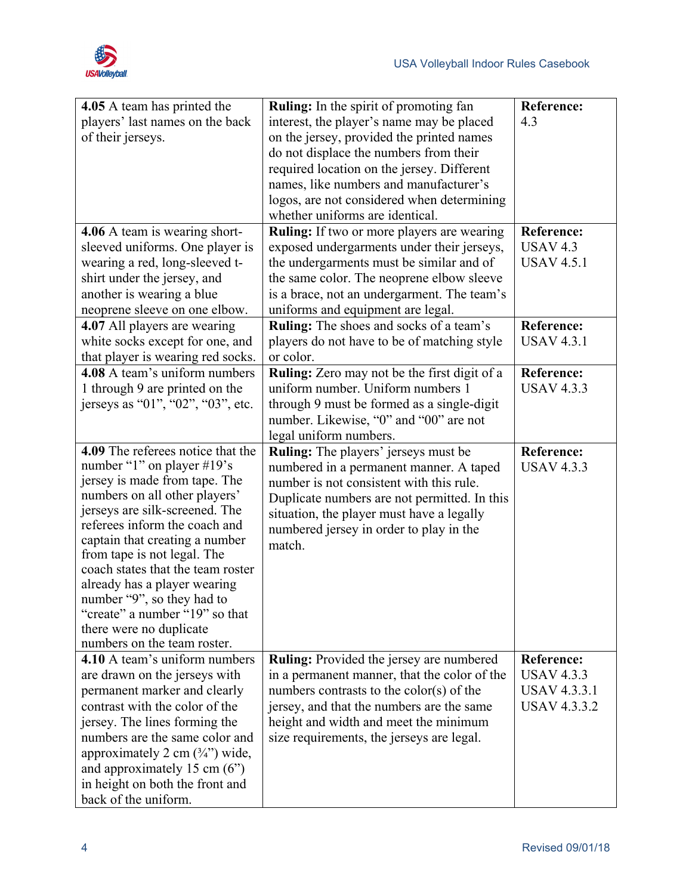

| 4.05 A team has printed the                                   | <b>Ruling:</b> In the spirit of promoting fan                                             | <b>Reference:</b>               |
|---------------------------------------------------------------|-------------------------------------------------------------------------------------------|---------------------------------|
| players' last names on the back                               | interest, the player's name may be placed                                                 | 4.3                             |
| of their jerseys.                                             | on the jersey, provided the printed names                                                 |                                 |
|                                                               | do not displace the numbers from their                                                    |                                 |
|                                                               | required location on the jersey. Different                                                |                                 |
|                                                               | names, like numbers and manufacturer's                                                    |                                 |
|                                                               | logos, are not considered when determining                                                |                                 |
|                                                               | whether uniforms are identical.                                                           |                                 |
| 4.06 A team is wearing short-                                 | <b>Ruling:</b> If two or more players are wearing                                         | <b>Reference:</b>               |
| sleeved uniforms. One player is                               | exposed undergarments under their jerseys,                                                | <b>USAV 4.3</b>                 |
| wearing a red, long-sleeved t-                                | the undergarments must be similar and of                                                  | <b>USAV 4.5.1</b>               |
| shirt under the jersey, and                                   | the same color. The neoprene elbow sleeve                                                 |                                 |
| another is wearing a blue                                     | is a brace, not an undergarment. The team's                                               |                                 |
| neoprene sleeve on one elbow.                                 | uniforms and equipment are legal.                                                         |                                 |
| 4.07 All players are wearing                                  | Ruling: The shoes and socks of a team's                                                   | <b>Reference:</b>               |
| white socks except for one, and                               | players do not have to be of matching style                                               | <b>USAV 4.3.1</b>               |
| that player is wearing red socks.                             | or color.                                                                                 |                                 |
| 4.08 A team's uniform numbers                                 | <b>Ruling:</b> Zero may not be the first digit of a                                       | <b>Reference:</b>               |
| 1 through 9 are printed on the                                | uniform number. Uniform numbers 1                                                         | <b>USAV 4.3.3</b>               |
| jerseys as "01", "02", "03", etc.                             | through 9 must be formed as a single-digit                                                |                                 |
|                                                               | number. Likewise, "0" and "00" are not                                                    |                                 |
| 4.09 The referees notice that the                             | legal uniform numbers.                                                                    |                                 |
| number "1" on player $\#19$ 's                                | Ruling: The players' jerseys must be                                                      | Reference:<br><b>USAV 4.3.3</b> |
| jersey is made from tape. The                                 | numbered in a permanent manner. A taped<br>number is not consistent with this rule.       |                                 |
| numbers on all other players'                                 |                                                                                           |                                 |
| jerseys are silk-screened. The                                | Duplicate numbers are not permitted. In this<br>situation, the player must have a legally |                                 |
| referees inform the coach and                                 | numbered jersey in order to play in the                                                   |                                 |
| captain that creating a number                                | match.                                                                                    |                                 |
| from tape is not legal. The                                   |                                                                                           |                                 |
| coach states that the team roster                             |                                                                                           |                                 |
| already has a player wearing                                  |                                                                                           |                                 |
| number "9", so they had to                                    |                                                                                           |                                 |
| "create" a number "19" so that                                |                                                                                           |                                 |
| there were no duplicate                                       |                                                                                           |                                 |
| numbers on the team roster.<br>4.10 A team's uniform numbers  |                                                                                           | <b>Reference:</b>               |
|                                                               | Ruling: Provided the jersey are numbered<br>in a permanent manner, that the color of the  | <b>USAV 4.3.3</b>               |
| are drawn on the jerseys with<br>permanent marker and clearly | numbers contrasts to the color(s) of the                                                  | <b>USAV 4.3.3.1</b>             |
| contrast with the color of the                                | jersey, and that the numbers are the same                                                 | <b>USAV 4.3.3.2</b>             |
| jersey. The lines forming the                                 | height and width and meet the minimum                                                     |                                 |
| numbers are the same color and                                | size requirements, the jerseys are legal.                                                 |                                 |
| approximately 2 cm $(\frac{3}{4})$ wide,                      |                                                                                           |                                 |
| and approximately 15 cm $(6")$                                |                                                                                           |                                 |
| in height on both the front and                               |                                                                                           |                                 |
| back of the uniform.                                          |                                                                                           |                                 |
|                                                               |                                                                                           |                                 |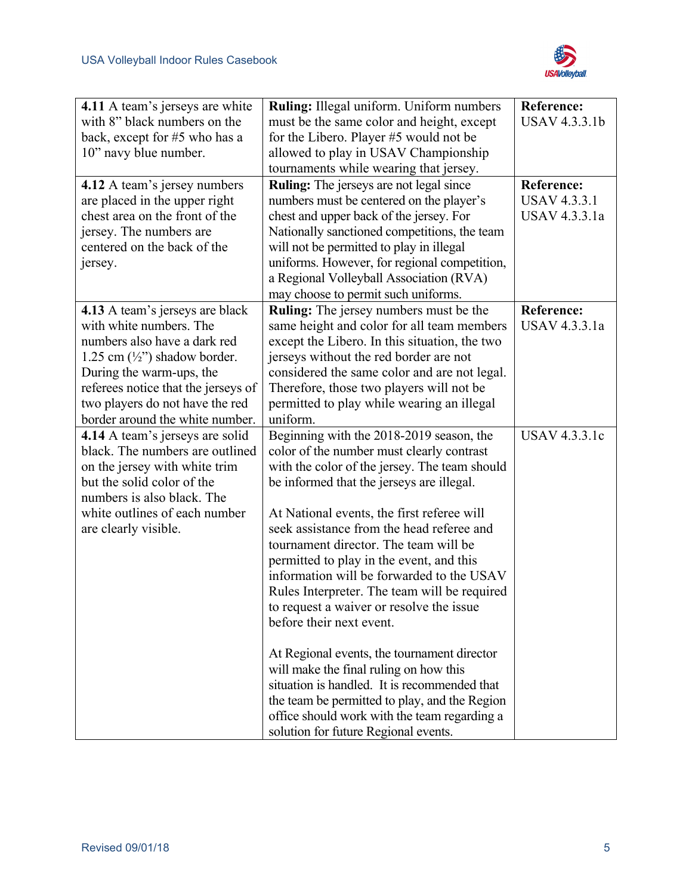

| 4.11 A team's jerseys are white<br>with 8" black numbers on the<br>back, except for #5 who has a<br>10" navy blue number.<br>4.12 A team's jersey numbers<br>are placed in the upper right<br>chest area on the front of the<br>jersey. The numbers are<br>centered on the back of the<br>jersey. | Ruling: Illegal uniform. Uniform numbers<br>must be the same color and height, except<br>for the Libero. Player #5 would not be<br>allowed to play in USAV Championship<br>tournaments while wearing that jersey.<br><b>Ruling:</b> The jerseys are not legal since<br>numbers must be centered on the player's<br>chest and upper back of the jersey. For<br>Nationally sanctioned competitions, the team<br>will not be permitted to play in illegal<br>uniforms. However, for regional competition,<br>a Regional Volleyball Association (RVA)<br>may choose to permit such uniforms.                                                                                                                                                                                                                                   | <b>Reference:</b><br><b>USAV 4.3.3.1b</b><br><b>Reference:</b><br><b>USAV 4.3.3.1</b><br>USAV 4.3.3.1a |
|---------------------------------------------------------------------------------------------------------------------------------------------------------------------------------------------------------------------------------------------------------------------------------------------------|----------------------------------------------------------------------------------------------------------------------------------------------------------------------------------------------------------------------------------------------------------------------------------------------------------------------------------------------------------------------------------------------------------------------------------------------------------------------------------------------------------------------------------------------------------------------------------------------------------------------------------------------------------------------------------------------------------------------------------------------------------------------------------------------------------------------------|--------------------------------------------------------------------------------------------------------|
| 4.13 A team's jerseys are black<br>with white numbers. The<br>numbers also have a dark red<br>1.25 cm $(\frac{1}{2})$ shadow border.<br>During the warm-ups, the<br>referees notice that the jerseys of<br>two players do not have the red<br>border around the white number.                     | Ruling: The jersey numbers must be the<br>same height and color for all team members<br>except the Libero. In this situation, the two<br>jerseys without the red border are not<br>considered the same color and are not legal.<br>Therefore, those two players will not be<br>permitted to play while wearing an illegal<br>uniform.                                                                                                                                                                                                                                                                                                                                                                                                                                                                                      | <b>Reference:</b><br>USAV 4.3.3.1a                                                                     |
| 4.14 A team's jerseys are solid<br>black. The numbers are outlined<br>on the jersey with white trim<br>but the solid color of the<br>numbers is also black. The<br>white outlines of each number<br>are clearly visible.                                                                          | Beginning with the 2018-2019 season, the<br>color of the number must clearly contrast<br>with the color of the jersey. The team should<br>be informed that the jerseys are illegal.<br>At National events, the first referee will<br>seek assistance from the head referee and<br>tournament director. The team will be<br>permitted to play in the event, and this<br>information will be forwarded to the USAV<br>Rules Interpreter. The team will be required<br>to request a waiver or resolve the issue<br>before their next event.<br>At Regional events, the tournament director<br>will make the final ruling on how this<br>situation is handled. It is recommended that<br>the team be permitted to play, and the Region<br>office should work with the team regarding a<br>solution for future Regional events. | USAV 4.3.3.1c                                                                                          |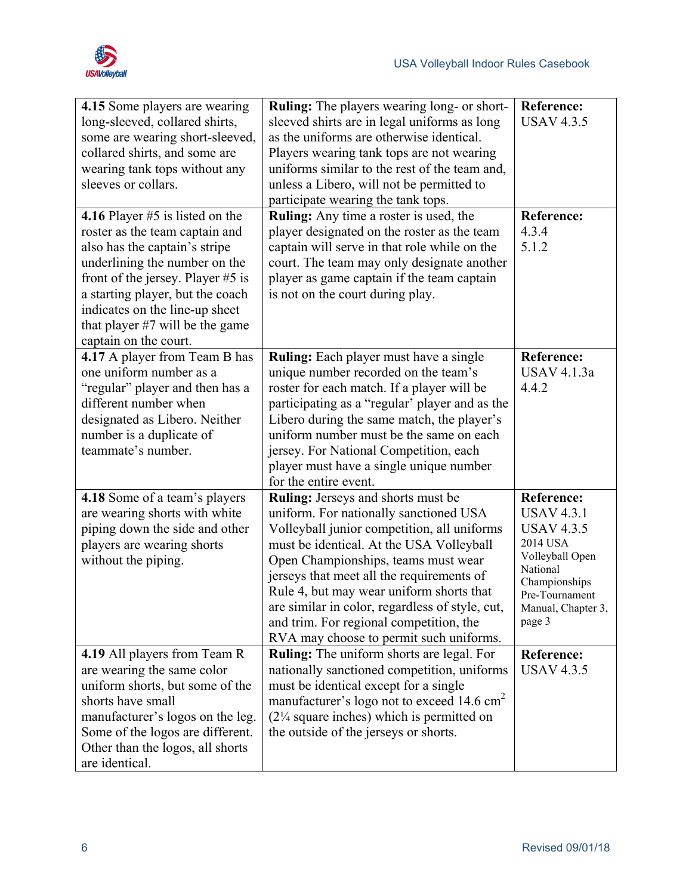

| 4.15 Some players are wearing<br>long-sleeved, collared shirts,<br>some are wearing short-sleeved,<br>collared shirts, and some are<br>wearing tank tops without any<br>sleeves or collars.<br>4.16 Player $#5$ is listed on the<br>roster as the team captain and<br>also has the captain's stripe<br>underlining the number on the<br>front of the jersey. Player $#5$ is<br>a starting player, but the coach<br>indicates on the line-up sheet<br>that player $#7$ will be the game<br>captain on the court. | <b>Ruling:</b> The players wearing long- or short-<br>sleeved shirts are in legal uniforms as long<br>as the uniforms are otherwise identical.<br>Players wearing tank tops are not wearing<br>uniforms similar to the rest of the team and,<br>unless a Libero, will not be permitted to<br>participate wearing the tank tops.<br>Ruling: Any time a roster is used, the<br>player designated on the roster as the team<br>captain will serve in that role while on the<br>court. The team may only designate another<br>player as game captain if the team captain<br>is not on the court during play. | <b>Reference:</b><br><b>USAV 4.3.5</b><br><b>Reference:</b><br>4.3.4<br>5.1.2                                                                                             |
|-----------------------------------------------------------------------------------------------------------------------------------------------------------------------------------------------------------------------------------------------------------------------------------------------------------------------------------------------------------------------------------------------------------------------------------------------------------------------------------------------------------------|----------------------------------------------------------------------------------------------------------------------------------------------------------------------------------------------------------------------------------------------------------------------------------------------------------------------------------------------------------------------------------------------------------------------------------------------------------------------------------------------------------------------------------------------------------------------------------------------------------|---------------------------------------------------------------------------------------------------------------------------------------------------------------------------|
| 4.17 A player from Team B has<br>one uniform number as a<br>"regular" player and then has a<br>different number when<br>designated as Libero. Neither<br>number is a duplicate of<br>teammate's number.                                                                                                                                                                                                                                                                                                         | <b>Ruling:</b> Each player must have a single<br>unique number recorded on the team's<br>roster for each match. If a player will be<br>participating as a "regular' player and as the<br>Libero during the same match, the player's<br>uniform number must be the same on each<br>jersey. For National Competition, each<br>player must have a single unique number<br>for the entire event.                                                                                                                                                                                                             | <b>Reference:</b><br>USAV 4.1.3a<br>4.4.2                                                                                                                                 |
| 4.18 Some of a team's players<br>are wearing shorts with white<br>piping down the side and other<br>players are wearing shorts<br>without the piping.                                                                                                                                                                                                                                                                                                                                                           | <b>Ruling:</b> Jerseys and shorts must be<br>uniform. For nationally sanctioned USA<br>Volleyball junior competition, all uniforms<br>must be identical. At the USA Volleyball<br>Open Championships, teams must wear<br>jerseys that meet all the requirements of<br>Rule 4, but may wear uniform shorts that<br>are similar in color, regardless of style, cut,<br>and trim. For regional competition, the<br>RVA may choose to permit such uniforms.                                                                                                                                                  | <b>Reference:</b><br><b>USAV 4.3.1</b><br><b>USAV 4.3.5</b><br>2014 USA<br>Volleyball Open<br>National<br>Championships<br>Pre-Tournament<br>Manual, Chapter 3,<br>page 3 |
| 4.19 All players from Team R<br>are wearing the same color<br>uniform shorts, but some of the<br>shorts have small<br>manufacturer's logos on the leg.<br>Some of the logos are different.<br>Other than the logos, all shorts<br>are identical.                                                                                                                                                                                                                                                                | <b>Ruling:</b> The uniform shorts are legal. For<br>nationally sanctioned competition, uniforms<br>must be identical except for a single<br>manufacturer's logo not to exceed 14.6 cm <sup>2</sup><br>$(2\frac{1}{4}$ square inches) which is permitted on<br>the outside of the jerseys or shorts.                                                                                                                                                                                                                                                                                                      | <b>Reference:</b><br><b>USAV 4.3.5</b>                                                                                                                                    |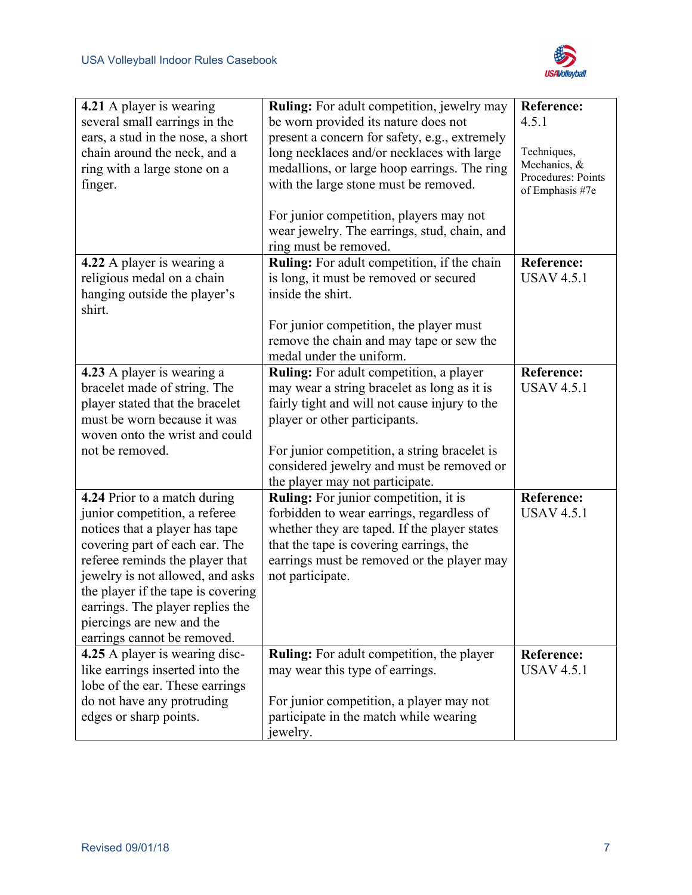

| 4.21 A player is wearing<br>several small earrings in the<br>ears, a stud in the nose, a short<br>chain around the neck, and a<br>ring with a large stone on a<br>finger.                                                                                                                                                                      | Ruling: For adult competition, jewelry may<br>be worn provided its nature does not<br>present a concern for safety, e.g., extremely<br>long necklaces and/or necklaces with large<br>medallions, or large hoop earrings. The ring<br>with the large stone must be removed.                                      | <b>Reference:</b><br>4.5.1<br>Techniques,<br>Mechanics, &<br>Procedures: Points<br>of Emphasis #7e |
|------------------------------------------------------------------------------------------------------------------------------------------------------------------------------------------------------------------------------------------------------------------------------------------------------------------------------------------------|-----------------------------------------------------------------------------------------------------------------------------------------------------------------------------------------------------------------------------------------------------------------------------------------------------------------|----------------------------------------------------------------------------------------------------|
|                                                                                                                                                                                                                                                                                                                                                | For junior competition, players may not<br>wear jewelry. The earrings, stud, chain, and<br>ring must be removed.                                                                                                                                                                                                |                                                                                                    |
| 4.22 A player is wearing a<br>religious medal on a chain<br>hanging outside the player's<br>shirt.                                                                                                                                                                                                                                             | <b>Ruling:</b> For adult competition, if the chain<br>is long, it must be removed or secured<br>inside the shirt.<br>For junior competition, the player must<br>remove the chain and may tape or sew the<br>medal under the uniform.                                                                            | Reference:<br><b>USAV 4.5.1</b>                                                                    |
| 4.23 A player is wearing a<br>bracelet made of string. The<br>player stated that the bracelet<br>must be worn because it was<br>woven onto the wrist and could<br>not be removed.                                                                                                                                                              | <b>Ruling:</b> For adult competition, a player<br>may wear a string bracelet as long as it is<br>fairly tight and will not cause injury to the<br>player or other participants.<br>For junior competition, a string bracelet is<br>considered jewelry and must be removed or<br>the player may not participate. | <b>Reference:</b><br><b>USAV 4.5.1</b>                                                             |
| 4.24 Prior to a match during<br>junior competition, a referee<br>notices that a player has tape<br>covering part of each ear. The<br>referee reminds the player that<br>jewelry is not allowed, and asks<br>the player if the tape is covering<br>earrings. The player replies the<br>piercings are new and the<br>earrings cannot be removed. | Ruling: For junior competition, it is<br>forbidden to wear earrings, regardless of<br>whether they are taped. If the player states<br>that the tape is covering earrings, the<br>earrings must be removed or the player may<br>not participate.                                                                 | <b>Reference:</b><br><b>USAV 4.5.1</b>                                                             |
| 4.25 A player is wearing disc-<br>like earrings inserted into the<br>lobe of the ear. These earrings<br>do not have any protruding<br>edges or sharp points.                                                                                                                                                                                   | <b>Ruling:</b> For adult competition, the player<br>may wear this type of earrings.<br>For junior competition, a player may not<br>participate in the match while wearing<br>jewelry.                                                                                                                           | <b>Reference:</b><br><b>USAV 4.5.1</b>                                                             |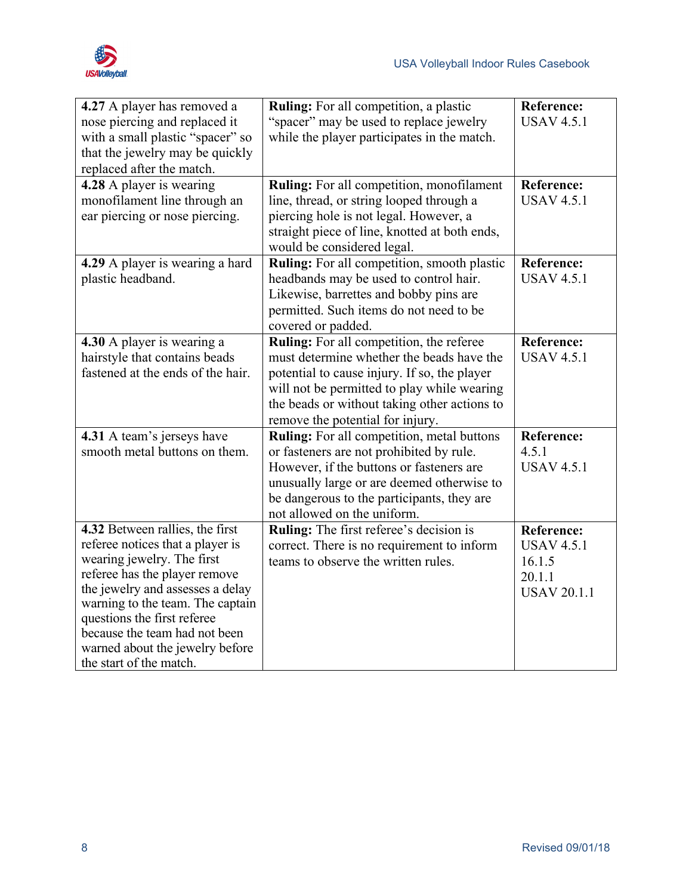

| 4.27 A player has removed a<br>nose piercing and replaced it<br>with a small plastic "spacer" so<br>that the jewelry may be quickly<br>replaced after the match.                                                                                                                                                                         | <b>Ruling:</b> For all competition, a plastic<br>"spacer" may be used to replace jewelry<br>while the player participates in the match.                                                                                                                                  | <b>Reference:</b><br><b>USAV 4.5.1</b>                                           |
|------------------------------------------------------------------------------------------------------------------------------------------------------------------------------------------------------------------------------------------------------------------------------------------------------------------------------------------|--------------------------------------------------------------------------------------------------------------------------------------------------------------------------------------------------------------------------------------------------------------------------|----------------------------------------------------------------------------------|
| 4.28 A player is wearing<br>monofilament line through an<br>ear piercing or nose piercing.                                                                                                                                                                                                                                               | <b>Ruling:</b> For all competition, monofilament<br>line, thread, or string looped through a<br>piercing hole is not legal. However, a<br>straight piece of line, knotted at both ends,<br>would be considered legal.                                                    | <b>Reference:</b><br><b>USAV 4.5.1</b>                                           |
| 4.29 A player is wearing a hard<br>plastic headband.                                                                                                                                                                                                                                                                                     | <b>Ruling:</b> For all competition, smooth plastic<br>headbands may be used to control hair.<br>Likewise, barrettes and bobby pins are<br>permitted. Such items do not need to be<br>covered or padded.                                                                  | <b>Reference:</b><br><b>USAV 4.5.1</b>                                           |
| 4.30 A player is wearing a<br>hairstyle that contains beads<br>fastened at the ends of the hair.                                                                                                                                                                                                                                         | Ruling: For all competition, the referee<br>must determine whether the beads have the<br>potential to cause injury. If so, the player<br>will not be permitted to play while wearing<br>the beads or without taking other actions to<br>remove the potential for injury. | <b>Reference:</b><br><b>USAV 4.5.1</b>                                           |
| 4.31 A team's jerseys have<br>smooth metal buttons on them.                                                                                                                                                                                                                                                                              | <b>Ruling:</b> For all competition, metal buttons<br>or fasteners are not prohibited by rule.<br>However, if the buttons or fasteners are<br>unusually large or are deemed otherwise to<br>be dangerous to the participants, they are<br>not allowed on the uniform.     | <b>Reference:</b><br>4.5.1<br><b>USAV 4.5.1</b>                                  |
| 4.32 Between rallies, the first<br>referee notices that a player is<br>wearing jewelry. The first<br>referee has the player remove<br>the jewelry and assesses a delay<br>warning to the team. The captain<br>questions the first referee<br>because the team had not been<br>warned about the jewelry before<br>the start of the match. | Ruling: The first referee's decision is<br>correct. There is no requirement to inform<br>teams to observe the written rules.                                                                                                                                             | <b>Reference:</b><br><b>USAV 4.5.1</b><br>16.1.5<br>20.1.1<br><b>USAV 20.1.1</b> |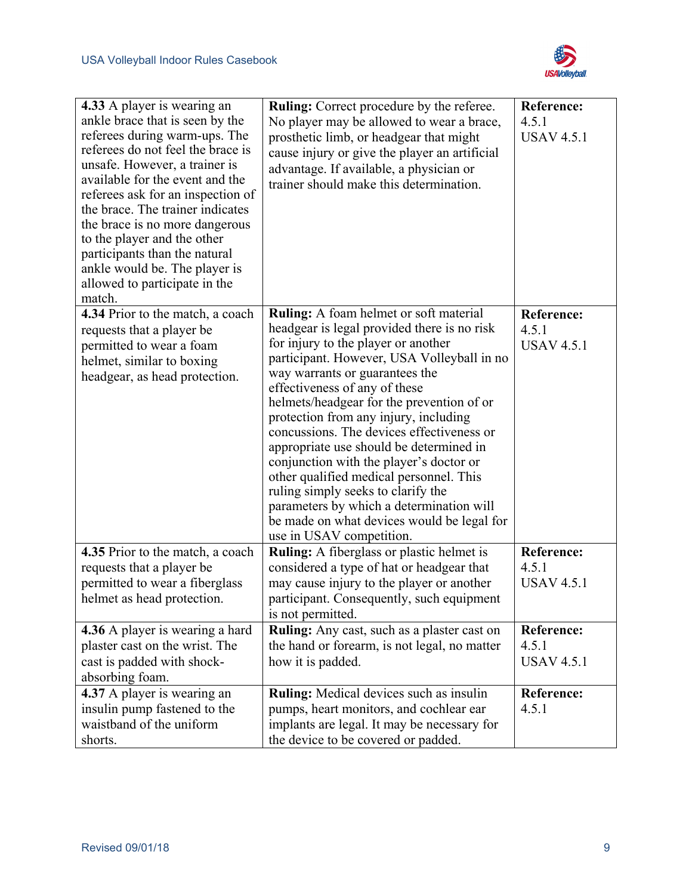

| 4.33 A player is wearing an<br>ankle brace that is seen by the<br>referees during warm-ups. The<br>referees do not feel the brace is<br>unsafe. However, a trainer is<br>available for the event and the<br>referees ask for an inspection of<br>the brace. The trainer indicates<br>the brace is no more dangerous<br>to the player and the other<br>participants than the natural<br>ankle would be. The player is<br>allowed to participate in the<br>match. | <b>Ruling:</b> Correct procedure by the referee.<br>No player may be allowed to wear a brace,<br>prosthetic limb, or headgear that might<br>cause injury or give the player an artificial<br>advantage. If available, a physician or<br>trainer should make this determination.                                                                                                                                                                                                                                                                                                                                                     | <b>Reference:</b><br>4.5.1<br><b>USAV 4.5.1</b> |
|-----------------------------------------------------------------------------------------------------------------------------------------------------------------------------------------------------------------------------------------------------------------------------------------------------------------------------------------------------------------------------------------------------------------------------------------------------------------|-------------------------------------------------------------------------------------------------------------------------------------------------------------------------------------------------------------------------------------------------------------------------------------------------------------------------------------------------------------------------------------------------------------------------------------------------------------------------------------------------------------------------------------------------------------------------------------------------------------------------------------|-------------------------------------------------|
| 4.34 Prior to the match, a coach                                                                                                                                                                                                                                                                                                                                                                                                                                | <b>Ruling:</b> A foam helmet or soft material                                                                                                                                                                                                                                                                                                                                                                                                                                                                                                                                                                                       | <b>Reference:</b>                               |
| requests that a player be<br>permitted to wear a foam<br>helmet, similar to boxing<br>headgear, as head protection.                                                                                                                                                                                                                                                                                                                                             | headgear is legal provided there is no risk<br>for injury to the player or another<br>participant. However, USA Volleyball in no<br>way warrants or guarantees the<br>effectiveness of any of these<br>helmets/headgear for the prevention of or<br>protection from any injury, including<br>concussions. The devices effectiveness or<br>appropriate use should be determined in<br>conjunction with the player's doctor or<br>other qualified medical personnel. This<br>ruling simply seeks to clarify the<br>parameters by which a determination will<br>be made on what devices would be legal for<br>use in USAV competition. | 4.5.1<br><b>USAV 4.5.1</b>                      |
| 4.35 Prior to the match, a coach                                                                                                                                                                                                                                                                                                                                                                                                                                | Ruling: A fiberglass or plastic helmet is                                                                                                                                                                                                                                                                                                                                                                                                                                                                                                                                                                                           | <b>Reference:</b>                               |
| requests that a player be                                                                                                                                                                                                                                                                                                                                                                                                                                       | considered a type of hat or headgear that                                                                                                                                                                                                                                                                                                                                                                                                                                                                                                                                                                                           | 4.5.1                                           |
| permitted to wear a fiberglass<br>helmet as head protection.                                                                                                                                                                                                                                                                                                                                                                                                    | may cause injury to the player or another<br>participant. Consequently, such equipment<br>is not permitted.                                                                                                                                                                                                                                                                                                                                                                                                                                                                                                                         | <b>USAV 4.5.1</b>                               |
| 4.36 A player is wearing a hard                                                                                                                                                                                                                                                                                                                                                                                                                                 | Ruling: Any cast, such as a plaster cast on                                                                                                                                                                                                                                                                                                                                                                                                                                                                                                                                                                                         | <b>Reference:</b>                               |
| plaster cast on the wrist. The                                                                                                                                                                                                                                                                                                                                                                                                                                  | the hand or forearm, is not legal, no matter                                                                                                                                                                                                                                                                                                                                                                                                                                                                                                                                                                                        | 4.5.1                                           |
| cast is padded with shock-<br>absorbing foam.                                                                                                                                                                                                                                                                                                                                                                                                                   | how it is padded.                                                                                                                                                                                                                                                                                                                                                                                                                                                                                                                                                                                                                   | <b>USAV 4.5.1</b>                               |
| 4.37 A player is wearing an                                                                                                                                                                                                                                                                                                                                                                                                                                     | <b>Ruling:</b> Medical devices such as insulin                                                                                                                                                                                                                                                                                                                                                                                                                                                                                                                                                                                      | <b>Reference:</b>                               |
| insulin pump fastened to the                                                                                                                                                                                                                                                                                                                                                                                                                                    | pumps, heart monitors, and cochlear ear                                                                                                                                                                                                                                                                                                                                                                                                                                                                                                                                                                                             | 4.5.1                                           |
| waistband of the uniform                                                                                                                                                                                                                                                                                                                                                                                                                                        | implants are legal. It may be necessary for                                                                                                                                                                                                                                                                                                                                                                                                                                                                                                                                                                                         |                                                 |
| shorts.                                                                                                                                                                                                                                                                                                                                                                                                                                                         | the device to be covered or padded.                                                                                                                                                                                                                                                                                                                                                                                                                                                                                                                                                                                                 |                                                 |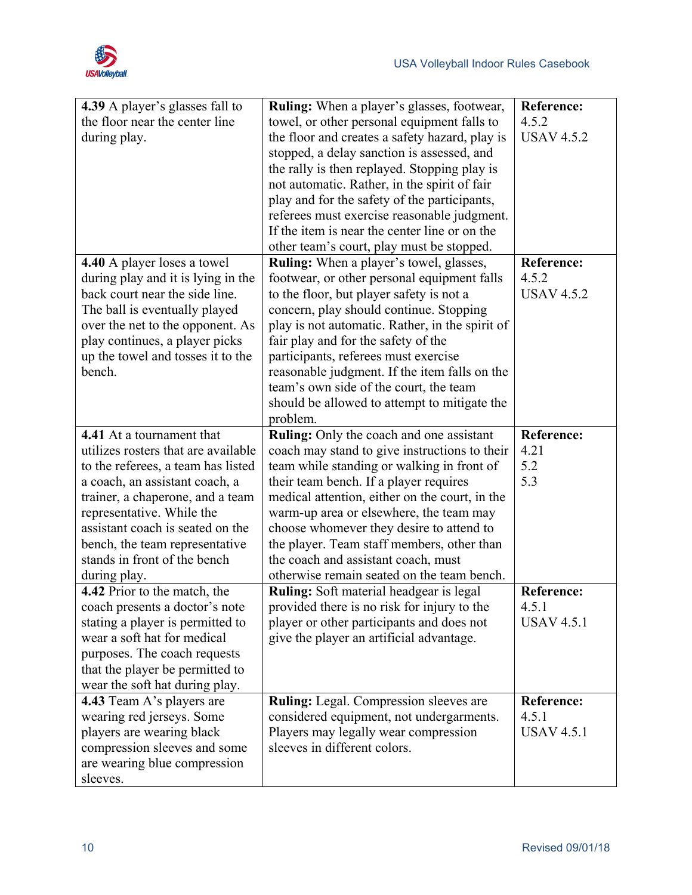

| 4.39 A player's glasses fall to     | <b>Ruling:</b> When a player's glasses, footwear, | <b>Reference:</b> |
|-------------------------------------|---------------------------------------------------|-------------------|
| the floor near the center line      | towel, or other personal equipment falls to       | 4.5.2             |
| during play.                        | the floor and creates a safety hazard, play is    | <b>USAV 4.5.2</b> |
|                                     | stopped, a delay sanction is assessed, and        |                   |
|                                     | the rally is then replayed. Stopping play is      |                   |
|                                     | not automatic. Rather, in the spirit of fair      |                   |
|                                     | play and for the safety of the participants,      |                   |
|                                     | referees must exercise reasonable judgment.       |                   |
|                                     | If the item is near the center line or on the     |                   |
|                                     | other team's court, play must be stopped.         |                   |
| 4.40 A player loses a towel         | Ruling: When a player's towel, glasses,           | <b>Reference:</b> |
| during play and it is lying in the  | footwear, or other personal equipment falls       | 4.5.2             |
| back court near the side line.      | to the floor, but player safety is not a          | <b>USAV 4.5.2</b> |
| The ball is eventually played       | concern, play should continue. Stopping           |                   |
| over the net to the opponent. As    | play is not automatic. Rather, in the spirit of   |                   |
| play continues, a player picks      | fair play and for the safety of the               |                   |
| up the towel and tosses it to the   | participants, referees must exercise              |                   |
| bench.                              | reasonable judgment. If the item falls on the     |                   |
|                                     | team's own side of the court, the team            |                   |
|                                     | should be allowed to attempt to mitigate the      |                   |
|                                     | problem.                                          |                   |
| 4.41 At a tournament that           | <b>Ruling:</b> Only the coach and one assistant   | <b>Reference:</b> |
| utilizes rosters that are available | coach may stand to give instructions to their     | 4.21              |
| to the referees, a team has listed  | team while standing or walking in front of        | 5.2               |
| a coach, an assistant coach, a      | their team bench. If a player requires            | 5.3               |
| trainer, a chaperone, and a team    | medical attention, either on the court, in the    |                   |
| representative. While the           | warm-up area or elsewhere, the team may           |                   |
| assistant coach is seated on the    | choose whomever they desire to attend to          |                   |
| bench, the team representative      | the player. Team staff members, other than        |                   |
| stands in front of the bench        | the coach and assistant coach, must               |                   |
| during play.                        | otherwise remain seated on the team bench.        |                   |
| 4.42 Prior to the match, the        | <b>Ruling:</b> Soft material headgear is legal    | <b>Reference:</b> |
| coach presents a doctor's note      | provided there is no risk for injury to the       | 4.5.1             |
| stating a player is permitted to    | player or other participants and does not         | <b>USAV 4.5.1</b> |
| wear a soft hat for medical         | give the player an artificial advantage.          |                   |
| purposes. The coach requests        |                                                   |                   |
| that the player be permitted to     |                                                   |                   |
| wear the soft hat during play.      |                                                   |                   |
| 4.43 Team A's players are           | Ruling: Legal. Compression sleeves are            | <b>Reference:</b> |
| wearing red jerseys. Some           | considered equipment, not undergarments.          | 4.5.1             |
| players are wearing black           | Players may legally wear compression              | <b>USAV 4.5.1</b> |
| compression sleeves and some        | sleeves in different colors.                      |                   |
| are wearing blue compression        |                                                   |                   |
| sleeves.                            |                                                   |                   |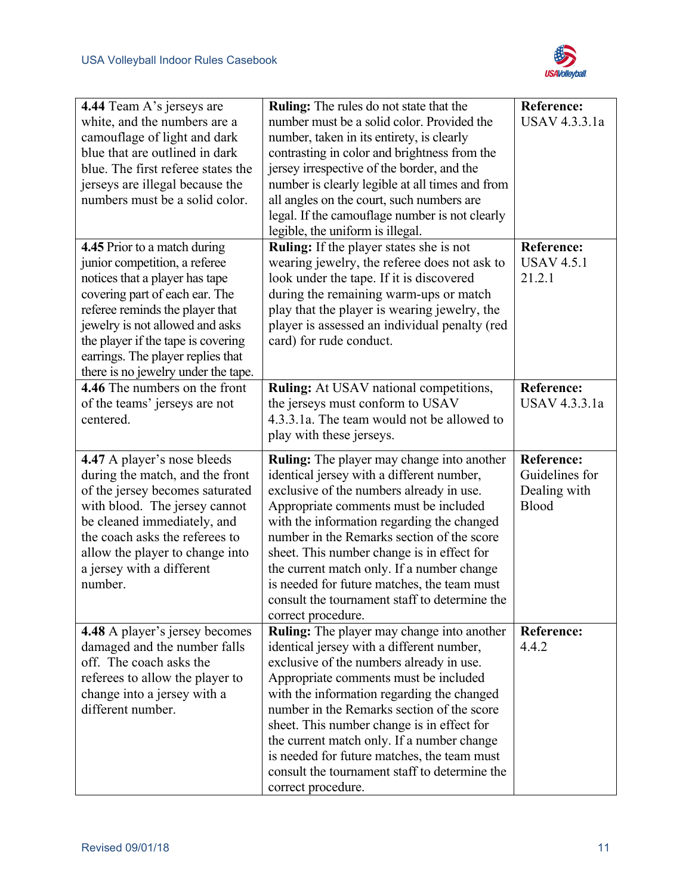

| 4.44 Team A's jerseys are             | <b>Ruling:</b> The rules do not state that the                      | <b>Reference:</b> |
|---------------------------------------|---------------------------------------------------------------------|-------------------|
| white, and the numbers are a          | number must be a solid color. Provided the                          | USAV 4.3.3.1a     |
| camouflage of light and dark          | number, taken in its entirety, is clearly                           |                   |
| blue that are outlined in dark        | contrasting in color and brightness from the                        |                   |
| blue. The first referee states the    | jersey irrespective of the border, and the                          |                   |
| jerseys are illegal because the       | number is clearly legible at all times and from                     |                   |
| numbers must be a solid color.        | all angles on the court, such numbers are                           |                   |
|                                       | legal. If the camouflage number is not clearly                      |                   |
|                                       | legible, the uniform is illegal.                                    |                   |
| 4.45 Prior to a match during          | Ruling: If the player states she is not                             | <b>Reference:</b> |
| junior competition, a referee         | wearing jewelry, the referee does not ask to                        | <b>USAV 4.5.1</b> |
| notices that a player has tape        | look under the tape. If it is discovered                            | 21.2.1            |
| covering part of each ear. The        | during the remaining warm-ups or match                              |                   |
| referee reminds the player that       | play that the player is wearing jewelry, the                        |                   |
| jewelry is not allowed and asks       | player is assessed an individual penalty (red                       |                   |
| the player if the tape is covering    | card) for rude conduct.                                             |                   |
| earrings. The player replies that     |                                                                     |                   |
| there is no jewelry under the tape.   |                                                                     |                   |
| 4.46 The numbers on the front         | <b>Ruling:</b> At USAV national competitions,                       | <b>Reference:</b> |
| of the teams' jerseys are not         | the jerseys must conform to USAV                                    | USAV 4.3.3.1a     |
| centered.                             | 4.3.3.1a. The team would not be allowed to                          |                   |
|                                       | play with these jerseys.                                            |                   |
|                                       |                                                                     |                   |
| 4.47 A player's nose bleeds           | <b>Ruling:</b> The player may change into another                   | <b>Reference:</b> |
| during the match, and the front       | identical jersey with a different number,                           | Guidelines for    |
| of the jersey becomes saturated       | exclusive of the numbers already in use.                            | Dealing with      |
| with blood. The jersey cannot         | Appropriate comments must be included                               | Blood             |
| be cleaned immediately, and           | with the information regarding the changed                          |                   |
| the coach asks the referees to        | number in the Remarks section of the score                          |                   |
| allow the player to change into       | sheet. This number change is in effect for                          |                   |
| a jersey with a different             | the current match only. If a number change                          |                   |
| number.                               | is needed for future matches, the team must                         |                   |
|                                       | consult the tournament staff to determine the                       |                   |
|                                       | correct procedure.                                                  |                   |
| <b>4.48</b> A player's jersey becomes | Ruling: The player may change into another                          | Reference:        |
| damaged and the number falls          | identical jersey with a different number,                           | 4.4.2             |
| off. The coach asks the               | exclusive of the numbers already in use.                            |                   |
| referees to allow the player to       | Appropriate comments must be included                               |                   |
| change into a jersey with a           | with the information regarding the changed                          |                   |
| different number.                     | number in the Remarks section of the score                          |                   |
|                                       | sheet. This number change is in effect for                          |                   |
|                                       | the current match only. If a number change                          |                   |
|                                       | is needed for future matches, the team must                         |                   |
|                                       | consult the tournament staff to determine the<br>correct procedure. |                   |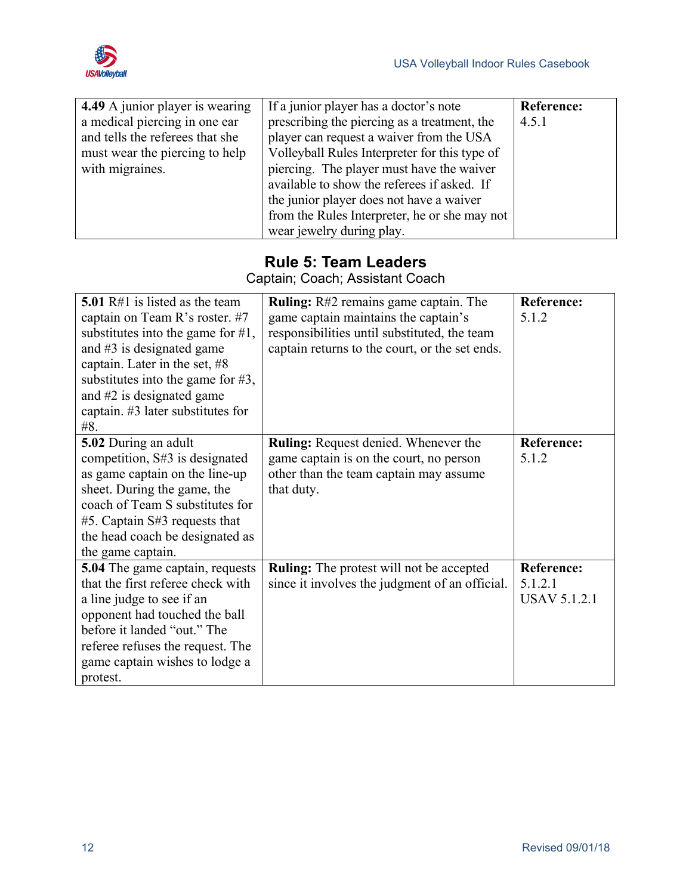

| 4.49 A junior player is wearing | If a junior player has a doctor's note        | Reference: |
|---------------------------------|-----------------------------------------------|------------|
| a medical piercing in one ear   | prescribing the piercing as a treatment, the  | 4.5.1      |
| and tells the referees that she | player can request a waiver from the USA      |            |
| must wear the piercing to help  | Volleyball Rules Interpreter for this type of |            |
| with migraines.                 | piercing. The player must have the waiver     |            |
|                                 | available to show the referees if asked. If   |            |
|                                 | the junior player does not have a waiver      |            |
|                                 | from the Rules Interpreter, he or she may not |            |
|                                 | wear jewelry during play.                     |            |

#### **Rule 5: Team Leaders**

Captain; Coach; Assistant Coach

<span id="page-19-0"></span>

| 5.01 $R#1$ is listed as the team     | Ruling: R#2 remains game captain. The           | <b>Reference:</b>   |
|--------------------------------------|-------------------------------------------------|---------------------|
| captain on Team R's roster. #7       | game captain maintains the captain's            | 5.1.2               |
| substitutes into the game for $#1$ , | responsibilities until substituted, the team    |                     |
| and $#3$ is designated game          | captain returns to the court, or the set ends.  |                     |
| captain. Later in the set, $#8$      |                                                 |                     |
| substitutes into the game for $#3$ , |                                                 |                     |
| and #2 is designated game            |                                                 |                     |
| captain. #3 later substitutes for    |                                                 |                     |
| #8.                                  |                                                 |                     |
| 5.02 During an adult                 | Ruling: Request denied. Whenever the            | <b>Reference:</b>   |
| competition, S#3 is designated       | game captain is on the court, no person         | 5.1.2               |
| as game captain on the line-up       | other than the team captain may assume          |                     |
| sheet. During the game, the          | that duty.                                      |                     |
| coach of Team S substitutes for      |                                                 |                     |
| $#5$ . Captain S#3 requests that     |                                                 |                     |
| the head coach be designated as      |                                                 |                     |
| the game captain.                    |                                                 |                     |
| 5.04 The game captain, requests      | <b>Ruling:</b> The protest will not be accepted | <b>Reference:</b>   |
| that the first referee check with    | since it involves the judgment of an official.  | 5.1.2.1             |
| a line judge to see if an            |                                                 | <b>USAV 5.1.2.1</b> |
| opponent had touched the ball        |                                                 |                     |
| before it landed "out." The          |                                                 |                     |
| referee refuses the request. The     |                                                 |                     |
| game captain wishes to lodge a       |                                                 |                     |
| protest.                             |                                                 |                     |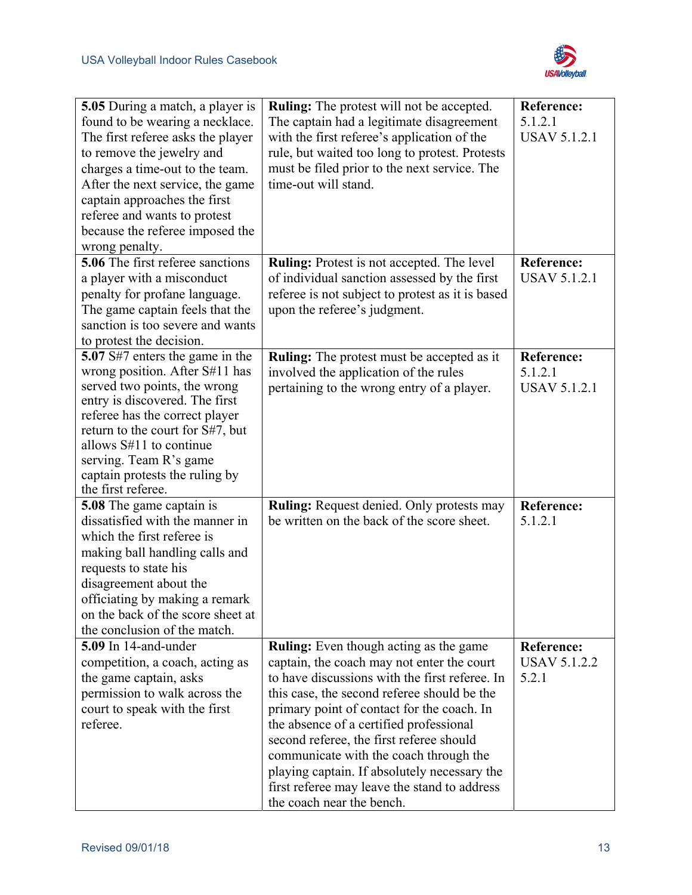

| 5.05 During a match, a player is<br>found to be wearing a necklace.<br>The first referee asks the player<br>to remove the jewelry and<br>charges a time-out to the team.<br>After the next service, the game<br>captain approaches the first<br>referee and wants to protest<br>because the referee imposed the        | <b>Ruling:</b> The protest will not be accepted.<br>The captain had a legitimate disagreement<br>with the first referee's application of the<br>rule, but waited too long to protest. Protests<br>must be filed prior to the next service. The<br>time-out will stand.                                                                                                                                                                                                                                   | <b>Reference:</b><br>5.1.2.1<br><b>USAV 5.1.2.1</b> |
|------------------------------------------------------------------------------------------------------------------------------------------------------------------------------------------------------------------------------------------------------------------------------------------------------------------------|----------------------------------------------------------------------------------------------------------------------------------------------------------------------------------------------------------------------------------------------------------------------------------------------------------------------------------------------------------------------------------------------------------------------------------------------------------------------------------------------------------|-----------------------------------------------------|
| wrong penalty.<br>5.06 The first referee sanctions<br>a player with a misconduct<br>penalty for profane language.<br>The game captain feels that the<br>sanction is too severe and wants<br>to protest the decision.                                                                                                   | Ruling: Protest is not accepted. The level<br>of individual sanction assessed by the first<br>referee is not subject to protest as it is based<br>upon the referee's judgment.                                                                                                                                                                                                                                                                                                                           | <b>Reference:</b><br><b>USAV 5.1.2.1</b>            |
| 5.07 S#7 enters the game in the<br>wrong position. After S#11 has<br>served two points, the wrong<br>entry is discovered. The first<br>referee has the correct player<br>return to the court for S#7, but<br>allows S#11 to continue<br>serving. Team R's game<br>captain protests the ruling by<br>the first referee. | <b>Ruling:</b> The protest must be accepted as it<br>involved the application of the rules<br>pertaining to the wrong entry of a player.                                                                                                                                                                                                                                                                                                                                                                 | <b>Reference:</b><br>5.1.2.1<br><b>USAV 5.1.2.1</b> |
| <b>5.08</b> The game captain is<br>dissatisfied with the manner in<br>which the first referee is<br>making ball handling calls and<br>requests to state his<br>disagreement about the<br>officiating by making a remark<br>on the back of the score sheet at<br>the conclusion of the match.                           | <b>Ruling:</b> Request denied. Only protests may<br>be written on the back of the score sheet.                                                                                                                                                                                                                                                                                                                                                                                                           | <b>Reference:</b><br>5.1.2.1                        |
| 5.09 In 14-and-under<br>competition, a coach, acting as<br>the game captain, asks<br>permission to walk across the<br>court to speak with the first<br>referee.                                                                                                                                                        | <b>Ruling:</b> Even though acting as the game<br>captain, the coach may not enter the court<br>to have discussions with the first referee. In<br>this case, the second referee should be the<br>primary point of contact for the coach. In<br>the absence of a certified professional<br>second referee, the first referee should<br>communicate with the coach through the<br>playing captain. If absolutely necessary the<br>first referee may leave the stand to address<br>the coach near the bench. | <b>Reference:</b><br><b>USAV 5.1.2.2</b><br>5.2.1   |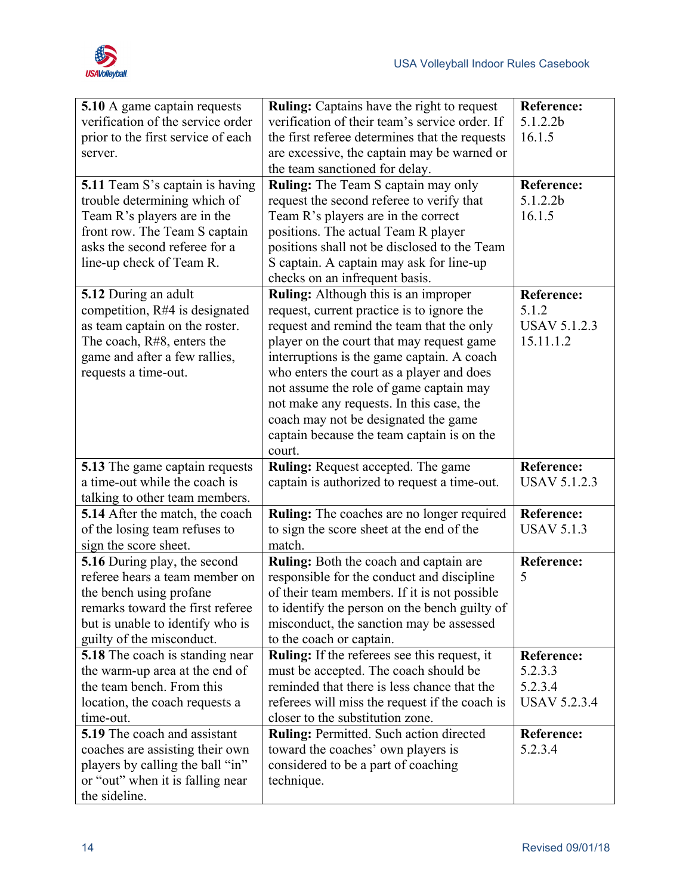

| 5.10 A game captain requests                                           | Ruling: Captains have the right to request                                                | <b>Reference:</b>   |
|------------------------------------------------------------------------|-------------------------------------------------------------------------------------------|---------------------|
| verification of the service order                                      | verification of their team's service order. If                                            | 5.1.2.2b            |
| prior to the first service of each                                     | the first referee determines that the requests                                            | 16.1.5              |
| server.                                                                | are excessive, the captain may be warned or                                               |                     |
|                                                                        | the team sanctioned for delay.                                                            |                     |
| <b>5.11</b> Team S's captain is having                                 | <b>Ruling:</b> The Team S captain may only                                                | <b>Reference:</b>   |
| trouble determining which of                                           | request the second referee to verify that                                                 | 5.1.2.2b            |
| Team R's players are in the                                            | Team R's players are in the correct                                                       | 16.1.5              |
| front row. The Team S captain                                          | positions. The actual Team R player                                                       |                     |
| asks the second referee for a                                          | positions shall not be disclosed to the Team                                              |                     |
| line-up check of Team R.                                               | S captain. A captain may ask for line-up                                                  |                     |
|                                                                        | checks on an infrequent basis.                                                            |                     |
| 5.12 During an adult                                                   | Ruling: Although this is an improper                                                      | <b>Reference:</b>   |
| competition, R#4 is designated                                         | request, current practice is to ignore the                                                | 5.1.2               |
| as team captain on the roster.                                         | request and remind the team that the only                                                 | <b>USAV 5.1.2.3</b> |
| The coach, R#8, enters the                                             | player on the court that may request game                                                 | 15.11.1.2           |
| game and after a few rallies,                                          | interruptions is the game captain. A coach                                                |                     |
| requests a time-out.                                                   | who enters the court as a player and does                                                 |                     |
|                                                                        | not assume the role of game captain may                                                   |                     |
|                                                                        | not make any requests. In this case, the                                                  |                     |
|                                                                        | coach may not be designated the game                                                      |                     |
|                                                                        | captain because the team captain is on the<br>court.                                      |                     |
|                                                                        |                                                                                           | <b>Reference:</b>   |
| <b>5.13</b> The game captain requests<br>a time-out while the coach is | <b>Ruling:</b> Request accepted. The game<br>captain is authorized to request a time-out. | <b>USAV 5.1.2.3</b> |
|                                                                        |                                                                                           |                     |
| talking to other team members.<br>5.14 After the match, the coach      | <b>Ruling:</b> The coaches are no longer required                                         | <b>Reference:</b>   |
| of the losing team refuses to                                          | to sign the score sheet at the end of the                                                 | <b>USAV 5.1.3</b>   |
| sign the score sheet.                                                  | match.                                                                                    |                     |
| 5.16 During play, the second                                           | Ruling: Both the coach and captain are                                                    | Reference:          |
| referee hears a team member on                                         | responsible for the conduct and discipline                                                | 5                   |
| the bench using profane                                                | of their team members. If it is not possible                                              |                     |
| remarks toward the first referee                                       | to identify the person on the bench guilty of                                             |                     |
| but is unable to identify who is                                       | misconduct, the sanction may be assessed                                                  |                     |
| guilty of the misconduct.                                              | to the coach or captain.                                                                  |                     |
| 5.18 The coach is standing near                                        | <b>Ruling:</b> If the referees see this request, it                                       | <b>Reference:</b>   |
| the warm-up area at the end of                                         | must be accepted. The coach should be                                                     | 5.2.3.3             |
| the team bench. From this                                              | reminded that there is less chance that the                                               | 5.2.3.4             |
| location, the coach requests a                                         | referees will miss the request if the coach is                                            | <b>USAV 5.2.3.4</b> |
| time-out.                                                              | closer to the substitution zone.                                                          |                     |
| <b>5.19</b> The coach and assistant                                    | Ruling: Permitted. Such action directed                                                   | <b>Reference:</b>   |
| coaches are assisting their own                                        | toward the coaches' own players is                                                        | 5.2.3.4             |
| players by calling the ball "in"                                       | considered to be a part of coaching                                                       |                     |
| or "out" when it is falling near                                       | technique.                                                                                |                     |
| the sideline.                                                          |                                                                                           |                     |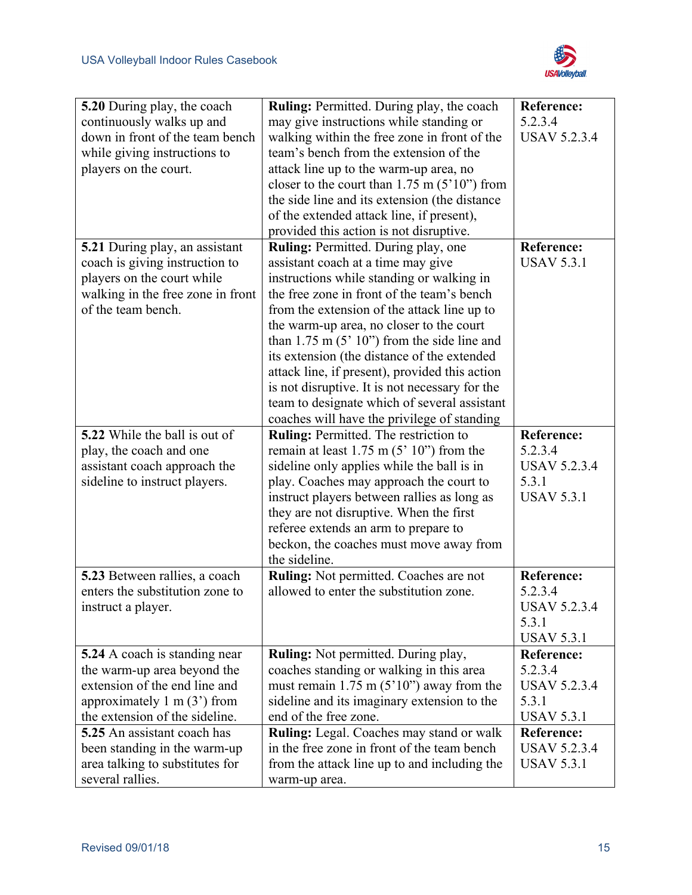

| 5.20 During play, the coach           | <b>Ruling:</b> Permitted. During play, the coach  | <b>Reference:</b>   |
|---------------------------------------|---------------------------------------------------|---------------------|
| continuously walks up and             | may give instructions while standing or           | 5.2.3.4             |
| down in front of the team bench       | walking within the free zone in front of the      | <b>USAV 5.2.3.4</b> |
| while giving instructions to          | team's bench from the extension of the            |                     |
| players on the court.                 | attack line up to the warm-up area, no            |                     |
|                                       | closer to the court than $1.75$ m $(5'10'')$ from |                     |
|                                       | the side line and its extension (the distance     |                     |
|                                       | of the extended attack line, if present),         |                     |
|                                       | provided this action is not disruptive.           |                     |
| 5.21 During play, an assistant        | Ruling: Permitted. During play, one               | Reference:          |
| coach is giving instruction to        | assistant coach at a time may give                | <b>USAV 5.3.1</b>   |
| players on the court while            | instructions while standing or walking in         |                     |
| walking in the free zone in front     | the free zone in front of the team's bench        |                     |
| of the team bench.                    | from the extension of the attack line up to       |                     |
|                                       | the warm-up area, no closer to the court          |                     |
|                                       | than $1.75$ m $(5' 10'')$ from the side line and  |                     |
|                                       | its extension (the distance of the extended       |                     |
|                                       | attack line, if present), provided this action    |                     |
|                                       | is not disruptive. It is not necessary for the    |                     |
|                                       | team to designate which of several assistant      |                     |
|                                       | coaches will have the privilege of standing       |                     |
| 5.22 While the ball is out of         | Ruling: Permitted. The restriction to             | Reference:          |
| play, the coach and one               | remain at least $1.75$ m $(5' 10'')$ from the     | 5.2.3.4             |
| assistant coach approach the          | sideline only applies while the ball is in        | <b>USAV 5.2.3.4</b> |
| sideline to instruct players.         | play. Coaches may approach the court to           | 5.3.1               |
|                                       | instruct players between rallies as long as       | <b>USAV 5.3.1</b>   |
|                                       | they are not disruptive. When the first           |                     |
|                                       | referee extends an arm to prepare to              |                     |
|                                       | beckon, the coaches must move away from           |                     |
|                                       | the sideline.                                     |                     |
| 5.23 Between rallies, a coach         | Ruling: Not permitted. Coaches are not            | <b>Reference:</b>   |
| enters the substitution zone to       | allowed to enter the substitution zone.           | 5.2.3.4             |
| instruct a player.                    |                                                   | USAV 5.2.3.4        |
|                                       |                                                   | 5.3.1               |
|                                       |                                                   | <b>USAV 5.3.1</b>   |
| 5.24 A coach is standing near         | Ruling: Not permitted. During play,               | Reference:          |
| the warm-up area beyond the           | coaches standing or walking in this area          | 5.2.3.4             |
| extension of the end line and         | must remain $1.75$ m $(5'10'')$ away from the     | <b>USAV 5.2.3.4</b> |
| approximately $1 \text{ m} (3')$ from | sideline and its imaginary extension to the       | 5.3.1               |
| the extension of the sideline.        | end of the free zone.                             | <b>USAV 5.3.1</b>   |
| 5.25 An assistant coach has           | Ruling: Legal. Coaches may stand or walk          | Reference:          |
| been standing in the warm-up          | in the free zone in front of the team bench       | <b>USAV 5.2.3.4</b> |
| area talking to substitutes for       | from the attack line up to and including the      | <b>USAV 5.3.1</b>   |
| several rallies.                      | warm-up area.                                     |                     |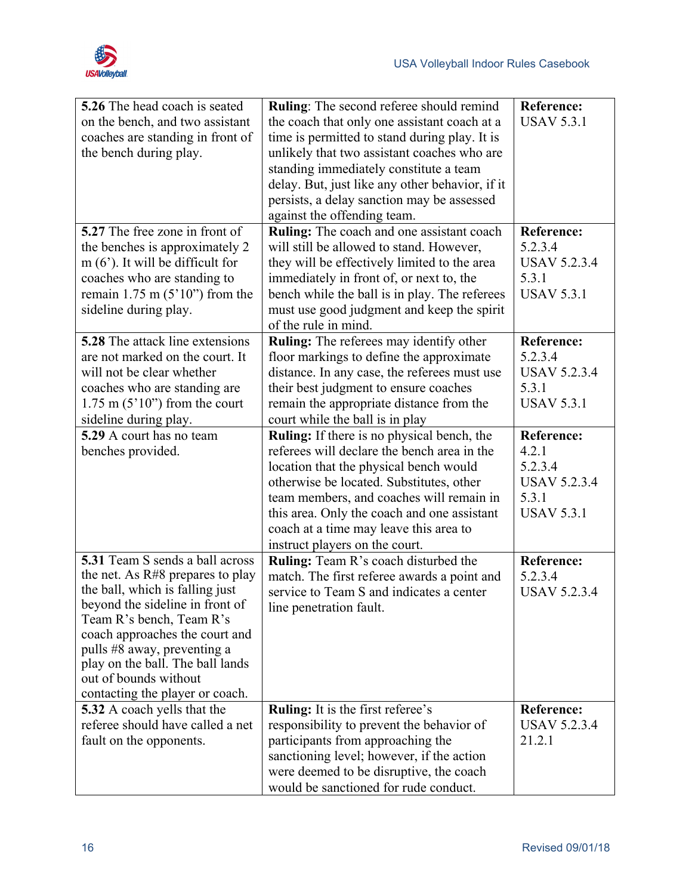

| <b>5.26</b> The head coach is seated                            | <b>Ruling:</b> The second referee should remind   | <b>Reference:</b>   |
|-----------------------------------------------------------------|---------------------------------------------------|---------------------|
| on the bench, and two assistant                                 | the coach that only one assistant coach at a      | <b>USAV 5.3.1</b>   |
| coaches are standing in front of                                | time is permitted to stand during play. It is     |                     |
| the bench during play.                                          | unlikely that two assistant coaches who are       |                     |
|                                                                 | standing immediately constitute a team            |                     |
|                                                                 | delay. But, just like any other behavior, if it   |                     |
|                                                                 | persists, a delay sanction may be assessed        |                     |
|                                                                 | against the offending team.                       |                     |
| 5.27 The free zone in front of                                  | Ruling: The coach and one assistant coach         | <b>Reference:</b>   |
| the benches is approximately 2                                  | will still be allowed to stand. However,          | 5.2.3.4             |
| $m(6)$ . It will be difficult for                               | they will be effectively limited to the area      | <b>USAV 5.2.3.4</b> |
| coaches who are standing to                                     | immediately in front of, or next to, the          | 5.3.1               |
| remain $1.75$ m $(5'10'')$ from the                             | bench while the ball is in play. The referees     | <b>USAV 5.3.1</b>   |
| sideline during play.                                           | must use good judgment and keep the spirit        |                     |
|                                                                 | of the rule in mind.                              |                     |
| <b>5.28</b> The attack line extensions                          | Ruling: The referees may identify other           | Reference:          |
| are not marked on the court. It                                 | floor markings to define the approximate          | 5.2.3.4             |
| will not be clear whether                                       | distance. In any case, the referees must use      | <b>USAV 5.2.3.4</b> |
| coaches who are standing are                                    | their best judgment to ensure coaches             | 5.3.1               |
| $1.75$ m $(5'10'')$ from the court                              | remain the appropriate distance from the          | <b>USAV 5.3.1</b>   |
| sideline during play.                                           | court while the ball is in play                   |                     |
| 5.29 A court has no team                                        | <b>Ruling:</b> If there is no physical bench, the | <b>Reference:</b>   |
| benches provided.                                               | referees will declare the bench area in the       | 4.2.1               |
|                                                                 | location that the physical bench would            | 5.2.3.4             |
|                                                                 | otherwise be located. Substitutes, other          | <b>USAV 5.2.3.4</b> |
|                                                                 | team members, and coaches will remain in          | 5.3.1               |
|                                                                 | this area. Only the coach and one assistant       | <b>USAV 5.3.1</b>   |
|                                                                 | coach at a time may leave this area to            |                     |
|                                                                 | instruct players on the court.                    |                     |
| 5.31 Team S sends a ball across                                 | Ruling: Team R's coach disturbed the              | <b>Reference:</b>   |
| the net. As R#8 prepares to play                                | match. The first referee awards a point and       | 5.2.3.4             |
| the ball, which is falling just                                 | service to Team S and indicates a center          | <b>USAV 5.2.3.4</b> |
| beyond the sideline in front of                                 | line penetration fault.                           |                     |
| Team R's bench, Team R's                                        |                                                   |                     |
| coach approaches the court and                                  |                                                   |                     |
| pulls #8 away, preventing a<br>play on the ball. The ball lands |                                                   |                     |
| out of bounds without                                           |                                                   |                     |
| contacting the player or coach.                                 |                                                   |                     |
| <b>5.32</b> A coach yells that the                              | <b>Ruling:</b> It is the first referee's          | Reference:          |
| referee should have called a net                                | responsibility to prevent the behavior of         | <b>USAV 5.2.3.4</b> |
| fault on the opponents.                                         | participants from approaching the                 | 21.2.1              |
|                                                                 | sanctioning level; however, if the action         |                     |
|                                                                 | were deemed to be disruptive, the coach           |                     |
|                                                                 | would be sanctioned for rude conduct.             |                     |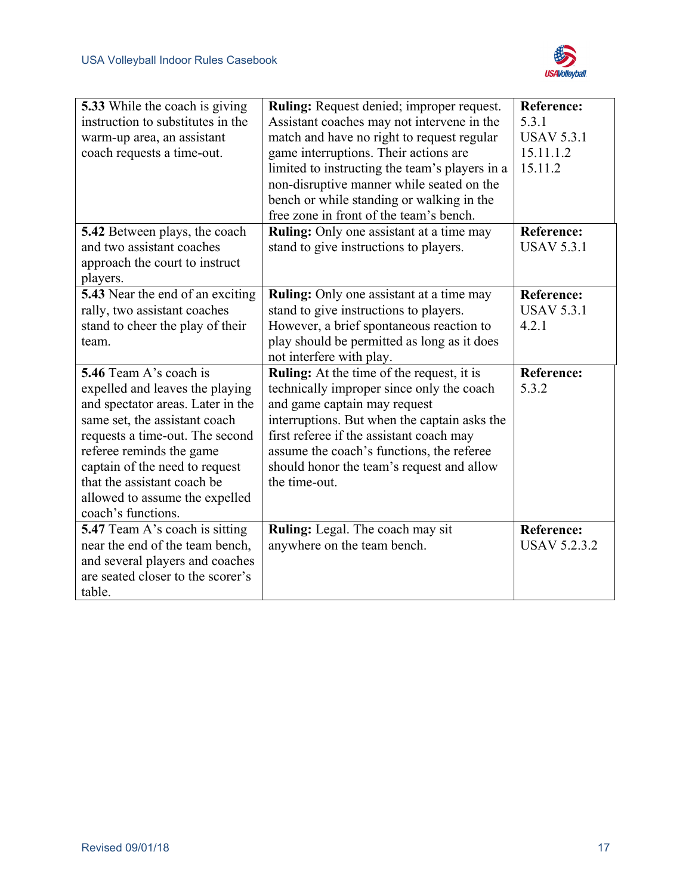

| 5.33 While the coach is giving          | Ruling: Request denied; improper request.        | <b>Reference:</b>   |
|-----------------------------------------|--------------------------------------------------|---------------------|
| instruction to substitutes in the       | Assistant coaches may not intervene in the       | 5.3.1               |
| warm-up area, an assistant              | match and have no right to request regular       | <b>USAV 5.3.1</b>   |
| coach requests a time-out.              | game interruptions. Their actions are            | 15.11.1.2           |
|                                         | limited to instructing the team's players in a   | 15.11.2             |
|                                         | non-disruptive manner while seated on the        |                     |
|                                         | bench or while standing or walking in the        |                     |
|                                         | free zone in front of the team's bench.          |                     |
| 5.42 Between plays, the coach           | Ruling: Only one assistant at a time may         | <b>Reference:</b>   |
| and two assistant coaches               | stand to give instructions to players.           | <b>USAV 5.3.1</b>   |
| approach the court to instruct          |                                                  |                     |
| players.                                |                                                  |                     |
| <b>5.43</b> Near the end of an exciting | <b>Ruling:</b> Only one assistant at a time may  | <b>Reference:</b>   |
| rally, two assistant coaches            | stand to give instructions to players.           | <b>USAV 5.3.1</b>   |
| stand to cheer the play of their        | However, a brief spontaneous reaction to         | 4.2.1               |
| team.                                   | play should be permitted as long as it does      |                     |
|                                         | not interfere with play.                         |                     |
| 5.46 Team A's coach is                  | <b>Ruling:</b> At the time of the request, it is | <b>Reference:</b>   |
| expelled and leaves the playing         | technically improper since only the coach        | 5.3.2               |
| and spectator areas. Later in the       | and game captain may request                     |                     |
| same set, the assistant coach           | interruptions. But when the captain asks the     |                     |
| requests a time-out. The second         | first referee if the assistant coach may         |                     |
| referee reminds the game                | assume the coach's functions, the referee        |                     |
| captain of the need to request          | should honor the team's request and allow        |                     |
| that the assistant coach be             | the time-out.                                    |                     |
| allowed to assume the expelled          |                                                  |                     |
| coach's functions.                      |                                                  |                     |
| <b>5.47</b> Team A's coach is sitting   | Ruling: Legal. The coach may sit                 | <b>Reference:</b>   |
| near the end of the team bench,         | anywhere on the team bench.                      | <b>USAV 5.2.3.2</b> |
| and several players and coaches         |                                                  |                     |
| are seated closer to the scorer's       |                                                  |                     |
| table.                                  |                                                  |                     |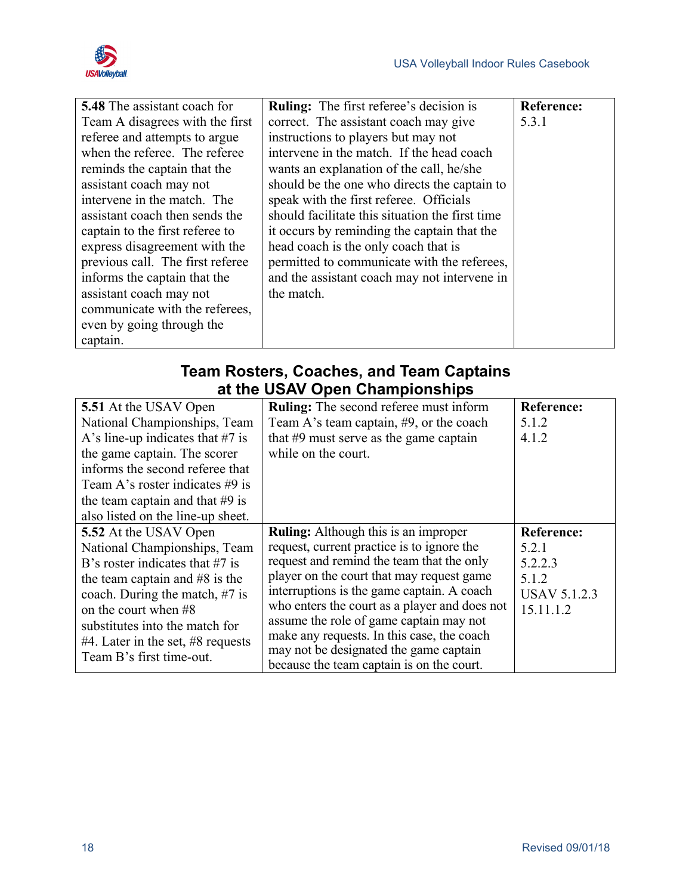

| <b>5.48</b> The assistant coach for | <b>Ruling:</b> The first referee's decision is  | <b>Reference:</b> |
|-------------------------------------|-------------------------------------------------|-------------------|
| Team A disagrees with the first     | correct. The assistant coach may give           | 5.3.1             |
| referee and attempts to argue       | instructions to players but may not             |                   |
| when the referee. The referee       | intervene in the match. If the head coach       |                   |
| reminds the captain that the        | wants an explanation of the call, he/she        |                   |
| assistant coach may not             | should be the one who directs the captain to    |                   |
| intervene in the match. The         | speak with the first referee. Officials         |                   |
| assistant coach then sends the      | should facilitate this situation the first time |                   |
| captain to the first referee to     | it occurs by reminding the captain that the     |                   |
| express disagreement with the       | head coach is the only coach that is            |                   |
| previous call. The first referee    | permitted to communicate with the referees,     |                   |
| informs the captain that the        | and the assistant coach may not intervene in    |                   |
| assistant coach may not             | the match.                                      |                   |
| communicate with the referees,      |                                                 |                   |
| even by going through the           |                                                 |                   |
| captain.                            |                                                 |                   |

#### **Team Rosters, Coaches, and Team Captains at the USAV Open Championships**

<span id="page-25-0"></span>

| 5.51 At the USAV Open                  | <b>Ruling:</b> The second referee must inform                                       | <b>Reference:</b>   |
|----------------------------------------|-------------------------------------------------------------------------------------|---------------------|
| National Championships, Team           | Team A's team captain, #9, or the coach                                             | 5.1.2               |
| A's line-up indicates that $#7$ is     | that $#9$ must serve as the game captain                                            | 4.1.2               |
| the game captain. The scorer           | while on the court.                                                                 |                     |
| informs the second referee that        |                                                                                     |                     |
| Team A's roster indicates $#9$ is      |                                                                                     |                     |
| the team captain and that $#9$ is      |                                                                                     |                     |
| also listed on the line-up sheet.      |                                                                                     |                     |
| 5.52 At the USAV Open                  | <b>Ruling:</b> Although this is an improper                                         | <b>Reference:</b>   |
| National Championships, Team           | request, current practice is to ignore the                                          | 5.2.1               |
| B's roster indicates that $#7$ is      | request and remind the team that the only                                           | 5.2.2.3             |
| the team captain and $#8$ is the       | player on the court that may request game                                           | 5.1.2               |
| coach. During the match, $#7$ is       | interruptions is the game captain. A coach                                          | <b>USAV 5.1.2.3</b> |
| on the court when #8                   |                                                                                     |                     |
|                                        | who enters the court as a player and does not                                       | 15.11.1.2           |
| substitutes into the match for         | assume the role of game captain may not                                             |                     |
| $#4$ . Later in the set, $#8$ requests | make any requests. In this case, the coach                                          |                     |
| Team B's first time-out.               | may not be designated the game captain<br>because the team captain is on the court. |                     |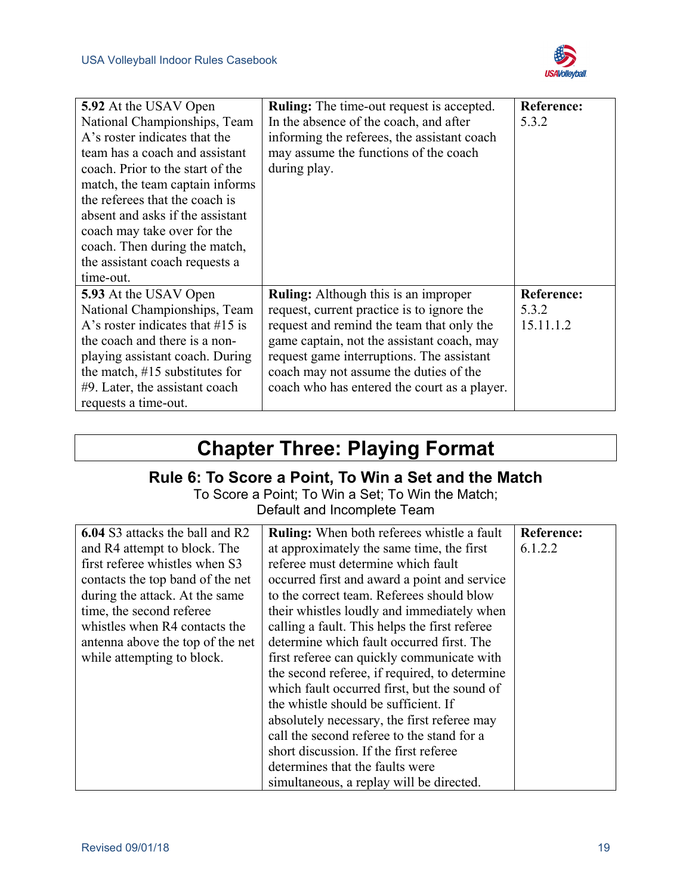

| 5.92 At the USAV Open               | <b>Ruling:</b> The time-out request is accepted. | <b>Reference:</b> |
|-------------------------------------|--------------------------------------------------|-------------------|
| National Championships, Team        | In the absence of the coach, and after           | 5.3.2             |
| A's roster indicates that the       | informing the referees, the assistant coach      |                   |
| team has a coach and assistant      | may assume the functions of the coach            |                   |
| coach. Prior to the start of the    | during play.                                     |                   |
| match, the team captain informs     |                                                  |                   |
| the referees that the coach is      |                                                  |                   |
| absent and asks if the assistant    |                                                  |                   |
| coach may take over for the         |                                                  |                   |
| coach. Then during the match,       |                                                  |                   |
| the assistant coach requests a      |                                                  |                   |
| time-out.                           |                                                  |                   |
| 5.93 At the USAV Open               | Ruling: Although this is an improper             | <b>Reference:</b> |
| National Championships, Team        | request, current practice is to ignore the       | 5.3.2             |
| A's roster indicates that $\#15$ is | request and remind the team that only the        | 15.11.1.2         |
| the coach and there is a non-       | game captain, not the assistant coach, may       |                   |
| playing assistant coach. During     | request game interruptions. The assistant        |                   |
| the match, $\#15$ substitutes for   | coach may not assume the duties of the           |                   |
| $#9$ . Later, the assistant coach   | coach who has entered the court as a player.     |                   |
| requests a time-out.                |                                                  |                   |

## **Chapter Three: Playing Format**

#### **Rule 6: To Score a Point, To Win a Set and the Match**

To Score a Point; To Win a Set; To Win the Match; Default and Incomplete Team

<span id="page-26-1"></span><span id="page-26-0"></span>

| <b>6.04</b> S3 attacks the ball and R2 | <b>Ruling:</b> When both referees whistle a fault | <b>Reference:</b> |
|----------------------------------------|---------------------------------------------------|-------------------|
| and R4 attempt to block. The           | at approximately the same time, the first         | 6.1.2.2           |
| first referee whistles when S3         | referee must determine which fault                |                   |
| contacts the top band of the net       | occurred first and award a point and service      |                   |
| during the attack. At the same         | to the correct team. Referees should blow         |                   |
| time, the second referee               | their whistles loudly and immediately when        |                   |
| whistles when R4 contacts the          | calling a fault. This helps the first referee     |                   |
| antenna above the top of the net       | determine which fault occurred first. The         |                   |
| while attempting to block.             | first referee can quickly communicate with        |                   |
|                                        | the second referee, if required, to determine     |                   |
|                                        | which fault occurred first, but the sound of      |                   |
|                                        | the whistle should be sufficient. If              |                   |
|                                        | absolutely necessary, the first referee may       |                   |
|                                        | call the second referee to the stand for a        |                   |
|                                        | short discussion. If the first referee            |                   |
|                                        | determines that the faults were                   |                   |
|                                        | simultaneous, a replay will be directed.          |                   |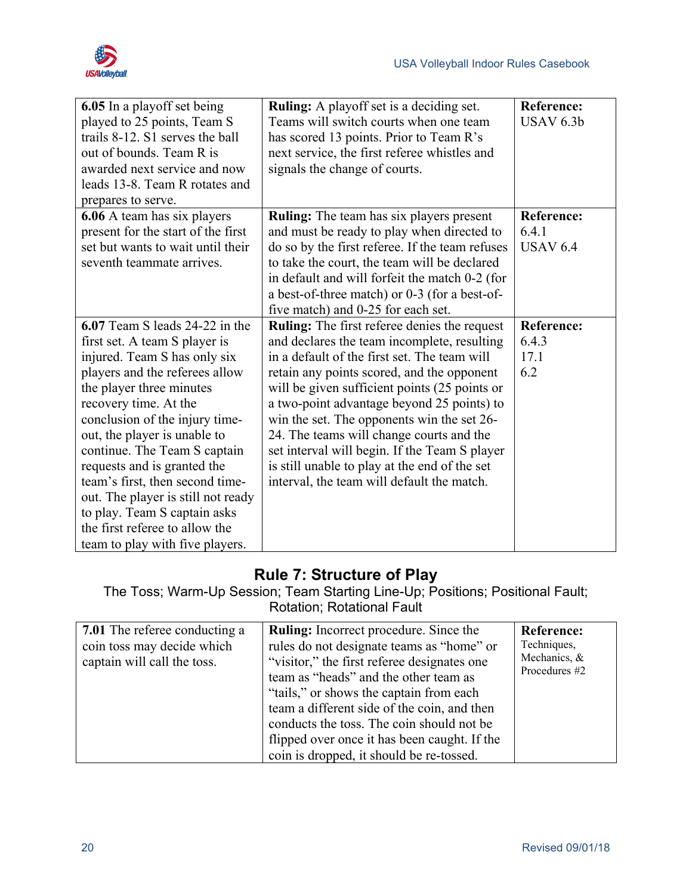

| 6.05 In a playoff set being<br>played to 25 points, Team S<br>trails 8-12. S1 serves the ball<br>out of bounds. Team R is<br>awarded next service and now<br>leads 13-8. Team R rotates and<br>prepares to serve.                                                                                                                                                                                                                                                                                     | <b>Ruling:</b> A playoff set is a deciding set.<br>Teams will switch courts when one team<br>has scored 13 points. Prior to Team R's<br>next service, the first referee whistles and<br>signals the change of courts.                                                                                                                                                                                                                                                                                                                     | <b>Reference:</b><br>USAV 6.3b                |
|-------------------------------------------------------------------------------------------------------------------------------------------------------------------------------------------------------------------------------------------------------------------------------------------------------------------------------------------------------------------------------------------------------------------------------------------------------------------------------------------------------|-------------------------------------------------------------------------------------------------------------------------------------------------------------------------------------------------------------------------------------------------------------------------------------------------------------------------------------------------------------------------------------------------------------------------------------------------------------------------------------------------------------------------------------------|-----------------------------------------------|
| <b>6.06</b> A team has six players<br>present for the start of the first<br>set but wants to wait until their<br>seventh teammate arrives.                                                                                                                                                                                                                                                                                                                                                            | <b>Ruling:</b> The team has six players present<br>and must be ready to play when directed to<br>do so by the first referee. If the team refuses<br>to take the court, the team will be declared<br>in default and will forfeit the match 0-2 (for<br>a best-of-three match) or 0-3 (for a best-of-<br>five match) and 0-25 for each set.                                                                                                                                                                                                 | <b>Reference:</b><br>6.4.1<br><b>USAV 6.4</b> |
| 6.07 Team S leads 24-22 in the<br>first set. A team S player is<br>injured. Team S has only six<br>players and the referees allow<br>the player three minutes<br>recovery time. At the<br>conclusion of the injury time-<br>out, the player is unable to<br>continue. The Team S captain<br>requests and is granted the<br>team's first, then second time-<br>out. The player is still not ready<br>to play. Team S captain asks<br>the first referee to allow the<br>team to play with five players. | <b>Ruling:</b> The first referee denies the request<br>and declares the team incomplete, resulting<br>in a default of the first set. The team will<br>retain any points scored, and the opponent<br>will be given sufficient points (25 points or<br>a two-point advantage beyond 25 points) to<br>win the set. The opponents win the set 26-<br>24. The teams will change courts and the<br>set interval will begin. If the Team S player<br>is still unable to play at the end of the set<br>interval, the team will default the match. | <b>Reference:</b><br>6.4.3<br>17.1<br>6.2     |

#### **Rule 7: Structure of Play**

The Toss; Warm-Up Session; Team Starting Line-Up; Positions; Positional Fault; Rotation; Rotational Fault

<span id="page-27-0"></span>

| 7.01 The referee conducting a<br>coin toss may decide which<br>captain will call the toss. | <b>Ruling:</b> Incorrect procedure. Since the<br>rules do not designate teams as "home" or<br>"visitor," the first referee designates one<br>team as "heads" and the other team as<br>"tails," or shows the captain from each"<br>team a different side of the coin, and then<br>conducts the toss. The coin should not be<br>flipped over once it has been caught. If the<br>coin is dropped, it should be re-tossed. | <b>Reference:</b><br>Techniques,<br>Mechanics, &<br>Procedures #2 |
|--------------------------------------------------------------------------------------------|------------------------------------------------------------------------------------------------------------------------------------------------------------------------------------------------------------------------------------------------------------------------------------------------------------------------------------------------------------------------------------------------------------------------|-------------------------------------------------------------------|
|--------------------------------------------------------------------------------------------|------------------------------------------------------------------------------------------------------------------------------------------------------------------------------------------------------------------------------------------------------------------------------------------------------------------------------------------------------------------------------------------------------------------------|-------------------------------------------------------------------|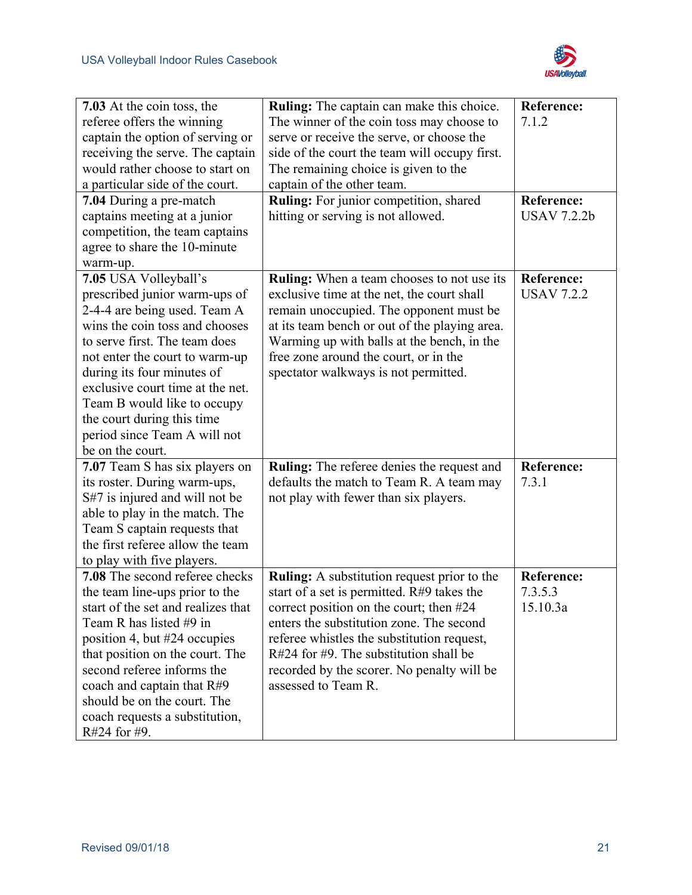

| 7.03 At the coin toss, the                                     | Ruling: The captain can make this choice.                                                   | <b>Reference:</b>  |
|----------------------------------------------------------------|---------------------------------------------------------------------------------------------|--------------------|
| referee offers the winning                                     | The winner of the coin toss may choose to                                                   | 7.1.2              |
| captain the option of serving or                               | serve or receive the serve, or choose the                                                   |                    |
| receiving the serve. The captain                               | side of the court the team will occupy first.                                               |                    |
| would rather choose to start on                                | The remaining choice is given to the                                                        |                    |
| a particular side of the court.                                | captain of the other team.                                                                  |                    |
| 7.04 During a pre-match                                        | Ruling: For junior competition, shared                                                      | <b>Reference:</b>  |
| captains meeting at a junior                                   | hitting or serving is not allowed.                                                          | <b>USAV 7.2.2b</b> |
| competition, the team captains                                 |                                                                                             |                    |
| agree to share the 10-minute                                   |                                                                                             |                    |
| warm-up.                                                       |                                                                                             |                    |
| 7.05 USA Volleyball's                                          | <b>Ruling:</b> When a team chooses to not use its                                           | <b>Reference:</b>  |
| prescribed junior warm-ups of                                  | exclusive time at the net, the court shall                                                  | <b>USAV 7.2.2</b>  |
| 2-4-4 are being used. Team A                                   | remain unoccupied. The opponent must be                                                     |                    |
| wins the coin toss and chooses                                 |                                                                                             |                    |
| to serve first. The team does                                  | at its team bench or out of the playing area.<br>Warming up with balls at the bench, in the |                    |
|                                                                | free zone around the court, or in the                                                       |                    |
| not enter the court to warm-up                                 |                                                                                             |                    |
| during its four minutes of<br>exclusive court time at the net. | spectator walkways is not permitted.                                                        |                    |
|                                                                |                                                                                             |                    |
| Team B would like to occupy                                    |                                                                                             |                    |
| the court during this time                                     |                                                                                             |                    |
| period since Team A will not                                   |                                                                                             |                    |
| be on the court.                                               |                                                                                             |                    |
| 7.07 Team S has six players on                                 | Ruling: The referee denies the request and                                                  | <b>Reference:</b>  |
| its roster. During warm-ups,                                   | defaults the match to Team R. A team may                                                    | 7.3.1              |
| S#7 is injured and will not be                                 | not play with fewer than six players.                                                       |                    |
| able to play in the match. The                                 |                                                                                             |                    |
| Team S captain requests that                                   |                                                                                             |                    |
| the first referee allow the team                               |                                                                                             |                    |
| to play with five players.                                     |                                                                                             |                    |
| 7.08 The second referee checks                                 | <b>Ruling:</b> A substitution request prior to the                                          | <b>Reference:</b>  |
| the team line-ups prior to the                                 | start of a set is permitted. R#9 takes the                                                  | 7.3.5.3            |
| start of the set and realizes that                             | correct position on the court; then #24                                                     | 15.10.3a           |
| Team R has listed #9 in                                        | enters the substitution zone. The second                                                    |                    |
| position 4, but #24 occupies                                   | referee whistles the substitution request,                                                  |                    |
| that position on the court. The                                | $R#24$ for #9. The substitution shall be                                                    |                    |
| second referee informs the                                     | recorded by the scorer. No penalty will be                                                  |                    |
| coach and captain that $R#9$                                   | assessed to Team R.                                                                         |                    |
| should be on the court. The                                    |                                                                                             |                    |
| coach requests a substitution,                                 |                                                                                             |                    |
| R#24 for #9.                                                   |                                                                                             |                    |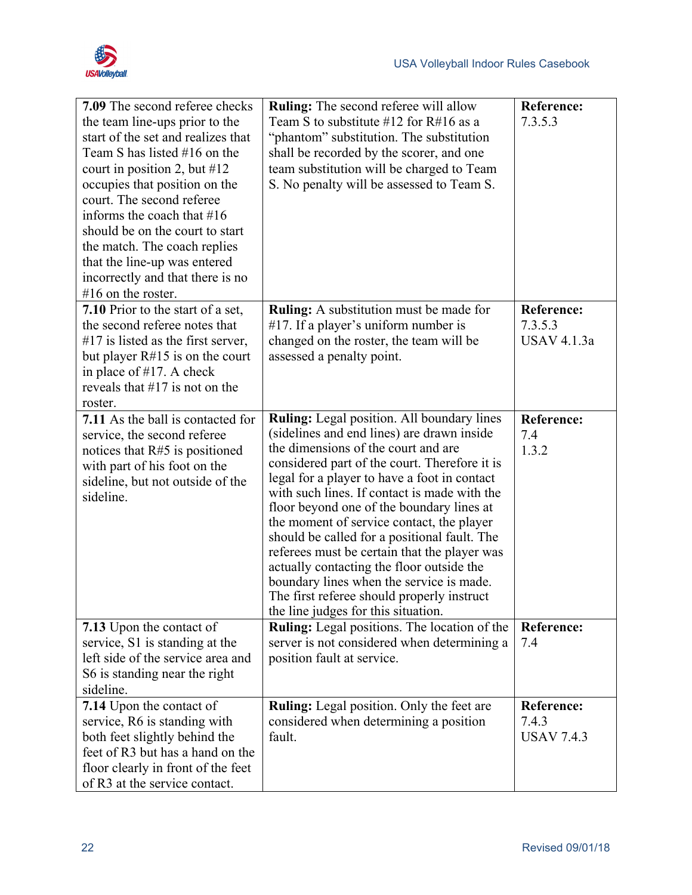

| 7.09 The second referee checks<br>the team line-ups prior to the<br>start of the set and realizes that<br>Team S has listed #16 on the<br>court in position 2, but $\#12$<br>occupies that position on the<br>court. The second referee<br>informs the coach that #16<br>should be on the court to start<br>the match. The coach replies<br>that the line-up was entered<br>incorrectly and that there is no<br>$#16$ on the roster. | <b>Ruling:</b> The second referee will allow<br>Team S to substitute $\#12$ for R $\#16$ as a<br>"phantom" substitution. The substitution<br>shall be recorded by the scorer, and one<br>team substitution will be charged to Team<br>S. No penalty will be assessed to Team S.                                                                                                                                                                                                                                                                                                                                                                          | <b>Reference:</b><br>7.3.5.3                       |
|--------------------------------------------------------------------------------------------------------------------------------------------------------------------------------------------------------------------------------------------------------------------------------------------------------------------------------------------------------------------------------------------------------------------------------------|----------------------------------------------------------------------------------------------------------------------------------------------------------------------------------------------------------------------------------------------------------------------------------------------------------------------------------------------------------------------------------------------------------------------------------------------------------------------------------------------------------------------------------------------------------------------------------------------------------------------------------------------------------|----------------------------------------------------|
| 7.10 Prior to the start of a set,<br>the second referee notes that<br>$#17$ is listed as the first server,<br>but player $R#15$ is on the court<br>in place of $#17$ . A check<br>reveals that $\#17$ is not on the<br>roster.                                                                                                                                                                                                       | Ruling: A substitution must be made for<br>$#17$ . If a player's uniform number is<br>changed on the roster, the team will be<br>assessed a penalty point.                                                                                                                                                                                                                                                                                                                                                                                                                                                                                               | <b>Reference:</b><br>7.3.5.3<br><b>USAV 4.1.3a</b> |
| 7.11 As the ball is contacted for<br>service, the second referee<br>notices that $R#5$ is positioned<br>with part of his foot on the<br>sideline, but not outside of the<br>sideline.                                                                                                                                                                                                                                                | Ruling: Legal position. All boundary lines<br>(sidelines and end lines) are drawn inside<br>the dimensions of the court and are<br>considered part of the court. Therefore it is<br>legal for a player to have a foot in contact<br>with such lines. If contact is made with the<br>floor beyond one of the boundary lines at<br>the moment of service contact, the player<br>should be called for a positional fault. The<br>referees must be certain that the player was<br>actually contacting the floor outside the<br>boundary lines when the service is made.<br>The first referee should properly instruct<br>the line judges for this situation. | <b>Reference:</b><br>7.4<br>1.3.2                  |
| 7.13 Upon the contact of<br>service, S1 is standing at the<br>left side of the service area and<br>S6 is standing near the right<br>sideline.                                                                                                                                                                                                                                                                                        | Ruling: Legal positions. The location of the<br>server is not considered when determining a<br>position fault at service.                                                                                                                                                                                                                                                                                                                                                                                                                                                                                                                                | Reference:<br>7.4                                  |
| 7.14 Upon the contact of<br>service, R6 is standing with<br>both feet slightly behind the<br>feet of R3 but has a hand on the<br>floor clearly in front of the feet<br>of R3 at the service contact.                                                                                                                                                                                                                                 | <b>Ruling:</b> Legal position. Only the feet are<br>considered when determining a position<br>fault.                                                                                                                                                                                                                                                                                                                                                                                                                                                                                                                                                     | <b>Reference:</b><br>7.4.3<br><b>USAV 7.4.3</b>    |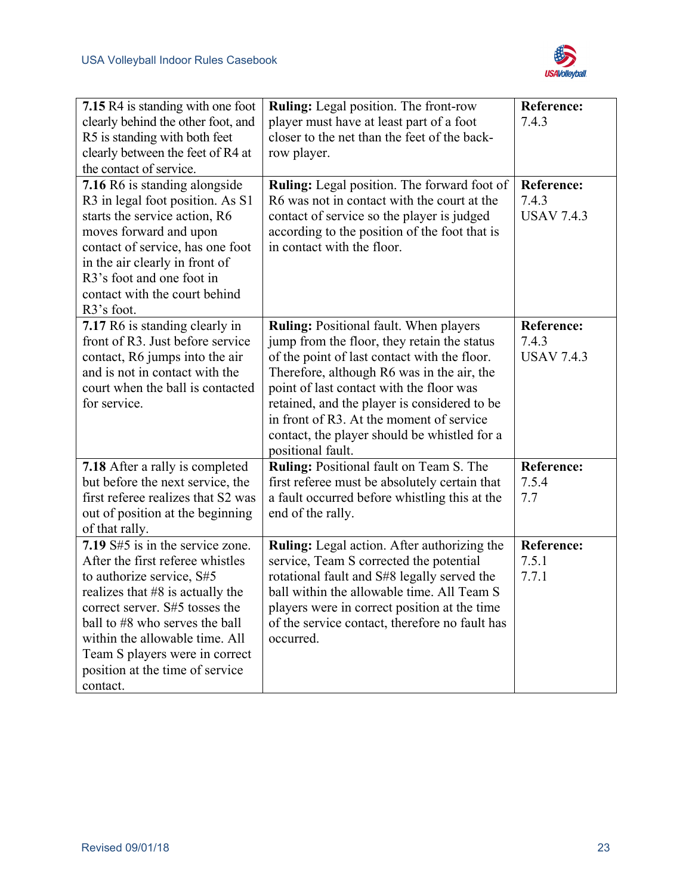

| 7.15 R4 is standing with one foot<br>clearly behind the other foot, and<br>R5 is standing with both feet<br>clearly between the feet of R4 at<br>the contact of service.<br>7.16 R6 is standing alongside<br>R3 in legal foot position. As S1<br>starts the service action, R6<br>moves forward and upon<br>contact of service, has one foot<br>in the air clearly in front of<br>R3's foot and one foot in<br>contact with the court behind<br>R3's foot. | Ruling: Legal position. The front-row<br>player must have at least part of a foot<br>closer to the net than the feet of the back-<br>row player.<br><b>Ruling:</b> Legal position. The forward foot of<br>R6 was not in contact with the court at the<br>contact of service so the player is judged<br>according to the position of the foot that is<br>in contact with the floor.               | <b>Reference:</b><br>7.4.3<br><b>Reference:</b><br>7.4.3<br><b>USAV 7.4.3</b> |
|------------------------------------------------------------------------------------------------------------------------------------------------------------------------------------------------------------------------------------------------------------------------------------------------------------------------------------------------------------------------------------------------------------------------------------------------------------|--------------------------------------------------------------------------------------------------------------------------------------------------------------------------------------------------------------------------------------------------------------------------------------------------------------------------------------------------------------------------------------------------|-------------------------------------------------------------------------------|
| 7.17 R6 is standing clearly in<br>front of R3. Just before service<br>contact, R6 jumps into the air<br>and is not in contact with the<br>court when the ball is contacted<br>for service.                                                                                                                                                                                                                                                                 | Ruling: Positional fault. When players<br>jump from the floor, they retain the status<br>of the point of last contact with the floor.<br>Therefore, although R6 was in the air, the<br>point of last contact with the floor was<br>retained, and the player is considered to be<br>in front of R3. At the moment of service<br>contact, the player should be whistled for a<br>positional fault. | <b>Reference:</b><br>7.4.3<br><b>USAV 7.4.3</b>                               |
| 7.18 After a rally is completed<br>but before the next service, the<br>first referee realizes that S2 was<br>out of position at the beginning<br>of that rally.                                                                                                                                                                                                                                                                                            | Ruling: Positional fault on Team S. The<br>first referee must be absolutely certain that<br>a fault occurred before whistling this at the<br>end of the rally.                                                                                                                                                                                                                                   | <b>Reference:</b><br>7.5.4<br>7.7                                             |
| 7.19 S#5 is in the service zone.<br>After the first referee whistles<br>to authorize service, S#5<br>realizes that #8 is actually the<br>correct server. S#5 tosses the<br>ball to #8 who serves the ball<br>within the allowable time. All<br>Team S players were in correct<br>position at the time of service<br>contact.                                                                                                                               | Ruling: Legal action. After authorizing the<br>service, Team S corrected the potential<br>rotational fault and S#8 legally served the<br>ball within the allowable time. All Team S<br>players were in correct position at the time<br>of the service contact, therefore no fault has<br>occurred.                                                                                               | <b>Reference:</b><br>7.5.1<br>7.7.1                                           |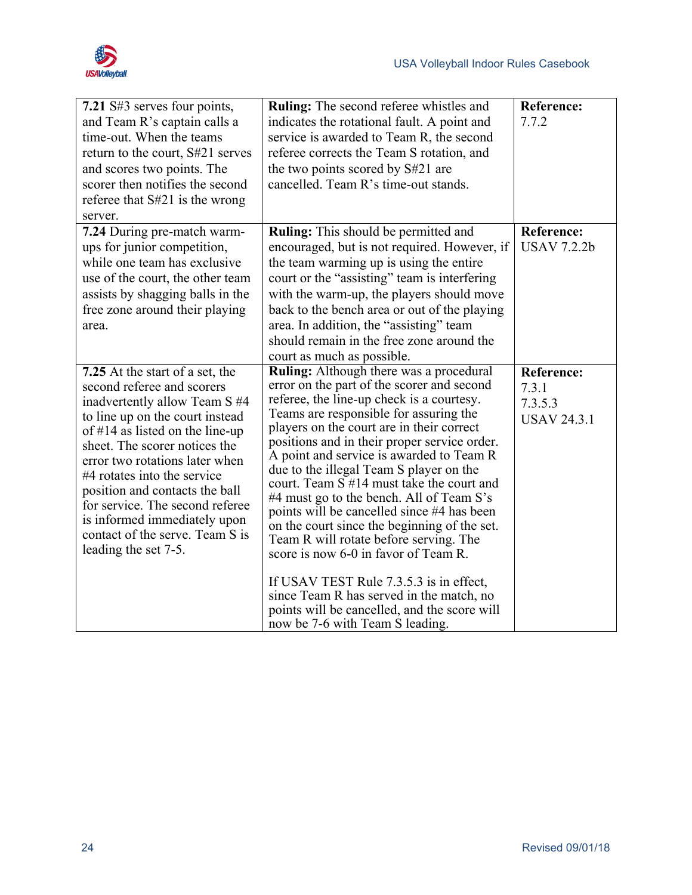

| 7.21 S#3 serves four points,<br>and Team R's captain calls a<br>time-out. When the teams<br>return to the court, S#21 serves<br>and scores two points. The<br>scorer then notifies the second<br>referee that S#21 is the wrong<br>server.                                                                                                                                                                                             | <b>Ruling:</b> The second referee whistles and<br>indicates the rotational fault. A point and<br>service is awarded to Team R, the second<br>referee corrects the Team S rotation, and<br>the two points scored by S#21 are<br>cancelled. Team R's time-out stands.                                                                                                                                                                                                                                                                                                                                                                                                                                                                                                                                                        | <b>Reference:</b><br>7.7.2                                  |
|----------------------------------------------------------------------------------------------------------------------------------------------------------------------------------------------------------------------------------------------------------------------------------------------------------------------------------------------------------------------------------------------------------------------------------------|----------------------------------------------------------------------------------------------------------------------------------------------------------------------------------------------------------------------------------------------------------------------------------------------------------------------------------------------------------------------------------------------------------------------------------------------------------------------------------------------------------------------------------------------------------------------------------------------------------------------------------------------------------------------------------------------------------------------------------------------------------------------------------------------------------------------------|-------------------------------------------------------------|
| 7.24 During pre-match warm-<br>ups for junior competition,<br>while one team has exclusive<br>use of the court, the other team<br>assists by shagging balls in the<br>free zone around their playing<br>area.                                                                                                                                                                                                                          | <b>Ruling:</b> This should be permitted and<br>encouraged, but is not required. However, if<br>the team warming up is using the entire<br>court or the "assisting" team is interfering<br>with the warm-up, the players should move<br>back to the bench area or out of the playing<br>area. In addition, the "assisting" team<br>should remain in the free zone around the<br>court as much as possible.                                                                                                                                                                                                                                                                                                                                                                                                                  | <b>Reference:</b><br><b>USAV 7.2.2b</b>                     |
| 7.25 At the start of a set, the<br>second referee and scorers<br>inadvertently allow Team S #4<br>to line up on the court instead<br>of #14 as listed on the line-up<br>sheet. The scorer notices the<br>error two rotations later when<br>#4 rotates into the service<br>position and contacts the ball<br>for service. The second referee<br>is informed immediately upon<br>contact of the serve. Team S is<br>leading the set 7-5. | <b>Ruling:</b> Although there was a procedural<br>error on the part of the scorer and second<br>referee, the line-up check is a courtesy.<br>Teams are responsible for assuring the<br>players on the court are in their correct<br>positions and in their proper service order.<br>A point and service is awarded to Team R<br>due to the illegal Team S player on the<br>court. Team S #14 must take the court and<br>#4 must go to the bench. All of Team S's<br>points will be cancelled since #4 has been<br>on the court since the beginning of the set.<br>Team R will rotate before serving. The<br>score is now 6-0 in favor of Team R.<br>If USAV TEST Rule 7.3.5.3 is in effect,<br>since Team R has served in the match, no<br>points will be cancelled, and the score will<br>now be 7-6 with Team S leading. | <b>Reference:</b><br>7.3.1<br>7.3.5.3<br><b>USAV 24.3.1</b> |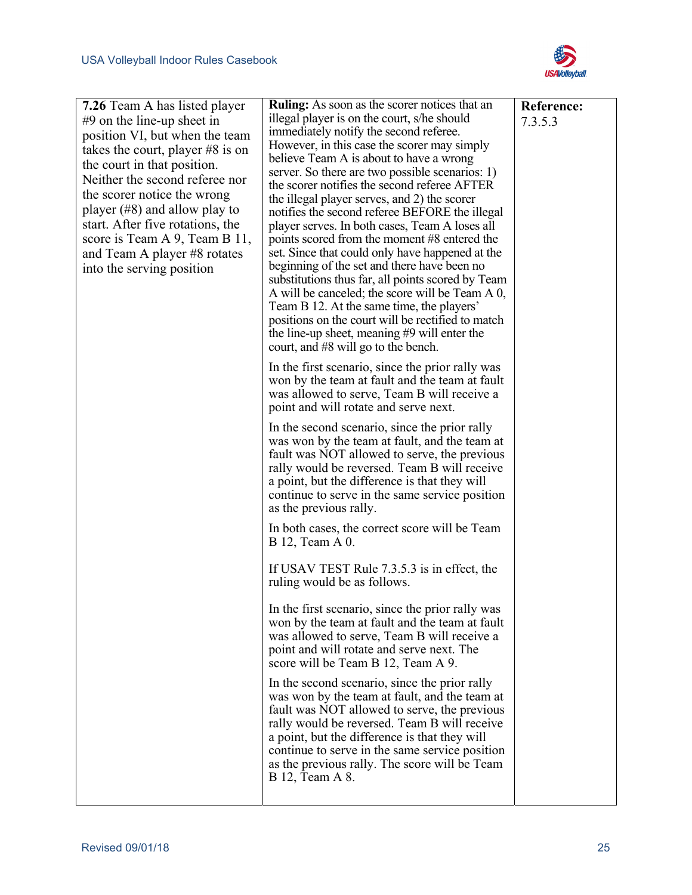

| <b>7.26</b> Team A has listed player | <b>Ruling:</b> As soon as the scorer notices that an                                             | <b>Reference:</b> |
|--------------------------------------|--------------------------------------------------------------------------------------------------|-------------------|
| $#9$ on the line-up sheet in         | illegal player is on the court, s/he should                                                      | 7.3.5.3           |
| position VI, but when the team       | immediately notify the second referee.                                                           |                   |
| takes the court, player $#8$ is on   | However, in this case the scorer may simply                                                      |                   |
| the court in that position.          | believe Team A is about to have a wrong                                                          |                   |
| Neither the second referee nor       | server. So there are two possible scenarios: 1)                                                  |                   |
| the scorer notice the wrong          | the scorer notifies the second referee AFTER                                                     |                   |
|                                      | the illegal player serves, and 2) the scorer                                                     |                   |
| player $(\#8)$ and allow play to     | notifies the second referee BEFORE the illegal                                                   |                   |
| start. After five rotations, the     | player serves. In both cases, Team A loses all                                                   |                   |
| score is Team A 9, Team B 11,        | points scored from the moment #8 entered the                                                     |                   |
| and Team A player #8 rotates         | set. Since that could only have happened at the                                                  |                   |
| into the serving position            | beginning of the set and there have been no<br>substitutions thus far, all points scored by Team |                   |
|                                      | A will be canceled; the score will be Team A 0,                                                  |                   |
|                                      | Team B 12. At the same time, the players'                                                        |                   |
|                                      | positions on the court will be rectified to match                                                |                   |
|                                      | the line-up sheet, meaning #9 will enter the                                                     |                   |
|                                      | court, and #8 will go to the bench.                                                              |                   |
|                                      | In the first scenario, since the prior rally was                                                 |                   |
|                                      | won by the team at fault and the team at fault                                                   |                   |
|                                      | was allowed to serve, Team B will receive a                                                      |                   |
|                                      | point and will rotate and serve next.                                                            |                   |
|                                      | In the second scenario, since the prior rally                                                    |                   |
|                                      | was won by the team at fault, and the team at                                                    |                   |
|                                      | fault was NOT allowed to serve, the previous                                                     |                   |
|                                      | rally would be reversed. Team B will receive                                                     |                   |
|                                      | a point, but the difference is that they will                                                    |                   |
|                                      | continue to serve in the same service position                                                   |                   |
|                                      | as the previous rally.                                                                           |                   |
|                                      | In both cases, the correct score will be Team                                                    |                   |
|                                      | B 12, Team A 0.                                                                                  |                   |
|                                      | If USAV TEST Rule 7.3.5.3 is in effect, the                                                      |                   |
|                                      | ruling would be as follows.                                                                      |                   |
|                                      | In the first scenario, since the prior rally was                                                 |                   |
|                                      | won by the team at fault and the team at fault                                                   |                   |
|                                      | was allowed to serve, Team B will receive a                                                      |                   |
|                                      | point and will rotate and serve next. The                                                        |                   |
|                                      | score will be Team B 12, Team A 9.                                                               |                   |
|                                      | In the second scenario, since the prior rally                                                    |                   |
|                                      | was won by the team at fault, and the team at                                                    |                   |
|                                      | fault was NOT allowed to serve, the previous                                                     |                   |
|                                      | rally would be reversed. Team B will receive                                                     |                   |
|                                      | a point, but the difference is that they will                                                    |                   |
|                                      | continue to serve in the same service position                                                   |                   |
|                                      | as the previous rally. The score will be Team                                                    |                   |
|                                      | B 12, Team A 8.                                                                                  |                   |
|                                      |                                                                                                  |                   |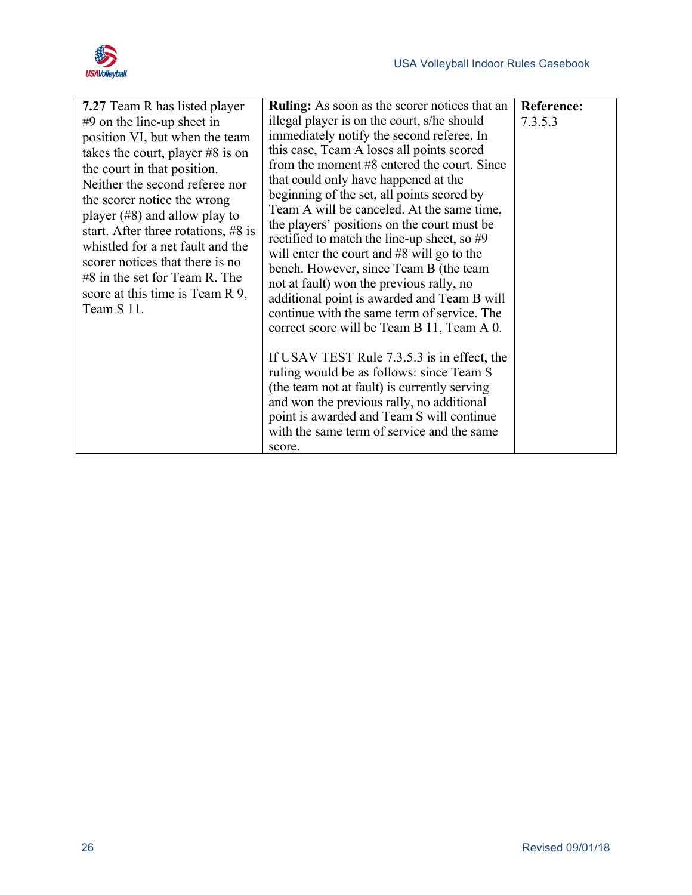

| 7.27 Team R has listed player       | <b>Ruling:</b> As soon as the scorer notices that an | <b>Reference:</b> |
|-------------------------------------|------------------------------------------------------|-------------------|
| $#9$ on the line-up sheet in        | illegal player is on the court, s/he should          | 7.3.5.3           |
| position VI, but when the team      | immediately notify the second referee. In            |                   |
| takes the court, player $#8$ is on  | this case, Team A loses all points scored            |                   |
| the court in that position.         | from the moment #8 entered the court. Since          |                   |
| Neither the second referee nor      | that could only have happened at the                 |                   |
| the scorer notice the wrong         | beginning of the set, all points scored by           |                   |
| player $(\#8)$ and allow play to    | Team A will be canceled. At the same time,           |                   |
| start. After three rotations, #8 is | the players' positions on the court must be          |                   |
| whistled for a net fault and the    | rectified to match the line-up sheet, so $#9$        |                   |
| scorer notices that there is no     | will enter the court and $#8$ will go to the         |                   |
| $#8$ in the set for Team R. The     | bench. However, since Team B (the team               |                   |
| score at this time is Team R 9,     | not at fault) won the previous rally, no             |                   |
| Team S 11.                          | additional point is awarded and Team B will          |                   |
|                                     | continue with the same term of service. The          |                   |
|                                     | correct score will be Team B 11, Team A 0.           |                   |
|                                     | If USAV TEST Rule 7.3.5.3 is in effect, the          |                   |
|                                     | ruling would be as follows: since Team S             |                   |
|                                     | (the team not at fault) is currently serving         |                   |
|                                     | and won the previous rally, no additional            |                   |
|                                     | point is awarded and Team S will continue            |                   |
|                                     | with the same term of service and the same           |                   |
|                                     | score.                                               |                   |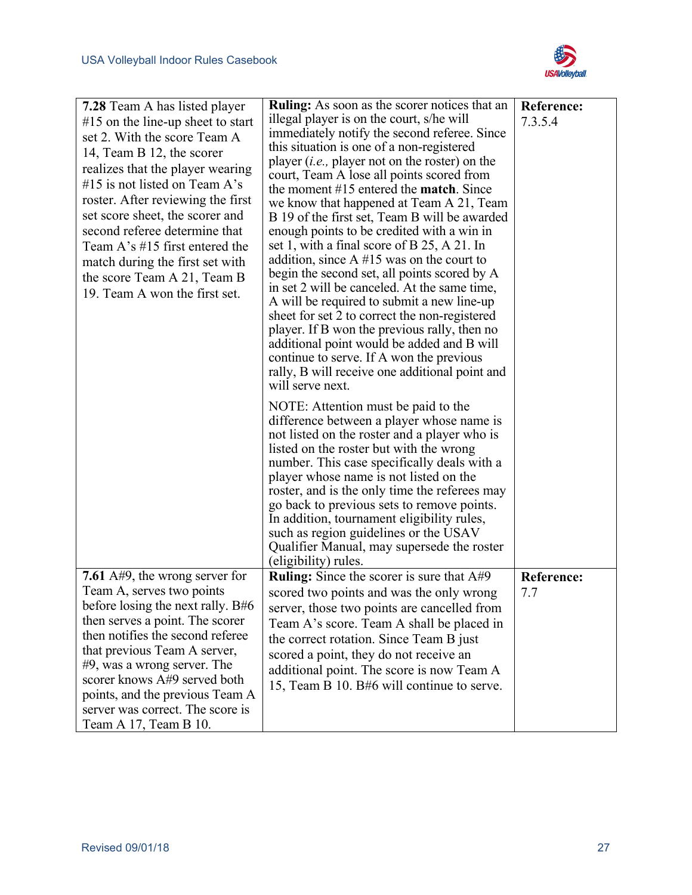

| <b>7.28</b> Team A has listed player                           | <b>Ruling:</b> As soon as the scorer notices that an                                       | <b>Reference:</b>        |
|----------------------------------------------------------------|--------------------------------------------------------------------------------------------|--------------------------|
| $#15$ on the line-up sheet to start                            | illegal player is on the court, s/he will                                                  | 7.3.5.4                  |
| set 2. With the score Team A                                   | immediately notify the second referee. Since                                               |                          |
| 14, Team B 12, the scorer                                      | this situation is one of a non-registered                                                  |                          |
| realizes that the player wearing                               | player ( <i>i.e.</i> , player not on the roster) on the                                    |                          |
| #15 is not listed on Team $A$ 's                               | court, Team A lose all points scored from                                                  |                          |
| roster. After reviewing the first                              | the moment $#15$ entered the <b>match</b> . Since                                          |                          |
| set score sheet, the scorer and                                | we know that happened at Team A 21, Team<br>B 19 of the first set, Team B will be awarded  |                          |
| second referee determine that                                  | enough points to be credited with a win in                                                 |                          |
| Team A's $\#15$ first entered the                              | set 1, with a final score of B 25, A 21. In                                                |                          |
| match during the first set with                                | addition, since $A \#15$ was on the court to                                               |                          |
| the score Team A 21, Team B                                    | begin the second set, all points scored by A                                               |                          |
| 19. Team A won the first set.                                  | in set 2 will be canceled. At the same time,                                               |                          |
|                                                                | A will be required to submit a new line-up                                                 |                          |
|                                                                | sheet for set 2 to correct the non-registered                                              |                          |
|                                                                | player. If B won the previous rally, then no                                               |                          |
|                                                                | additional point would be added and B will                                                 |                          |
|                                                                | continue to serve. If A won the previous<br>rally, B will receive one additional point and |                          |
|                                                                | will serve next.                                                                           |                          |
|                                                                |                                                                                            |                          |
|                                                                | NOTE: Attention must be paid to the                                                        |                          |
|                                                                | difference between a player whose name is                                                  |                          |
|                                                                | not listed on the roster and a player who is<br>listed on the roster but with the wrong    |                          |
|                                                                | number. This case specifically deals with a                                                |                          |
|                                                                | player whose name is not listed on the                                                     |                          |
|                                                                | roster, and is the only time the referees may                                              |                          |
|                                                                | go back to previous sets to remove points.                                                 |                          |
|                                                                | In addition, tournament eligibility rules,                                                 |                          |
|                                                                | such as region guidelines or the USAV                                                      |                          |
|                                                                | Qualifier Manual, may supersede the roster                                                 |                          |
|                                                                | (eligibility) rules.                                                                       |                          |
| 7.61 $A#9$ , the wrong server for<br>Team A, serves two points | <b>Ruling:</b> Since the scorer is sure that A#9                                           | <b>Reference:</b><br>7.7 |
| before losing the next rally. B#6                              | scored two points and was the only wrong                                                   |                          |
| then serves a point. The scorer                                | server, those two points are cancelled from                                                |                          |
| then notifies the second referee                               | Team A's score. Team A shall be placed in                                                  |                          |
| that previous Team A server,                                   | the correct rotation. Since Team B just                                                    |                          |
| $#9$ , was a wrong server. The                                 | scored a point, they do not receive an                                                     |                          |
| scorer knows A#9 served both                                   | additional point. The score is now Team A                                                  |                          |
| points, and the previous Team A                                | 15, Team B 10. B#6 will continue to serve.                                                 |                          |
| server was correct. The score is                               |                                                                                            |                          |
| Team A 17, Team B 10.                                          |                                                                                            |                          |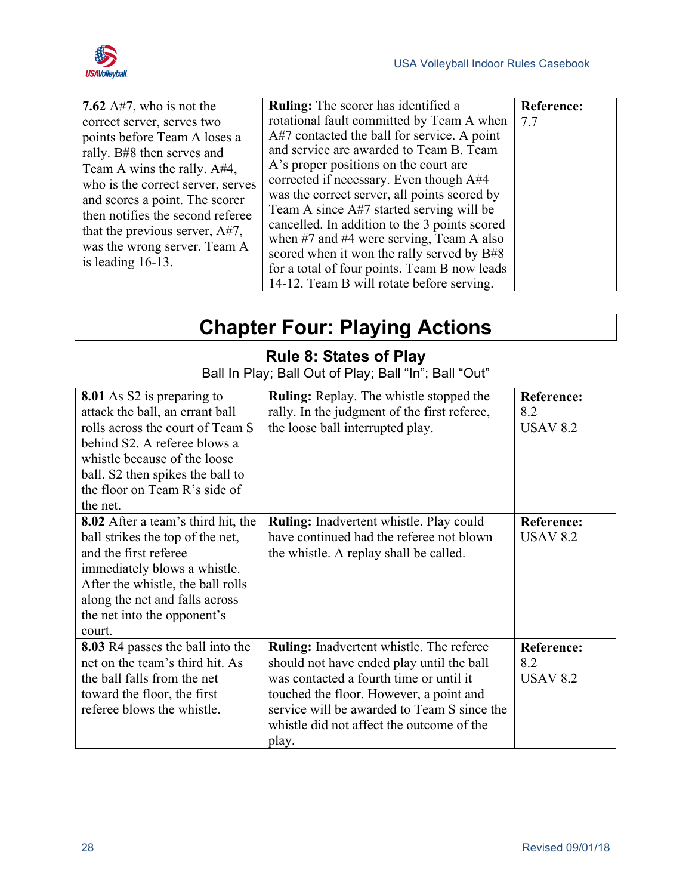

| 7.62 $A\#7$ , who is not the<br>correct server, serves two<br>points before Team A loses a<br>rally. B#8 then serves and<br>Team A wins the rally. $A#4$ ,<br>who is the correct server, serves<br>and scores a point. The scorer<br>then notifies the second referee<br>that the previous server, A#7,<br>was the wrong server. Team A<br>is leading $16-13$ . | <b>Ruling:</b> The scorer has identified a<br>rotational fault committed by Team A when<br>A#7 contacted the ball for service. A point<br>and service are awarded to Team B. Team<br>A's proper positions on the court are<br>corrected if necessary. Even though A#4<br>was the correct server, all points scored by<br>Team A since A#7 started serving will be<br>cancelled. In addition to the 3 points scored<br>when $#7$ and $#4$ were serving, Team A also<br>scored when it won the rally served by B#8<br>for a total of four points. Team B now leads<br>14-12. Team B will rotate before serving. | <b>Reference:</b><br>7.7 |
|-----------------------------------------------------------------------------------------------------------------------------------------------------------------------------------------------------------------------------------------------------------------------------------------------------------------------------------------------------------------|---------------------------------------------------------------------------------------------------------------------------------------------------------------------------------------------------------------------------------------------------------------------------------------------------------------------------------------------------------------------------------------------------------------------------------------------------------------------------------------------------------------------------------------------------------------------------------------------------------------|--------------------------|

## **Chapter Four: Playing Actions**

#### **Rule 8: States of Play**

Ball In Play; Ball Out of Play; Ball "In"; Ball "Out"

<span id="page-35-1"></span><span id="page-35-0"></span>

| 8.01 As S2 is preparing to<br>attack the ball, an errant ball<br>rolls across the court of Team S<br>behind S2. A referee blows a<br>whistle because of the loose<br>ball. S2 then spikes the ball to<br>the floor on Team R's side of<br>the net.     | <b>Ruling:</b> Replay. The whistle stopped the<br>rally. In the judgment of the first referee,<br>the loose ball interrupted play.                                                                                                                                                      | <b>Reference:</b><br>8.2<br><b>USAV 8.2</b> |
|--------------------------------------------------------------------------------------------------------------------------------------------------------------------------------------------------------------------------------------------------------|-----------------------------------------------------------------------------------------------------------------------------------------------------------------------------------------------------------------------------------------------------------------------------------------|---------------------------------------------|
| <b>8.02</b> After a team's third hit, the<br>ball strikes the top of the net,<br>and the first referee<br>immediately blows a whistle.<br>After the whistle, the ball rolls<br>along the net and falls across<br>the net into the opponent's<br>court. | Ruling: Inadvertent whistle. Play could<br>have continued had the referee not blown<br>the whistle. A replay shall be called.                                                                                                                                                           | <b>Reference:</b><br><b>USAV 8.2</b>        |
| 8.03 R4 passes the ball into the<br>net on the team's third hit. As<br>the ball falls from the net<br>toward the floor, the first<br>referee blows the whistle.                                                                                        | <b>Ruling:</b> Inadvertent whistle. The referee<br>should not have ended play until the ball<br>was contacted a fourth time or until it<br>touched the floor. However, a point and<br>service will be awarded to Team S since the<br>whistle did not affect the outcome of the<br>play. | <b>Reference:</b><br>8.2<br><b>USAV 8.2</b> |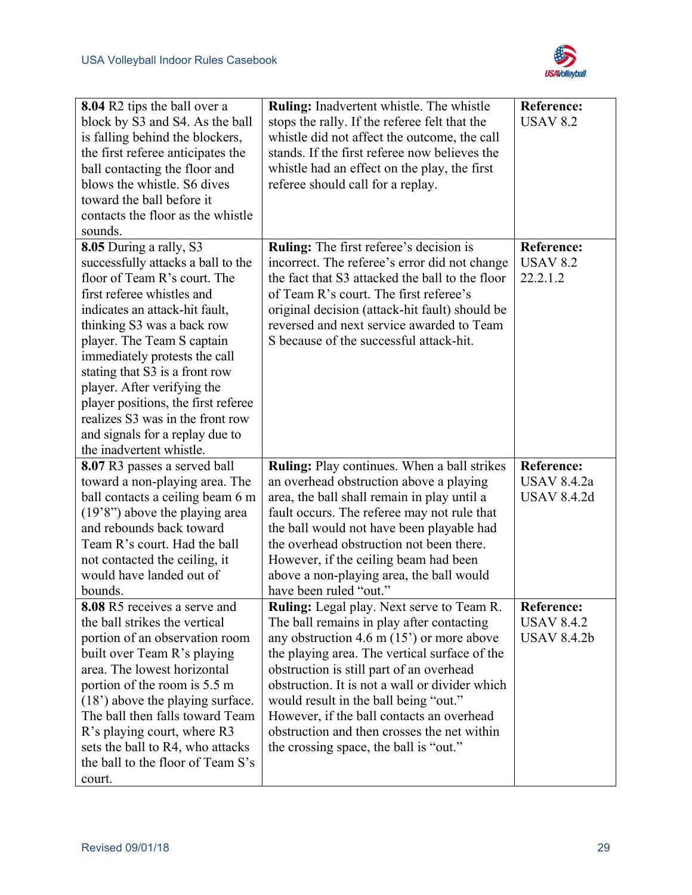

| 8.04 R2 tips the ball over a<br>block by S3 and S4. As the ball<br>is falling behind the blockers,<br>the first referee anticipates the<br>ball contacting the floor and<br>blows the whistle. S6 dives<br>toward the ball before it<br>contacts the floor as the whistle<br>sounds.                                                                                                                                                                                  | <b>Ruling:</b> Inadvertent whistle. The whistle<br>stops the rally. If the referee felt that the<br>whistle did not affect the outcome, the call<br>stands. If the first referee now believes the<br>whistle had an effect on the play, the first<br>referee should call for a replay.                                                                                                                                                                             | <b>Reference:</b><br><b>USAV 8.2</b>                          |
|-----------------------------------------------------------------------------------------------------------------------------------------------------------------------------------------------------------------------------------------------------------------------------------------------------------------------------------------------------------------------------------------------------------------------------------------------------------------------|--------------------------------------------------------------------------------------------------------------------------------------------------------------------------------------------------------------------------------------------------------------------------------------------------------------------------------------------------------------------------------------------------------------------------------------------------------------------|---------------------------------------------------------------|
| 8.05 During a rally, S3<br>successfully attacks a ball to the<br>floor of Team R's court. The<br>first referee whistles and<br>indicates an attack-hit fault,<br>thinking S3 was a back row<br>player. The Team S captain<br>immediately protests the call<br>stating that S3 is a front row<br>player. After verifying the<br>player positions, the first referee<br>realizes S3 was in the front row<br>and signals for a replay due to<br>the inadvertent whistle. | <b>Ruling:</b> The first referee's decision is<br>incorrect. The referee's error did not change<br>the fact that S3 attacked the ball to the floor<br>of Team R's court. The first referee's<br>original decision (attack-hit fault) should be<br>reversed and next service awarded to Team<br>S because of the successful attack-hit.                                                                                                                             | <b>Reference:</b><br><b>USAV 8.2</b><br>22.2.1.2              |
| 8.07 R3 passes a served ball<br>toward a non-playing area. The<br>ball contacts a ceiling beam 6 m<br>$(19'8'')$ above the playing area<br>and rebounds back toward<br>Team R's court. Had the ball<br>not contacted the ceiling, it<br>would have landed out of<br>bounds.                                                                                                                                                                                           | <b>Ruling:</b> Play continues. When a ball strikes<br>an overhead obstruction above a playing<br>area, the ball shall remain in play until a<br>fault occurs. The referee may not rule that<br>the ball would not have been playable had<br>the overhead obstruction not been there.<br>However, if the ceiling beam had been<br>above a non-playing area, the ball would<br>have been ruled "out."                                                                | <b>Reference:</b><br><b>USAV 8.4.2a</b><br><b>USAV 8.4.2d</b> |
| 8.08 R5 receives a serve and<br>the ball strikes the vertical<br>portion of an observation room<br>built over Team R's playing<br>area. The lowest horizontal<br>portion of the room is 5.5 m<br>$(18)$ above the playing surface.<br>The ball then falls toward Team<br>R's playing court, where R3<br>sets the ball to R4, who attacks<br>the ball to the floor of Team S's<br>court.                                                                               | Ruling: Legal play. Next serve to Team R.<br>The ball remains in play after contacting<br>any obstruction 4.6 m $(15)$ or more above<br>the playing area. The vertical surface of the<br>obstruction is still part of an overhead<br>obstruction. It is not a wall or divider which<br>would result in the ball being "out."<br>However, if the ball contacts an overhead<br>obstruction and then crosses the net within<br>the crossing space, the ball is "out." | Reference:<br><b>USAV 8.4.2</b><br><b>USAV 8.4.2b</b>         |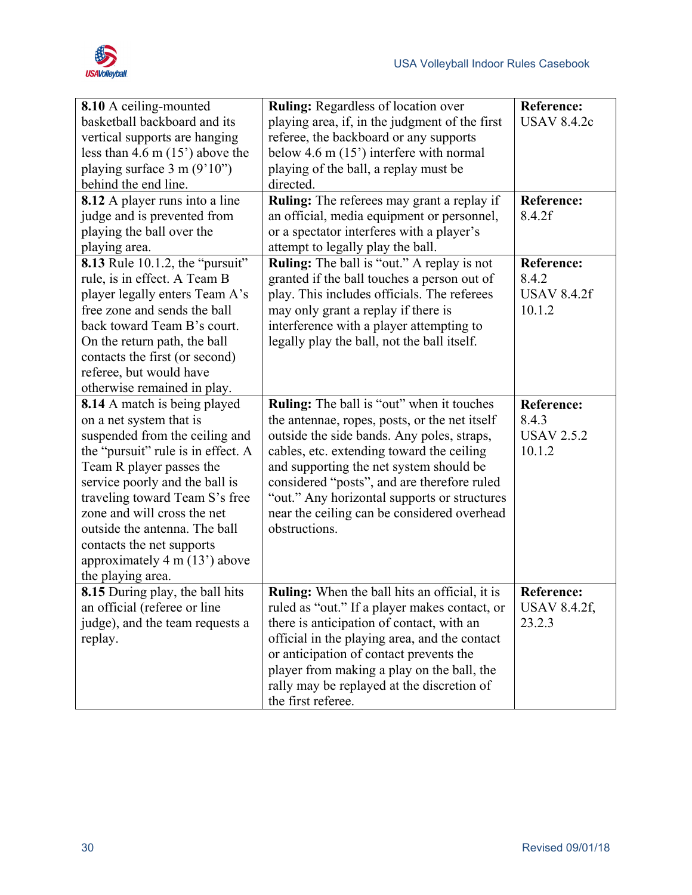

| 8.10 A ceiling-mounted<br>basketball backboard and its<br>vertical supports are hanging<br>less than 4.6 m $(15')$ above the<br>playing surface $3 \text{ m} (9'10'')$<br>behind the end line.<br><b>8.12</b> A player runs into a line                                                                                                                                                     | <b>Ruling: Regardless of location over</b><br>playing area, if, in the judgment of the first<br>referee, the backboard or any supports<br>below 4.6 m $(15)$ interfere with normal<br>playing of the ball, a replay must be<br>directed.<br><b>Ruling:</b> The referees may grant a replay if                                                                                                   | Reference:<br><b>USAV 8.4.2c</b><br><b>Reference:</b>      |
|---------------------------------------------------------------------------------------------------------------------------------------------------------------------------------------------------------------------------------------------------------------------------------------------------------------------------------------------------------------------------------------------|-------------------------------------------------------------------------------------------------------------------------------------------------------------------------------------------------------------------------------------------------------------------------------------------------------------------------------------------------------------------------------------------------|------------------------------------------------------------|
| judge and is prevented from<br>playing the ball over the<br>playing area.                                                                                                                                                                                                                                                                                                                   | an official, media equipment or personnel,<br>or a spectator interferes with a player's<br>attempt to legally play the ball.                                                                                                                                                                                                                                                                    | 8.4.2f                                                     |
| 8.13 Rule 10.1.2, the "pursuit"<br>rule, is in effect. A Team B<br>player legally enters Team A's<br>free zone and sends the ball<br>back toward Team B's court.<br>On the return path, the ball<br>contacts the first (or second)<br>referee, but would have<br>otherwise remained in play.                                                                                                | <b>Ruling:</b> The ball is "out." A replay is not<br>granted if the ball touches a person out of<br>play. This includes officials. The referees<br>may only grant a replay if there is<br>interference with a player attempting to<br>legally play the ball, not the ball itself.                                                                                                               | <b>Reference:</b><br>8.4.2<br><b>USAV 8.4.2f</b><br>10.1.2 |
| 8.14 A match is being played<br>on a net system that is<br>suspended from the ceiling and<br>the "pursuit" rule is in effect. A<br>Team R player passes the<br>service poorly and the ball is<br>traveling toward Team S's free<br>zone and will cross the net<br>outside the antenna. The ball<br>contacts the net supports<br>approximately $4 \text{ m} (13)$ above<br>the playing area. | Ruling: The ball is "out" when it touches<br>the antennae, ropes, posts, or the net itself<br>outside the side bands. Any poles, straps,<br>cables, etc. extending toward the ceiling<br>and supporting the net system should be<br>considered "posts", and are therefore ruled<br>"out." Any horizontal supports or structures<br>near the ceiling can be considered overhead<br>obstructions. | <b>Reference:</b><br>8.4.3<br><b>USAV 2.5.2</b><br>10.1.2  |
| 8.15 During play, the ball hits<br>an official (referee or line<br>judge), and the team requests a<br>replay.                                                                                                                                                                                                                                                                               | Ruling: When the ball hits an official, it is<br>ruled as "out." If a player makes contact, or<br>there is anticipation of contact, with an<br>official in the playing area, and the contact<br>or anticipation of contact prevents the<br>player from making a play on the ball, the<br>rally may be replayed at the discretion of<br>the first referee.                                       | <b>Reference:</b><br><b>USAV 8.4.2f,</b><br>23.2.3         |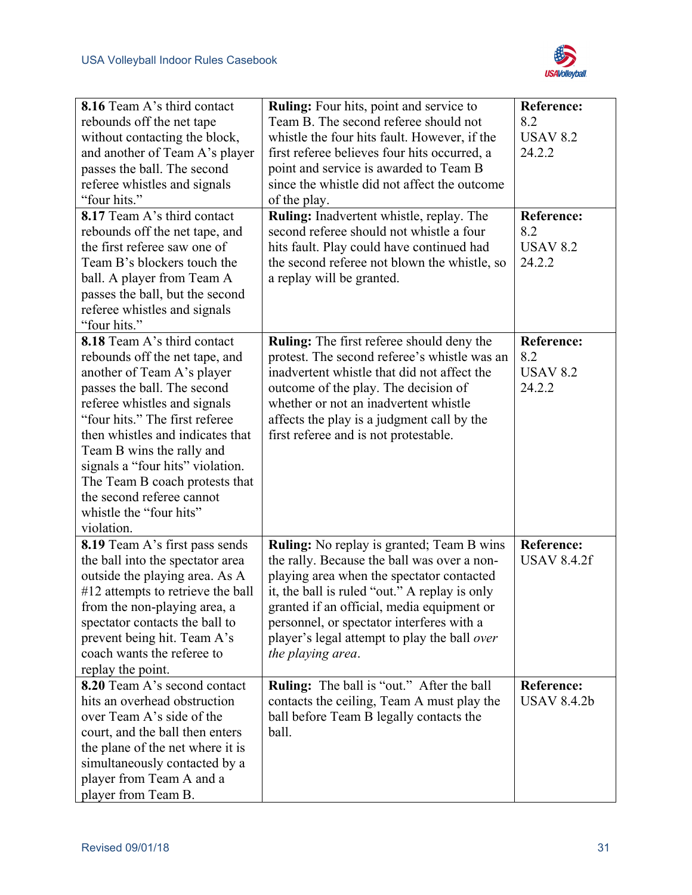

| 8.16 Team A's third contact           | Ruling: Four hits, point and service to          | <b>Reference:</b>  |
|---------------------------------------|--------------------------------------------------|--------------------|
| rebounds off the net tape             | Team B. The second referee should not            | 8.2                |
| without contacting the block,         | whistle the four hits fault. However, if the     | <b>USAV 8.2</b>    |
| and another of Team A's player        | first referee believes four hits occurred, a     | 24.2.2             |
| passes the ball. The second           | point and service is awarded to Team B           |                    |
| referee whistles and signals          | since the whistle did not affect the outcome     |                    |
| "four hits."                          | of the play.                                     |                    |
| 8.17 Team A's third contact           | Ruling: Inadvertent whistle, replay. The         | <b>Reference:</b>  |
| rebounds off the net tape, and        | second referee should not whistle a four         | 8.2                |
| the first referee saw one of          | hits fault. Play could have continued had        | <b>USAV 8.2</b>    |
| Team B's blockers touch the           | the second referee not blown the whistle, so     | 24.2.2             |
| ball. A player from Team A            | a replay will be granted.                        |                    |
| passes the ball, but the second       |                                                  |                    |
| referee whistles and signals          |                                                  |                    |
| "four hits."                          |                                                  |                    |
| 8.18 Team A's third contact           | <b>Ruling:</b> The first referee should deny the | <b>Reference:</b>  |
| rebounds off the net tape, and        | protest. The second referee's whistle was an     | 8.2                |
| another of Team A's player            | inadvertent whistle that did not affect the      | <b>USAV 8.2</b>    |
| passes the ball. The second           | outcome of the play. The decision of             | 24.2.2             |
| referee whistles and signals          | whether or not an inadvertent whistle            |                    |
| "four hits." The first referee        | affects the play is a judgment call by the       |                    |
| then whistles and indicates that      | first referee and is not protestable.            |                    |
| Team B wins the rally and             |                                                  |                    |
| signals a "four hits" violation.      |                                                  |                    |
| The Team B coach protests that        |                                                  |                    |
| the second referee cannot             |                                                  |                    |
| whistle the "four hits"<br>violation. |                                                  |                    |
| <b>8.19</b> Team A's first pass sends | Ruling: No replay is granted; Team B wins        | <b>Reference:</b>  |
| the ball into the spectator area      | the rally. Because the ball was over a non-      | <b>USAV 8.4.2f</b> |
| outside the playing area. As A        | playing area when the spectator contacted        |                    |
| #12 attempts to retrieve the ball     | it, the ball is ruled "out." A replay is only    |                    |
| from the non-playing area, a          | granted if an official, media equipment or       |                    |
| spectator contacts the ball to        | personnel, or spectator interferes with a        |                    |
| prevent being hit. Team A's           | player's legal attempt to play the ball over     |                    |
| coach wants the referee to            | the playing area.                                |                    |
| replay the point.                     |                                                  |                    |
| 8.20 Team A's second contact          | <b>Ruling:</b> The ball is "out." After the ball | <b>Reference:</b>  |
| hits an overhead obstruction          | contacts the ceiling, Team A must play the       | <b>USAV 8.4.2b</b> |
| over Team A's side of the             | ball before Team B legally contacts the          |                    |
| court, and the ball then enters       | ball.                                            |                    |
| the plane of the net where it is      |                                                  |                    |
| simultaneously contacted by a         |                                                  |                    |
| player from Team A and a              |                                                  |                    |
| player from Team B.                   |                                                  |                    |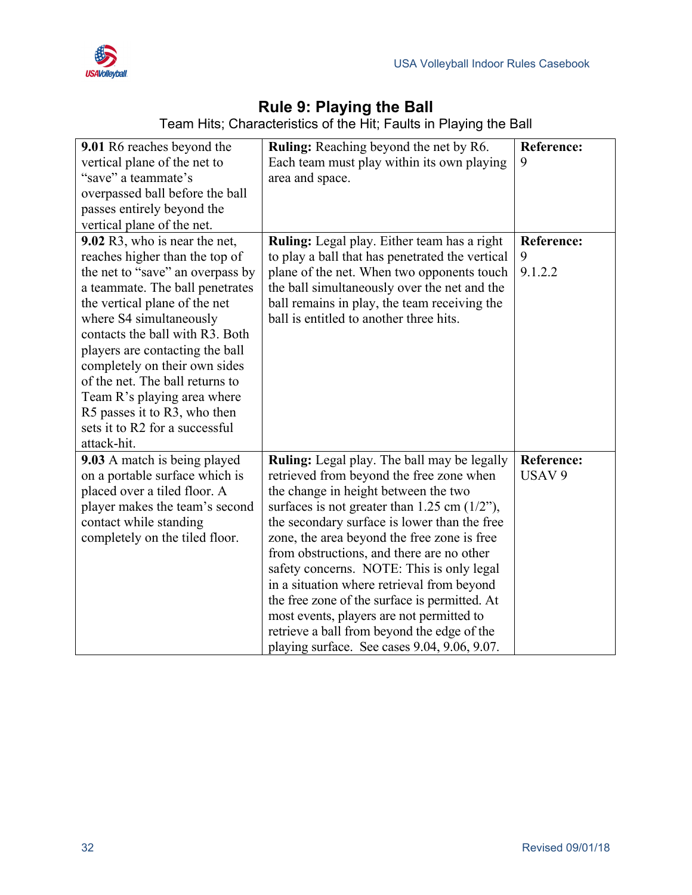



## **Rule 9: Playing the Ball**

Team Hits; Characteristics of the Hit; Faults in Playing the Ball

| 9.01 R6 reaches beyond the                                     | <b>Ruling:</b> Reaching beyond the net by R6.    | Reference:        |
|----------------------------------------------------------------|--------------------------------------------------|-------------------|
| vertical plane of the net to                                   | Each team must play within its own playing       | 9                 |
| "save" a teammate's                                            | area and space.                                  |                   |
| overpassed ball before the ball                                |                                                  |                   |
| passes entirely beyond the                                     |                                                  |                   |
| vertical plane of the net.                                     |                                                  |                   |
| 9.02 R3, who is near the net,                                  | Ruling: Legal play. Either team has a right      | <b>Reference:</b> |
| reaches higher than the top of                                 | to play a ball that has penetrated the vertical  | 9                 |
| the net to "save" an overpass by                               | plane of the net. When two opponents touch       | 9.1.2.2           |
| a teammate. The ball penetrates                                | the ball simultaneously over the net and the     |                   |
| the vertical plane of the net                                  | ball remains in play, the team receiving the     |                   |
| where S4 simultaneously                                        | ball is entitled to another three hits.          |                   |
| contacts the ball with R3. Both                                |                                                  |                   |
| players are contacting the ball                                |                                                  |                   |
| completely on their own sides                                  |                                                  |                   |
| of the net. The ball returns to                                |                                                  |                   |
| Team R's playing area where                                    |                                                  |                   |
| R5 passes it to R3, who then<br>sets it to R2 for a successful |                                                  |                   |
| attack-hit.                                                    |                                                  |                   |
| 9.03 A match is being played                                   | Ruling: Legal play. The ball may be legally      | <b>Reference:</b> |
| on a portable surface which is                                 | retrieved from beyond the free zone when         | USAV 9            |
| placed over a tiled floor. A                                   | the change in height between the two             |                   |
| player makes the team's second                                 | surfaces is not greater than $1.25$ cm $(1/2)$ , |                   |
| contact while standing                                         | the secondary surface is lower than the free     |                   |
| completely on the tiled floor.                                 | zone, the area beyond the free zone is free      |                   |
|                                                                | from obstructions, and there are no other        |                   |
|                                                                | safety concerns. NOTE: This is only legal        |                   |
|                                                                | in a situation where retrieval from beyond       |                   |
|                                                                | the free zone of the surface is permitted. At    |                   |
|                                                                | most events, players are not permitted to        |                   |
|                                                                | retrieve a ball from beyond the edge of the      |                   |
|                                                                | playing surface. See cases 9.04, 9.06, 9.07.     |                   |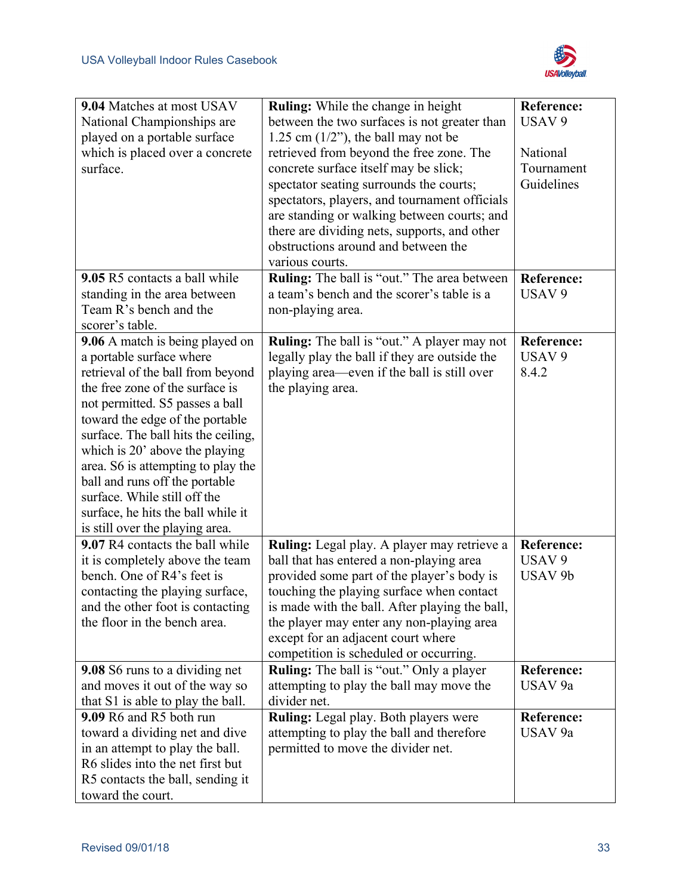

| USAV <sub>9</sub><br>National Championships are<br>between the two surfaces is not greater than<br>1.25 cm $(1/2)$ , the ball may not be<br>played on a portable surface<br>which is placed over a concrete<br>retrieved from beyond the free zone. The<br>National<br>surface.<br>concrete surface itself may be slick;<br>Tournament<br>spectator seating surrounds the courts;<br>Guidelines<br>spectators, players, and tournament officials<br>are standing or walking between courts; and<br>there are dividing nets, supports, and other<br>obstructions around and between the<br>various courts.<br>9.05 R5 contacts a ball while<br>Ruling: The ball is "out." The area between<br><b>Reference:</b><br>standing in the area between<br>a team's bench and the scorer's table is a<br>USAV <sub>9</sub><br>Team R's bench and the<br>non-playing area.<br>scorer's table.<br><b>Ruling:</b> The ball is "out." A player may not<br>9.06 A match is being played on<br><b>Reference:</b><br>a portable surface where<br>legally play the ball if they are outside the<br>USAV <sub>9</sub><br>playing area—even if the ball is still over<br>8.4.2<br>retrieval of the ball from beyond<br>the free zone of the surface is<br>the playing area.<br>not permitted. S5 passes a ball<br>toward the edge of the portable<br>surface. The ball hits the ceiling,<br>which is 20' above the playing<br>area. S6 is attempting to play the<br>ball and runs off the portable<br>surface. While still off the |
|-----------------------------------------------------------------------------------------------------------------------------------------------------------------------------------------------------------------------------------------------------------------------------------------------------------------------------------------------------------------------------------------------------------------------------------------------------------------------------------------------------------------------------------------------------------------------------------------------------------------------------------------------------------------------------------------------------------------------------------------------------------------------------------------------------------------------------------------------------------------------------------------------------------------------------------------------------------------------------------------------------------------------------------------------------------------------------------------------------------------------------------------------------------------------------------------------------------------------------------------------------------------------------------------------------------------------------------------------------------------------------------------------------------------------------------------------------------------------------------------------------------------|
|                                                                                                                                                                                                                                                                                                                                                                                                                                                                                                                                                                                                                                                                                                                                                                                                                                                                                                                                                                                                                                                                                                                                                                                                                                                                                                                                                                                                                                                                                                                 |
|                                                                                                                                                                                                                                                                                                                                                                                                                                                                                                                                                                                                                                                                                                                                                                                                                                                                                                                                                                                                                                                                                                                                                                                                                                                                                                                                                                                                                                                                                                                 |
|                                                                                                                                                                                                                                                                                                                                                                                                                                                                                                                                                                                                                                                                                                                                                                                                                                                                                                                                                                                                                                                                                                                                                                                                                                                                                                                                                                                                                                                                                                                 |
|                                                                                                                                                                                                                                                                                                                                                                                                                                                                                                                                                                                                                                                                                                                                                                                                                                                                                                                                                                                                                                                                                                                                                                                                                                                                                                                                                                                                                                                                                                                 |
|                                                                                                                                                                                                                                                                                                                                                                                                                                                                                                                                                                                                                                                                                                                                                                                                                                                                                                                                                                                                                                                                                                                                                                                                                                                                                                                                                                                                                                                                                                                 |
|                                                                                                                                                                                                                                                                                                                                                                                                                                                                                                                                                                                                                                                                                                                                                                                                                                                                                                                                                                                                                                                                                                                                                                                                                                                                                                                                                                                                                                                                                                                 |
|                                                                                                                                                                                                                                                                                                                                                                                                                                                                                                                                                                                                                                                                                                                                                                                                                                                                                                                                                                                                                                                                                                                                                                                                                                                                                                                                                                                                                                                                                                                 |
|                                                                                                                                                                                                                                                                                                                                                                                                                                                                                                                                                                                                                                                                                                                                                                                                                                                                                                                                                                                                                                                                                                                                                                                                                                                                                                                                                                                                                                                                                                                 |
|                                                                                                                                                                                                                                                                                                                                                                                                                                                                                                                                                                                                                                                                                                                                                                                                                                                                                                                                                                                                                                                                                                                                                                                                                                                                                                                                                                                                                                                                                                                 |
|                                                                                                                                                                                                                                                                                                                                                                                                                                                                                                                                                                                                                                                                                                                                                                                                                                                                                                                                                                                                                                                                                                                                                                                                                                                                                                                                                                                                                                                                                                                 |
|                                                                                                                                                                                                                                                                                                                                                                                                                                                                                                                                                                                                                                                                                                                                                                                                                                                                                                                                                                                                                                                                                                                                                                                                                                                                                                                                                                                                                                                                                                                 |
|                                                                                                                                                                                                                                                                                                                                                                                                                                                                                                                                                                                                                                                                                                                                                                                                                                                                                                                                                                                                                                                                                                                                                                                                                                                                                                                                                                                                                                                                                                                 |
|                                                                                                                                                                                                                                                                                                                                                                                                                                                                                                                                                                                                                                                                                                                                                                                                                                                                                                                                                                                                                                                                                                                                                                                                                                                                                                                                                                                                                                                                                                                 |
|                                                                                                                                                                                                                                                                                                                                                                                                                                                                                                                                                                                                                                                                                                                                                                                                                                                                                                                                                                                                                                                                                                                                                                                                                                                                                                                                                                                                                                                                                                                 |
|                                                                                                                                                                                                                                                                                                                                                                                                                                                                                                                                                                                                                                                                                                                                                                                                                                                                                                                                                                                                                                                                                                                                                                                                                                                                                                                                                                                                                                                                                                                 |
|                                                                                                                                                                                                                                                                                                                                                                                                                                                                                                                                                                                                                                                                                                                                                                                                                                                                                                                                                                                                                                                                                                                                                                                                                                                                                                                                                                                                                                                                                                                 |
|                                                                                                                                                                                                                                                                                                                                                                                                                                                                                                                                                                                                                                                                                                                                                                                                                                                                                                                                                                                                                                                                                                                                                                                                                                                                                                                                                                                                                                                                                                                 |
|                                                                                                                                                                                                                                                                                                                                                                                                                                                                                                                                                                                                                                                                                                                                                                                                                                                                                                                                                                                                                                                                                                                                                                                                                                                                                                                                                                                                                                                                                                                 |
|                                                                                                                                                                                                                                                                                                                                                                                                                                                                                                                                                                                                                                                                                                                                                                                                                                                                                                                                                                                                                                                                                                                                                                                                                                                                                                                                                                                                                                                                                                                 |
|                                                                                                                                                                                                                                                                                                                                                                                                                                                                                                                                                                                                                                                                                                                                                                                                                                                                                                                                                                                                                                                                                                                                                                                                                                                                                                                                                                                                                                                                                                                 |
|                                                                                                                                                                                                                                                                                                                                                                                                                                                                                                                                                                                                                                                                                                                                                                                                                                                                                                                                                                                                                                                                                                                                                                                                                                                                                                                                                                                                                                                                                                                 |
|                                                                                                                                                                                                                                                                                                                                                                                                                                                                                                                                                                                                                                                                                                                                                                                                                                                                                                                                                                                                                                                                                                                                                                                                                                                                                                                                                                                                                                                                                                                 |
|                                                                                                                                                                                                                                                                                                                                                                                                                                                                                                                                                                                                                                                                                                                                                                                                                                                                                                                                                                                                                                                                                                                                                                                                                                                                                                                                                                                                                                                                                                                 |
|                                                                                                                                                                                                                                                                                                                                                                                                                                                                                                                                                                                                                                                                                                                                                                                                                                                                                                                                                                                                                                                                                                                                                                                                                                                                                                                                                                                                                                                                                                                 |
| surface, he hits the ball while it                                                                                                                                                                                                                                                                                                                                                                                                                                                                                                                                                                                                                                                                                                                                                                                                                                                                                                                                                                                                                                                                                                                                                                                                                                                                                                                                                                                                                                                                              |
| is still over the playing area.                                                                                                                                                                                                                                                                                                                                                                                                                                                                                                                                                                                                                                                                                                                                                                                                                                                                                                                                                                                                                                                                                                                                                                                                                                                                                                                                                                                                                                                                                 |
| 9.07 R4 contacts the ball while<br>Ruling: Legal play. A player may retrieve a<br><b>Reference:</b>                                                                                                                                                                                                                                                                                                                                                                                                                                                                                                                                                                                                                                                                                                                                                                                                                                                                                                                                                                                                                                                                                                                                                                                                                                                                                                                                                                                                             |
| ball that has entered a non-playing area<br>USAV <sub>9</sub><br>it is completely above the team                                                                                                                                                                                                                                                                                                                                                                                                                                                                                                                                                                                                                                                                                                                                                                                                                                                                                                                                                                                                                                                                                                                                                                                                                                                                                                                                                                                                                |
| bench. One of R4's feet is<br>USAV <sub>9b</sub><br>provided some part of the player's body is                                                                                                                                                                                                                                                                                                                                                                                                                                                                                                                                                                                                                                                                                                                                                                                                                                                                                                                                                                                                                                                                                                                                                                                                                                                                                                                                                                                                                  |
| touching the playing surface when contact<br>contacting the playing surface,                                                                                                                                                                                                                                                                                                                                                                                                                                                                                                                                                                                                                                                                                                                                                                                                                                                                                                                                                                                                                                                                                                                                                                                                                                                                                                                                                                                                                                    |
| and the other foot is contacting<br>is made with the ball. After playing the ball,                                                                                                                                                                                                                                                                                                                                                                                                                                                                                                                                                                                                                                                                                                                                                                                                                                                                                                                                                                                                                                                                                                                                                                                                                                                                                                                                                                                                                              |
| the floor in the bench area.<br>the player may enter any non-playing area                                                                                                                                                                                                                                                                                                                                                                                                                                                                                                                                                                                                                                                                                                                                                                                                                                                                                                                                                                                                                                                                                                                                                                                                                                                                                                                                                                                                                                       |
| except for an adjacent court where                                                                                                                                                                                                                                                                                                                                                                                                                                                                                                                                                                                                                                                                                                                                                                                                                                                                                                                                                                                                                                                                                                                                                                                                                                                                                                                                                                                                                                                                              |
| competition is scheduled or occurring.                                                                                                                                                                                                                                                                                                                                                                                                                                                                                                                                                                                                                                                                                                                                                                                                                                                                                                                                                                                                                                                                                                                                                                                                                                                                                                                                                                                                                                                                          |
| Ruling: The ball is "out." Only a player<br>9.08 S6 runs to a dividing net<br><b>Reference:</b>                                                                                                                                                                                                                                                                                                                                                                                                                                                                                                                                                                                                                                                                                                                                                                                                                                                                                                                                                                                                                                                                                                                                                                                                                                                                                                                                                                                                                 |
| and moves it out of the way so<br>attempting to play the ball may move the<br>USAV 9a                                                                                                                                                                                                                                                                                                                                                                                                                                                                                                                                                                                                                                                                                                                                                                                                                                                                                                                                                                                                                                                                                                                                                                                                                                                                                                                                                                                                                           |
| divider net.<br>that S1 is able to play the ball.<br>9.09 R6 and R5 both run<br><b>Reference:</b>                                                                                                                                                                                                                                                                                                                                                                                                                                                                                                                                                                                                                                                                                                                                                                                                                                                                                                                                                                                                                                                                                                                                                                                                                                                                                                                                                                                                               |
| Ruling: Legal play. Both players were<br>toward a dividing net and dive<br>attempting to play the ball and therefore<br>USAV 9a                                                                                                                                                                                                                                                                                                                                                                                                                                                                                                                                                                                                                                                                                                                                                                                                                                                                                                                                                                                                                                                                                                                                                                                                                                                                                                                                                                                 |
| in an attempt to play the ball.<br>permitted to move the divider net.                                                                                                                                                                                                                                                                                                                                                                                                                                                                                                                                                                                                                                                                                                                                                                                                                                                                                                                                                                                                                                                                                                                                                                                                                                                                                                                                                                                                                                           |
| R6 slides into the net first but                                                                                                                                                                                                                                                                                                                                                                                                                                                                                                                                                                                                                                                                                                                                                                                                                                                                                                                                                                                                                                                                                                                                                                                                                                                                                                                                                                                                                                                                                |
| R5 contacts the ball, sending it                                                                                                                                                                                                                                                                                                                                                                                                                                                                                                                                                                                                                                                                                                                                                                                                                                                                                                                                                                                                                                                                                                                                                                                                                                                                                                                                                                                                                                                                                |
| toward the court.                                                                                                                                                                                                                                                                                                                                                                                                                                                                                                                                                                                                                                                                                                                                                                                                                                                                                                                                                                                                                                                                                                                                                                                                                                                                                                                                                                                                                                                                                               |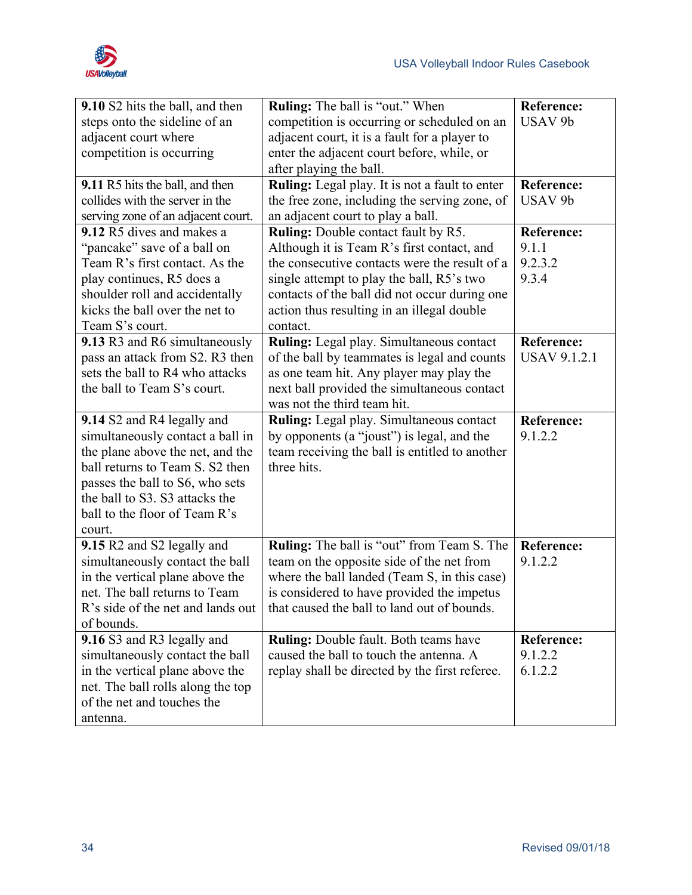| 9.10 S2 hits the ball, and then        | <b>Ruling:</b> The ball is "out." When            | <b>Reference:</b>   |
|----------------------------------------|---------------------------------------------------|---------------------|
| steps onto the sideline of an          | competition is occurring or scheduled on an       | USAV <sub>9b</sub>  |
| adjacent court where                   | adjacent court, it is a fault for a player to     |                     |
| competition is occurring               | enter the adjacent court before, while, or        |                     |
|                                        | after playing the ball.                           |                     |
| 9.11 R5 hits the ball, and then        | Ruling: Legal play. It is not a fault to enter    | <b>Reference:</b>   |
| collides with the server in the        | the free zone, including the serving zone, of     | USAV <sub>9b</sub>  |
| serving zone of an adjacent court.     | an adjacent court to play a ball.                 |                     |
| 9.12 R5 dives and makes a              | <b>Ruling:</b> Double contact fault by R5.        | <b>Reference:</b>   |
| "pancake" save of a ball on            | Although it is Team R's first contact, and        | 9.1.1               |
| Team R's first contact. As the         | the consecutive contacts were the result of a     | 9.2.3.2             |
| play continues, R5 does a              | single attempt to play the ball, R5's two         | 9.3.4               |
| shoulder roll and accidentally         | contacts of the ball did not occur during one     |                     |
| kicks the ball over the net to         | action thus resulting in an illegal double        |                     |
| Team S's court.                        | contact.                                          |                     |
| 9.13 R3 and R6 simultaneously          | Ruling: Legal play. Simultaneous contact          | Reference:          |
| pass an attack from S2. R3 then        | of the ball by teammates is legal and counts      | <b>USAV 9.1.2.1</b> |
| sets the ball to R4 who attacks        | as one team hit. Any player may play the          |                     |
| the ball to Team S's court.            | next ball provided the simultaneous contact       |                     |
|                                        | was not the third team hit.                       |                     |
|                                        |                                                   |                     |
| 9.14 S2 and R4 legally and             | Ruling: Legal play. Simultaneous contact          | <b>Reference:</b>   |
| simultaneously contact a ball in       | by opponents (a "joust") is legal, and the        | 9.1.2.2             |
| the plane above the net, and the       | team receiving the ball is entitled to another    |                     |
| ball returns to Team S. S2 then        | three hits.                                       |                     |
| passes the ball to S6, who sets        |                                                   |                     |
| the ball to S3. S3 attacks the         |                                                   |                     |
| ball to the floor of Team R's          |                                                   |                     |
| court.                                 |                                                   |                     |
| 9.15 R2 and S2 legally and             | <b>Ruling:</b> The ball is "out" from Team S. The | <b>Reference:</b>   |
| simultaneously contact the ball        | team on the opposite side of the net from         | 9.1.2.2             |
| in the vertical plane above the        | where the ball landed (Team S, in this case)      |                     |
| net. The ball returns to Team          | is considered to have provided the impetus        |                     |
| R's side of the net and lands out      | that caused the ball to land out of bounds.       |                     |
| of bounds.                             |                                                   |                     |
| 9.16 S3 and R3 legally and             | <b>Ruling:</b> Double fault. Both teams have      | <b>Reference:</b>   |
| simultaneously contact the ball        | caused the ball to touch the antenna. A           | 9.1.2.2             |
| in the vertical plane above the        | replay shall be directed by the first referee.    | 6.1.2.2             |
| net. The ball rolls along the top      |                                                   |                     |
| of the net and touches the<br>antenna. |                                                   |                     |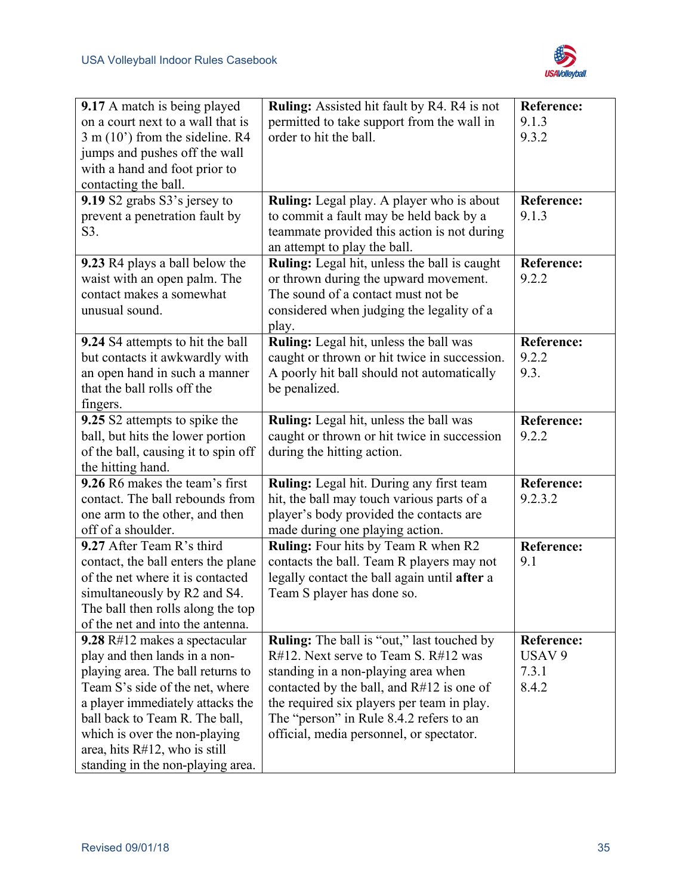

| 9.17 A match is being played             | Ruling: Assisted hit fault by R4. R4 is not       | <b>Reference:</b> |
|------------------------------------------|---------------------------------------------------|-------------------|
| on a court next to a wall that is        |                                                   | 9.1.3             |
|                                          | permitted to take support from the wall in        |                   |
| $3 \text{ m} (10)$ from the sideline. R4 | order to hit the ball.                            | 9.3.2             |
| jumps and pushes off the wall            |                                                   |                   |
| with a hand and foot prior to            |                                                   |                   |
| contacting the ball.                     |                                                   |                   |
| 9.19 S2 grabs S3's jersey to             | Ruling: Legal play. A player who is about         | <b>Reference:</b> |
| prevent a penetration fault by           | to commit a fault may be held back by a           | 9.1.3             |
| S3.                                      | teammate provided this action is not during       |                   |
|                                          | an attempt to play the ball.                      |                   |
| <b>9.23</b> R4 plays a ball below the    | Ruling: Legal hit, unless the ball is caught      | <b>Reference:</b> |
| waist with an open palm. The             | or thrown during the upward movement.             | 9.2.2             |
| contact makes a somewhat                 | The sound of a contact must not be                |                   |
| unusual sound.                           | considered when judging the legality of a         |                   |
|                                          | play.                                             |                   |
| 9.24 S4 attempts to hit the ball         | Ruling: Legal hit, unless the ball was            | <b>Reference:</b> |
| but contacts it awkwardly with           | caught or thrown or hit twice in succession.      | 9.2.2             |
| an open hand in such a manner            | A poorly hit ball should not automatically        | 9.3.              |
| that the ball rolls off the              | be penalized.                                     |                   |
| fingers.                                 |                                                   |                   |
| 9.25 S2 attempts to spike the            | Ruling: Legal hit, unless the ball was            | Reference:        |
| ball, but hits the lower portion         | caught or thrown or hit twice in succession       | 9.2.2             |
| of the ball, causing it to spin off      | during the hitting action.                        |                   |
| the hitting hand.                        |                                                   |                   |
| 9.26 R6 makes the team's first           | Ruling: Legal hit. During any first team          | <b>Reference:</b> |
| contact. The ball rebounds from          | hit, the ball may touch various parts of a        | 9.2.3.2           |
| one arm to the other, and then           | player's body provided the contacts are           |                   |
| off of a shoulder.                       | made during one playing action.                   |                   |
| 9.27 After Team R's third                | Ruling: Four hits by Team R when R2               | Reference:        |
| contact, the ball enters the plane       | contacts the ball. Team R players may not         | 9.1               |
| of the net where it is contacted         | legally contact the ball again until after a      |                   |
| simultaneously by R2 and S4.             | Team S player has done so.                        |                   |
| The ball then rolls along the top        |                                                   |                   |
| of the net and into the antenna.         |                                                   |                   |
| 9.28 R#12 makes a spectacular            | <b>Ruling:</b> The ball is "out," last touched by | <b>Reference:</b> |
| play and then lands in a non-            | $R#12$ . Next serve to Team S. $R#12$ was         | USAV <sub>9</sub> |
| playing area. The ball returns to        | standing in a non-playing area when               | 7.3.1             |
| Team S's side of the net, where          | contacted by the ball, and $R#12$ is one of       | 8.4.2             |
| a player immediately attacks the         | the required six players per team in play.        |                   |
| ball back to Team R. The ball,           | The "person" in Rule 8.4.2 refers to an           |                   |
| which is over the non-playing            | official, media personnel, or spectator.          |                   |
| area, hits $R#12$ , who is still         |                                                   |                   |
| standing in the non-playing area.        |                                                   |                   |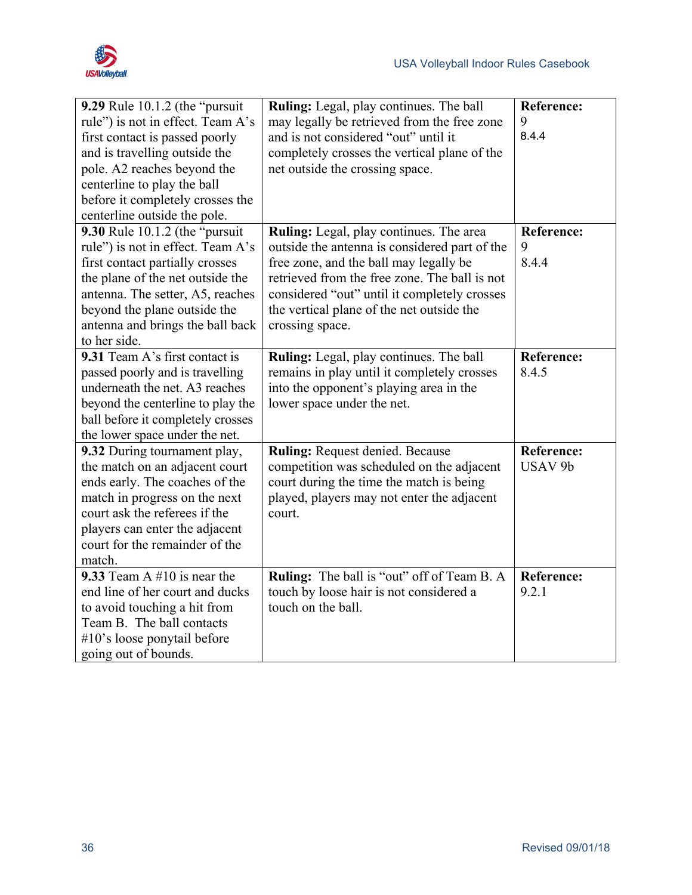

| <b>9.29</b> Rule 10.1.2 (the "pursuit" | Ruling: Legal, play continues. The ball       | <b>Reference:</b>  |
|----------------------------------------|-----------------------------------------------|--------------------|
| rule") is not in effect. Team A's      | may legally be retrieved from the free zone   | 9                  |
| first contact is passed poorly         | and is not considered "out" until it          | 8.4.4              |
| and is travelling outside the          | completely crosses the vertical plane of the  |                    |
| pole. A2 reaches beyond the            | net outside the crossing space.               |                    |
| centerline to play the ball            |                                               |                    |
| before it completely crosses the       |                                               |                    |
| centerline outside the pole.           |                                               |                    |
| 9.30 Rule 10.1.2 (the "pursuit         | Ruling: Legal, play continues. The area       | <b>Reference:</b>  |
| rule") is not in effect. Team A's      | outside the antenna is considered part of the | 9                  |
| first contact partially crosses        | free zone, and the ball may legally be        | 8.4.4              |
| the plane of the net outside the       | retrieved from the free zone. The ball is not |                    |
| antenna. The setter, A5, reaches       | considered "out" until it completely crosses  |                    |
| beyond the plane outside the           | the vertical plane of the net outside the     |                    |
| antenna and brings the ball back       | crossing space.                               |                    |
| to her side.                           |                                               |                    |
| 9.31 Team A's first contact is         | Ruling: Legal, play continues. The ball       | <b>Reference:</b>  |
| passed poorly and is travelling        | remains in play until it completely crosses   | 8.4.5              |
| underneath the net. A3 reaches         | into the opponent's playing area in the       |                    |
| beyond the centerline to play the      | lower space under the net.                    |                    |
| ball before it completely crosses      |                                               |                    |
| the lower space under the net.         |                                               |                    |
| 9.32 During tournament play,           | <b>Ruling: Request denied. Because</b>        | <b>Reference:</b>  |
| the match on an adjacent court         | competition was scheduled on the adjacent     | USAV <sub>9b</sub> |
| ends early. The coaches of the         | court during the time the match is being      |                    |
| match in progress on the next          | played, players may not enter the adjacent    |                    |
| court ask the referees if the          | court.                                        |                    |
| players can enter the adjacent         |                                               |                    |
| court for the remainder of the         |                                               |                    |
| match.                                 |                                               |                    |
| 9.33 Team A $#10$ is near the          | Ruling: The ball is "out" off of Team B. A    | <b>Reference:</b>  |
| end line of her court and ducks        | touch by loose hair is not considered a       | 9.2.1              |
| to avoid touching a hit from           | touch on the ball.                            |                    |
| Team B. The ball contacts              |                                               |                    |
| #10's loose ponytail before            |                                               |                    |
| going out of bounds.                   |                                               |                    |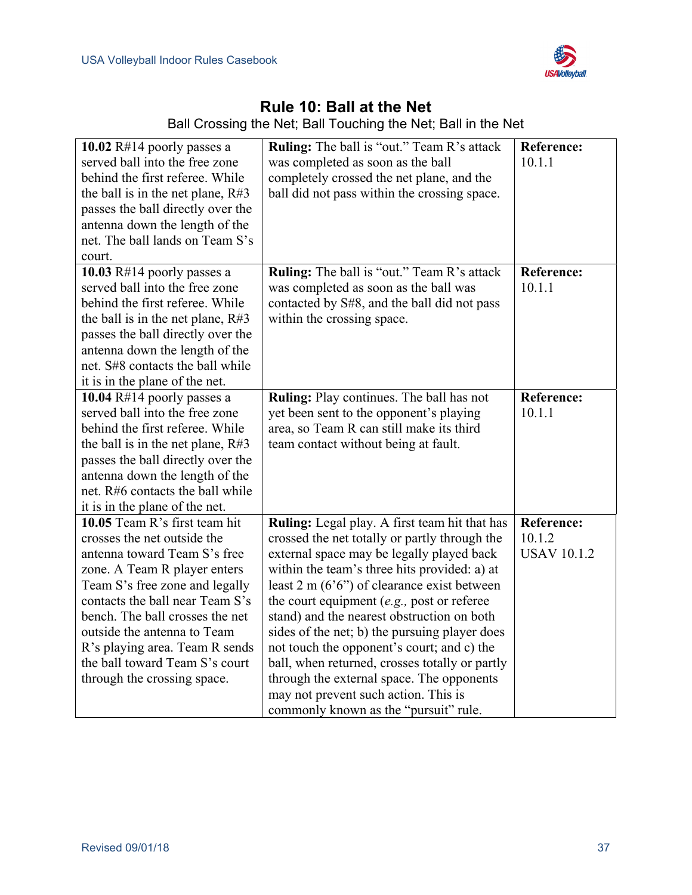

# **Rule 10: Ball at the Net**

| 10.02 $R#14$ poorly passes a<br>served ball into the free zone<br>behind the first referee. While<br>the ball is in the net plane, $R#3$<br>passes the ball directly over the<br>antenna down the length of the<br>net. The ball lands on Team S's<br>court.                                                                                                           | Ruling: The ball is "out." Team R's attack<br>was completed as soon as the ball<br>completely crossed the net plane, and the<br>ball did not pass within the crossing space.                                                                                                                                                                                                                                                                                                                                                                                                                                               | <b>Reference:</b><br>10.1.1                       |
|------------------------------------------------------------------------------------------------------------------------------------------------------------------------------------------------------------------------------------------------------------------------------------------------------------------------------------------------------------------------|----------------------------------------------------------------------------------------------------------------------------------------------------------------------------------------------------------------------------------------------------------------------------------------------------------------------------------------------------------------------------------------------------------------------------------------------------------------------------------------------------------------------------------------------------------------------------------------------------------------------------|---------------------------------------------------|
| 10.03 $R#14$ poorly passes a<br>served ball into the free zone<br>behind the first referee. While<br>the ball is in the net plane, R#3<br>passes the ball directly over the<br>antenna down the length of the<br>net. S#8 contacts the ball while<br>it is in the plane of the net.                                                                                    | Ruling: The ball is "out." Team R's attack<br>was completed as soon as the ball was<br>contacted by S#8, and the ball did not pass<br>within the crossing space.                                                                                                                                                                                                                                                                                                                                                                                                                                                           | <b>Reference:</b><br>10.1.1                       |
| 10.04 $R#14$ poorly passes a<br>served ball into the free zone<br>behind the first referee. While<br>the ball is in the net plane, $R#3$<br>passes the ball directly over the<br>antenna down the length of the<br>net. R#6 contacts the ball while<br>it is in the plane of the net.                                                                                  | Ruling: Play continues. The ball has not<br>yet been sent to the opponent's playing<br>area, so Team R can still make its third<br>team contact without being at fault.                                                                                                                                                                                                                                                                                                                                                                                                                                                    | <b>Reference:</b><br>10.1.1                       |
| 10.05 Team R's first team hit<br>crosses the net outside the<br>antenna toward Team S's free<br>zone. A Team R player enters<br>Team S's free zone and legally<br>contacts the ball near Team S's<br>bench. The ball crosses the net<br>outside the antenna to Team<br>R's playing area. Team R sends<br>the ball toward Team S's court<br>through the crossing space. | Ruling: Legal play. A first team hit that has<br>crossed the net totally or partly through the<br>external space may be legally played back<br>within the team's three hits provided: a) at<br>least 2 m $(6'6'')$ of clearance exist between<br>the court equipment $(e.g.,$ post or referee<br>stand) and the nearest obstruction on both<br>sides of the net; b) the pursuing player does<br>not touch the opponent's court; and c) the<br>ball, when returned, crosses totally or partly<br>through the external space. The opponents<br>may not prevent such action. This is<br>commonly known as the "pursuit" rule. | <b>Reference:</b><br>10.1.2<br><b>USAV 10.1.2</b> |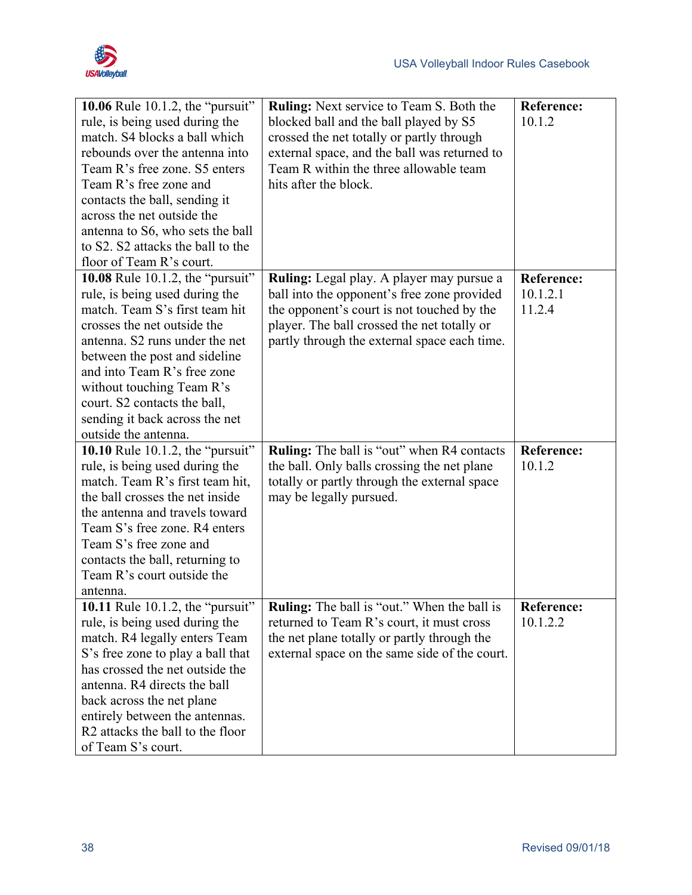

| <b>10.06</b> Rule 10.1.2, the "pursuit"      | Ruling: Next service to Team S. Both the           | <b>Reference:</b> |
|----------------------------------------------|----------------------------------------------------|-------------------|
| rule, is being used during the               | blocked ball and the ball played by S5             | 10.1.2            |
| match. S4 blocks a ball which                | crossed the net totally or partly through          |                   |
| rebounds over the antenna into               | external space, and the ball was returned to       |                   |
| Team R's free zone. S5 enters                | Team R within the three allowable team             |                   |
| Team R's free zone and                       | hits after the block.                              |                   |
| contacts the ball, sending it                |                                                    |                   |
| across the net outside the                   |                                                    |                   |
| antenna to S6, who sets the ball             |                                                    |                   |
| to S2. S2 attacks the ball to the            |                                                    |                   |
| floor of Team R's court.                     |                                                    |                   |
| 10.08 Rule 10.1.2, the "pursuit"             | <b>Ruling:</b> Legal play. A player may pursue a   | <b>Reference:</b> |
| rule, is being used during the               | ball into the opponent's free zone provided        | 10.1.2.1          |
| match. Team S's first team hit               | the opponent's court is not touched by the         | 11.2.4            |
| crosses the net outside the                  | player. The ball crossed the net totally or        |                   |
| antenna. S2 runs under the net               | partly through the external space each time.       |                   |
| between the post and sideline                |                                                    |                   |
| and into Team R's free zone                  |                                                    |                   |
| without touching Team R's                    |                                                    |                   |
| court. S2 contacts the ball,                 |                                                    |                   |
| sending it back across the net               |                                                    |                   |
| outside the antenna.                         |                                                    |                   |
| 10.10 Rule 10.1.2, the "pursuit"             | <b>Ruling:</b> The ball is "out" when R4 contacts  | Reference:        |
| rule, is being used during the               | the ball. Only balls crossing the net plane        | 10.1.2            |
| match. Team R's first team hit,              | totally or partly through the external space       |                   |
| the ball crosses the net inside              | may be legally pursued.                            |                   |
| the antenna and travels toward               |                                                    |                   |
| Team S's free zone. R4 enters                |                                                    |                   |
| Team S's free zone and                       |                                                    |                   |
| contacts the ball, returning to              |                                                    |                   |
| Team R's court outside the                   |                                                    |                   |
| antenna.                                     |                                                    |                   |
| 10.11 Rule 10.1.2, the "pursuit"             | <b>Ruling:</b> The ball is "out." When the ball is | Reference:        |
| rule, is being used during the               | returned to Team R's court, it must cross          | 10.1.2.2          |
| match. R4 legally enters Team                | the net plane totally or partly through the        |                   |
| S's free zone to play a ball that            | external space on the same side of the court.      |                   |
| has crossed the net outside the              |                                                    |                   |
|                                              |                                                    |                   |
| antenna. R4 directs the ball                 |                                                    |                   |
| back across the net plane                    |                                                    |                   |
| entirely between the antennas.               |                                                    |                   |
| R <sub>2</sub> attacks the ball to the floor |                                                    |                   |
| of Team S's court.                           |                                                    |                   |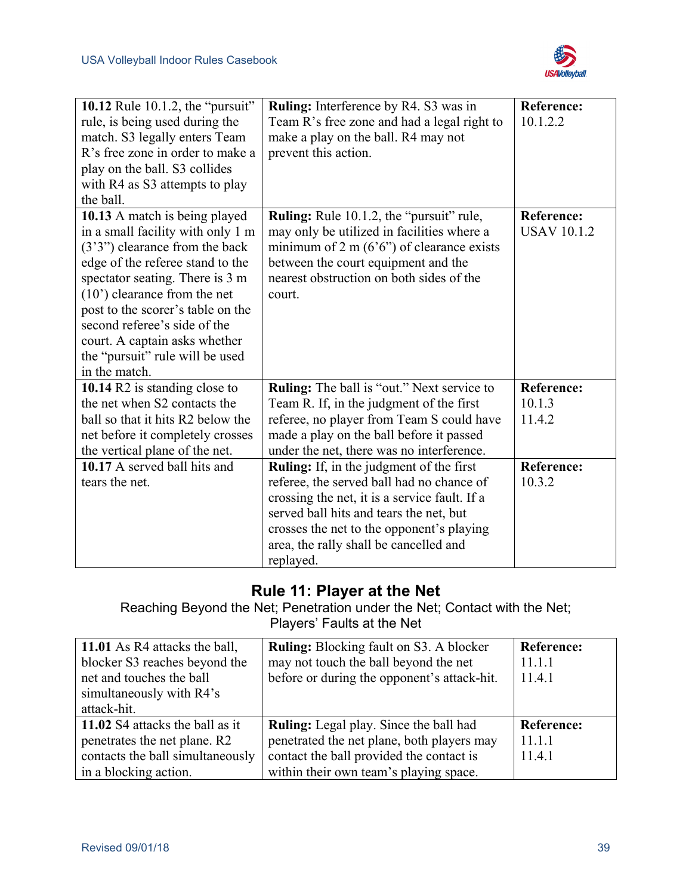

| <b>10.12</b> Rule 10.1.2, the "pursuit"<br>rule, is being used during the<br>match. S3 legally enters Team<br>R's free zone in order to make a<br>play on the ball. S3 collides<br>with R4 as S3 attempts to play<br>the ball.                                                                                                                                           | Ruling: Interference by R4. S3 was in<br>Team R's free zone and had a legal right to<br>make a play on the ball. R4 may not<br>prevent this action.                                                                                                                                          | <b>Reference:</b><br>10.1.2.2           |
|--------------------------------------------------------------------------------------------------------------------------------------------------------------------------------------------------------------------------------------------------------------------------------------------------------------------------------------------------------------------------|----------------------------------------------------------------------------------------------------------------------------------------------------------------------------------------------------------------------------------------------------------------------------------------------|-----------------------------------------|
| 10.13 A match is being played<br>in a small facility with only 1 m<br>$(3'3'')$ clearance from the back<br>edge of the referee stand to the<br>spectator seating. There is 3 m<br>(10') clearance from the net<br>post to the scorer's table on the<br>second referee's side of the<br>court. A captain asks whether<br>the "pursuit" rule will be used<br>in the match. | <b>Ruling:</b> Rule 10.1.2, the "pursuit" rule,<br>may only be utilized in facilities where a<br>minimum of 2 m $(6'6'')$ of clearance exists<br>between the court equipment and the<br>nearest obstruction on both sides of the<br>court.                                                   | <b>Reference:</b><br><b>USAV 10.1.2</b> |
| 10.14 R2 is standing close to<br>the net when S2 contacts the<br>ball so that it hits R2 below the<br>net before it completely crosses<br>the vertical plane of the net.                                                                                                                                                                                                 | <b>Ruling:</b> The ball is "out." Next service to<br>Team R. If, in the judgment of the first<br>referee, no player from Team S could have<br>made a play on the ball before it passed<br>under the net, there was no interference.                                                          | <b>Reference:</b><br>10.1.3<br>11.4.2   |
| 10.17 A served ball hits and<br>tears the net.                                                                                                                                                                                                                                                                                                                           | <b>Ruling:</b> If, in the judgment of the first<br>referee, the served ball had no chance of<br>crossing the net, it is a service fault. If a<br>served ball hits and tears the net, but<br>crosses the net to the opponent's playing<br>area, the rally shall be cancelled and<br>replayed. | <b>Reference:</b><br>10.3.2             |

## **Rule 11: Player at the Net**

Reaching Beyond the Net; Penetration under the Net; Contact with the Net; Players' Faults at the Net

| 11.01 As R4 attacks the ball,    | <b>Ruling:</b> Blocking fault on S3. A blocker | <b>Reference:</b> |
|----------------------------------|------------------------------------------------|-------------------|
| blocker S3 reaches beyond the    | may not touch the ball beyond the net          | 11.1.1            |
| net and touches the ball         | before or during the opponent's attack-hit.    | 11.4.1            |
| simultaneously with R4's         |                                                |                   |
| attack-hit.                      |                                                |                   |
| 11.02 S4 attacks the ball as it  | <b>Ruling:</b> Legal play. Since the ball had  | <b>Reference:</b> |
| penetrates the net plane. R2     | penetrated the net plane, both players may     | 11.1.1            |
| contacts the ball simultaneously | contact the ball provided the contact is       | 11.4.1            |
| in a blocking action.            | within their own team's playing space.         |                   |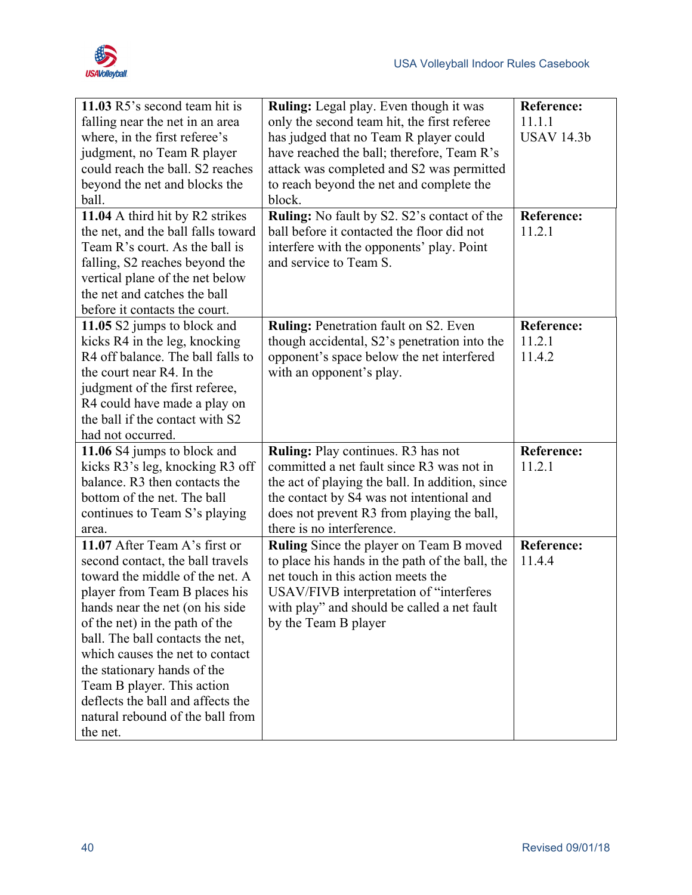

| 11.03 R5's second team hit is      | <b>Ruling:</b> Legal play. Even though it was   | <b>Reference:</b> |
|------------------------------------|-------------------------------------------------|-------------------|
| falling near the net in an area    | only the second team hit, the first referee     | 11.1.1            |
| where, in the first referee's      | has judged that no Team R player could          | <b>USAV 14.3b</b> |
| judgment, no Team R player         | have reached the ball; therefore, Team R's      |                   |
| could reach the ball. S2 reaches   | attack was completed and S2 was permitted       |                   |
| beyond the net and blocks the      | to reach beyond the net and complete the        |                   |
| ball.                              | block.                                          |                   |
| 11.04 A third hit by R2 strikes    | Ruling: No fault by S2. S2's contact of the     | <b>Reference:</b> |
| the net, and the ball falls toward | ball before it contacted the floor did not      | 11.2.1            |
| Team R's court. As the ball is     | interfere with the opponents' play. Point       |                   |
| falling, S2 reaches beyond the     | and service to Team S.                          |                   |
| vertical plane of the net below    |                                                 |                   |
| the net and catches the ball       |                                                 |                   |
| before it contacts the court.      |                                                 |                   |
| 11.05 S2 jumps to block and        | <b>Ruling: Penetration fault on S2. Even</b>    | <b>Reference:</b> |
| kicks R4 in the leg, knocking      | though accidental, S2's penetration into the    | 11.2.1            |
| R4 off balance. The ball falls to  | opponent's space below the net interfered       | 11.4.2            |
| the court near R4. In the          | with an opponent's play.                        |                   |
| judgment of the first referee,     |                                                 |                   |
| R4 could have made a play on       |                                                 |                   |
| the ball if the contact with S2    |                                                 |                   |
| had not occurred.                  |                                                 |                   |
| 11.06 S4 jumps to block and        | Ruling: Play continues. R3 has not              | <b>Reference:</b> |
| kicks R3's leg, knocking R3 off    | committed a net fault since R3 was not in       | 11.2.1            |
| balance. R3 then contacts the      | the act of playing the ball. In addition, since |                   |
| bottom of the net. The ball        | the contact by S4 was not intentional and       |                   |
| continues to Team S's playing      | does not prevent R3 from playing the ball,      |                   |
| area.                              | there is no interference.                       |                   |
| 11.07 After Team A's first or      | Ruling Since the player on Team B moved         | <b>Reference:</b> |
| second contact, the ball travels   | to place his hands in the path of the ball, the | 11.4.4            |
| toward the middle of the net. A    | net touch in this action meets the              |                   |
| player from Team B places his      | USAV/FIVB interpretation of "interferes         |                   |
| hands near the net (on his side    | with play" and should be called a net fault     |                   |
| of the net) in the path of the     | by the Team B player                            |                   |
| ball. The ball contacts the net,   |                                                 |                   |
| which causes the net to contact    |                                                 |                   |
| the stationary hands of the        |                                                 |                   |
| Team B player. This action         |                                                 |                   |
| deflects the ball and affects the  |                                                 |                   |
| natural rebound of the ball from   |                                                 |                   |
| the net.                           |                                                 |                   |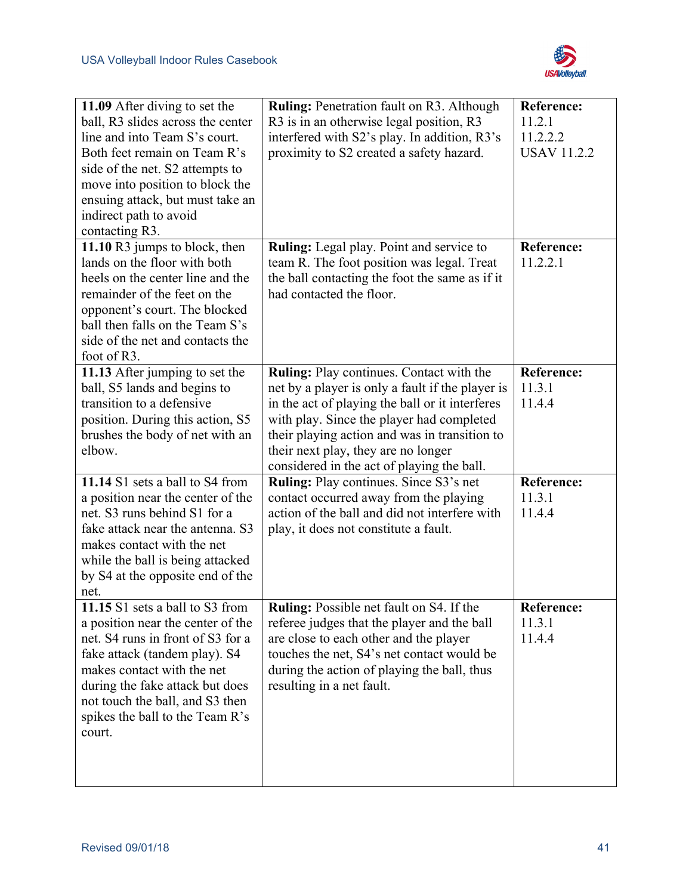

| 11.09 After diving to set the<br>ball, R3 slides across the center<br>line and into Team S's court.<br>Both feet remain on Team R's<br>side of the net. S2 attempts to<br>move into position to block the<br>ensuing attack, but must take an<br>indirect path to avoid<br>contacting R3.   | <b>Ruling: Penetration fault on R3. Although</b><br>R3 is in an otherwise legal position, R3<br>interfered with S2's play. In addition, R3's<br>proximity to S2 created a safety hazard.                                                                                                                                                  | <b>Reference:</b><br>11.2.1<br>11.2.2.2<br><b>USAV 11.2.2</b> |
|---------------------------------------------------------------------------------------------------------------------------------------------------------------------------------------------------------------------------------------------------------------------------------------------|-------------------------------------------------------------------------------------------------------------------------------------------------------------------------------------------------------------------------------------------------------------------------------------------------------------------------------------------|---------------------------------------------------------------|
| 11.10 R3 jumps to block, then<br>lands on the floor with both<br>heels on the center line and the<br>remainder of the feet on the<br>opponent's court. The blocked<br>ball then falls on the Team S's<br>side of the net and contacts the<br>foot of R3.                                    | Ruling: Legal play. Point and service to<br>team R. The foot position was legal. Treat<br>the ball contacting the foot the same as if it<br>had contacted the floor.                                                                                                                                                                      | <b>Reference:</b><br>11.2.2.1                                 |
| 11.13 After jumping to set the<br>ball, S5 lands and begins to<br>transition to a defensive<br>position. During this action, S5<br>brushes the body of net with an<br>elbow.                                                                                                                | <b>Ruling:</b> Play continues. Contact with the<br>net by a player is only a fault if the player is<br>in the act of playing the ball or it interferes<br>with play. Since the player had completed<br>their playing action and was in transition to<br>their next play, they are no longer<br>considered in the act of playing the ball. | <b>Reference:</b><br>11.3.1<br>11.4.4                         |
| 11.14 S1 sets a ball to S4 from<br>a position near the center of the<br>net. S3 runs behind S1 for a<br>fake attack near the antenna. S3<br>makes contact with the net<br>while the ball is being attacked<br>by S4 at the opposite end of the<br>net.                                      | Ruling: Play continues. Since S3's net<br>contact occurred away from the playing<br>action of the ball and did not interfere with<br>play, it does not constitute a fault.                                                                                                                                                                | <b>Reference:</b><br>11.3.1<br>11.4.4                         |
| 11.15 S1 sets a ball to S3 from<br>a position near the center of the<br>net. S4 runs in front of S3 for a<br>fake attack (tandem play). S4<br>makes contact with the net<br>during the fake attack but does<br>not touch the ball, and S3 then<br>spikes the ball to the Team R's<br>court. | Ruling: Possible net fault on S4. If the<br>referee judges that the player and the ball<br>are close to each other and the player<br>touches the net, S4's net contact would be<br>during the action of playing the ball, thus<br>resulting in a net fault.                                                                               | <b>Reference:</b><br>11.3.1<br>11.4.4                         |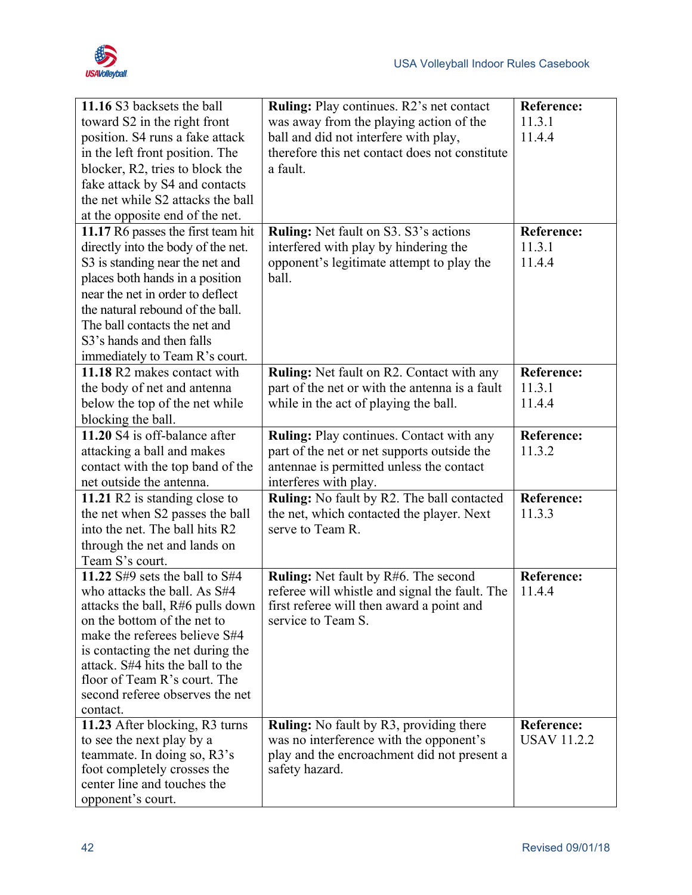

| 11.16 S3 backsets the ball<br>toward S2 in the right front                                                                                                                                                                                                                                                                                    | Ruling: Play continues. R2's net contact<br>was away from the playing action of the                                                                              | <b>Reference:</b><br>11.3.1             |
|-----------------------------------------------------------------------------------------------------------------------------------------------------------------------------------------------------------------------------------------------------------------------------------------------------------------------------------------------|------------------------------------------------------------------------------------------------------------------------------------------------------------------|-----------------------------------------|
| position. S4 runs a fake attack<br>in the left front position. The                                                                                                                                                                                                                                                                            | ball and did not interfere with play,<br>therefore this net contact does not constitute                                                                          | 11.4.4                                  |
| blocker, R2, tries to block the<br>fake attack by S4 and contacts<br>the net while S2 attacks the ball                                                                                                                                                                                                                                        | a fault.                                                                                                                                                         |                                         |
| at the opposite end of the net.                                                                                                                                                                                                                                                                                                               |                                                                                                                                                                  |                                         |
| 11.17 R6 passes the first team hit<br>directly into the body of the net.<br>S3 is standing near the net and<br>places both hands in a position<br>near the net in order to deflect<br>the natural rebound of the ball.                                                                                                                        | Ruling: Net fault on S3. S3's actions<br>interfered with play by hindering the<br>opponent's legitimate attempt to play the<br>ball.                             | <b>Reference:</b><br>11.3.1<br>11.4.4   |
| The ball contacts the net and<br>S3's hands and then falls<br>immediately to Team R's court.                                                                                                                                                                                                                                                  |                                                                                                                                                                  |                                         |
| 11.18 R2 makes contact with<br>the body of net and antenna<br>below the top of the net while<br>blocking the ball.                                                                                                                                                                                                                            | <b>Ruling:</b> Net fault on R2. Contact with any<br>part of the net or with the antenna is a fault<br>while in the act of playing the ball.                      | Reference:<br>11.3.1<br>11.4.4          |
| 11.20 S4 is off-balance after<br>attacking a ball and makes<br>contact with the top band of the<br>net outside the antenna.                                                                                                                                                                                                                   | Ruling: Play continues. Contact with any<br>part of the net or net supports outside the<br>antennae is permitted unless the contact<br>interferes with play.     | <b>Reference:</b><br>11.3.2             |
| 11.21 R2 is standing close to<br>the net when S2 passes the ball<br>into the net. The ball hits R2<br>through the net and lands on<br>Team S's court.                                                                                                                                                                                         | Ruling: No fault by R2. The ball contacted<br>the net, which contacted the player. Next<br>serve to Team R.                                                      | <b>Reference:</b><br>11.3.3             |
| 11.22 $\frac{1}{2}$ sets the ball to $\frac{1}{2}$<br>who attacks the ball. As S#4<br>attacks the ball, R#6 pulls down<br>on the bottom of the net to<br>make the referees believe S#4<br>is contacting the net during the<br>attack. S#4 hits the ball to the<br>floor of Team R's court. The<br>second referee observes the net<br>contact. | <b>Ruling:</b> Net fault by R#6. The second<br>referee will whistle and signal the fault. The<br>first referee will then award a point and<br>service to Team S. | <b>Reference:</b><br>11.4.4             |
| 11.23 After blocking, R3 turns<br>to see the next play by a<br>teammate. In doing so, R3's<br>foot completely crosses the<br>center line and touches the<br>opponent's court.                                                                                                                                                                 | <b>Ruling:</b> No fault by R3, providing there<br>was no interference with the opponent's<br>play and the encroachment did not present a<br>safety hazard.       | <b>Reference:</b><br><b>USAV 11.2.2</b> |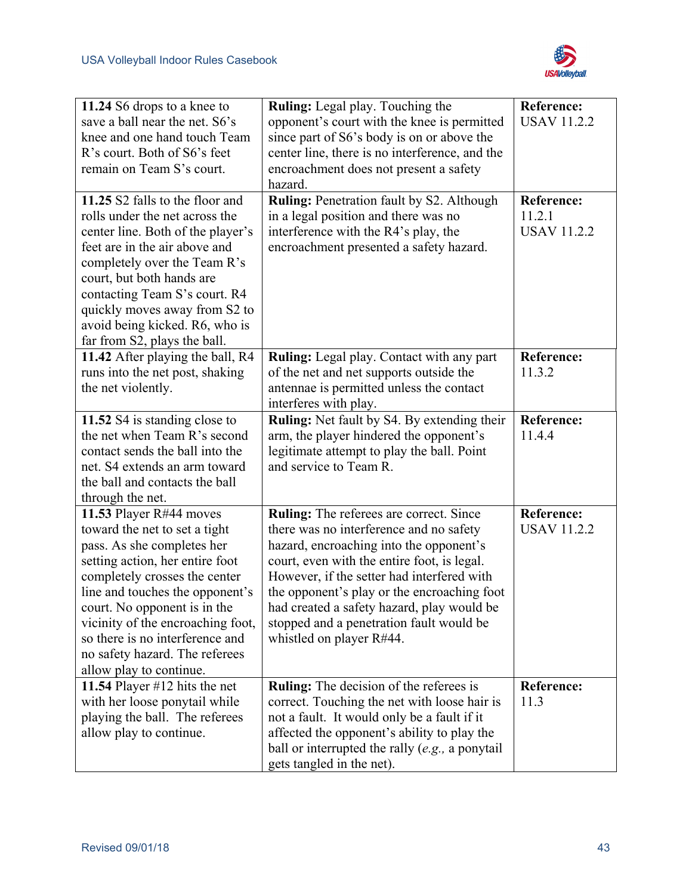

| 11.24 S6 drops to a knee to<br>save a ball near the net. S6's<br>knee and one hand touch Team<br>R's court. Both of S6's feet<br>remain on Team S's court.                                                                                                                                                                                                         | Ruling: Legal play. Touching the<br>opponent's court with the knee is permitted<br>since part of S6's body is on or above the<br>center line, there is no interference, and the<br>encroachment does not present a safety<br>hazard.                                                                                                                                                            | <b>Reference:</b><br><b>USAV 11.2.2</b>           |
|--------------------------------------------------------------------------------------------------------------------------------------------------------------------------------------------------------------------------------------------------------------------------------------------------------------------------------------------------------------------|-------------------------------------------------------------------------------------------------------------------------------------------------------------------------------------------------------------------------------------------------------------------------------------------------------------------------------------------------------------------------------------------------|---------------------------------------------------|
| 11.25 S2 falls to the floor and<br>rolls under the net across the<br>center line. Both of the player's<br>feet are in the air above and<br>completely over the Team R's<br>court, but both hands are<br>contacting Team S's court. R4<br>quickly moves away from S2 to<br>avoid being kicked. R6, who is<br>far from S2, plays the ball.                           | <b>Ruling: Penetration fault by S2. Although</b><br>in a legal position and there was no<br>interference with the R4's play, the<br>encroachment presented a safety hazard.                                                                                                                                                                                                                     | <b>Reference:</b><br>11.2.1<br><b>USAV 11.2.2</b> |
| 11.42 After playing the ball, R4<br>runs into the net post, shaking<br>the net violently.                                                                                                                                                                                                                                                                          | <b>Ruling:</b> Legal play. Contact with any part<br>of the net and net supports outside the<br>antennae is permitted unless the contact<br>interferes with play.                                                                                                                                                                                                                                | <b>Reference:</b><br>11.3.2                       |
| 11.52 S4 is standing close to<br>the net when Team R's second<br>contact sends the ball into the<br>net. S4 extends an arm toward<br>the ball and contacts the ball<br>through the net.                                                                                                                                                                            | Ruling: Net fault by S4. By extending their<br>arm, the player hindered the opponent's<br>legitimate attempt to play the ball. Point<br>and service to Team R.                                                                                                                                                                                                                                  | <b>Reference:</b><br>11.4.4                       |
| 11.53 Player R#44 moves<br>toward the net to set a tight<br>pass. As she completes her<br>setting action, her entire foot<br>completely crosses the center<br>line and touches the opponent's<br>court. No opponent is in the<br>vicinity of the encroaching foot,<br>so there is no interference and<br>no safety hazard. The referees<br>allow play to continue. | Ruling: The referees are correct. Since<br>there was no interference and no safety<br>hazard, encroaching into the opponent's<br>court, even with the entire foot, is legal.<br>However, if the setter had interfered with<br>the opponent's play or the encroaching foot<br>had created a safety hazard, play would be<br>stopped and a penetration fault would be<br>whistled on player R#44. | <b>Reference:</b><br><b>USAV 11.2.2</b>           |
| 11.54 Player #12 hits the net<br>with her loose ponytail while<br>playing the ball. The referees<br>allow play to continue.                                                                                                                                                                                                                                        | <b>Ruling:</b> The decision of the referees is<br>correct. Touching the net with loose hair is<br>not a fault. It would only be a fault if it<br>affected the opponent's ability to play the<br>ball or interrupted the rally $(e.g., a$ ponytail<br>gets tangled in the net).                                                                                                                  | <b>Reference:</b><br>11.3                         |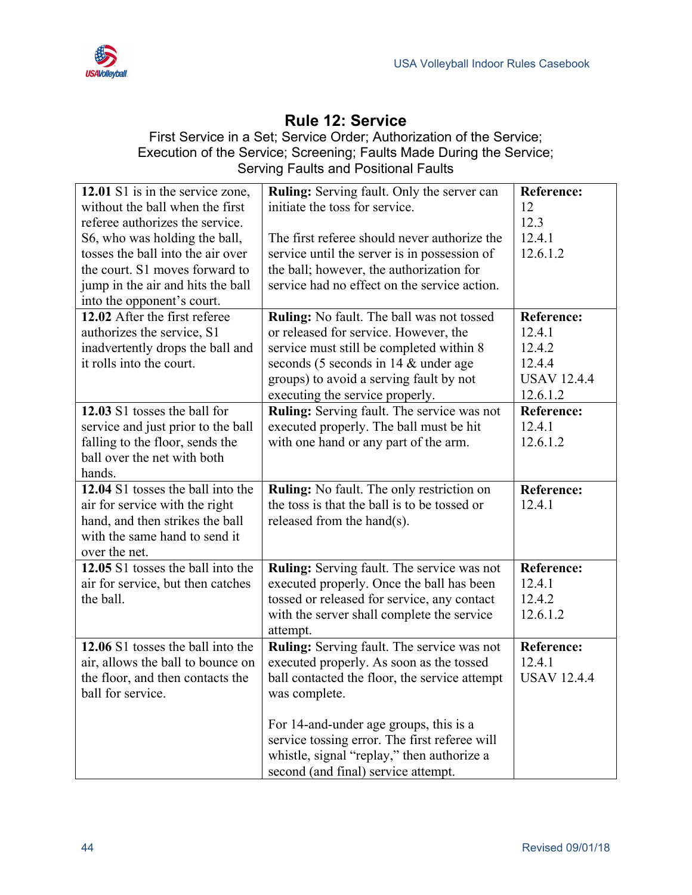

## **Rule 12: Service**

#### First Service in a Set; Service Order; Authorization of the Service; Execution of the Service; Screening; Faults Made During the Service; Serving Faults and Positional Faults

| 12.01 S1 is in the service zone,   | <b>Ruling:</b> Serving fault. Only the server can | <b>Reference:</b>  |
|------------------------------------|---------------------------------------------------|--------------------|
| without the ball when the first    | initiate the toss for service.                    | 12                 |
| referee authorizes the service.    |                                                   | 12.3               |
| S6, who was holding the ball,      | The first referee should never authorize the      | 12.4.1             |
| tosses the ball into the air over  | service until the server is in possession of      | 12.6.1.2           |
| the court. S1 moves forward to     | the ball; however, the authorization for          |                    |
| jump in the air and hits the ball  | service had no effect on the service action.      |                    |
| into the opponent's court.         |                                                   |                    |
| 12.02 After the first referee      | Ruling: No fault. The ball was not tossed         | <b>Reference:</b>  |
| authorizes the service, S1         | or released for service. However, the             | 12.4.1             |
| inadvertently drops the ball and   | service must still be completed within 8          | 12.4.2             |
| it rolls into the court.           | seconds (5 seconds in 14 & under age              | 12.4.4             |
|                                    | groups) to avoid a serving fault by not           | <b>USAV 12.4.4</b> |
|                                    | executing the service properly.                   | 12.6.1.2           |
| 12.03 S1 tosses the ball for       | Ruling: Serving fault. The service was not        | <b>Reference:</b>  |
| service and just prior to the ball | executed properly. The ball must be hit           | 12.4.1             |
| falling to the floor, sends the    | with one hand or any part of the arm.             | 12.6.1.2           |
| ball over the net with both        |                                                   |                    |
| hands.                             |                                                   |                    |
| 12.04 S1 tosses the ball into the  | Ruling: No fault. The only restriction on         | <b>Reference:</b>  |
| air for service with the right     | the toss is that the ball is to be tossed or      | 12.4.1             |
| hand, and then strikes the ball    | released from the hand(s).                        |                    |
| with the same hand to send it      |                                                   |                    |
| over the net.                      |                                                   |                    |
| 12.05 S1 tosses the ball into the  | <b>Ruling:</b> Serving fault. The service was not | <b>Reference:</b>  |
| air for service, but then catches  | executed properly. Once the ball has been         | 12.4.1             |
| the ball.                          | tossed or released for service, any contact       | 12.4.2             |
|                                    | with the server shall complete the service        | 12.6.1.2           |
|                                    | attempt.                                          |                    |
| 12.06 S1 tosses the ball into the  | Ruling: Serving fault. The service was not        | <b>Reference:</b>  |
| air, allows the ball to bounce on  | executed properly. As soon as the tossed          | 12.4.1             |
| the floor, and then contacts the   | ball contacted the floor, the service attempt     | <b>USAV 12.4.4</b> |
| ball for service.                  | was complete.                                     |                    |
|                                    |                                                   |                    |
|                                    | For 14-and-under age groups, this is a            |                    |
|                                    | service tossing error. The first referee will     |                    |
|                                    | whistle, signal "replay," then authorize a        |                    |
|                                    | second (and final) service attempt.               |                    |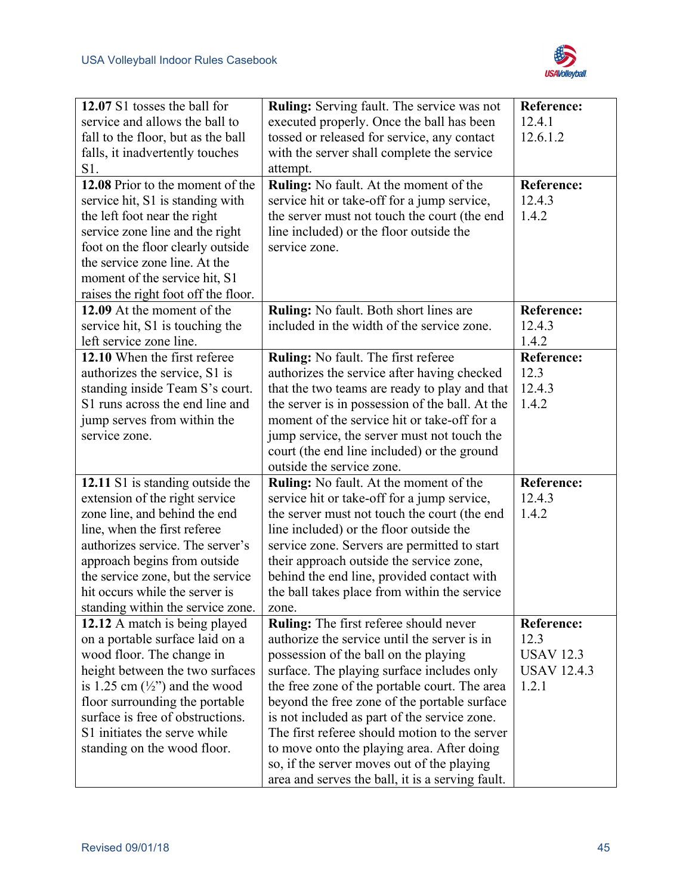

| 12.07 S1 tosses the ball for                                              | <b>Ruling:</b> Serving fault. The service was not                                             | <b>Reference:</b>           |
|---------------------------------------------------------------------------|-----------------------------------------------------------------------------------------------|-----------------------------|
| service and allows the ball to                                            | executed properly. Once the ball has been                                                     | 12.4.1                      |
| fall to the floor, but as the ball                                        | tossed or released for service, any contact                                                   | 12.6.1.2                    |
| falls, it inadvertently touches                                           | with the server shall complete the service                                                    |                             |
| S1.                                                                       | attempt.                                                                                      |                             |
| 12.08 Prior to the moment of the                                          | Ruling: No fault. At the moment of the                                                        | <b>Reference:</b>           |
| service hit, S1 is standing with                                          | service hit or take-off for a jump service,                                                   | 12.4.3                      |
| the left foot near the right                                              | the server must not touch the court (the end                                                  | 1.4.2                       |
| service zone line and the right                                           | line included) or the floor outside the                                                       |                             |
| foot on the floor clearly outside                                         | service zone.                                                                                 |                             |
| the service zone line. At the                                             |                                                                                               |                             |
| moment of the service hit, S1                                             |                                                                                               |                             |
| raises the right foot off the floor.                                      |                                                                                               |                             |
| 12.09 At the moment of the                                                | Ruling: No fault. Both short lines are                                                        | <b>Reference:</b>           |
| service hit, S1 is touching the                                           | included in the width of the service zone.                                                    | 12.4.3                      |
| left service zone line.                                                   |                                                                                               | 1.4.2                       |
| 12.10 When the first referee                                              | Ruling: No fault. The first referee                                                           | <b>Reference:</b>           |
| authorizes the service, S1 is                                             | authorizes the service after having checked                                                   | 12.3                        |
| standing inside Team S's court.                                           | that the two teams are ready to play and that                                                 | 12.4.3<br>1.4.2             |
| S1 runs across the end line and                                           | the server is in possession of the ball. At the                                               |                             |
| jump serves from within the                                               | moment of the service hit or take-off for a                                                   |                             |
| service zone.                                                             | jump service, the server must not touch the                                                   |                             |
|                                                                           | court (the end line included) or the ground                                                   |                             |
|                                                                           | outside the service zone.                                                                     |                             |
| 12.11 S1 is standing outside the                                          | Ruling: No fault. At the moment of the                                                        | <b>Reference:</b><br>12.4.3 |
| extension of the right service                                            | service hit or take-off for a jump service,                                                   | 1.4.2                       |
| zone line, and behind the end                                             | the server must not touch the court (the end                                                  |                             |
| line, when the first referee<br>authorizes service. The server's          | line included) or the floor outside the                                                       |                             |
|                                                                           | service zone. Servers are permitted to start                                                  |                             |
| approach begins from outside                                              | their approach outside the service zone,                                                      |                             |
| the service zone, but the service<br>hit occurs while the server is       | behind the end line, provided contact with                                                    |                             |
|                                                                           | the ball takes place from within the service                                                  |                             |
| standing within the service zone.                                         | zone.                                                                                         | <b>Reference:</b>           |
| 12.12 A match is being played                                             | <b>Ruling:</b> The first referee should never<br>authorize the service until the server is in | 12.3                        |
| on a portable surface laid on a                                           |                                                                                               | <b>USAV 12.3</b>            |
| wood floor. The change in<br>height between the two surfaces              | possession of the ball on the playing<br>surface. The playing surface includes only           | <b>USAV 12.4.3</b>          |
|                                                                           |                                                                                               | 1.2.1                       |
| is 1.25 cm $(\frac{1}{2})$ and the wood<br>floor surrounding the portable | the free zone of the portable court. The area<br>beyond the free zone of the portable surface |                             |
| surface is free of obstructions.                                          | is not included as part of the service zone.                                                  |                             |
| S1 initiates the serve while                                              |                                                                                               |                             |
|                                                                           |                                                                                               |                             |
|                                                                           | The first referee should motion to the server                                                 |                             |
| standing on the wood floor.                                               | to move onto the playing area. After doing<br>so, if the server moves out of the playing      |                             |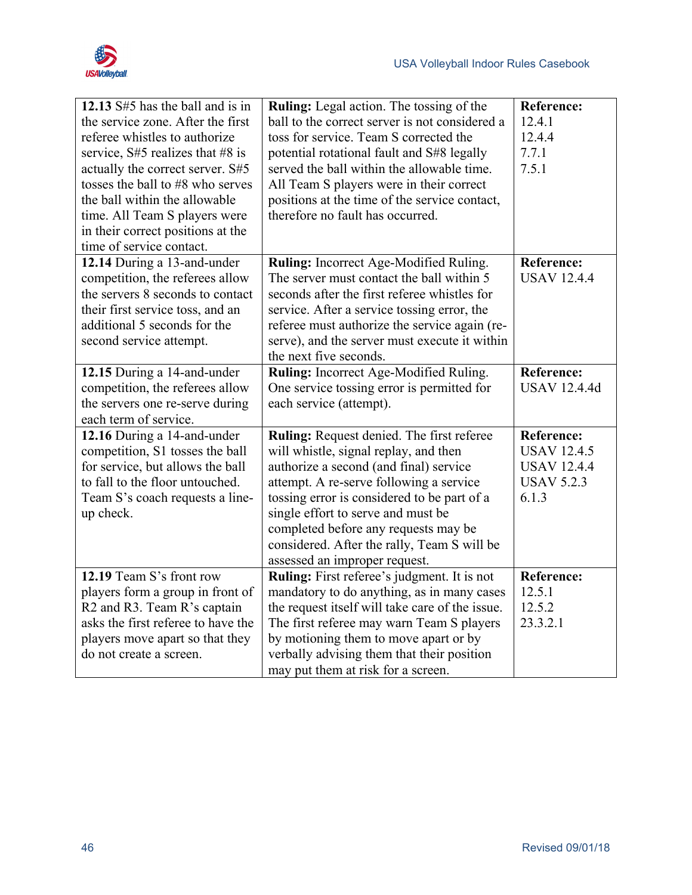

| 12.13 S#5 has the ball and is in     | Ruling: Legal action. The tossing of the        | Reference:          |
|--------------------------------------|-------------------------------------------------|---------------------|
| the service zone. After the first    | ball to the correct server is not considered a  | 12.4.1              |
| referee whistles to authorize        | toss for service. Team S corrected the          | 12.4.4              |
| service, $S#5$ realizes that $#8$ is | potential rotational fault and S#8 legally      | 7.7.1               |
| actually the correct server. S#5     | served the ball within the allowable time.      | 7.5.1               |
| tosses the ball to #8 who serves     | All Team S players were in their correct        |                     |
| the ball within the allowable        | positions at the time of the service contact,   |                     |
| time. All Team S players were        | therefore no fault has occurred.                |                     |
| in their correct positions at the    |                                                 |                     |
| time of service contact.             |                                                 |                     |
| 12.14 During a 13-and-under          | Ruling: Incorrect Age-Modified Ruling.          | <b>Reference:</b>   |
| competition, the referees allow      | The server must contact the ball within 5       | <b>USAV 12.4.4</b>  |
| the servers 8 seconds to contact     | seconds after the first referee whistles for    |                     |
| their first service toss, and an     | service. After a service tossing error, the     |                     |
| additional 5 seconds for the         | referee must authorize the service again (re-   |                     |
| second service attempt.              | serve), and the server must execute it within   |                     |
|                                      | the next five seconds.                          |                     |
| 12.15 During a 14-and-under          | Ruling: Incorrect Age-Modified Ruling.          | <b>Reference:</b>   |
| competition, the referees allow      | One service tossing error is permitted for      | <b>USAV 12.4.4d</b> |
| the servers one re-serve during      | each service (attempt).                         |                     |
| each term of service.                |                                                 |                     |
| 12.16 During a 14-and-under          | Ruling: Request denied. The first referee       | <b>Reference:</b>   |
| competition, S1 tosses the ball      | will whistle, signal replay, and then           | <b>USAV 12.4.5</b>  |
| for service, but allows the ball     | authorize a second (and final) service          | <b>USAV 12.4.4</b>  |
| to fall to the floor untouched.      | attempt. A re-serve following a service         | <b>USAV 5.2.3</b>   |
| Team S's coach requests a line-      | tossing error is considered to be part of a     | 6.1.3               |
| up check.                            | single effort to serve and must be              |                     |
|                                      | completed before any requests may be            |                     |
|                                      | considered. After the rally, Team S will be     |                     |
|                                      | assessed an improper request.                   |                     |
| 12.19 Team S's front row             | Ruling: First referee's judgment. It is not     | <b>Reference:</b>   |
| players form a group in front of     | mandatory to do anything, as in many cases      | 12.5.1              |
| R2 and R3. Team R's captain          | the request itself will take care of the issue. | 12.5.2              |
| asks the first referee to have the   | The first referee may warn Team S players       | 23.3.2.1            |
| players move apart so that they      | by motioning them to move apart or by           |                     |
| do not create a screen.              | verbally advising them that their position      |                     |
|                                      | may put them at risk for a screen.              |                     |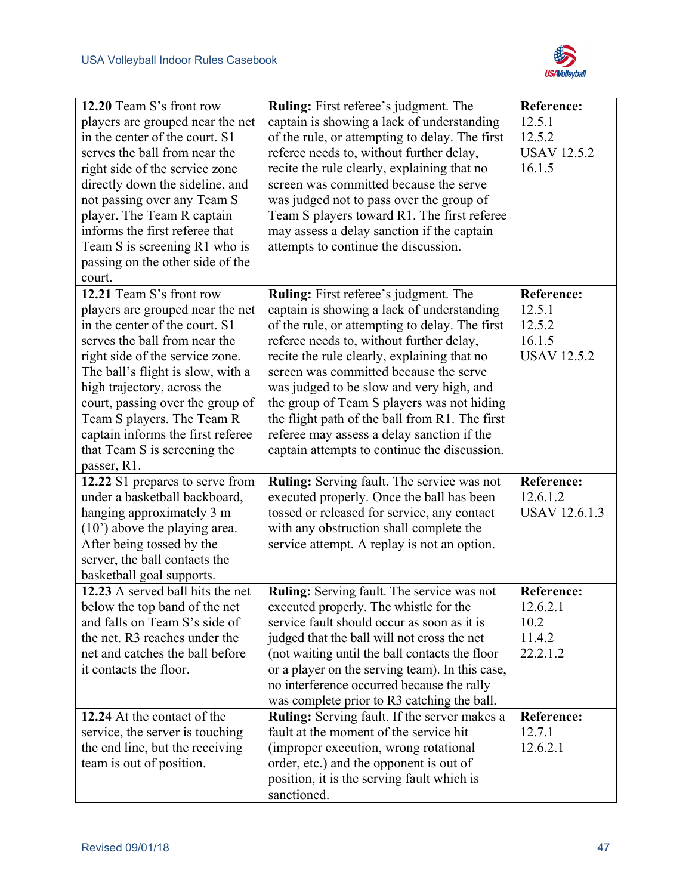

| 12.20 Team S's front row<br>players are grouped near the net<br>in the center of the court. S1<br>serves the ball from near the<br>right side of the service zone<br>directly down the sideline, and<br>not passing over any Team S<br>player. The Team R captain<br>informs the first referee that<br>Team S is screening R1 who is<br>passing on the other side of the<br>court.           | <b>Ruling:</b> First referee's judgment. The<br>captain is showing a lack of understanding<br>of the rule, or attempting to delay. The first<br>referee needs to, without further delay,<br>recite the rule clearly, explaining that no<br>screen was committed because the serve<br>was judged not to pass over the group of<br>Team S players toward R1. The first referee<br>may assess a delay sanction if the captain<br>attempts to continue the discussion.                                                          | <b>Reference:</b><br>12.5.1<br>12.5.2<br><b>USAV 12.5.2</b><br>16.1.5 |
|----------------------------------------------------------------------------------------------------------------------------------------------------------------------------------------------------------------------------------------------------------------------------------------------------------------------------------------------------------------------------------------------|-----------------------------------------------------------------------------------------------------------------------------------------------------------------------------------------------------------------------------------------------------------------------------------------------------------------------------------------------------------------------------------------------------------------------------------------------------------------------------------------------------------------------------|-----------------------------------------------------------------------|
| 12.21 Team S's front row<br>players are grouped near the net<br>in the center of the court. S1<br>serves the ball from near the<br>right side of the service zone.<br>The ball's flight is slow, with a<br>high trajectory, across the<br>court, passing over the group of<br>Team S players. The Team R<br>captain informs the first referee<br>that Team S is screening the<br>passer, R1. | <b>Ruling:</b> First referee's judgment. The<br>captain is showing a lack of understanding<br>of the rule, or attempting to delay. The first<br>referee needs to, without further delay,<br>recite the rule clearly, explaining that no<br>screen was committed because the serve<br>was judged to be slow and very high, and<br>the group of Team S players was not hiding<br>the flight path of the ball from R1. The first<br>referee may assess a delay sanction if the<br>captain attempts to continue the discussion. | <b>Reference:</b><br>12.5.1<br>12.5.2<br>16.1.5<br><b>USAV 12.5.2</b> |
| 12.22 S1 prepares to serve from<br>under a basketball backboard,<br>hanging approximately 3 m<br>$(10)$ above the playing area.<br>After being tossed by the<br>server, the ball contacts the<br>basketball goal supports.                                                                                                                                                                   | Ruling: Serving fault. The service was not<br>executed properly. Once the ball has been<br>tossed or released for service, any contact<br>with any obstruction shall complete the<br>service attempt. A replay is not an option.                                                                                                                                                                                                                                                                                            | <b>Reference:</b><br>12.6.1.2<br><b>USAV 12.6.1.3</b>                 |
| 12.23 A served ball hits the net<br>below the top band of the net<br>and falls on Team S's side of<br>the net. R3 reaches under the<br>net and catches the ball before<br>it contacts the floor.                                                                                                                                                                                             | <b>Ruling:</b> Serving fault. The service was not<br>executed properly. The whistle for the<br>service fault should occur as soon as it is<br>judged that the ball will not cross the net<br>(not waiting until the ball contacts the floor<br>or a player on the serving team). In this case,<br>no interference occurred because the rally<br>was complete prior to R3 catching the ball.                                                                                                                                 | <b>Reference:</b><br>12.6.2.1<br>10.2<br>11.4.2<br>22.2.1.2           |
| 12.24 At the contact of the<br>service, the server is touching<br>the end line, but the receiving<br>team is out of position.                                                                                                                                                                                                                                                                | <b>Ruling:</b> Serving fault. If the server makes a<br>fault at the moment of the service hit<br>(improper execution, wrong rotational<br>order, etc.) and the opponent is out of<br>position, it is the serving fault which is<br>sanctioned.                                                                                                                                                                                                                                                                              | <b>Reference:</b><br>12.7.1<br>12.6.2.1                               |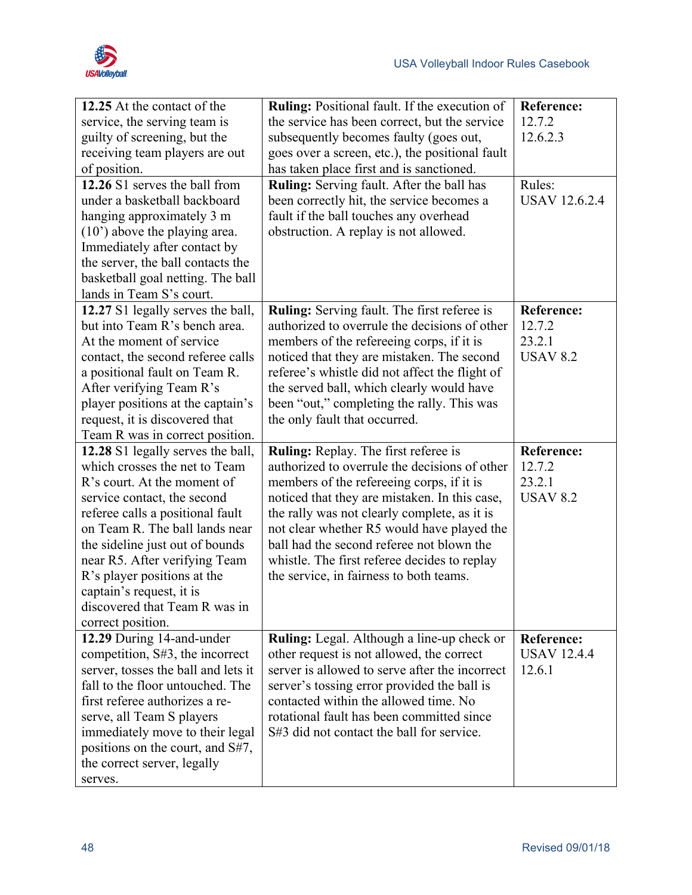

| 12.25 At the contact of the<br>service, the serving team is<br>guilty of screening, but the<br>receiving team players are out<br>of position.<br>12.26 S1 serves the ball from<br>under a basketball backboard<br>hanging approximately 3 m<br>$(10)$ above the playing area.<br>Immediately after contact by<br>the server, the ball contacts the<br>basketball goal netting. The ball<br>lands in Team S's court. | Ruling: Positional fault. If the execution of<br>the service has been correct, but the service<br>subsequently becomes faulty (goes out,<br>goes over a screen, etc.), the positional fault<br>has taken place first and is sanctioned.<br>Ruling: Serving fault. After the ball has<br>been correctly hit, the service becomes a<br>fault if the ball touches any overhead<br>obstruction. A replay is not allowed. | <b>Reference:</b><br>12.7.2<br>12.6.2.3<br>Rules:<br><b>USAV 12.6.2.4</b>     |
|---------------------------------------------------------------------------------------------------------------------------------------------------------------------------------------------------------------------------------------------------------------------------------------------------------------------------------------------------------------------------------------------------------------------|----------------------------------------------------------------------------------------------------------------------------------------------------------------------------------------------------------------------------------------------------------------------------------------------------------------------------------------------------------------------------------------------------------------------|-------------------------------------------------------------------------------|
| 12.27 S1 legally serves the ball,<br>but into Team R's bench area.<br>At the moment of service<br>contact, the second referee calls<br>a positional fault on Team R.<br>After verifying Team R's<br>player positions at the captain's<br>request, it is discovered that<br>Team R was in correct position.<br>12.28 S1 legally serves the ball,                                                                     | Ruling: Serving fault. The first referee is<br>authorized to overrule the decisions of other<br>members of the refereeing corps, if it is<br>noticed that they are mistaken. The second<br>referee's whistle did not affect the flight of<br>the served ball, which clearly would have<br>been "out," completing the rally. This was<br>the only fault that occurred.<br><b>Ruling:</b> Replay. The first referee is | <b>Reference:</b><br>12.7.2<br>23.2.1<br><b>USAV 8.2</b><br><b>Reference:</b> |
| which crosses the net to Team<br>R's court. At the moment of<br>service contact, the second<br>referee calls a positional fault<br>on Team R. The ball lands near<br>the sideline just out of bounds<br>near R5. After verifying Team<br>R's player positions at the<br>captain's request, it is<br>discovered that Team R was in<br>correct position.                                                              | authorized to overrule the decisions of other<br>members of the refereeing corps, if it is<br>noticed that they are mistaken. In this case,<br>the rally was not clearly complete, as it is<br>not clear whether R5 would have played the<br>ball had the second referee not blown the<br>whistle. The first referee decides to replay<br>the service, in fairness to both teams.                                    | 12.7.2<br>23.2.1<br><b>USAV 8.2</b>                                           |
| 12.29 During 14-and-under<br>competition, S#3, the incorrect<br>server, tosses the ball and lets it<br>fall to the floor untouched. The<br>first referee authorizes a re-<br>serve, all Team S players<br>immediately move to their legal<br>positions on the court, and S#7,<br>the correct server, legally<br>serves.                                                                                             | Ruling: Legal. Although a line-up check or<br>other request is not allowed, the correct<br>server is allowed to serve after the incorrect<br>server's tossing error provided the ball is<br>contacted within the allowed time. No<br>rotational fault has been committed since<br>S#3 did not contact the ball for service.                                                                                          | <b>Reference:</b><br><b>USAV 12.4.4</b><br>12.6.1                             |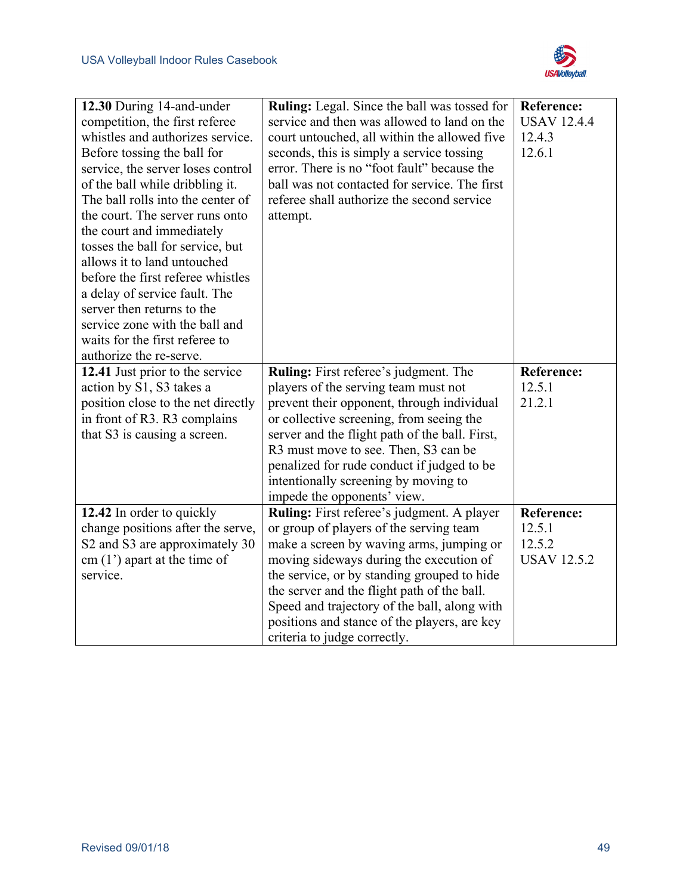

| 12.30 During 14-and-under<br>competition, the first referee<br>whistles and authorizes service.<br>Before tossing the ball for<br>service, the server loses control<br>of the ball while dribbling it.<br>The ball rolls into the center of<br>the court. The server runs onto<br>the court and immediately<br>tosses the ball for service, but<br>allows it to land untouched<br>before the first referee whistles<br>a delay of service fault. The<br>server then returns to the<br>service zone with the ball and<br>waits for the first referee to<br>authorize the re-serve. | Ruling: Legal. Since the ball was tossed for<br>service and then was allowed to land on the<br>court untouched, all within the allowed five<br>seconds, this is simply a service tossing<br>error. There is no "foot fault" because the<br>ball was not contacted for service. The first<br>referee shall authorize the second service<br>attempt.                                                                | <b>Reference:</b><br><b>USAV 12.4.4</b><br>12.4.3<br>12.6.1 |
|-----------------------------------------------------------------------------------------------------------------------------------------------------------------------------------------------------------------------------------------------------------------------------------------------------------------------------------------------------------------------------------------------------------------------------------------------------------------------------------------------------------------------------------------------------------------------------------|-------------------------------------------------------------------------------------------------------------------------------------------------------------------------------------------------------------------------------------------------------------------------------------------------------------------------------------------------------------------------------------------------------------------|-------------------------------------------------------------|
| 12.41 Just prior to the service<br>action by S1, S3 takes a<br>position close to the net directly<br>in front of R3. R3 complains<br>that S3 is causing a screen.                                                                                                                                                                                                                                                                                                                                                                                                                 | Ruling: First referee's judgment. The<br>players of the serving team must not<br>prevent their opponent, through individual<br>or collective screening, from seeing the<br>server and the flight path of the ball. First,<br>R3 must move to see. Then, S3 can be<br>penalized for rude conduct if judged to be<br>intentionally screening by moving to<br>impede the opponents' view.                            | <b>Reference:</b><br>12.5.1<br>21.2.1                       |
| 12.42 In order to quickly<br>change positions after the serve,<br>S2 and S3 are approximately 30<br>$cm (1')$ apart at the time of<br>service.                                                                                                                                                                                                                                                                                                                                                                                                                                    | <b>Ruling:</b> First referee's judgment. A player<br>or group of players of the serving team<br>make a screen by waving arms, jumping or<br>moving sideways during the execution of<br>the service, or by standing grouped to hide<br>the server and the flight path of the ball.<br>Speed and trajectory of the ball, along with<br>positions and stance of the players, are key<br>criteria to judge correctly. | <b>Reference:</b><br>12.5.1<br>12.5.2<br><b>USAV 12.5.2</b> |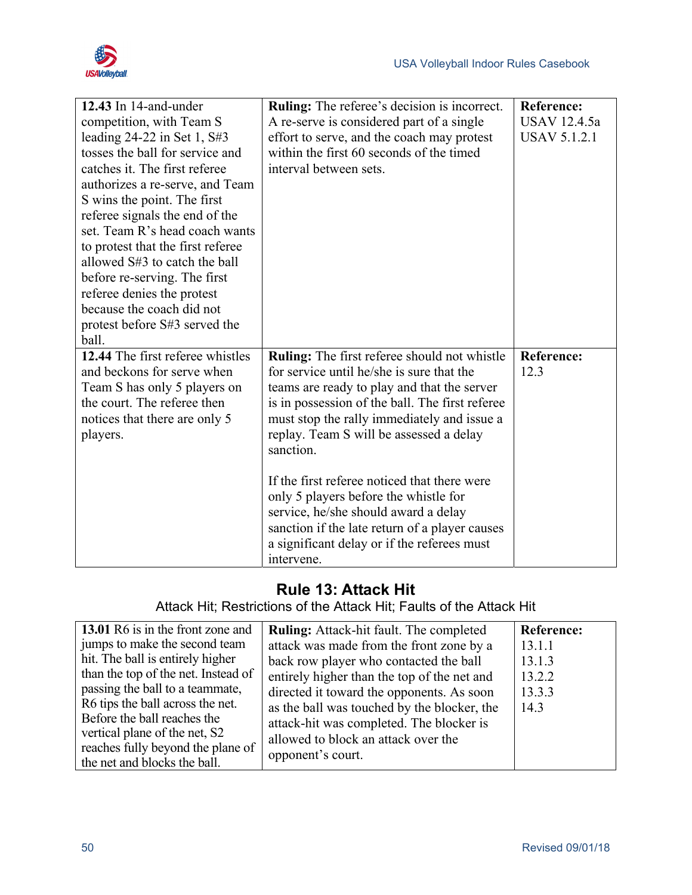

| 12.43 In $14$ -and-under          | <b>Ruling:</b> The referee's decision is incorrect. | <b>Reference:</b>   |
|-----------------------------------|-----------------------------------------------------|---------------------|
| competition, with Team S          | A re-serve is considered part of a single           | <b>USAV 12.4.5a</b> |
| leading $24-22$ in Set 1, $S#3$   | effort to serve, and the coach may protest          | <b>USAV 5.1.2.1</b> |
| tosses the ball for service and   | within the first 60 seconds of the timed            |                     |
| catches it. The first referee     | interval between sets.                              |                     |
| authorizes a re-serve, and Team   |                                                     |                     |
| S wins the point. The first       |                                                     |                     |
| referee signals the end of the    |                                                     |                     |
| set. Team R's head coach wants    |                                                     |                     |
| to protest that the first referee |                                                     |                     |
| allowed S#3 to catch the ball     |                                                     |                     |
| before re-serving. The first      |                                                     |                     |
| referee denies the protest        |                                                     |                     |
| because the coach did not         |                                                     |                     |
| protest before S#3 served the     |                                                     |                     |
| ball.                             |                                                     |                     |
| 12.44 The first referee whistles  | Ruling: The first referee should not whistle        | <b>Reference:</b>   |
| and beckons for serve when        | for service until he/she is sure that the           | 12.3                |
| Team S has only 5 players on      | teams are ready to play and that the server         |                     |
| the court. The referee then       | is in possession of the ball. The first referee     |                     |
| notices that there are only 5     | must stop the rally immediately and issue a         |                     |
| players.                          | replay. Team S will be assessed a delay             |                     |
|                                   | sanction.                                           |                     |
|                                   |                                                     |                     |
|                                   | If the first referee noticed that there were        |                     |
|                                   | only 5 players before the whistle for               |                     |
|                                   | service, he/she should award a delay                |                     |
|                                   | sanction if the late return of a player causes      |                     |
|                                   | a significant delay or if the referees must         |                     |
|                                   | intervene.                                          |                     |

## **Rule 13: Attack Hit**

Attack Hit; Restrictions of the Attack Hit; Faults of the Attack Hit

| 13.01 R6 is in the front zone and   | <b>Ruling:</b> Attack-hit fault. The completed | <b>Reference:</b> |
|-------------------------------------|------------------------------------------------|-------------------|
| jumps to make the second team       | attack was made from the front zone by a       | 13.1.1            |
| hit. The ball is entirely higher    | back row player who contacted the ball         | 13.1.3            |
| than the top of the net. Instead of | entirely higher than the top of the net and    | 13.2.2            |
| passing the ball to a teammate,     | directed it toward the opponents. As soon      | 13.3.3            |
| R6 tips the ball across the net.    | as the ball was touched by the blocker, the    | 14.3              |
| Before the ball reaches the         | attack-hit was completed. The blocker is       |                   |
| vertical plane of the net, S2       | allowed to block an attack over the            |                   |
| reaches fully beyond the plane of   | opponent's court.                              |                   |
| the net and blocks the ball.        |                                                |                   |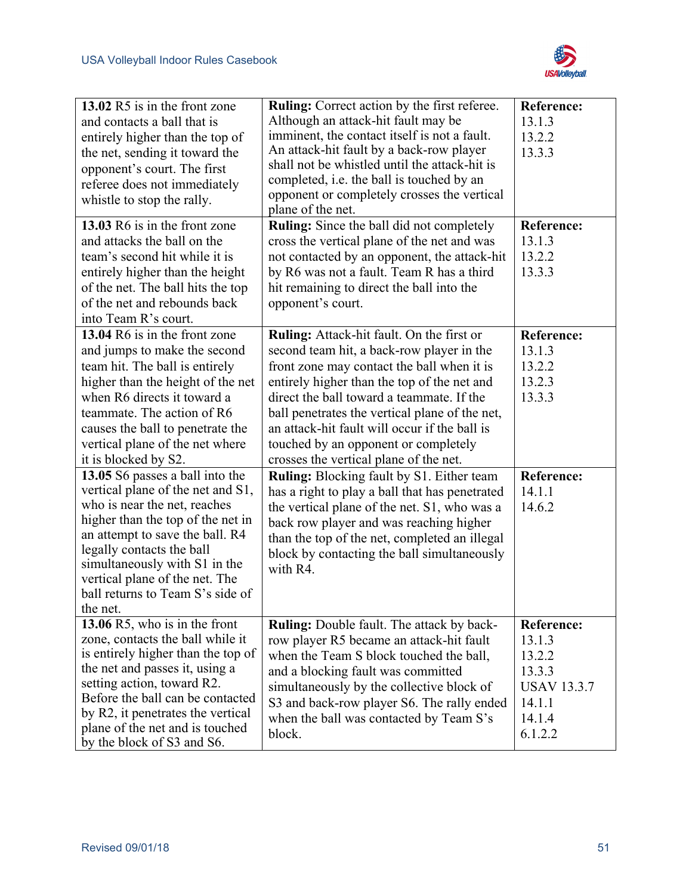

| 13.02 R5 is in the front zone<br>and contacts a ball that is<br>entirely higher than the top of<br>the net, sending it toward the<br>opponent's court. The first<br>referee does not immediately<br>whistle to stop the rally.<br>13.03 R6 is in the front zone                                                                                                                                                                                                                                                                                                                                                                  | Ruling: Correct action by the first referee.<br>Although an attack-hit fault may be<br>imminent, the contact itself is not a fault.<br>An attack-hit fault by a back-row player<br>shall not be whistled until the attack-hit is<br>completed, i.e. the ball is touched by an<br>opponent or completely crosses the vertical<br>plane of the net.<br><b>Ruling:</b> Since the ball did not completely                                                                                                                                                                                                                                                                                                                              | <b>Reference:</b><br>13.1.3<br>13.2.2<br>13.3.3<br><b>Reference:</b>                                 |
|----------------------------------------------------------------------------------------------------------------------------------------------------------------------------------------------------------------------------------------------------------------------------------------------------------------------------------------------------------------------------------------------------------------------------------------------------------------------------------------------------------------------------------------------------------------------------------------------------------------------------------|------------------------------------------------------------------------------------------------------------------------------------------------------------------------------------------------------------------------------------------------------------------------------------------------------------------------------------------------------------------------------------------------------------------------------------------------------------------------------------------------------------------------------------------------------------------------------------------------------------------------------------------------------------------------------------------------------------------------------------|------------------------------------------------------------------------------------------------------|
| and attacks the ball on the<br>team's second hit while it is<br>entirely higher than the height<br>of the net. The ball hits the top<br>of the net and rebounds back<br>into Team R's court.                                                                                                                                                                                                                                                                                                                                                                                                                                     | cross the vertical plane of the net and was<br>not contacted by an opponent, the attack-hit<br>by R6 was not a fault. Team R has a third<br>hit remaining to direct the ball into the<br>opponent's court.                                                                                                                                                                                                                                                                                                                                                                                                                                                                                                                         | 13.1.3<br>13.2.2<br>13.3.3                                                                           |
| 13.04 R6 is in the front zone<br>and jumps to make the second<br>team hit. The ball is entirely<br>higher than the height of the net<br>when R6 directs it toward a<br>teammate. The action of R6<br>causes the ball to penetrate the<br>vertical plane of the net where<br>it is blocked by S2.<br>13.05 S6 passes a ball into the<br>vertical plane of the net and S1,<br>who is near the net, reaches<br>higher than the top of the net in<br>an attempt to save the ball. R4<br>legally contacts the ball<br>simultaneously with S1 in the<br>vertical plane of the net. The<br>ball returns to Team S's side of<br>the net. | Ruling: Attack-hit fault. On the first or<br>second team hit, a back-row player in the<br>front zone may contact the ball when it is<br>entirely higher than the top of the net and<br>direct the ball toward a teammate. If the<br>ball penetrates the vertical plane of the net,<br>an attack-hit fault will occur if the ball is<br>touched by an opponent or completely<br>crosses the vertical plane of the net.<br><b>Ruling:</b> Blocking fault by S1. Either team<br>has a right to play a ball that has penetrated<br>the vertical plane of the net. S1, who was a<br>back row player and was reaching higher<br>than the top of the net, completed an illegal<br>block by contacting the ball simultaneously<br>with R4. | <b>Reference:</b><br>13.1.3<br>13.2.2<br>13.2.3<br>13.3.3<br><b>Reference:</b><br>14.1.1<br>14.6.2   |
| 13.06 R5, who is in the front<br>zone, contacts the ball while it<br>is entirely higher than the top of<br>the net and passes it, using a<br>setting action, toward R2.<br>Before the ball can be contacted<br>by R2, it penetrates the vertical<br>plane of the net and is touched<br>by the block of S3 and S6.                                                                                                                                                                                                                                                                                                                | <b>Ruling:</b> Double fault. The attack by back-<br>row player R5 became an attack-hit fault<br>when the Team S block touched the ball,<br>and a blocking fault was committed<br>simultaneously by the collective block of<br>S3 and back-row player S6. The rally ended<br>when the ball was contacted by Team S's<br>block.                                                                                                                                                                                                                                                                                                                                                                                                      | <b>Reference:</b><br>13.1.3<br>13.2.2<br>13.3.3<br><b>USAV 13.3.7</b><br>14.1.1<br>14.1.4<br>6.1.2.2 |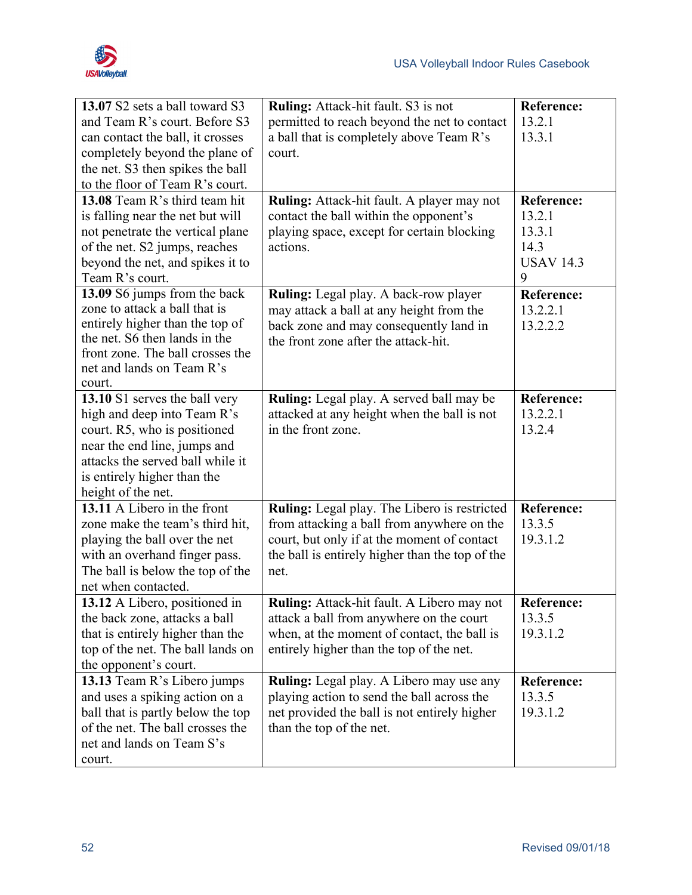

| 13.07 S2 sets a ball toward S3<br>and Team R's court. Before S3<br>can contact the ball, it crosses<br>completely beyond the plane of<br>the net. S3 then spikes the ball<br>to the floor of Team R's court.          | Ruling: Attack-hit fault. S3 is not<br>permitted to reach beyond the net to contact<br>a ball that is completely above Team R's<br>court.                                                            | <b>Reference:</b><br>13.2.1<br>13.3.1                           |
|-----------------------------------------------------------------------------------------------------------------------------------------------------------------------------------------------------------------------|------------------------------------------------------------------------------------------------------------------------------------------------------------------------------------------------------|-----------------------------------------------------------------|
| 13.08 Team R's third team hit<br>is falling near the net but will<br>not penetrate the vertical plane<br>of the net. S2 jumps, reaches<br>beyond the net, and spikes it to<br>Team R's court.                         | Ruling: Attack-hit fault. A player may not<br>contact the ball within the opponent's<br>playing space, except for certain blocking<br>actions.                                                       | Reference:<br>13.2.1<br>13.3.1<br>14.3<br><b>USAV 14.3</b><br>9 |
| 13.09 S6 jumps from the back<br>zone to attack a ball that is<br>entirely higher than the top of<br>the net. S6 then lands in the<br>front zone. The ball crosses the<br>net and lands on Team R's<br>court.          | Ruling: Legal play. A back-row player<br>may attack a ball at any height from the<br>back zone and may consequently land in<br>the front zone after the attack-hit.                                  | <b>Reference:</b><br>13.2.2.1<br>13.2.2.2                       |
| 13.10 S1 serves the ball very<br>high and deep into Team R's<br>court. R5, who is positioned<br>near the end line, jumps and<br>attacks the served ball while it<br>is entirely higher than the<br>height of the net. | Ruling: Legal play. A served ball may be<br>attacked at any height when the ball is not<br>in the front zone.                                                                                        | <b>Reference:</b><br>13.2.2.1<br>13.2.4                         |
| 13.11 A Libero in the front<br>zone make the team's third hit,<br>playing the ball over the net<br>with an overhand finger pass.<br>The ball is below the top of the<br>net when contacted.                           | Ruling: Legal play. The Libero is restricted<br>from attacking a ball from anywhere on the<br>court, but only if at the moment of contact<br>the ball is entirely higher than the top of the<br>net. | <b>Reference:</b><br>13.3.5<br>19.3.1.2                         |
| 13.12 A Libero, positioned in<br>the back zone, attacks a ball<br>that is entirely higher than the<br>top of the net. The ball lands on<br>the opponent's court.                                                      | Ruling: Attack-hit fault. A Libero may not<br>attack a ball from anywhere on the court<br>when, at the moment of contact, the ball is<br>entirely higher than the top of the net.                    | <b>Reference:</b><br>13.3.5<br>19.3.1.2                         |
| 13.13 Team R's Libero jumps<br>and uses a spiking action on a<br>ball that is partly below the top<br>of the net. The ball crosses the<br>net and lands on Team S's<br>court.                                         | Ruling: Legal play. A Libero may use any<br>playing action to send the ball across the<br>net provided the ball is not entirely higher<br>than the top of the net.                                   | <b>Reference:</b><br>13.3.5<br>19.3.1.2                         |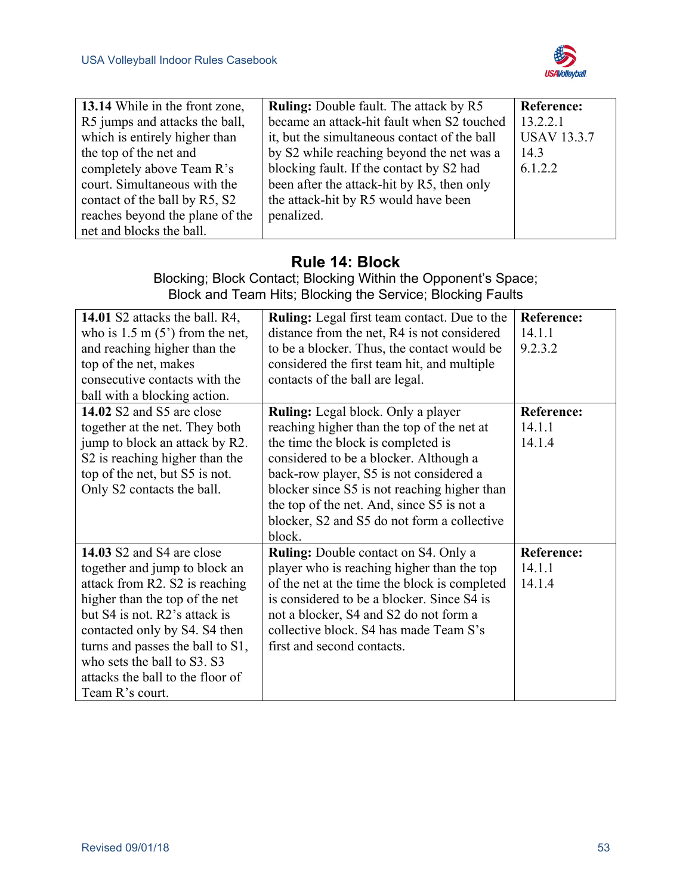

| 13.14 While in the front zone,  | <b>Ruling:</b> Double fault. The attack by R5 | <b>Reference:</b>  |
|---------------------------------|-----------------------------------------------|--------------------|
| R5 jumps and attacks the ball,  | became an attack-hit fault when S2 touched    | 13.2.2.1           |
| which is entirely higher than   | it, but the simultaneous contact of the ball  | <b>USAV 13.3.7</b> |
| the top of the net and          | by S2 while reaching beyond the net was a     | 14.3               |
| completely above Team R's       | blocking fault. If the contact by S2 had      | 6.1.2.2            |
| court. Simultaneous with the    | been after the attack-hit by R5, then only    |                    |
| contact of the ball by R5, S2   | the attack-hit by R5 would have been          |                    |
| reaches beyond the plane of the | penalized.                                    |                    |
| net and blocks the ball.        |                                               |                    |

## **Rule 14: Block**

Blocking; Block Contact; Blocking Within the Opponent's Space; Block and Team Hits; Blocking the Service; Blocking Faults

| 14.01 S2 attacks the ball. R4,            | <b>Ruling:</b> Legal first team contact. Due to the | <b>Reference:</b> |
|-------------------------------------------|-----------------------------------------------------|-------------------|
| who is $1.5 \text{ m} (5')$ from the net, | distance from the net, R4 is not considered         | 14.1.1            |
| and reaching higher than the              | to be a blocker. Thus, the contact would be         | 9.2.3.2           |
| top of the net, makes                     | considered the first team hit, and multiple         |                   |
| consecutive contacts with the             | contacts of the ball are legal.                     |                   |
| ball with a blocking action.              |                                                     |                   |
| 14.02 S2 and S5 are close                 | <b>Ruling:</b> Legal block. Only a player           | <b>Reference:</b> |
| together at the net. They both            | reaching higher than the top of the net at          | 14.1.1            |
| jump to block an attack by R2.            | the time the block is completed is                  | 14.1.4            |
| S2 is reaching higher than the            | considered to be a blocker. Although a              |                   |
| top of the net, but S5 is not.            | back-row player, S5 is not considered a             |                   |
| Only S2 contacts the ball.                | blocker since S5 is not reaching higher than        |                   |
|                                           | the top of the net. And, since S5 is not a          |                   |
|                                           | blocker, S2 and S5 do not form a collective         |                   |
|                                           | block.                                              |                   |
| 14.03 S2 and S4 are close                 | <b>Ruling:</b> Double contact on S4. Only a         | <b>Reference:</b> |
| together and jump to block an             | player who is reaching higher than the top          | 14.1.1            |
| attack from R2. S2 is reaching            | of the net at the time the block is completed       | 14.1.4            |
| higher than the top of the net            | is considered to be a blocker. Since S4 is          |                   |
| but S4 is not. R2's attack is             | not a blocker, S4 and S2 do not form a              |                   |
| contacted only by S4. S4 then             | collective block. S4 has made Team S's              |                   |
| turns and passes the ball to S1,          | first and second contacts.                          |                   |
| who sets the ball to S3. S3               |                                                     |                   |
| attacks the ball to the floor of          |                                                     |                   |
| Team R's court.                           |                                                     |                   |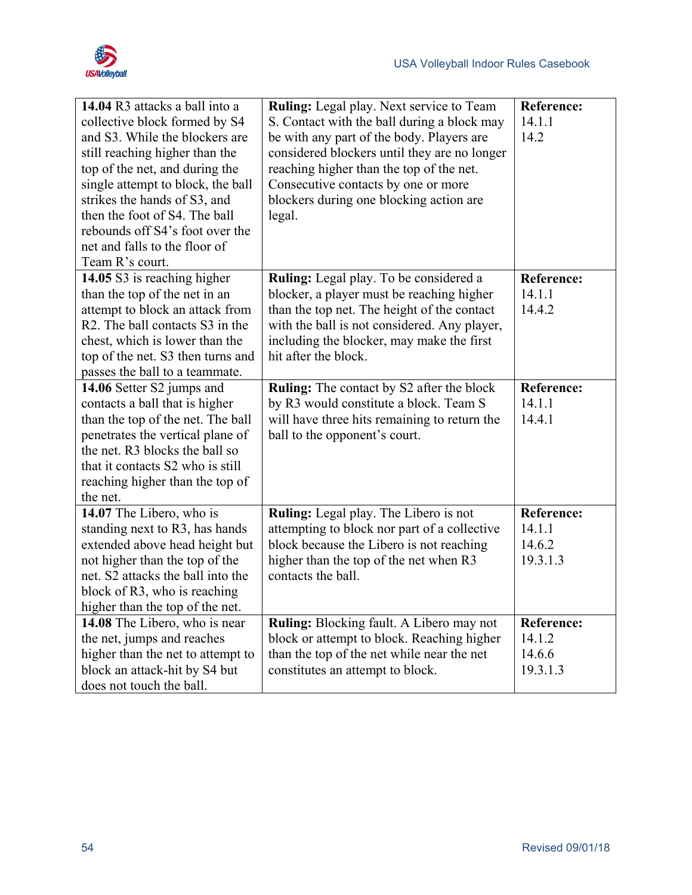



| 14.04 R3 attacks a ball into a<br>collective block formed by S4<br>and S3. While the blockers are<br>still reaching higher than the<br>top of the net, and during the<br>single attempt to block, the ball<br>strikes the hands of S3, and<br>then the foot of S4. The ball<br>rebounds off S4's foot over the<br>net and falls to the floor of<br>Team R's court. | <b>Ruling:</b> Legal play. Next service to Team<br>S. Contact with the ball during a block may<br>be with any part of the body. Players are<br>considered blockers until they are no longer<br>reaching higher than the top of the net.<br>Consecutive contacts by one or more<br>blockers during one blocking action are<br>legal. | <b>Reference:</b><br>14.1.1<br>14.2               |
|--------------------------------------------------------------------------------------------------------------------------------------------------------------------------------------------------------------------------------------------------------------------------------------------------------------------------------------------------------------------|-------------------------------------------------------------------------------------------------------------------------------------------------------------------------------------------------------------------------------------------------------------------------------------------------------------------------------------|---------------------------------------------------|
| 14.05 S3 is reaching higher<br>than the top of the net in an<br>attempt to block an attack from<br>R <sub>2</sub> . The ball contacts S <sub>3</sub> in the<br>chest, which is lower than the<br>top of the net. S3 then turns and<br>passes the ball to a teammate.                                                                                               | Ruling: Legal play. To be considered a<br>blocker, a player must be reaching higher<br>than the top net. The height of the contact<br>with the ball is not considered. Any player,<br>including the blocker, may make the first<br>hit after the block.                                                                             | <b>Reference:</b><br>14.1.1<br>14.4.2             |
| 14.06 Setter S2 jumps and<br>contacts a ball that is higher<br>than the top of the net. The ball<br>penetrates the vertical plane of<br>the net. R3 blocks the ball so<br>that it contacts S2 who is still<br>reaching higher than the top of<br>the net.                                                                                                          | <b>Ruling:</b> The contact by S2 after the block<br>by R3 would constitute a block. Team S<br>will have three hits remaining to return the<br>ball to the opponent's court.                                                                                                                                                         | <b>Reference:</b><br>14.1.1<br>14.4.1             |
| 14.07 The Libero, who is<br>standing next to R3, has hands<br>extended above head height but<br>not higher than the top of the<br>net. S2 attacks the ball into the<br>block of R3, who is reaching<br>higher than the top of the net.                                                                                                                             | Ruling: Legal play. The Libero is not<br>attempting to block nor part of a collective<br>block because the Libero is not reaching<br>higher than the top of the net when R3<br>contacts the ball.                                                                                                                                   | <b>Reference:</b><br>14.1.1<br>14.6.2<br>19.3.1.3 |
| 14.08 The Libero, who is near<br>the net, jumps and reaches<br>higher than the net to attempt to<br>block an attack-hit by S4 but<br>does not touch the ball.                                                                                                                                                                                                      | Ruling: Blocking fault. A Libero may not<br>block or attempt to block. Reaching higher<br>than the top of the net while near the net<br>constitutes an attempt to block.                                                                                                                                                            | <b>Reference:</b><br>14.1.2<br>14.6.6<br>19.3.1.3 |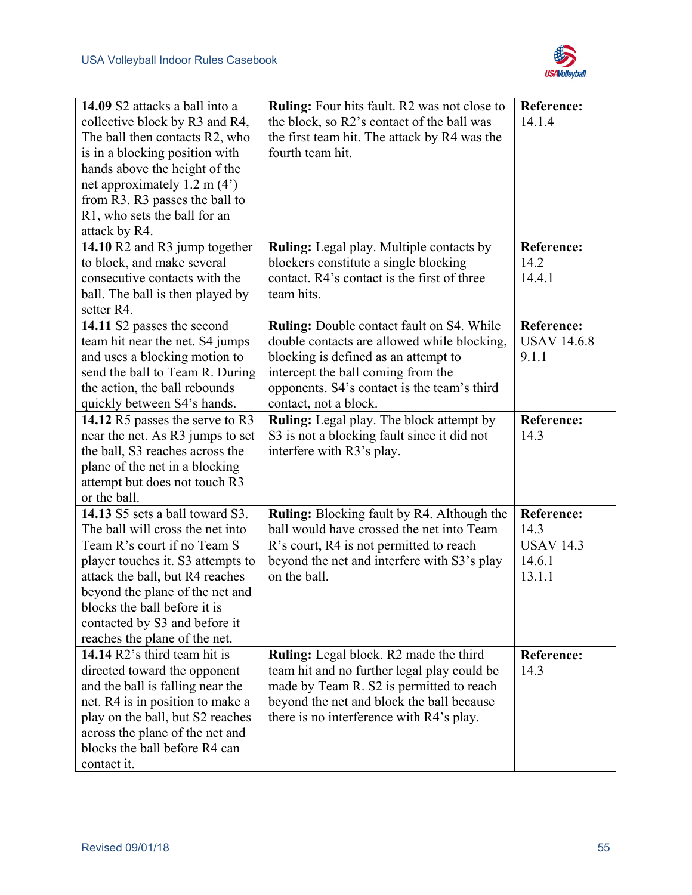

| 14.09 S2 attacks a ball into a<br>collective block by R3 and R4,<br>The ball then contacts R2, who<br>is in a blocking position with<br>hands above the height of the<br>net approximately $1.2$ m $(4')$<br>from R3. R3 passes the ball to<br>R1, who sets the ball for an<br>attack by R4.                    | <b>Ruling:</b> Four hits fault. R2 was not close to<br>the block, so R2's contact of the ball was<br>the first team hit. The attack by R4 was the<br>fourth team hit.                                                                          | <b>Reference:</b><br>14.1.4                                       |
|-----------------------------------------------------------------------------------------------------------------------------------------------------------------------------------------------------------------------------------------------------------------------------------------------------------------|------------------------------------------------------------------------------------------------------------------------------------------------------------------------------------------------------------------------------------------------|-------------------------------------------------------------------|
| 14.10 R2 and R3 jump together<br>to block, and make several<br>consecutive contacts with the<br>ball. The ball is then played by<br>setter R4.                                                                                                                                                                  | <b>Ruling:</b> Legal play. Multiple contacts by<br>blockers constitute a single blocking<br>contact. R4's contact is the first of three<br>team hits.                                                                                          | <b>Reference:</b><br>14.2<br>14.4.1                               |
| 14.11 S2 passes the second<br>team hit near the net. S4 jumps<br>and uses a blocking motion to<br>send the ball to Team R. During<br>the action, the ball rebounds<br>quickly between S4's hands.                                                                                                               | Ruling: Double contact fault on S4. While<br>double contacts are allowed while blocking,<br>blocking is defined as an attempt to<br>intercept the ball coming from the<br>opponents. S4's contact is the team's third<br>contact, not a block. | <b>Reference:</b><br><b>USAV 14.6.8</b><br>9.1.1                  |
| 14.12 R5 passes the serve to R3<br>near the net. As R3 jumps to set<br>the ball, S3 reaches across the<br>plane of the net in a blocking<br>attempt but does not touch R3<br>or the ball.                                                                                                                       | Ruling: Legal play. The block attempt by<br>S3 is not a blocking fault since it did not<br>interfere with R3's play.                                                                                                                           | <b>Reference:</b><br>14.3                                         |
| 14.13 S5 sets a ball toward S3.<br>The ball will cross the net into<br>Team R's court if no Team S<br>player touches it. S3 attempts to<br>attack the ball, but R4 reaches<br>beyond the plane of the net and<br>blocks the ball before it is<br>contacted by S3 and before it<br>reaches the plane of the net. | <b>Ruling:</b> Blocking fault by R4. Although the<br>ball would have crossed the net into Team<br>R's court, R4 is not permitted to reach<br>beyond the net and interfere with S3's play<br>on the ball.                                       | <b>Reference:</b><br>14.3<br><b>USAV 14.3</b><br>14.6.1<br>13.1.1 |
| 14.14 R2's third team hit is<br>directed toward the opponent<br>and the ball is falling near the<br>net. R4 is in position to make a<br>play on the ball, but S2 reaches<br>across the plane of the net and<br>blocks the ball before R4 can<br>contact it.                                                     | Ruling: Legal block. R2 made the third<br>team hit and no further legal play could be<br>made by Team R. S2 is permitted to reach<br>beyond the net and block the ball because<br>there is no interference with R4's play.                     | <b>Reference:</b><br>14.3                                         |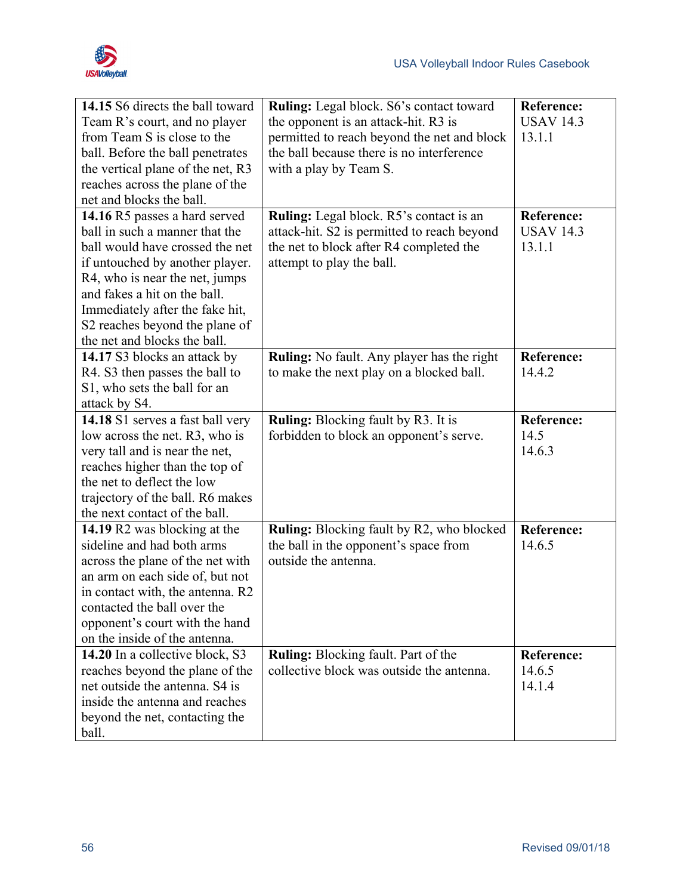

| 14.15 S6 directs the ball toward  | Ruling: Legal block. S6's contact toward    | <b>Reference:</b> |
|-----------------------------------|---------------------------------------------|-------------------|
| Team R's court, and no player     | the opponent is an attack-hit. R3 is        | <b>USAV 14.3</b>  |
| from Team S is close to the       | permitted to reach beyond the net and block | 13.1.1            |
| ball. Before the ball penetrates  | the ball because there is no interference   |                   |
| the vertical plane of the net, R3 | with a play by Team S.                      |                   |
| reaches across the plane of the   |                                             |                   |
| net and blocks the ball.          |                                             |                   |
| 14.16 R5 passes a hard served     | Ruling: Legal block. R5's contact is an     | <b>Reference:</b> |
| ball in such a manner that the    | attack-hit. S2 is permitted to reach beyond | <b>USAV 14.3</b>  |
| ball would have crossed the net   | the net to block after R4 completed the     | 13.1.1            |
| if untouched by another player.   | attempt to play the ball.                   |                   |
| R4, who is near the net, jumps    |                                             |                   |
| and fakes a hit on the ball.      |                                             |                   |
| Immediately after the fake hit,   |                                             |                   |
| S2 reaches beyond the plane of    |                                             |                   |
| the net and blocks the ball.      |                                             |                   |
| 14.17 S3 blocks an attack by      | Ruling: No fault. Any player has the right  | <b>Reference:</b> |
| R4. S3 then passes the ball to    | to make the next play on a blocked ball.    | 14.4.2            |
| S1, who sets the ball for an      |                                             |                   |
| attack by S4.                     |                                             |                   |
| 14.18 S1 serves a fast ball very  | <b>Ruling:</b> Blocking fault by R3. It is  | <b>Reference:</b> |
| low across the net. R3, who is    | forbidden to block an opponent's serve.     | 14.5              |
| very tall and is near the net,    |                                             | 14.6.3            |
| reaches higher than the top of    |                                             |                   |
| the net to deflect the low        |                                             |                   |
| trajectory of the ball. R6 makes  |                                             |                   |
| the next contact of the ball.     |                                             |                   |
| 14.19 R2 was blocking at the      | Ruling: Blocking fault by R2, who blocked   | <b>Reference:</b> |
| sideline and had both arms        | the ball in the opponent's space from       | 14.6.5            |
| across the plane of the net with  | outside the antenna.                        |                   |
| an arm on each side of, but not   |                                             |                   |
| in contact with, the antenna. R2  |                                             |                   |
| contacted the ball over the       |                                             |                   |
| opponent's court with the hand    |                                             |                   |
| on the inside of the antenna.     |                                             |                   |
| 14.20 In a collective block, S3   | <b>Ruling:</b> Blocking fault. Part of the  | <b>Reference:</b> |
| reaches beyond the plane of the   | collective block was outside the antenna.   | 14.6.5            |
| net outside the antenna. S4 is    |                                             | 14.1.4            |
| inside the antenna and reaches    |                                             |                   |
| beyond the net, contacting the    |                                             |                   |
| ball.                             |                                             |                   |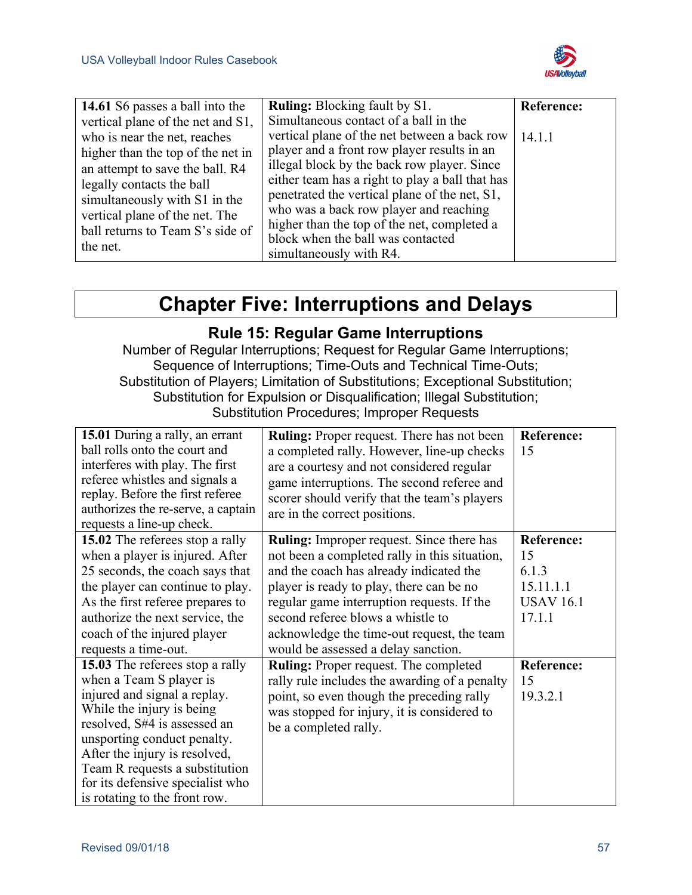

| 14.61 S6 passes a ball into the                                                                                                                                                                                                                                                           | <b>Ruling:</b> Blocking fault by S1.                                                                                                                                                                                                                                                                                                                                                                                                             | <b>Reference:</b> |
|-------------------------------------------------------------------------------------------------------------------------------------------------------------------------------------------------------------------------------------------------------------------------------------------|--------------------------------------------------------------------------------------------------------------------------------------------------------------------------------------------------------------------------------------------------------------------------------------------------------------------------------------------------------------------------------------------------------------------------------------------------|-------------------|
| vertical plane of the net and S1,<br>who is near the net, reaches<br>higher than the top of the net in<br>an attempt to save the ball. R4<br>legally contacts the ball<br>simultaneously with S1 in the<br>vertical plane of the net. The<br>ball returns to Team S's side of<br>the net. | Simultaneous contact of a ball in the<br>vertical plane of the net between a back row<br>player and a front row player results in an<br>illegal block by the back row player. Since<br>either team has a right to play a ball that has<br>penetrated the vertical plane of the net, S1,<br>who was a back row player and reaching<br>higher than the top of the net, completed a<br>block when the ball was contacted<br>simultaneously with R4. | 14.1.1            |

# **Chapter Five: Interruptions and Delays**

## **Rule 15: Regular Game Interruptions**

Number of Regular Interruptions; Request for Regular Game Interruptions; Sequence of Interruptions; Time-Outs and Technical Time-Outs; Substitution of Players; Limitation of Substitutions; Exceptional Substitution; Substitution for Expulsion or Disqualification; Illegal Substitution; Substitution Procedures; Improper Requests

| 15.01 During a rally, an errant<br>ball rolls onto the court and<br>interferes with play. The first<br>referee whistles and signals a<br>replay. Before the first referee<br>authorizes the re-serve, a captain<br>requests a line-up check. | <b>Ruling:</b> Proper request. There has not been<br>a completed rally. However, line-up checks<br>are a courtesy and not considered regular<br>game interruptions. The second referee and<br>scorer should verify that the team's players<br>are in the correct positions. | Reference:<br>15  |
|----------------------------------------------------------------------------------------------------------------------------------------------------------------------------------------------------------------------------------------------|-----------------------------------------------------------------------------------------------------------------------------------------------------------------------------------------------------------------------------------------------------------------------------|-------------------|
| 15.02 The referees stop a rally                                                                                                                                                                                                              | <b>Ruling:</b> Improper request. Since there has                                                                                                                                                                                                                            | <b>Reference:</b> |
| when a player is injured. After                                                                                                                                                                                                              | not been a completed rally in this situation,                                                                                                                                                                                                                               | 15                |
| 25 seconds, the coach says that                                                                                                                                                                                                              | and the coach has already indicated the                                                                                                                                                                                                                                     | 6.1.3             |
| the player can continue to play.                                                                                                                                                                                                             | player is ready to play, there can be no                                                                                                                                                                                                                                    | 15.11.1.1         |
| As the first referee prepares to                                                                                                                                                                                                             | regular game interruption requests. If the                                                                                                                                                                                                                                  | <b>USAV 16.1</b>  |
| authorize the next service, the                                                                                                                                                                                                              | second referee blows a whistle to                                                                                                                                                                                                                                           | 17.1.1            |
| coach of the injured player                                                                                                                                                                                                                  | acknowledge the time-out request, the team                                                                                                                                                                                                                                  |                   |
| requests a time-out.                                                                                                                                                                                                                         | would be assessed a delay sanction.                                                                                                                                                                                                                                         |                   |
| 15.03 The referees stop a rally                                                                                                                                                                                                              | <b>Ruling:</b> Proper request. The completed                                                                                                                                                                                                                                | Reference:        |
| when a Team S player is                                                                                                                                                                                                                      | rally rule includes the awarding of a penalty                                                                                                                                                                                                                               | 15                |
| injured and signal a replay.                                                                                                                                                                                                                 | point, so even though the preceding rally                                                                                                                                                                                                                                   | 19.3.2.1          |
| While the injury is being                                                                                                                                                                                                                    | was stopped for injury, it is considered to                                                                                                                                                                                                                                 |                   |
| resolved, S#4 is assessed an                                                                                                                                                                                                                 | be a completed rally.                                                                                                                                                                                                                                                       |                   |
| unsporting conduct penalty.                                                                                                                                                                                                                  |                                                                                                                                                                                                                                                                             |                   |
| After the injury is resolved,                                                                                                                                                                                                                |                                                                                                                                                                                                                                                                             |                   |
| Team R requests a substitution                                                                                                                                                                                                               |                                                                                                                                                                                                                                                                             |                   |
| for its defensive specialist who                                                                                                                                                                                                             |                                                                                                                                                                                                                                                                             |                   |
| is rotating to the front row.                                                                                                                                                                                                                |                                                                                                                                                                                                                                                                             |                   |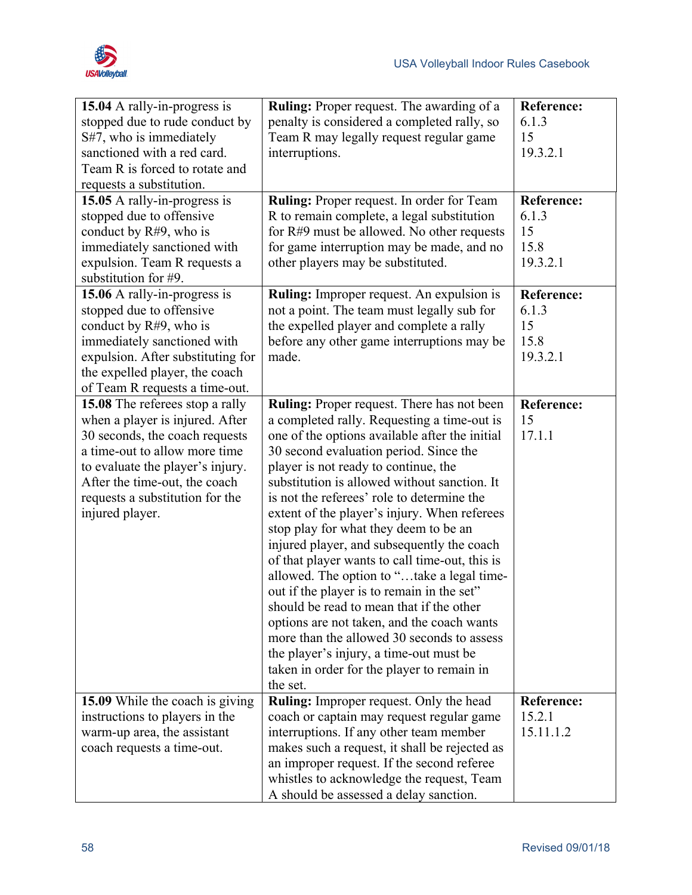

| 15.04 A rally-in-progress is      | <b>Ruling:</b> Proper request. The awarding of a | <b>Reference:</b> |
|-----------------------------------|--------------------------------------------------|-------------------|
| stopped due to rude conduct by    | penalty is considered a completed rally, so      | 6.1.3             |
| S#7, who is immediately           | Team R may legally request regular game          | 15                |
| sanctioned with a red card.       | interruptions.                                   | 19.3.2.1          |
| Team R is forced to rotate and    |                                                  |                   |
| requests a substitution.          |                                                  |                   |
| 15.05 A rally-in-progress is      | Ruling: Proper request. In order for Team        | <b>Reference:</b> |
| stopped due to offensive          | R to remain complete, a legal substitution       | 6.1.3             |
| conduct by $R#9$ , who is         | for $R#9$ must be allowed. No other requests     | 15                |
| immediately sanctioned with       | for game interruption may be made, and no        | 15.8              |
| expulsion. Team R requests a      | other players may be substituted.                | 19.3.2.1          |
| substitution for #9.              |                                                  |                   |
| 15.06 A rally-in-progress is      | <b>Ruling:</b> Improper request. An expulsion is | <b>Reference:</b> |
| stopped due to offensive          | not a point. The team must legally sub for       | 6.1.3             |
| conduct by $R#9$ , who is         | the expelled player and complete a rally         | 15                |
| immediately sanctioned with       | before any other game interruptions may be       | 15.8              |
| expulsion. After substituting for | made.                                            | 19.3.2.1          |
| the expelled player, the coach    |                                                  |                   |
| of Team R requests a time-out.    |                                                  |                   |
| 15.08 The referees stop a rally   | Ruling: Proper request. There has not been       | <b>Reference:</b> |
| when a player is injured. After   | a completed rally. Requesting a time-out is      | 15                |
| 30 seconds, the coach requests    | one of the options available after the initial   | 17.1.1            |
| a time-out to allow more time     | 30 second evaluation period. Since the           |                   |
| to evaluate the player's injury.  | player is not ready to continue, the             |                   |
| After the time-out, the coach     | substitution is allowed without sanction. It     |                   |
| requests a substitution for the   | is not the referees' role to determine the       |                   |
| injured player.                   | extent of the player's injury. When referees     |                   |
|                                   | stop play for what they deem to be an            |                   |
|                                   | injured player, and subsequently the coach       |                   |
|                                   | of that player wants to call time-out, this is   |                   |
|                                   | allowed. The option to "take a legal time-       |                   |
|                                   | out if the player is to remain in the set"       |                   |
|                                   | should be read to mean that if the other         |                   |
|                                   | options are not taken, and the coach wants       |                   |
|                                   | more than the allowed 30 seconds to assess       |                   |
|                                   | the player's injury, a time-out must be          |                   |
|                                   | taken in order for the player to remain in       |                   |
|                                   | the set.                                         |                   |
| 15.09 While the coach is giving   | <b>Ruling:</b> Improper request. Only the head   | Reference:        |
| instructions to players in the    | coach or captain may request regular game        | 15.2.1            |
| warm-up area, the assistant       | interruptions. If any other team member          | 15.11.1.2         |
| coach requests a time-out.        | makes such a request, it shall be rejected as    |                   |
|                                   | an improper request. If the second referee       |                   |
|                                   | whistles to acknowledge the request, Team        |                   |
|                                   | A should be assessed a delay sanction.           |                   |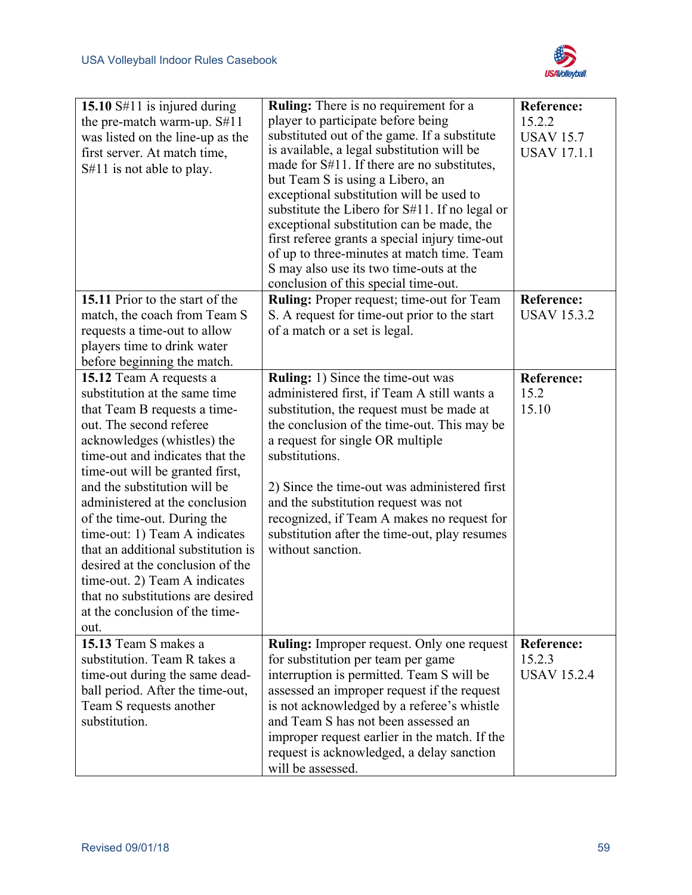

| 15.10 S#11 is injured during<br>the pre-match warm-up. S#11<br>was listed on the line-up as the<br>first server. At match time,<br>S#11 is not able to play.                                                                                                                                                                                                                                                                                                                                                                                         | <b>Ruling:</b> There is no requirement for a<br>player to participate before being<br>substituted out of the game. If a substitute<br>is available, a legal substitution will be<br>made for S#11. If there are no substitutes,<br>but Team S is using a Libero, an<br>exceptional substitution will be used to<br>substitute the Libero for $S#11$ . If no legal or<br>exceptional substitution can be made, the<br>first referee grants a special injury time-out<br>of up to three-minutes at match time. Team<br>S may also use its two time-outs at the<br>conclusion of this special time-out. | <b>Reference:</b><br>15.2.2<br><b>USAV 15.7</b><br><b>USAV 17.1.1</b> |
|------------------------------------------------------------------------------------------------------------------------------------------------------------------------------------------------------------------------------------------------------------------------------------------------------------------------------------------------------------------------------------------------------------------------------------------------------------------------------------------------------------------------------------------------------|------------------------------------------------------------------------------------------------------------------------------------------------------------------------------------------------------------------------------------------------------------------------------------------------------------------------------------------------------------------------------------------------------------------------------------------------------------------------------------------------------------------------------------------------------------------------------------------------------|-----------------------------------------------------------------------|
| 15.11 Prior to the start of the<br>match, the coach from Team S<br>requests a time-out to allow<br>players time to drink water<br>before beginning the match.                                                                                                                                                                                                                                                                                                                                                                                        | <b>Ruling:</b> Proper request; time-out for Team<br>S. A request for time-out prior to the start<br>of a match or a set is legal.                                                                                                                                                                                                                                                                                                                                                                                                                                                                    | Reference:<br><b>USAV 15.3.2</b>                                      |
| 15.12 Team A requests a<br>substitution at the same time<br>that Team B requests a time-<br>out. The second referee<br>acknowledges (whistles) the<br>time-out and indicates that the<br>time-out will be granted first,<br>and the substitution will be<br>administered at the conclusion<br>of the time-out. During the<br>time-out: 1) Team A indicates<br>that an additional substitution is<br>desired at the conclusion of the<br>time-out. 2) Team A indicates<br>that no substitutions are desired<br>at the conclusion of the time-<br>out. | <b>Ruling:</b> 1) Since the time-out was<br>administered first, if Team A still wants a<br>substitution, the request must be made at<br>the conclusion of the time-out. This may be<br>a request for single OR multiple<br>substitutions.<br>2) Since the time-out was administered first<br>and the substitution request was not<br>recognized, if Team A makes no request for<br>substitution after the time-out, play resumes<br>without sanction.                                                                                                                                                | <b>Reference:</b><br>15.2<br>15.10                                    |
| 15.13 Team S makes a<br>substitution. Team R takes a<br>time-out during the same dead-<br>ball period. After the time-out,<br>Team S requests another<br>substitution.                                                                                                                                                                                                                                                                                                                                                                               | Ruling: Improper request. Only one request<br>for substitution per team per game<br>interruption is permitted. Team S will be<br>assessed an improper request if the request<br>is not acknowledged by a referee's whistle<br>and Team S has not been assessed an<br>improper request earlier in the match. If the<br>request is acknowledged, a delay sanction<br>will be assessed.                                                                                                                                                                                                                 | Reference:<br>15.2.3<br><b>USAV 15.2.4</b>                            |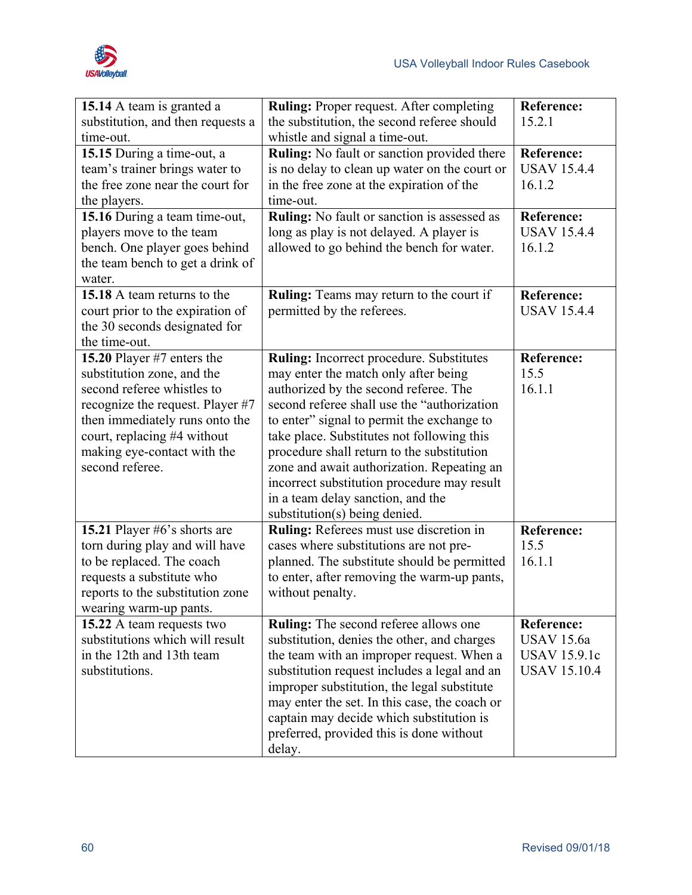

| 15.14 A team is granted a<br>substitution, and then requests a                                                                                                                                                                                | Ruling: Proper request. After completing<br>the substitution, the second referee should                                                                                                                                                                                                                                                                                                                                                                                                       | <b>Reference:</b><br>15.2.1                                                          |
|-----------------------------------------------------------------------------------------------------------------------------------------------------------------------------------------------------------------------------------------------|-----------------------------------------------------------------------------------------------------------------------------------------------------------------------------------------------------------------------------------------------------------------------------------------------------------------------------------------------------------------------------------------------------------------------------------------------------------------------------------------------|--------------------------------------------------------------------------------------|
| time-out.<br>15.15 During a time-out, a<br>team's trainer brings water to<br>the free zone near the court for<br>the players.                                                                                                                 | whistle and signal a time-out.<br><b>Ruling:</b> No fault or sanction provided there<br>is no delay to clean up water on the court or<br>in the free zone at the expiration of the<br>time-out.                                                                                                                                                                                                                                                                                               | <b>Reference:</b><br><b>USAV 15.4.4</b><br>16.1.2                                    |
| 15.16 During a team time-out,<br>players move to the team<br>bench. One player goes behind<br>the team bench to get a drink of<br>water.                                                                                                      | Ruling: No fault or sanction is assessed as<br>long as play is not delayed. A player is<br>allowed to go behind the bench for water.                                                                                                                                                                                                                                                                                                                                                          | Reference:<br><b>USAV 15.4.4</b><br>16.1.2                                           |
| 15.18 A team returns to the<br>court prior to the expiration of<br>the 30 seconds designated for<br>the time-out.                                                                                                                             | <b>Ruling:</b> Teams may return to the court if<br>permitted by the referees.                                                                                                                                                                                                                                                                                                                                                                                                                 | <b>Reference:</b><br><b>USAV 15.4.4</b>                                              |
| 15.20 Player #7 enters the<br>substitution zone, and the<br>second referee whistles to<br>recognize the request. Player #7<br>then immediately runs onto the<br>court, replacing #4 without<br>making eye-contact with the<br>second referee. | <b>Ruling:</b> Incorrect procedure. Substitutes<br>may enter the match only after being<br>authorized by the second referee. The<br>second referee shall use the "authorization"<br>to enter" signal to permit the exchange to<br>take place. Substitutes not following this<br>procedure shall return to the substitution<br>zone and await authorization. Repeating an<br>incorrect substitution procedure may result<br>in a team delay sanction, and the<br>substitution(s) being denied. | <b>Reference:</b><br>15.5<br>16.1.1                                                  |
| 15.21 Player #6's shorts are<br>torn during play and will have<br>to be replaced. The coach<br>requests a substitute who<br>reports to the substitution zone<br>wearing warm-up pants.                                                        | Ruling: Referees must use discretion in<br>cases where substitutions are not pre-<br>planned. The substitute should be permitted<br>to enter, after removing the warm-up pants,<br>without penalty.                                                                                                                                                                                                                                                                                           | <b>Reference:</b><br>15.5<br>16.1.1                                                  |
| 15.22 A team requests two<br>substitutions which will result<br>in the 12th and 13th team<br>substitutions.                                                                                                                                   | <b>Ruling:</b> The second referee allows one<br>substitution, denies the other, and charges<br>the team with an improper request. When a<br>substitution request includes a legal and an<br>improper substitution, the legal substitute<br>may enter the set. In this case, the coach or<br>captain may decide which substitution is<br>preferred, provided this is done without<br>delay.                                                                                                    | <b>Reference:</b><br><b>USAV</b> 15.6a<br><b>USAV 15.9.1c</b><br><b>USAV 15.10.4</b> |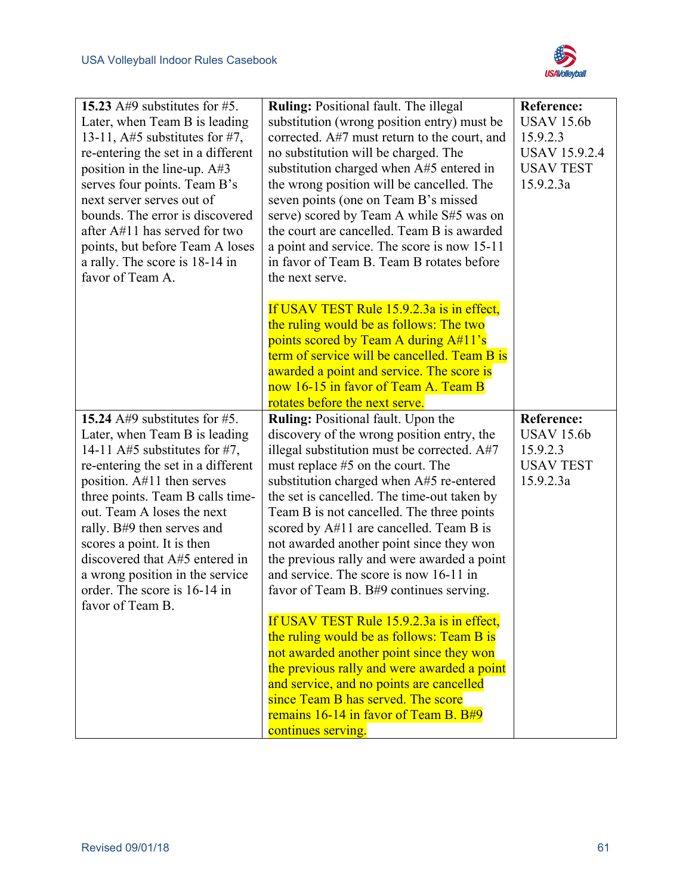

| 15.23 A#9 substitutes for #5.<br>Later, when Team B is leading<br>13-11, $A\#5$ substitutes for #7,<br>re-entering the set in a different<br>position in the line-up. A#3<br>serves four points. Team B's<br>next server serves out of<br>bounds. The error is discovered<br>after $A#11$ has served for two<br>points, but before Team A loses<br>a rally. The score is 18-14 in                                            | <b>Ruling: Positional fault. The illegal</b><br>substitution (wrong position entry) must be<br>corrected. A#7 must return to the court, and<br>no substitution will be charged. The<br>substitution charged when A#5 entered in<br>the wrong position will be cancelled. The<br>seven points (one on Team B's missed<br>serve) scored by Team A while S#5 was on<br>the court are cancelled. Team B is awarded<br>a point and service. The score is now 15-11<br>in favor of Team B. Team B rotates before                                                                                                                                                                                                                                                                                                                                                                    | <b>Reference:</b><br><b>USAV 15.6b</b><br>15.9.2.3<br><b>USAV 15.9.2.4</b><br><b>USAV TEST</b><br>15.9.2.3a |
|------------------------------------------------------------------------------------------------------------------------------------------------------------------------------------------------------------------------------------------------------------------------------------------------------------------------------------------------------------------------------------------------------------------------------|-------------------------------------------------------------------------------------------------------------------------------------------------------------------------------------------------------------------------------------------------------------------------------------------------------------------------------------------------------------------------------------------------------------------------------------------------------------------------------------------------------------------------------------------------------------------------------------------------------------------------------------------------------------------------------------------------------------------------------------------------------------------------------------------------------------------------------------------------------------------------------|-------------------------------------------------------------------------------------------------------------|
| favor of Team A.                                                                                                                                                                                                                                                                                                                                                                                                             | the next serve.<br>If USAV TEST Rule 15.9.2.3a is in effect,<br>the ruling would be as follows: The two<br>points scored by Team A during A#11's<br>term of service will be cancelled. Team B is<br>awarded a point and service. The score is<br>now 16-15 in favor of Team A. Team B<br>rotates before the next serve.                                                                                                                                                                                                                                                                                                                                                                                                                                                                                                                                                       |                                                                                                             |
| 15.24 $A#9$ substitutes for #5.<br>Later, when Team B is leading<br>14-11 A#5 substitutes for #7,<br>re-entering the set in a different<br>position. A#11 then serves<br>three points. Team B calls time-<br>out. Team A loses the next<br>rally. B#9 then serves and<br>scores a point. It is then<br>discovered that A#5 entered in<br>a wrong position in the service<br>order. The score is 16-14 in<br>favor of Team B. | Ruling: Positional fault. Upon the<br>discovery of the wrong position entry, the<br>illegal substitution must be corrected. A#7<br>must replace #5 on the court. The<br>substitution charged when A#5 re-entered<br>the set is cancelled. The time-out taken by<br>Team B is not cancelled. The three points<br>scored by A#11 are cancelled. Team B is<br>not awarded another point since they won<br>the previous rally and were awarded a point<br>and service. The score is now 16-11 in<br>favor of Team B. B#9 continues serving.<br>If USAV TEST Rule 15.9.2.3a is in effect,<br>the ruling would be as follows: Team B is<br>not awarded another point since they won<br>the previous rally and were awarded a point<br>and service, and no points are cancelled<br>since Team B has served. The score<br>remains 16-14 in favor of Team B. B#9<br>continues serving. | <b>Reference:</b><br><b>USAV 15.6b</b><br>15.9.2.3<br><b>USAV TEST</b><br>15.9.2.3a                         |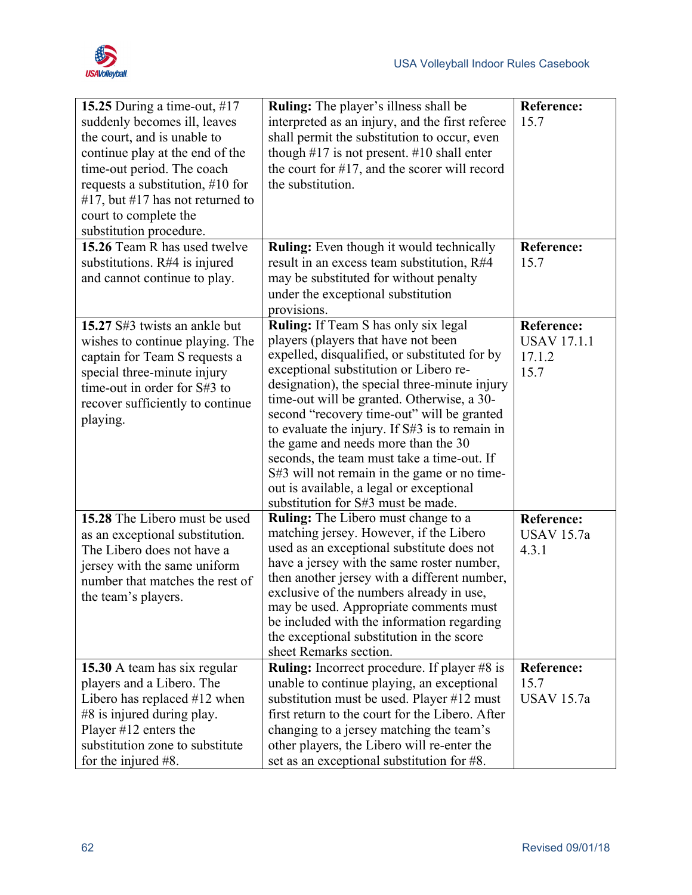

| 15.7<br>interpreted as an injury, and the first referee<br>suddenly becomes ill, leaves<br>the court, and is unable to<br>shall permit the substitution to occur, even<br>continue play at the end of the<br>though $#17$ is not present. $#10$ shall enter<br>the court for #17, and the scorer will record<br>time-out period. The coach<br>the substitution.<br>requests a substitution, $\#10$ for<br>#17, but #17 has not returned to<br>court to complete the<br>substitution procedure.<br>15.26 Team R has used twelve<br><b>Ruling:</b> Even though it would technically<br><b>Reference:</b><br>substitutions. $R#4$ is injured<br>15.7<br>result in an excess team substitution, R#4<br>may be substituted for without penalty<br>and cannot continue to play.<br>under the exceptional substitution<br>provisions.<br><b>Ruling:</b> If Team S has only six legal<br>15.27 S#3 twists an ankle but<br><b>Reference:</b><br>players (players that have not been<br><b>USAV 17.1.1</b><br>wishes to continue playing. The<br>expelled, disqualified, or substituted for by<br>17.1.2<br>captain for Team S requests a<br>exceptional substitution or Libero re-<br>15.7<br>special three-minute injury<br>designation), the special three-minute injury<br>time-out in order for S#3 to<br>time-out will be granted. Otherwise, a 30-<br>recover sufficiently to continue<br>second "recovery time-out" will be granted<br>playing.<br>to evaluate the injury. If S#3 is to remain in<br>the game and needs more than the 30<br>seconds, the team must take a time-out. If<br>S#3 will not remain in the game or no time-<br>out is available, a legal or exceptional<br>substitution for S#3 must be made.<br><b>Ruling:</b> The Libero must change to a<br>15.28 The Libero must be used<br><b>Reference:</b><br>matching jersey. However, if the Libero<br><b>USAV 15.7a</b><br>as an exceptional substitution.<br>used as an exceptional substitute does not<br>The Libero does not have a<br>4.3.1<br>have a jersey with the same roster number,<br>jersey with the same uniform<br>then another jersey with a different number,<br>number that matches the rest of<br>exclusive of the numbers already in use,<br>the team's players.<br>may be used. Appropriate comments must<br>be included with the information regarding<br>the exceptional substitution in the score<br>sheet Remarks section.<br><b>Ruling:</b> Incorrect procedure. If player #8 is<br>15.30 A team has six regular<br>Reference:<br>unable to continue playing, an exceptional<br>15.7<br>players and a Libero. The<br>substitution must be used. Player #12 must<br><b>USAV 15.7a</b><br>Libero has replaced $#12$ when<br>first return to the court for the Libero. After<br>#8 is injured during play.<br>Player $#12$ enters the<br>changing to a jersey matching the team's<br>substitution zone to substitute<br>other players, the Libero will re-enter the | 15.25 During a time-out, #17 | <b>Ruling:</b> The player's illness shall be | <b>Reference:</b> |
|-------------------------------------------------------------------------------------------------------------------------------------------------------------------------------------------------------------------------------------------------------------------------------------------------------------------------------------------------------------------------------------------------------------------------------------------------------------------------------------------------------------------------------------------------------------------------------------------------------------------------------------------------------------------------------------------------------------------------------------------------------------------------------------------------------------------------------------------------------------------------------------------------------------------------------------------------------------------------------------------------------------------------------------------------------------------------------------------------------------------------------------------------------------------------------------------------------------------------------------------------------------------------------------------------------------------------------------------------------------------------------------------------------------------------------------------------------------------------------------------------------------------------------------------------------------------------------------------------------------------------------------------------------------------------------------------------------------------------------------------------------------------------------------------------------------------------------------------------------------------------------------------------------------------------------------------------------------------------------------------------------------------------------------------------------------------------------------------------------------------------------------------------------------------------------------------------------------------------------------------------------------------------------------------------------------------------------------------------------------------------------------------------------------------------------------------------------------------------------------------------------------------------------------------------------------------------------------------------------------------------------------------------------------------------------------------------------------------------------------------------------------------------------------------------------------------------------------------------------------------------------------------------------------------------------------------------------------|------------------------------|----------------------------------------------|-------------------|
|                                                                                                                                                                                                                                                                                                                                                                                                                                                                                                                                                                                                                                                                                                                                                                                                                                                                                                                                                                                                                                                                                                                                                                                                                                                                                                                                                                                                                                                                                                                                                                                                                                                                                                                                                                                                                                                                                                                                                                                                                                                                                                                                                                                                                                                                                                                                                                                                                                                                                                                                                                                                                                                                                                                                                                                                                                                                                                                                                             |                              |                                              |                   |
|                                                                                                                                                                                                                                                                                                                                                                                                                                                                                                                                                                                                                                                                                                                                                                                                                                                                                                                                                                                                                                                                                                                                                                                                                                                                                                                                                                                                                                                                                                                                                                                                                                                                                                                                                                                                                                                                                                                                                                                                                                                                                                                                                                                                                                                                                                                                                                                                                                                                                                                                                                                                                                                                                                                                                                                                                                                                                                                                                             |                              |                                              |                   |
|                                                                                                                                                                                                                                                                                                                                                                                                                                                                                                                                                                                                                                                                                                                                                                                                                                                                                                                                                                                                                                                                                                                                                                                                                                                                                                                                                                                                                                                                                                                                                                                                                                                                                                                                                                                                                                                                                                                                                                                                                                                                                                                                                                                                                                                                                                                                                                                                                                                                                                                                                                                                                                                                                                                                                                                                                                                                                                                                                             |                              |                                              |                   |
|                                                                                                                                                                                                                                                                                                                                                                                                                                                                                                                                                                                                                                                                                                                                                                                                                                                                                                                                                                                                                                                                                                                                                                                                                                                                                                                                                                                                                                                                                                                                                                                                                                                                                                                                                                                                                                                                                                                                                                                                                                                                                                                                                                                                                                                                                                                                                                                                                                                                                                                                                                                                                                                                                                                                                                                                                                                                                                                                                             |                              |                                              |                   |
|                                                                                                                                                                                                                                                                                                                                                                                                                                                                                                                                                                                                                                                                                                                                                                                                                                                                                                                                                                                                                                                                                                                                                                                                                                                                                                                                                                                                                                                                                                                                                                                                                                                                                                                                                                                                                                                                                                                                                                                                                                                                                                                                                                                                                                                                                                                                                                                                                                                                                                                                                                                                                                                                                                                                                                                                                                                                                                                                                             |                              |                                              |                   |
|                                                                                                                                                                                                                                                                                                                                                                                                                                                                                                                                                                                                                                                                                                                                                                                                                                                                                                                                                                                                                                                                                                                                                                                                                                                                                                                                                                                                                                                                                                                                                                                                                                                                                                                                                                                                                                                                                                                                                                                                                                                                                                                                                                                                                                                                                                                                                                                                                                                                                                                                                                                                                                                                                                                                                                                                                                                                                                                                                             |                              |                                              |                   |
|                                                                                                                                                                                                                                                                                                                                                                                                                                                                                                                                                                                                                                                                                                                                                                                                                                                                                                                                                                                                                                                                                                                                                                                                                                                                                                                                                                                                                                                                                                                                                                                                                                                                                                                                                                                                                                                                                                                                                                                                                                                                                                                                                                                                                                                                                                                                                                                                                                                                                                                                                                                                                                                                                                                                                                                                                                                                                                                                                             |                              |                                              |                   |
|                                                                                                                                                                                                                                                                                                                                                                                                                                                                                                                                                                                                                                                                                                                                                                                                                                                                                                                                                                                                                                                                                                                                                                                                                                                                                                                                                                                                                                                                                                                                                                                                                                                                                                                                                                                                                                                                                                                                                                                                                                                                                                                                                                                                                                                                                                                                                                                                                                                                                                                                                                                                                                                                                                                                                                                                                                                                                                                                                             |                              |                                              |                   |
|                                                                                                                                                                                                                                                                                                                                                                                                                                                                                                                                                                                                                                                                                                                                                                                                                                                                                                                                                                                                                                                                                                                                                                                                                                                                                                                                                                                                                                                                                                                                                                                                                                                                                                                                                                                                                                                                                                                                                                                                                                                                                                                                                                                                                                                                                                                                                                                                                                                                                                                                                                                                                                                                                                                                                                                                                                                                                                                                                             |                              |                                              |                   |
|                                                                                                                                                                                                                                                                                                                                                                                                                                                                                                                                                                                                                                                                                                                                                                                                                                                                                                                                                                                                                                                                                                                                                                                                                                                                                                                                                                                                                                                                                                                                                                                                                                                                                                                                                                                                                                                                                                                                                                                                                                                                                                                                                                                                                                                                                                                                                                                                                                                                                                                                                                                                                                                                                                                                                                                                                                                                                                                                                             |                              |                                              |                   |
|                                                                                                                                                                                                                                                                                                                                                                                                                                                                                                                                                                                                                                                                                                                                                                                                                                                                                                                                                                                                                                                                                                                                                                                                                                                                                                                                                                                                                                                                                                                                                                                                                                                                                                                                                                                                                                                                                                                                                                                                                                                                                                                                                                                                                                                                                                                                                                                                                                                                                                                                                                                                                                                                                                                                                                                                                                                                                                                                                             |                              |                                              |                   |
|                                                                                                                                                                                                                                                                                                                                                                                                                                                                                                                                                                                                                                                                                                                                                                                                                                                                                                                                                                                                                                                                                                                                                                                                                                                                                                                                                                                                                                                                                                                                                                                                                                                                                                                                                                                                                                                                                                                                                                                                                                                                                                                                                                                                                                                                                                                                                                                                                                                                                                                                                                                                                                                                                                                                                                                                                                                                                                                                                             |                              |                                              |                   |
|                                                                                                                                                                                                                                                                                                                                                                                                                                                                                                                                                                                                                                                                                                                                                                                                                                                                                                                                                                                                                                                                                                                                                                                                                                                                                                                                                                                                                                                                                                                                                                                                                                                                                                                                                                                                                                                                                                                                                                                                                                                                                                                                                                                                                                                                                                                                                                                                                                                                                                                                                                                                                                                                                                                                                                                                                                                                                                                                                             |                              |                                              |                   |
|                                                                                                                                                                                                                                                                                                                                                                                                                                                                                                                                                                                                                                                                                                                                                                                                                                                                                                                                                                                                                                                                                                                                                                                                                                                                                                                                                                                                                                                                                                                                                                                                                                                                                                                                                                                                                                                                                                                                                                                                                                                                                                                                                                                                                                                                                                                                                                                                                                                                                                                                                                                                                                                                                                                                                                                                                                                                                                                                                             |                              |                                              |                   |
|                                                                                                                                                                                                                                                                                                                                                                                                                                                                                                                                                                                                                                                                                                                                                                                                                                                                                                                                                                                                                                                                                                                                                                                                                                                                                                                                                                                                                                                                                                                                                                                                                                                                                                                                                                                                                                                                                                                                                                                                                                                                                                                                                                                                                                                                                                                                                                                                                                                                                                                                                                                                                                                                                                                                                                                                                                                                                                                                                             |                              |                                              |                   |
|                                                                                                                                                                                                                                                                                                                                                                                                                                                                                                                                                                                                                                                                                                                                                                                                                                                                                                                                                                                                                                                                                                                                                                                                                                                                                                                                                                                                                                                                                                                                                                                                                                                                                                                                                                                                                                                                                                                                                                                                                                                                                                                                                                                                                                                                                                                                                                                                                                                                                                                                                                                                                                                                                                                                                                                                                                                                                                                                                             |                              |                                              |                   |
|                                                                                                                                                                                                                                                                                                                                                                                                                                                                                                                                                                                                                                                                                                                                                                                                                                                                                                                                                                                                                                                                                                                                                                                                                                                                                                                                                                                                                                                                                                                                                                                                                                                                                                                                                                                                                                                                                                                                                                                                                                                                                                                                                                                                                                                                                                                                                                                                                                                                                                                                                                                                                                                                                                                                                                                                                                                                                                                                                             |                              |                                              |                   |
|                                                                                                                                                                                                                                                                                                                                                                                                                                                                                                                                                                                                                                                                                                                                                                                                                                                                                                                                                                                                                                                                                                                                                                                                                                                                                                                                                                                                                                                                                                                                                                                                                                                                                                                                                                                                                                                                                                                                                                                                                                                                                                                                                                                                                                                                                                                                                                                                                                                                                                                                                                                                                                                                                                                                                                                                                                                                                                                                                             |                              |                                              |                   |
|                                                                                                                                                                                                                                                                                                                                                                                                                                                                                                                                                                                                                                                                                                                                                                                                                                                                                                                                                                                                                                                                                                                                                                                                                                                                                                                                                                                                                                                                                                                                                                                                                                                                                                                                                                                                                                                                                                                                                                                                                                                                                                                                                                                                                                                                                                                                                                                                                                                                                                                                                                                                                                                                                                                                                                                                                                                                                                                                                             |                              |                                              |                   |
|                                                                                                                                                                                                                                                                                                                                                                                                                                                                                                                                                                                                                                                                                                                                                                                                                                                                                                                                                                                                                                                                                                                                                                                                                                                                                                                                                                                                                                                                                                                                                                                                                                                                                                                                                                                                                                                                                                                                                                                                                                                                                                                                                                                                                                                                                                                                                                                                                                                                                                                                                                                                                                                                                                                                                                                                                                                                                                                                                             |                              |                                              |                   |
|                                                                                                                                                                                                                                                                                                                                                                                                                                                                                                                                                                                                                                                                                                                                                                                                                                                                                                                                                                                                                                                                                                                                                                                                                                                                                                                                                                                                                                                                                                                                                                                                                                                                                                                                                                                                                                                                                                                                                                                                                                                                                                                                                                                                                                                                                                                                                                                                                                                                                                                                                                                                                                                                                                                                                                                                                                                                                                                                                             |                              |                                              |                   |
|                                                                                                                                                                                                                                                                                                                                                                                                                                                                                                                                                                                                                                                                                                                                                                                                                                                                                                                                                                                                                                                                                                                                                                                                                                                                                                                                                                                                                                                                                                                                                                                                                                                                                                                                                                                                                                                                                                                                                                                                                                                                                                                                                                                                                                                                                                                                                                                                                                                                                                                                                                                                                                                                                                                                                                                                                                                                                                                                                             |                              |                                              |                   |
|                                                                                                                                                                                                                                                                                                                                                                                                                                                                                                                                                                                                                                                                                                                                                                                                                                                                                                                                                                                                                                                                                                                                                                                                                                                                                                                                                                                                                                                                                                                                                                                                                                                                                                                                                                                                                                                                                                                                                                                                                                                                                                                                                                                                                                                                                                                                                                                                                                                                                                                                                                                                                                                                                                                                                                                                                                                                                                                                                             |                              |                                              |                   |
|                                                                                                                                                                                                                                                                                                                                                                                                                                                                                                                                                                                                                                                                                                                                                                                                                                                                                                                                                                                                                                                                                                                                                                                                                                                                                                                                                                                                                                                                                                                                                                                                                                                                                                                                                                                                                                                                                                                                                                                                                                                                                                                                                                                                                                                                                                                                                                                                                                                                                                                                                                                                                                                                                                                                                                                                                                                                                                                                                             |                              |                                              |                   |
|                                                                                                                                                                                                                                                                                                                                                                                                                                                                                                                                                                                                                                                                                                                                                                                                                                                                                                                                                                                                                                                                                                                                                                                                                                                                                                                                                                                                                                                                                                                                                                                                                                                                                                                                                                                                                                                                                                                                                                                                                                                                                                                                                                                                                                                                                                                                                                                                                                                                                                                                                                                                                                                                                                                                                                                                                                                                                                                                                             |                              |                                              |                   |
|                                                                                                                                                                                                                                                                                                                                                                                                                                                                                                                                                                                                                                                                                                                                                                                                                                                                                                                                                                                                                                                                                                                                                                                                                                                                                                                                                                                                                                                                                                                                                                                                                                                                                                                                                                                                                                                                                                                                                                                                                                                                                                                                                                                                                                                                                                                                                                                                                                                                                                                                                                                                                                                                                                                                                                                                                                                                                                                                                             |                              |                                              |                   |
|                                                                                                                                                                                                                                                                                                                                                                                                                                                                                                                                                                                                                                                                                                                                                                                                                                                                                                                                                                                                                                                                                                                                                                                                                                                                                                                                                                                                                                                                                                                                                                                                                                                                                                                                                                                                                                                                                                                                                                                                                                                                                                                                                                                                                                                                                                                                                                                                                                                                                                                                                                                                                                                                                                                                                                                                                                                                                                                                                             |                              |                                              |                   |
|                                                                                                                                                                                                                                                                                                                                                                                                                                                                                                                                                                                                                                                                                                                                                                                                                                                                                                                                                                                                                                                                                                                                                                                                                                                                                                                                                                                                                                                                                                                                                                                                                                                                                                                                                                                                                                                                                                                                                                                                                                                                                                                                                                                                                                                                                                                                                                                                                                                                                                                                                                                                                                                                                                                                                                                                                                                                                                                                                             |                              |                                              |                   |
|                                                                                                                                                                                                                                                                                                                                                                                                                                                                                                                                                                                                                                                                                                                                                                                                                                                                                                                                                                                                                                                                                                                                                                                                                                                                                                                                                                                                                                                                                                                                                                                                                                                                                                                                                                                                                                                                                                                                                                                                                                                                                                                                                                                                                                                                                                                                                                                                                                                                                                                                                                                                                                                                                                                                                                                                                                                                                                                                                             |                              |                                              |                   |
|                                                                                                                                                                                                                                                                                                                                                                                                                                                                                                                                                                                                                                                                                                                                                                                                                                                                                                                                                                                                                                                                                                                                                                                                                                                                                                                                                                                                                                                                                                                                                                                                                                                                                                                                                                                                                                                                                                                                                                                                                                                                                                                                                                                                                                                                                                                                                                                                                                                                                                                                                                                                                                                                                                                                                                                                                                                                                                                                                             |                              |                                              |                   |
|                                                                                                                                                                                                                                                                                                                                                                                                                                                                                                                                                                                                                                                                                                                                                                                                                                                                                                                                                                                                                                                                                                                                                                                                                                                                                                                                                                                                                                                                                                                                                                                                                                                                                                                                                                                                                                                                                                                                                                                                                                                                                                                                                                                                                                                                                                                                                                                                                                                                                                                                                                                                                                                                                                                                                                                                                                                                                                                                                             |                              |                                              |                   |
|                                                                                                                                                                                                                                                                                                                                                                                                                                                                                                                                                                                                                                                                                                                                                                                                                                                                                                                                                                                                                                                                                                                                                                                                                                                                                                                                                                                                                                                                                                                                                                                                                                                                                                                                                                                                                                                                                                                                                                                                                                                                                                                                                                                                                                                                                                                                                                                                                                                                                                                                                                                                                                                                                                                                                                                                                                                                                                                                                             |                              |                                              |                   |
|                                                                                                                                                                                                                                                                                                                                                                                                                                                                                                                                                                                                                                                                                                                                                                                                                                                                                                                                                                                                                                                                                                                                                                                                                                                                                                                                                                                                                                                                                                                                                                                                                                                                                                                                                                                                                                                                                                                                                                                                                                                                                                                                                                                                                                                                                                                                                                                                                                                                                                                                                                                                                                                                                                                                                                                                                                                                                                                                                             |                              |                                              |                   |
|                                                                                                                                                                                                                                                                                                                                                                                                                                                                                                                                                                                                                                                                                                                                                                                                                                                                                                                                                                                                                                                                                                                                                                                                                                                                                                                                                                                                                                                                                                                                                                                                                                                                                                                                                                                                                                                                                                                                                                                                                                                                                                                                                                                                                                                                                                                                                                                                                                                                                                                                                                                                                                                                                                                                                                                                                                                                                                                                                             |                              |                                              |                   |
|                                                                                                                                                                                                                                                                                                                                                                                                                                                                                                                                                                                                                                                                                                                                                                                                                                                                                                                                                                                                                                                                                                                                                                                                                                                                                                                                                                                                                                                                                                                                                                                                                                                                                                                                                                                                                                                                                                                                                                                                                                                                                                                                                                                                                                                                                                                                                                                                                                                                                                                                                                                                                                                                                                                                                                                                                                                                                                                                                             |                              |                                              |                   |
|                                                                                                                                                                                                                                                                                                                                                                                                                                                                                                                                                                                                                                                                                                                                                                                                                                                                                                                                                                                                                                                                                                                                                                                                                                                                                                                                                                                                                                                                                                                                                                                                                                                                                                                                                                                                                                                                                                                                                                                                                                                                                                                                                                                                                                                                                                                                                                                                                                                                                                                                                                                                                                                                                                                                                                                                                                                                                                                                                             |                              |                                              |                   |
|                                                                                                                                                                                                                                                                                                                                                                                                                                                                                                                                                                                                                                                                                                                                                                                                                                                                                                                                                                                                                                                                                                                                                                                                                                                                                                                                                                                                                                                                                                                                                                                                                                                                                                                                                                                                                                                                                                                                                                                                                                                                                                                                                                                                                                                                                                                                                                                                                                                                                                                                                                                                                                                                                                                                                                                                                                                                                                                                                             |                              |                                              |                   |
|                                                                                                                                                                                                                                                                                                                                                                                                                                                                                                                                                                                                                                                                                                                                                                                                                                                                                                                                                                                                                                                                                                                                                                                                                                                                                                                                                                                                                                                                                                                                                                                                                                                                                                                                                                                                                                                                                                                                                                                                                                                                                                                                                                                                                                                                                                                                                                                                                                                                                                                                                                                                                                                                                                                                                                                                                                                                                                                                                             |                              |                                              |                   |
|                                                                                                                                                                                                                                                                                                                                                                                                                                                                                                                                                                                                                                                                                                                                                                                                                                                                                                                                                                                                                                                                                                                                                                                                                                                                                                                                                                                                                                                                                                                                                                                                                                                                                                                                                                                                                                                                                                                                                                                                                                                                                                                                                                                                                                                                                                                                                                                                                                                                                                                                                                                                                                                                                                                                                                                                                                                                                                                                                             |                              |                                              |                   |
|                                                                                                                                                                                                                                                                                                                                                                                                                                                                                                                                                                                                                                                                                                                                                                                                                                                                                                                                                                                                                                                                                                                                                                                                                                                                                                                                                                                                                                                                                                                                                                                                                                                                                                                                                                                                                                                                                                                                                                                                                                                                                                                                                                                                                                                                                                                                                                                                                                                                                                                                                                                                                                                                                                                                                                                                                                                                                                                                                             |                              |                                              |                   |
|                                                                                                                                                                                                                                                                                                                                                                                                                                                                                                                                                                                                                                                                                                                                                                                                                                                                                                                                                                                                                                                                                                                                                                                                                                                                                                                                                                                                                                                                                                                                                                                                                                                                                                                                                                                                                                                                                                                                                                                                                                                                                                                                                                                                                                                                                                                                                                                                                                                                                                                                                                                                                                                                                                                                                                                                                                                                                                                                                             |                              |                                              |                   |
|                                                                                                                                                                                                                                                                                                                                                                                                                                                                                                                                                                                                                                                                                                                                                                                                                                                                                                                                                                                                                                                                                                                                                                                                                                                                                                                                                                                                                                                                                                                                                                                                                                                                                                                                                                                                                                                                                                                                                                                                                                                                                                                                                                                                                                                                                                                                                                                                                                                                                                                                                                                                                                                                                                                                                                                                                                                                                                                                                             | for the injured $#8$ .       | set as an exceptional substitution for #8.   |                   |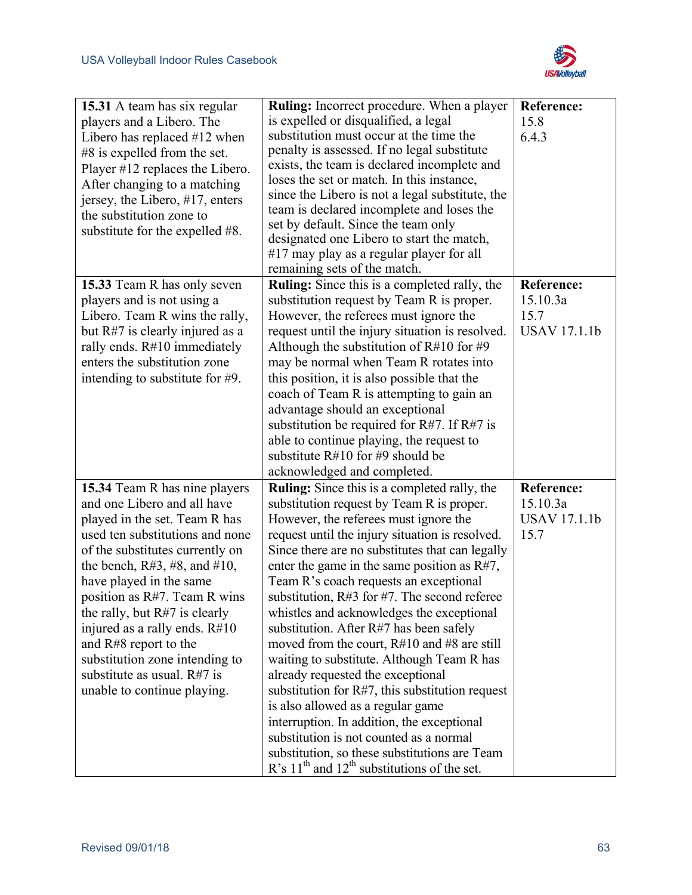

| 15.31 A team has six regular     | <b>Ruling:</b> Incorrect procedure. When a player   | <b>Reference:</b>   |
|----------------------------------|-----------------------------------------------------|---------------------|
| players and a Libero. The        | is expelled or disqualified, a legal                | 15.8                |
| Libero has replaced $#12$ when   | substitution must occur at the time the             | 6.4.3               |
| $#8$ is expelled from the set.   | penalty is assessed. If no legal substitute         |                     |
| Player #12 replaces the Libero.  | exists, the team is declared incomplete and         |                     |
| After changing to a matching     | loses the set or match. In this instance,           |                     |
| jersey, the Libero, #17, enters  | since the Libero is not a legal substitute, the     |                     |
| the substitution zone to         | team is declared incomplete and loses the           |                     |
| substitute for the expelled #8.  | set by default. Since the team only                 |                     |
|                                  | designated one Libero to start the match,           |                     |
|                                  | #17 may play as a regular player for all            |                     |
|                                  | remaining sets of the match.                        |                     |
| 15.33 Team R has only seven      | <b>Ruling:</b> Since this is a completed rally, the | <b>Reference:</b>   |
| players and is not using a       | substitution request by Team R is proper.           | 15.10.3a            |
| Libero. Team R wins the rally,   | However, the referees must ignore the               | 15.7                |
| but R#7 is clearly injured as a  | request until the injury situation is resolved.     | <b>USAV 17.1.1b</b> |
| rally ends. $R#10$ immediately   | Although the substitution of $R#10$ for #9          |                     |
| enters the substitution zone     | may be normal when Team R rotates into              |                     |
| intending to substitute for #9.  | this position, it is also possible that the         |                     |
|                                  | coach of Team R is attempting to gain an            |                     |
|                                  | advantage should an exceptional                     |                     |
|                                  | substitution be required for $R#7$ . If $R#7$ is    |                     |
|                                  | able to continue playing, the request to            |                     |
|                                  | substitute $R#10$ for #9 should be                  |                     |
|                                  | acknowledged and completed.                         |                     |
| 15.34 Team R has nine players    | <b>Ruling:</b> Since this is a completed rally, the | <b>Reference:</b>   |
| and one Libero and all have      | substitution request by Team R is proper.           | 15.10.3a            |
| played in the set. Team R has    | However, the referees must ignore the               | <b>USAV 17.1.1b</b> |
| used ten substitutions and none  | request until the injury situation is resolved.     | 15.7                |
| of the substitutes currently on  | Since there are no substitutes that can legally     |                     |
| the bench, $R#3, #8,$ and $#10,$ | enter the game in the same position as $R#7$ ,      |                     |
| have played in the same          | Team R's coach requests an exceptional              |                     |
| position as R#7. Team R wins     | substitution, $R#3$ for #7. The second referee      |                     |
| the rally, but $R#7$ is clearly  | whistles and acknowledges the exceptional           |                     |
| injured as a rally ends. $R#10$  | substitution. After R#7 has been safely             |                     |
| and R#8 report to the            | moved from the court, $R#10$ and $#8$ are still     |                     |
| substitution zone intending to   | waiting to substitute. Although Team R has          |                     |
| substitute as usual. $R#7$ is    | already requested the exceptional                   |                     |
| unable to continue playing.      | substitution for $R#7$ , this substitution request  |                     |
|                                  | is also allowed as a regular game                   |                     |
|                                  | interruption. In addition, the exceptional          |                     |
|                                  | substitution is not counted as a normal             |                     |
|                                  | substitution, so these substitutions are Team       |                     |
|                                  | R's $11th$ and $12th$ substitutions of the set.     |                     |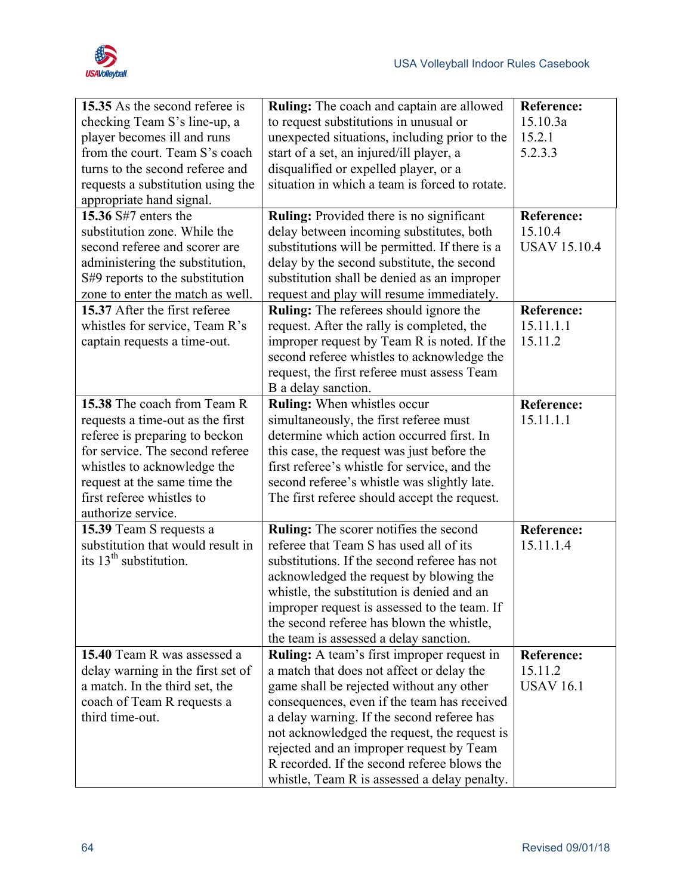

| 15.35 As the second referee is    | <b>Ruling:</b> The coach and captain are allowed | <b>Reference:</b>   |
|-----------------------------------|--------------------------------------------------|---------------------|
| checking Team S's line-up, a      | to request substitutions in unusual or           | 15.10.3a            |
| player becomes ill and runs       | unexpected situations, including prior to the    | 15.2.1              |
| from the court. Team S's coach    | start of a set, an injured/ill player, a         | 5.2.3.3             |
| turns to the second referee and   | disqualified or expelled player, or a            |                     |
| requests a substitution using the | situation in which a team is forced to rotate.   |                     |
| appropriate hand signal.          |                                                  |                     |
| 15.36 S#7 enters the              | Ruling: Provided there is no significant         | <b>Reference:</b>   |
| substitution zone. While the      | delay between incoming substitutes, both         | 15.10.4             |
| second referee and scorer are     | substitutions will be permitted. If there is a   | <b>USAV 15.10.4</b> |
| administering the substitution,   | delay by the second substitute, the second       |                     |
| S#9 reports to the substitution   | substitution shall be denied as an improper      |                     |
| zone to enter the match as well.  | request and play will resume immediately.        |                     |
| 15.37 After the first referee     | <b>Ruling:</b> The referees should ignore the    | <b>Reference:</b>   |
| whistles for service, Team R's    | request. After the rally is completed, the       | 15.11.1.1           |
| captain requests a time-out.      | improper request by Team R is noted. If the      | 15.11.2             |
|                                   | second referee whistles to acknowledge the       |                     |
|                                   | request, the first referee must assess Team      |                     |
|                                   | B a delay sanction.                              |                     |
| 15.38 The coach from Team R       | Ruling: When whistles occur                      | Reference:          |
| requests a time-out as the first  | simultaneously, the first referee must           | 15.11.1.1           |
| referee is preparing to beckon    | determine which action occurred first. In        |                     |
| for service. The second referee   | this case, the request was just before the       |                     |
| whistles to acknowledge the       | first referee's whistle for service, and the     |                     |
| request at the same time the      | second referee's whistle was slightly late.      |                     |
| first referee whistles to         | The first referee should accept the request.     |                     |
| authorize service.                |                                                  |                     |
| 15.39 Team S requests a           | Ruling: The scorer notifies the second           | <b>Reference:</b>   |
| substitution that would result in | referee that Team S has used all of its          | 15.11.1.4           |
| its $13th$ substitution.          | substitutions. If the second referee has not     |                     |
|                                   | acknowledged the request by blowing the          |                     |
|                                   | whistle, the substitution is denied and an       |                     |
|                                   | improper request is assessed to the team. If     |                     |
|                                   | the second referee has blown the whistle,        |                     |
|                                   | the team is assessed a delay sanction.           |                     |
| 15.40 Team R was assessed a       | Ruling: A team's first improper request in       | <b>Reference:</b>   |
| delay warning in the first set of | a match that does not affect or delay the        | 15.11.2             |
| a match. In the third set, the    | game shall be rejected without any other         | <b>USAV 16.1</b>    |
| coach of Team R requests a        | consequences, even if the team has received      |                     |
| third time-out.                   | a delay warning. If the second referee has       |                     |
|                                   | not acknowledged the request, the request is     |                     |
|                                   | rejected and an improper request by Team         |                     |
|                                   | R recorded. If the second referee blows the      |                     |
|                                   | whistle, Team R is assessed a delay penalty.     |                     |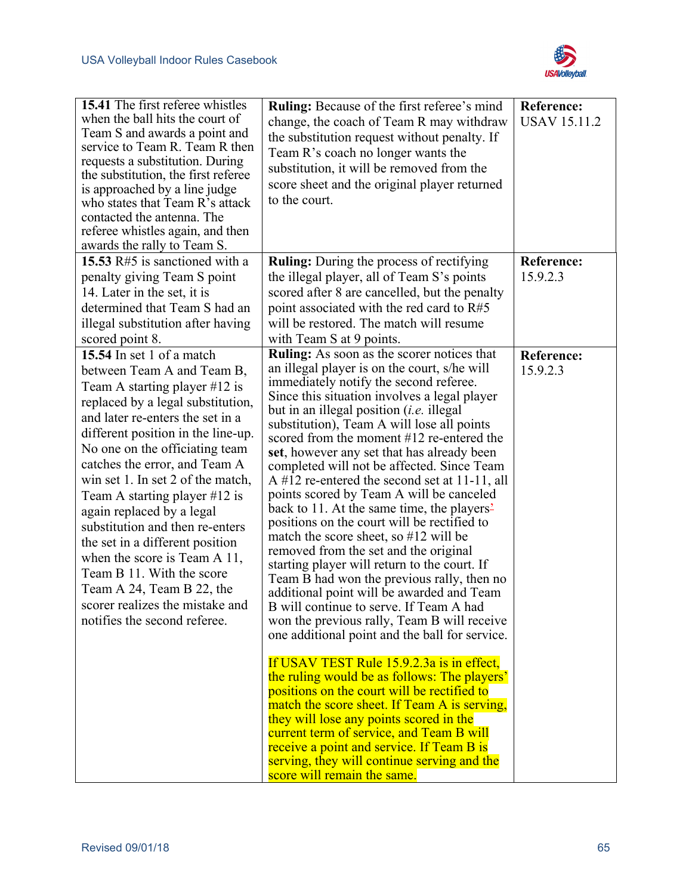

| 15.41 The first referee whistles<br>when the ball hits the court of<br>Team S and awards a point and<br>service to Team R. Team R then<br>requests a substitution. During<br>the substitution, the first referee<br>is approached by a line judge<br>who states that Team R's attack<br>contacted the antenna. The<br>referee whistles again, and then<br>awards the rally to Team S.                                                                                                                                                                                                                                | <b>Ruling:</b> Because of the first referee's mind<br>change, the coach of Team R may withdraw<br>the substitution request without penalty. If<br>Team R's coach no longer wants the<br>substitution, it will be removed from the<br>score sheet and the original player returned<br>to the court.                                                                                                                                                                                                                                                                                                                                                                                                                                                                                                                                                                                                                                                                                                                                                                                                                                                                                                                                                                                                                                                                                                                            | <b>Reference:</b><br><b>USAV 15.11.2</b> |
|----------------------------------------------------------------------------------------------------------------------------------------------------------------------------------------------------------------------------------------------------------------------------------------------------------------------------------------------------------------------------------------------------------------------------------------------------------------------------------------------------------------------------------------------------------------------------------------------------------------------|-------------------------------------------------------------------------------------------------------------------------------------------------------------------------------------------------------------------------------------------------------------------------------------------------------------------------------------------------------------------------------------------------------------------------------------------------------------------------------------------------------------------------------------------------------------------------------------------------------------------------------------------------------------------------------------------------------------------------------------------------------------------------------------------------------------------------------------------------------------------------------------------------------------------------------------------------------------------------------------------------------------------------------------------------------------------------------------------------------------------------------------------------------------------------------------------------------------------------------------------------------------------------------------------------------------------------------------------------------------------------------------------------------------------------------|------------------------------------------|
| 15.53 R#5 is sanctioned with a<br>penalty giving Team S point<br>14. Later in the set, it is<br>determined that Team S had an<br>illegal substitution after having<br>scored point 8.                                                                                                                                                                                                                                                                                                                                                                                                                                | <b>Ruling:</b> During the process of rectifying<br>the illegal player, all of Team S's points<br>scored after 8 are cancelled, but the penalty<br>point associated with the red card to R#5<br>will be restored. The match will resume<br>with Team S at 9 points.                                                                                                                                                                                                                                                                                                                                                                                                                                                                                                                                                                                                                                                                                                                                                                                                                                                                                                                                                                                                                                                                                                                                                            | <b>Reference:</b><br>15.9.2.3            |
| 15.54 In set 1 of a match<br>between Team A and Team B,<br>Team A starting player $#12$ is<br>replaced by a legal substitution,<br>and later re-enters the set in a<br>different position in the line-up.<br>No one on the officiating team<br>catches the error, and Team A<br>win set 1. In set 2 of the match,<br>Team A starting player $#12$ is<br>again replaced by a legal<br>substitution and then re-enters<br>the set in a different position<br>when the score is Team A 11,<br>Team B 11. With the score<br>Team A 24, Team B 22, the<br>scorer realizes the mistake and<br>notifies the second referee. | Ruling: As soon as the scorer notices that<br>an illegal player is on the court, s/he will<br>immediately notify the second referee.<br>Since this situation involves a legal player<br>but in an illegal position <i>(i.e.</i> illegal<br>substitution), Team A will lose all points<br>scored from the moment #12 re-entered the<br>set, however any set that has already been<br>completed will not be affected. Since Team<br>A #12 re-entered the second set at 11-11, all<br>points scored by Team A will be canceled<br>back to 11. At the same time, the players <sup>2</sup><br>positions on the court will be rectified to<br>match the score sheet, so $#12$ will be<br>removed from the set and the original<br>starting player will return to the court. If<br>Team B had won the previous rally, then no<br>additional point will be awarded and Team<br>B will continue to serve. If Team A had<br>won the previous rally, Team B will receive<br>one additional point and the ball for service.<br>If USAV TEST Rule 15.9.2.3a is in effect,<br>the ruling would be as follows: The players'<br>positions on the court will be rectified to<br>match the score sheet. If Team A is serving,<br>they will lose any points scored in the<br>current term of service, and Team B will<br>receive a point and service. If Team B is<br>serving, they will continue serving and the<br>score will remain the same. | <b>Reference:</b><br>15.9.2.3            |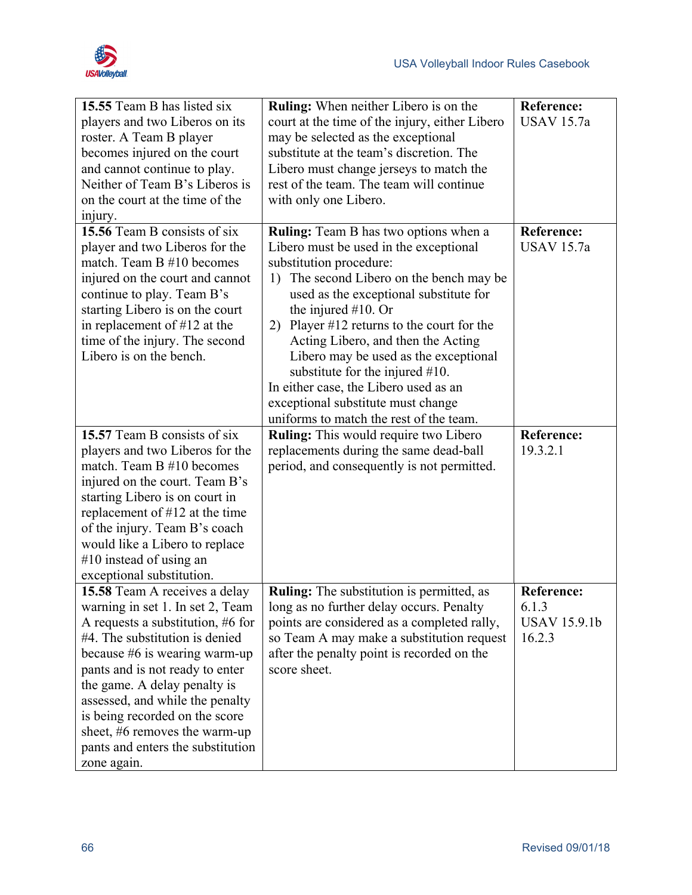

| 15.55 Team B has listed six<br>players and two Liberos on its<br>roster. A Team B player<br>becomes injured on the court<br>and cannot continue to play.<br>Neither of Team B's Liberos is<br>on the court at the time of the<br>injury.                                                                                                                                                                 | <b>Ruling:</b> When neither Libero is on the<br>court at the time of the injury, either Libero<br>may be selected as the exceptional<br>substitute at the team's discretion. The<br>Libero must change jerseys to match the<br>rest of the team. The team will continue<br>with only one Libero.                                                                                                                                                                                                                                                                                                                        | <b>Reference:</b><br><b>USAV</b> 15.7a                                  |
|----------------------------------------------------------------------------------------------------------------------------------------------------------------------------------------------------------------------------------------------------------------------------------------------------------------------------------------------------------------------------------------------------------|-------------------------------------------------------------------------------------------------------------------------------------------------------------------------------------------------------------------------------------------------------------------------------------------------------------------------------------------------------------------------------------------------------------------------------------------------------------------------------------------------------------------------------------------------------------------------------------------------------------------------|-------------------------------------------------------------------------|
| 15.56 Team B consists of six<br>player and two Liberos for the<br>match. Team B #10 becomes<br>injured on the court and cannot<br>continue to play. Team B's<br>starting Libero is on the court<br>in replacement of $#12$ at the<br>time of the injury. The second<br>Libero is on the bench.<br>15.57 Team B consists of six<br>players and two Liberos for the                                        | Ruling: Team B has two options when a<br>Libero must be used in the exceptional<br>substitution procedure:<br>The second Libero on the bench may be<br>1)<br>used as the exceptional substitute for<br>the injured $#10$ . Or<br>2) Player $\#12$ returns to the court for the<br>Acting Libero, and then the Acting<br>Libero may be used as the exceptional<br>substitute for the injured $#10$ .<br>In either case, the Libero used as an<br>exceptional substitute must change<br>uniforms to match the rest of the team.<br><b>Ruling:</b> This would require two Libero<br>replacements during the same dead-ball | <b>Reference:</b><br><b>USAV</b> 15.7a<br><b>Reference:</b><br>19.3.2.1 |
| match. Team B #10 becomes<br>injured on the court. Team B's<br>starting Libero is on court in<br>replacement of $#12$ at the time<br>of the injury. Team B's coach<br>would like a Libero to replace<br>$#10$ instead of using an<br>exceptional substitution.                                                                                                                                           | period, and consequently is not permitted.                                                                                                                                                                                                                                                                                                                                                                                                                                                                                                                                                                              |                                                                         |
| 15.58 Team A receives a delay<br>warning in set 1. In set 2, Team<br>A requests a substitution, #6 for<br>#4. The substitution is denied<br>because $#6$ is wearing warm-up<br>pants and is not ready to enter<br>the game. A delay penalty is<br>assessed, and while the penalty<br>is being recorded on the score<br>sheet, #6 removes the warm-up<br>pants and enters the substitution<br>zone again. | <b>Ruling:</b> The substitution is permitted, as<br>long as no further delay occurs. Penalty<br>points are considered as a completed rally,<br>so Team A may make a substitution request<br>after the penalty point is recorded on the<br>score sheet.                                                                                                                                                                                                                                                                                                                                                                  | <b>Reference:</b><br>6.1.3<br><b>USAV 15.9.1b</b><br>16.2.3             |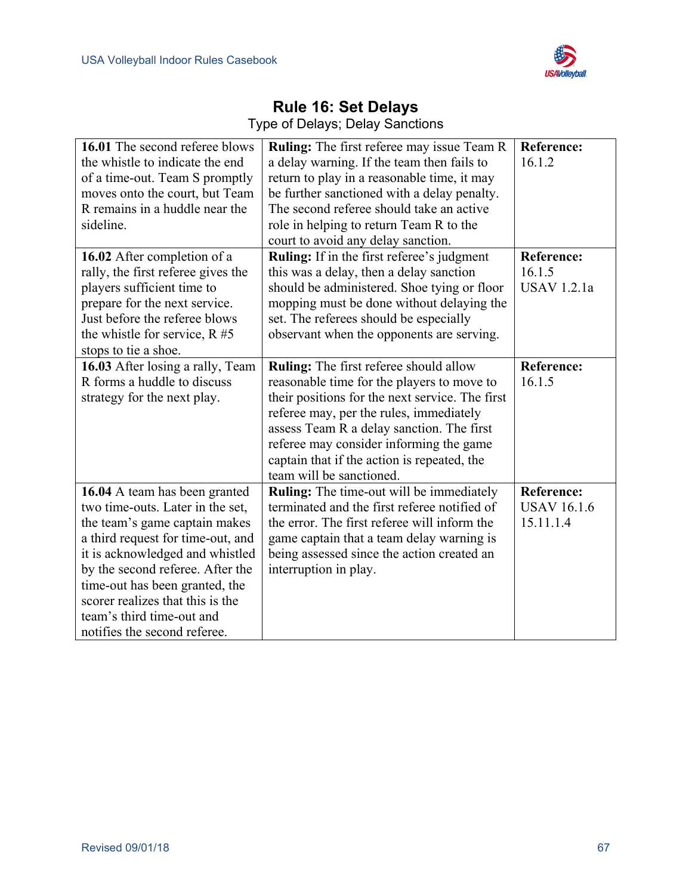

| 16.01 The second referee blows     | <b>Ruling:</b> The first referee may issue Team R | <b>Reference:</b>  |
|------------------------------------|---------------------------------------------------|--------------------|
| the whistle to indicate the end    | a delay warning. If the team then fails to        | 16.1.2             |
| of a time-out. Team S promptly     | return to play in a reasonable time, it may       |                    |
| moves onto the court, but Team     | be further sanctioned with a delay penalty.       |                    |
| R remains in a huddle near the     | The second referee should take an active          |                    |
| sideline.                          | role in helping to return Team R to the           |                    |
|                                    | court to avoid any delay sanction.                |                    |
| 16.02 After completion of a        | Ruling: If in the first referee's judgment        | <b>Reference:</b>  |
| rally, the first referee gives the | this was a delay, then a delay sanction           | 16.1.5             |
| players sufficient time to         | should be administered. Shoe tying or floor       | <b>USAV</b> 1.2.1a |
| prepare for the next service.      | mopping must be done without delaying the         |                    |
| Just before the referee blows      | set. The referees should be especially            |                    |
| the whistle for service, $R \# 5$  | observant when the opponents are serving.         |                    |
| stops to tie a shoe.               |                                                   |                    |
| 16.03 After losing a rally, Team   | Ruling: The first referee should allow            | <b>Reference:</b>  |
| R forms a huddle to discuss        | reasonable time for the players to move to        | 16.1.5             |
| strategy for the next play.        | their positions for the next service. The first   |                    |
|                                    | referee may, per the rules, immediately           |                    |
|                                    | assess Team R a delay sanction. The first         |                    |
|                                    | referee may consider informing the game           |                    |
|                                    | captain that if the action is repeated, the       |                    |
|                                    | team will be sanctioned.                          |                    |
| 16.04 A team has been granted      | <b>Ruling:</b> The time-out will be immediately   | <b>Reference:</b>  |
| two time-outs. Later in the set,   | terminated and the first referee notified of      | <b>USAV 16.1.6</b> |
| the team's game captain makes      | the error. The first referee will inform the      | 15.11.1.4          |
| a third request for time-out, and  | game captain that a team delay warning is         |                    |
| it is acknowledged and whistled    | being assessed since the action created an        |                    |
| by the second referee. After the   | interruption in play.                             |                    |
| time-out has been granted, the     |                                                   |                    |
| scorer realizes that this is the   |                                                   |                    |
| team's third time-out and          |                                                   |                    |
| notifies the second referee.       |                                                   |                    |

#### **Rule 16: Set Delays**  Type of Delays; Delay Sanctions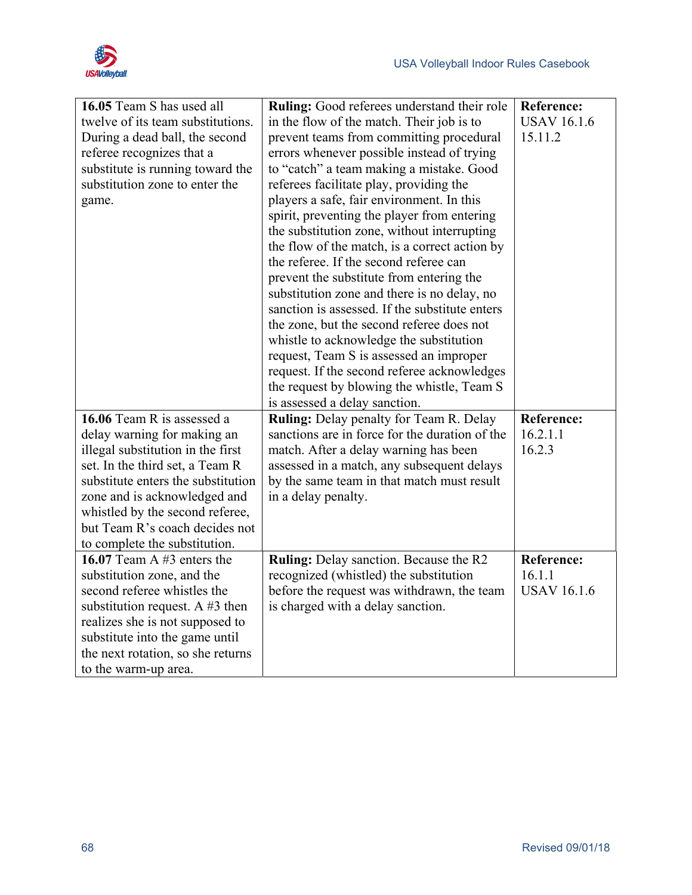

| 16.05 Team S has used all          | <b>Ruling:</b> Good referees understand their role | <b>Reference:</b>  |
|------------------------------------|----------------------------------------------------|--------------------|
| twelve of its team substitutions.  | in the flow of the match. Their job is to          | <b>USAV 16.1.6</b> |
| During a dead ball, the second     | prevent teams from committing procedural           | 15.11.2            |
| referee recognizes that a          | errors whenever possible instead of trying         |                    |
| substitute is running toward the   | to "catch" a team making a mistake. Good           |                    |
| substitution zone to enter the     | referees facilitate play, providing the            |                    |
| game.                              | players a safe, fair environment. In this          |                    |
|                                    | spirit, preventing the player from entering        |                    |
|                                    | the substitution zone, without interrupting        |                    |
|                                    | the flow of the match, is a correct action by      |                    |
|                                    | the referee. If the second referee can             |                    |
|                                    | prevent the substitute from entering the           |                    |
|                                    | substitution zone and there is no delay, no        |                    |
|                                    | sanction is assessed. If the substitute enters     |                    |
|                                    | the zone, but the second referee does not          |                    |
|                                    | whistle to acknowledge the substitution            |                    |
|                                    | request, Team S is assessed an improper            |                    |
|                                    | request. If the second referee acknowledges        |                    |
|                                    | the request by blowing the whistle, Team S         |                    |
|                                    | is assessed a delay sanction.                      |                    |
| 16.06 Team R is assessed a         | <b>Ruling:</b> Delay penalty for Team R. Delay     | Reference:         |
| delay warning for making an        | sanctions are in force for the duration of the     | 16.2.1.1           |
| illegal substitution in the first  | match. After a delay warning has been              | 16.2.3             |
| set. In the third set, a Team R    | assessed in a match, any subsequent delays         |                    |
| substitute enters the substitution | by the same team in that match must result         |                    |
| zone and is acknowledged and       | in a delay penalty.                                |                    |
| whistled by the second referee,    |                                                    |                    |
| but Team R's coach decides not     |                                                    |                    |
| to complete the substitution.      |                                                    |                    |
| 16.07 Team A $#3$ enters the       | Ruling: Delay sanction. Because the R2             | Reference:         |
| substitution zone, and the         | recognized (whistled) the substitution             | 16.1.1             |
| second referee whistles the        | before the request was withdrawn, the team         | <b>USAV 16.1.6</b> |
| substitution request. A $#3$ then  | is charged with a delay sanction.                  |                    |
| realizes she is not supposed to    |                                                    |                    |
| substitute into the game until     |                                                    |                    |
|                                    |                                                    |                    |
| the next rotation, so she returns  |                                                    |                    |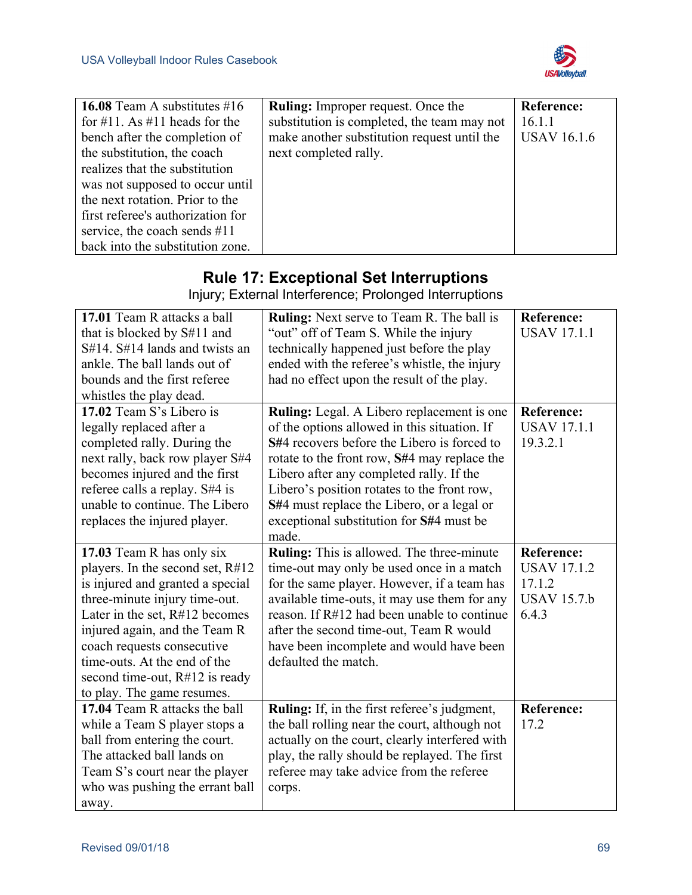

| 16.08 Team A substitutes $#16$    | <b>Ruling:</b> Improper request. Once the   | <b>Reference:</b>  |
|-----------------------------------|---------------------------------------------|--------------------|
| for #11. As #11 heads for the     | substitution is completed, the team may not | 16.1.1             |
| bench after the completion of     | make another substitution request until the | <b>USAV 16.1.6</b> |
| the substitution, the coach       | next completed rally.                       |                    |
| realizes that the substitution    |                                             |                    |
| was not supposed to occur until   |                                             |                    |
| the next rotation. Prior to the   |                                             |                    |
| first referee's authorization for |                                             |                    |
| service, the coach sends #11      |                                             |                    |
| back into the substitution zone.  |                                             |                    |

## **Rule 17: Exceptional Set Interruptions**

Injury; External Interference; Prolonged Interruptions

| 17.01 Team R attacks a ball         | <b>Ruling:</b> Next serve to Team R. The ball is | <b>Reference:</b>  |
|-------------------------------------|--------------------------------------------------|--------------------|
| that is blocked by S#11 and         | "out" off of Team S. While the injury            | <b>USAV 17.1.1</b> |
| $S#14$ . $S#14$ lands and twists an | technically happened just before the play        |                    |
| ankle. The ball lands out of        | ended with the referee's whistle, the injury     |                    |
| bounds and the first referee        | had no effect upon the result of the play.       |                    |
| whistles the play dead.             |                                                  |                    |
| 17.02 Team S's Libero is            | Ruling: Legal. A Libero replacement is one       | <b>Reference:</b>  |
| legally replaced after a            | of the options allowed in this situation. If     | <b>USAV 17.1.1</b> |
| completed rally. During the         | S#4 recovers before the Libero is forced to      | 19.3.2.1           |
| next rally, back row player S#4     | rotate to the front row, S#4 may replace the     |                    |
| becomes injured and the first       | Libero after any completed rally. If the         |                    |
| referee calls a replay. S#4 is      | Libero's position rotates to the front row,      |                    |
| unable to continue. The Libero      | S#4 must replace the Libero, or a legal or       |                    |
| replaces the injured player.        | exceptional substitution for S#4 must be         |                    |
|                                     | made.                                            |                    |
| 17.03 Team R has only six           | Ruling: This is allowed. The three-minute        | <b>Reference:</b>  |
| players. In the second set, R#12    | time-out may only be used once in a match        | <b>USAV 17.1.2</b> |
| is injured and granted a special    | for the same player. However, if a team has      | 17.1.2             |
| three-minute injury time-out.       | available time-outs, it may use them for any     | <b>USAV 15.7.b</b> |
| Later in the set, R#12 becomes      | reason. If R#12 had been unable to continue      | 6.4.3              |
| injured again, and the Team R       | after the second time-out, Team R would          |                    |
| coach requests consecutive          | have been incomplete and would have been         |                    |
| time-outs. At the end of the        | defaulted the match.                             |                    |
| second time-out, $R#12$ is ready    |                                                  |                    |
| to play. The game resumes.          |                                                  |                    |
| 17.04 Team R attacks the ball       | Ruling: If, in the first referee's judgment,     | Reference:         |
| while a Team S player stops a       | the ball rolling near the court, although not    | 17.2               |
| ball from entering the court.       | actually on the court, clearly interfered with   |                    |
| The attacked ball lands on          | play, the rally should be replayed. The first    |                    |
| Team S's court near the player      | referee may take advice from the referee         |                    |
| who was pushing the errant ball     | corps.                                           |                    |
| away.                               |                                                  |                    |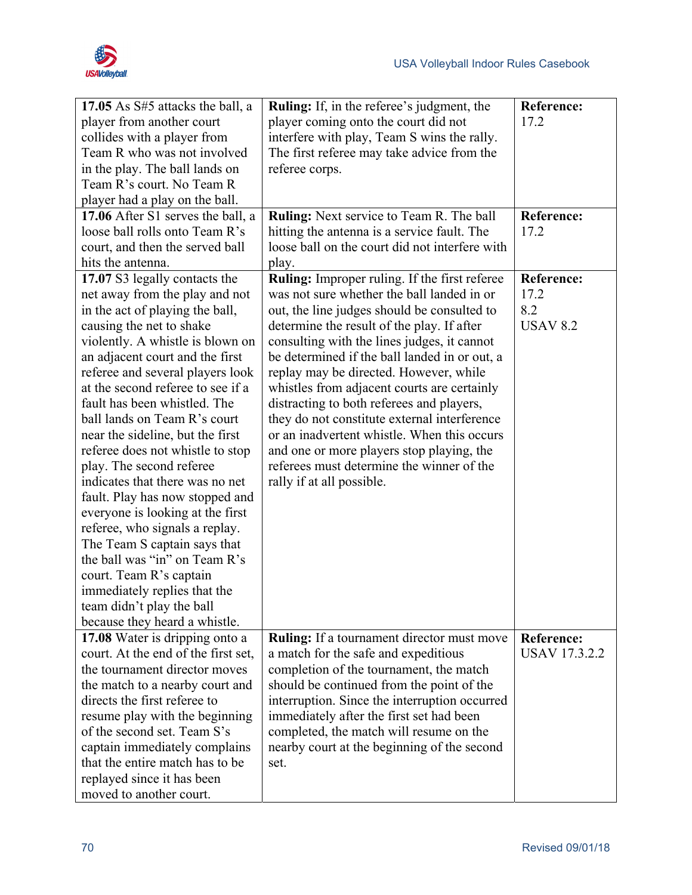

| 17.05 As $S#5$ attacks the ball, a  | <b>Ruling:</b> If, in the referee's judgment, the    | <b>Reference:</b>    |
|-------------------------------------|------------------------------------------------------|----------------------|
| player from another court           | player coming onto the court did not                 | 17.2                 |
| collides with a player from         | interfere with play, Team S wins the rally.          |                      |
| Team R who was not involved         | The first referee may take advice from the           |                      |
| in the play. The ball lands on      | referee corps.                                       |                      |
| Team R's court. No Team R           |                                                      |                      |
| player had a play on the ball.      |                                                      |                      |
| 17.06 After S1 serves the ball, a   | Ruling: Next service to Team R. The ball             | <b>Reference:</b>    |
| loose ball rolls onto Team R's      | hitting the antenna is a service fault. The          | 17.2                 |
| court, and then the served ball     | loose ball on the court did not interfere with       |                      |
| hits the antenna.                   | play.                                                |                      |
| 17.07 S3 legally contacts the       | <b>Ruling:</b> Improper ruling. If the first referee | <b>Reference:</b>    |
| net away from the play and not      | was not sure whether the ball landed in or           | 17.2                 |
| in the act of playing the ball,     | out, the line judges should be consulted to          | 8.2                  |
| causing the net to shake            | determine the result of the play. If after           | <b>USAV 8.2</b>      |
| violently. A whistle is blown on    | consulting with the lines judges, it cannot          |                      |
| an adjacent court and the first     | be determined if the ball landed in or out, a        |                      |
| referee and several players look    | replay may be directed. However, while               |                      |
| at the second referee to see if a   | whistles from adjacent courts are certainly          |                      |
| fault has been whistled. The        | distracting to both referees and players,            |                      |
| ball lands on Team R's court        | they do not constitute external interference         |                      |
| near the sideline, but the first    | or an inadvertent whistle. When this occurs          |                      |
| referee does not whistle to stop    | and one or more players stop playing, the            |                      |
| play. The second referee            | referees must determine the winner of the            |                      |
| indicates that there was no net     | rally if at all possible.                            |                      |
| fault. Play has now stopped and     |                                                      |                      |
| everyone is looking at the first    |                                                      |                      |
| referee, who signals a replay.      |                                                      |                      |
| The Team S captain says that        |                                                      |                      |
| the ball was "in" on Team R's       |                                                      |                      |
| court. Team R's captain             |                                                      |                      |
| immediately replies that the        |                                                      |                      |
| team didn't play the ball           |                                                      |                      |
| because they heard a whistle.       |                                                      |                      |
| 17.08 Water is dripping onto a      | <b>Ruling:</b> If a tournament director must move    | <b>Reference:</b>    |
| court. At the end of the first set, | a match for the safe and expeditious                 | <b>USAV 17.3.2.2</b> |
| the tournament director moves       | completion of the tournament, the match              |                      |
| the match to a nearby court and     | should be continued from the point of the            |                      |
| directs the first referee to        | interruption. Since the interruption occurred        |                      |
| resume play with the beginning      | immediately after the first set had been             |                      |
| of the second set. Team S's         | completed, the match will resume on the              |                      |
| captain immediately complains       | nearby court at the beginning of the second          |                      |
| that the entire match has to be     | set.                                                 |                      |
| replayed since it has been          |                                                      |                      |
| moved to another court.             |                                                      |                      |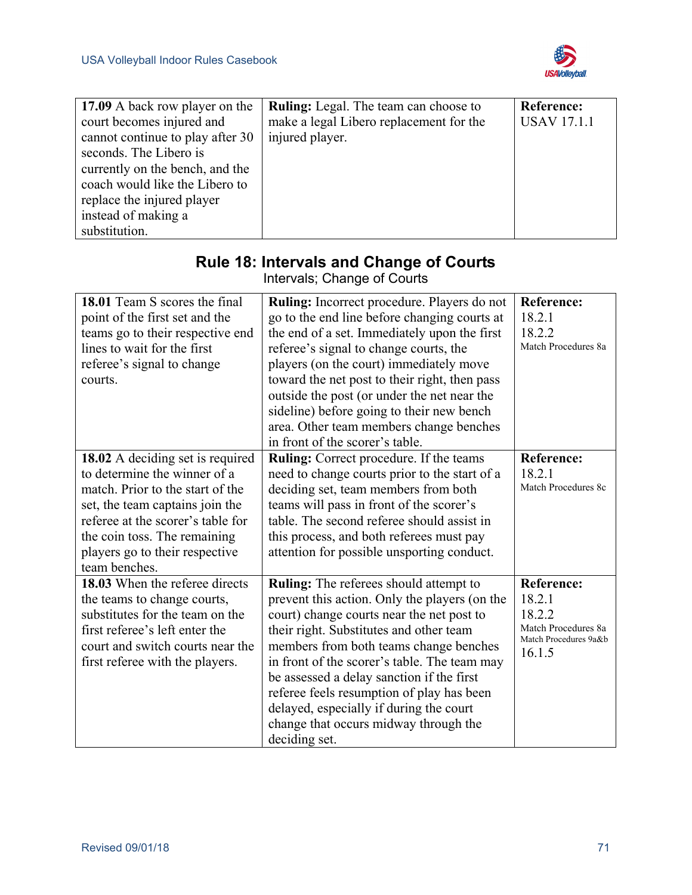

| 17.09 A back row player on the   | <b>Ruling:</b> Legal. The team can choose to | Reference:         |
|----------------------------------|----------------------------------------------|--------------------|
| court becomes injured and        | make a legal Libero replacement for the      | <b>USAV 17.1.1</b> |
| cannot continue to play after 30 | injured player.                              |                    |
| seconds. The Libero is           |                                              |                    |
| currently on the bench, and the  |                                              |                    |
| coach would like the Libero to   |                                              |                    |
| replace the injured player       |                                              |                    |
| instead of making a              |                                              |                    |
| substitution.                    |                                              |                    |

| Intervals; Change of Courts                                                                                                                                                                                                                                     |                                                                                                                                                                                                                                                                                                                                                                                                                                                                                 |                                                                                                 |
|-----------------------------------------------------------------------------------------------------------------------------------------------------------------------------------------------------------------------------------------------------------------|---------------------------------------------------------------------------------------------------------------------------------------------------------------------------------------------------------------------------------------------------------------------------------------------------------------------------------------------------------------------------------------------------------------------------------------------------------------------------------|-------------------------------------------------------------------------------------------------|
| 18.01 Team S scores the final<br>point of the first set and the<br>teams go to their respective end<br>lines to wait for the first<br>referee's signal to change<br>courts.                                                                                     | Ruling: Incorrect procedure. Players do not<br>go to the end line before changing courts at<br>the end of a set. Immediately upon the first<br>referee's signal to change courts, the<br>players (on the court) immediately move<br>toward the net post to their right, then pass<br>outside the post (or under the net near the<br>sideline) before going to their new bench<br>area. Other team members change benches<br>in front of the scorer's table.                     | <b>Reference:</b><br>18.2.1<br>18.2.2<br>Match Procedures 8a                                    |
| 18.02 A deciding set is required<br>to determine the winner of a<br>match. Prior to the start of the<br>set, the team captains join the<br>referee at the scorer's table for<br>the coin toss. The remaining<br>players go to their respective<br>team benches. | <b>Ruling:</b> Correct procedure. If the teams<br>need to change courts prior to the start of a<br>deciding set, team members from both<br>teams will pass in front of the scorer's<br>table. The second referee should assist in<br>this process, and both referees must pay<br>attention for possible unsporting conduct.                                                                                                                                                     | <b>Reference:</b><br>18.2.1<br>Match Procedures 8c                                              |
| 18.03 When the referee directs<br>the teams to change courts,<br>substitutes for the team on the<br>first referee's left enter the<br>court and switch courts near the<br>first referee with the players.                                                       | <b>Ruling:</b> The referees should attempt to<br>prevent this action. Only the players (on the<br>court) change courts near the net post to<br>their right. Substitutes and other team<br>members from both teams change benches<br>in front of the scorer's table. The team may<br>be assessed a delay sanction if the first<br>referee feels resumption of play has been<br>delayed, especially if during the court<br>change that occurs midway through the<br>deciding set. | <b>Reference:</b><br>18.2.1<br>18.2.2<br>Match Procedures 8a<br>Match Procedures 9a&b<br>16.1.5 |

# **Rule 18: Intervals and Change of Courts**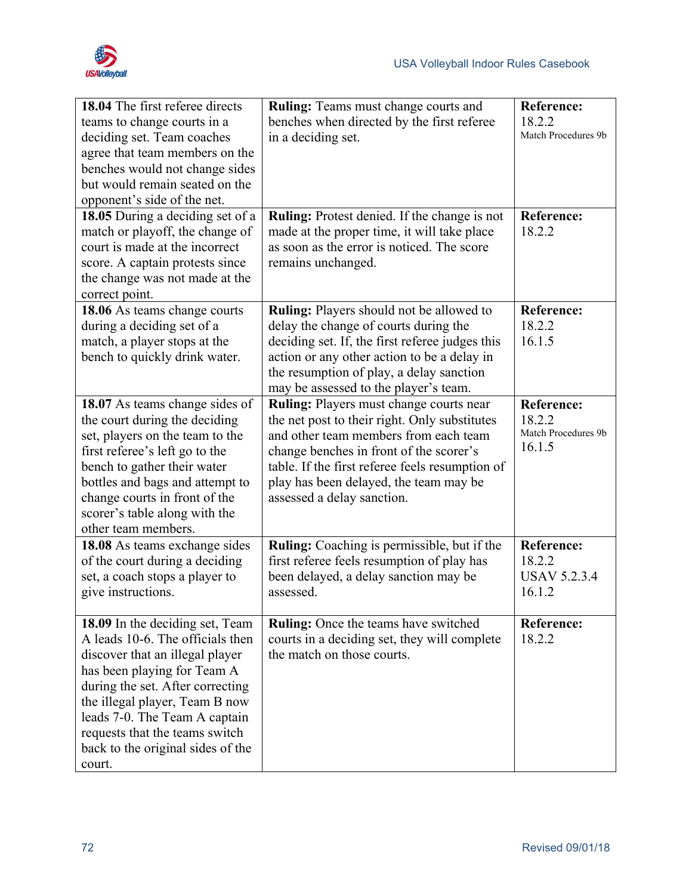

| 18.04 The first referee directs<br>teams to change courts in a<br>deciding set. Team coaches<br>agree that team members on the<br>benches would not change sides<br>but would remain seated on the<br>opponent's side of the net.<br>18.05 During a deciding set of a<br>match or playoff, the change of<br>court is made at the incorrect<br>score. A captain protests since | <b>Ruling:</b> Teams must change courts and<br>benches when directed by the first referee<br>in a deciding set.<br>Ruling: Protest denied. If the change is not<br>made at the proper time, it will take place<br>as soon as the error is noticed. The score<br>remains unchanged.                      | <b>Reference:</b><br>18.2.2<br>Match Procedures 9b<br><b>Reference:</b><br>18.2.2 |
|-------------------------------------------------------------------------------------------------------------------------------------------------------------------------------------------------------------------------------------------------------------------------------------------------------------------------------------------------------------------------------|---------------------------------------------------------------------------------------------------------------------------------------------------------------------------------------------------------------------------------------------------------------------------------------------------------|-----------------------------------------------------------------------------------|
| the change was not made at the<br>correct point.                                                                                                                                                                                                                                                                                                                              |                                                                                                                                                                                                                                                                                                         |                                                                                   |
| 18.06 As teams change courts<br>during a deciding set of a<br>match, a player stops at the<br>bench to quickly drink water.                                                                                                                                                                                                                                                   | Ruling: Players should not be allowed to<br>delay the change of courts during the<br>deciding set. If, the first referee judges this<br>action or any other action to be a delay in<br>the resumption of play, a delay sanction<br>may be assessed to the player's team.                                | <b>Reference:</b><br>18.2.2<br>16.1.5                                             |
| 18.07 As teams change sides of<br>the court during the deciding<br>set, players on the team to the<br>first referee's left go to the<br>bench to gather their water<br>bottles and bags and attempt to<br>change courts in front of the<br>scorer's table along with the<br>other team members.                                                                               | Ruling: Players must change courts near<br>the net post to their right. Only substitutes<br>and other team members from each team<br>change benches in front of the scorer's<br>table. If the first referee feels resumption of<br>play has been delayed, the team may be<br>assessed a delay sanction. | <b>Reference:</b><br>18.2.2<br>Match Procedures 9b<br>16.1.5                      |
| 18.08 As teams exchange sides<br>of the court during a deciding<br>set, a coach stops a player to<br>give instructions.                                                                                                                                                                                                                                                       | Ruling: Coaching is permissible, but if the<br>first referee feels resumption of play has<br>been delayed, a delay sanction may be<br>assessed.                                                                                                                                                         | <b>Reference:</b><br>18.2.2<br><b>USAV 5.2.3.4</b><br>16.1.2                      |
| 18.09 In the deciding set, Team<br>A leads 10-6. The officials then<br>discover that an illegal player<br>has been playing for Team A<br>during the set. After correcting<br>the illegal player, Team B now<br>leads 7-0. The Team A captain<br>requests that the teams switch<br>back to the original sides of the<br>court.                                                 | Ruling: Once the teams have switched<br>courts in a deciding set, they will complete<br>the match on those courts.                                                                                                                                                                                      | <b>Reference:</b><br>18.2.2                                                       |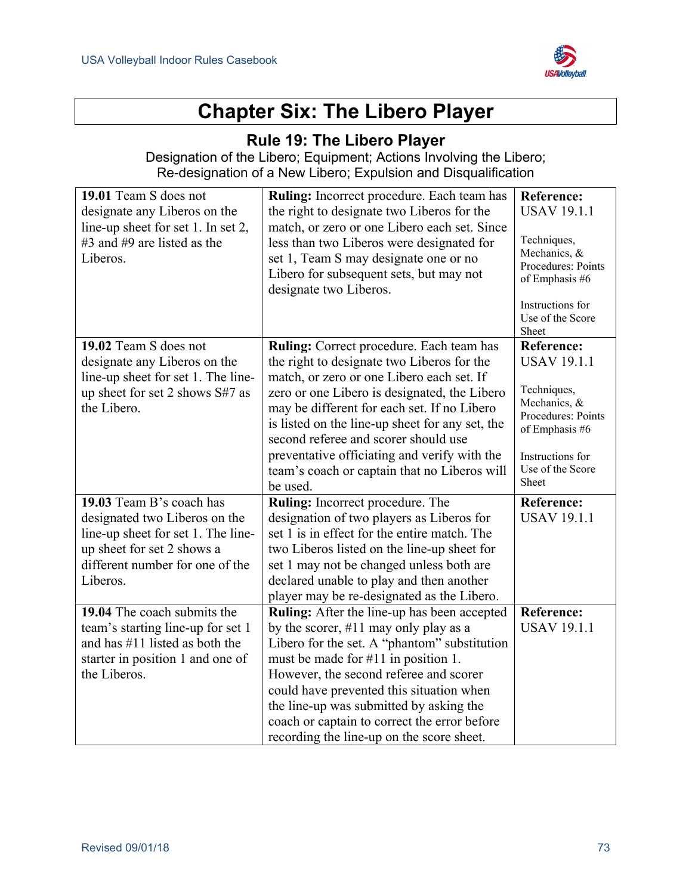

# **Chapter Six: The Libero Player**

### **Rule 19: The Libero Player**

Designation of the Libero; Equipment; Actions Involving the Libero; Re-designation of a New Libero; Expulsion and Disqualification

| 19.01 Team S does not<br>designate any Liberos on the<br>line-up sheet for set 1. In set 2,<br>#3 and #9 are listed as the<br>Liberos.                                       | Ruling: Incorrect procedure. Each team has<br>the right to designate two Liberos for the<br>match, or zero or one Libero each set. Since<br>less than two Liberos were designated for<br>set 1, Team S may designate one or no<br>Libero for subsequent sets, but may not<br>designate two Liberos.                                                                                                                                       | <b>Reference:</b><br><b>USAV 19.1.1</b><br>Techniques,<br>Mechanics, &<br>Procedures: Points<br>of Emphasis #6<br>Instructions for<br>Use of the Score<br>Sheet |
|------------------------------------------------------------------------------------------------------------------------------------------------------------------------------|-------------------------------------------------------------------------------------------------------------------------------------------------------------------------------------------------------------------------------------------------------------------------------------------------------------------------------------------------------------------------------------------------------------------------------------------|-----------------------------------------------------------------------------------------------------------------------------------------------------------------|
| 19.02 Team S does not<br>designate any Liberos on the<br>line-up sheet for set 1. The line-<br>up sheet for set 2 shows S#7 as<br>the Libero.                                | Ruling: Correct procedure. Each team has<br>the right to designate two Liberos for the<br>match, or zero or one Libero each set. If<br>zero or one Libero is designated, the Libero<br>may be different for each set. If no Libero<br>is listed on the line-up sheet for any set, the<br>second referee and scorer should use<br>preventative officiating and verify with the<br>team's coach or captain that no Liberos will<br>be used. | <b>Reference:</b><br><b>USAV 19.1.1</b><br>Techniques,<br>Mechanics, &<br>Procedures: Points<br>of Emphasis #6<br>Instructions for<br>Use of the Score<br>Sheet |
| 19.03 Team B's coach has<br>designated two Liberos on the<br>line-up sheet for set 1. The line-<br>up sheet for set 2 shows a<br>different number for one of the<br>Liberos. | Ruling: Incorrect procedure. The<br>designation of two players as Liberos for<br>set 1 is in effect for the entire match. The<br>two Liberos listed on the line-up sheet for<br>set 1 may not be changed unless both are<br>declared unable to play and then another<br>player may be re-designated as the Libero.                                                                                                                        | <b>Reference:</b><br><b>USAV 19.1.1</b>                                                                                                                         |
| 19.04 The coach submits the<br>team's starting line-up for set 1<br>and has $\#11$ listed as both the<br>starter in position 1 and one of<br>the Liberos.                    | Ruling: After the line-up has been accepted<br>by the scorer, $\#11$ may only play as a<br>Libero for the set. A "phantom" substitution<br>must be made for #11 in position 1.<br>However, the second referee and scorer<br>could have prevented this situation when<br>the line-up was submitted by asking the<br>coach or captain to correct the error before<br>recording the line-up on the score sheet.                              | <b>Reference:</b><br><b>USAV 19.1.1</b>                                                                                                                         |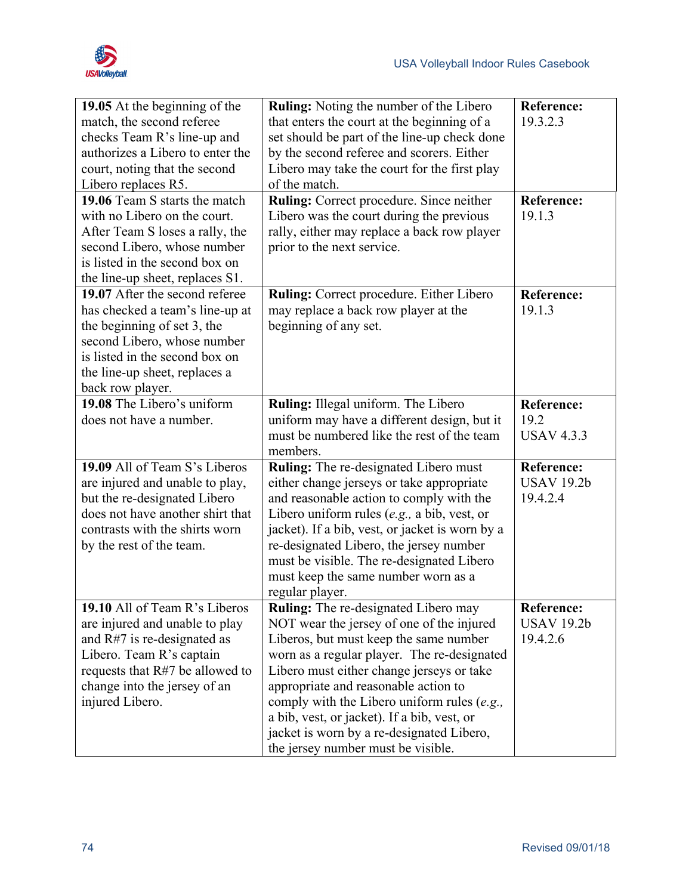

| 19.05 At the beginning of the     | <b>Ruling:</b> Noting the number of the Libero  | <b>Reference:</b> |
|-----------------------------------|-------------------------------------------------|-------------------|
| match, the second referee         | that enters the court at the beginning of a     | 19.3.2.3          |
| checks Team R's line-up and       | set should be part of the line-up check done    |                   |
| authorizes a Libero to enter the  | by the second referee and scorers. Either       |                   |
| court, noting that the second     | Libero may take the court for the first play    |                   |
| Libero replaces R5.               | of the match.                                   |                   |
| 19.06 Team S starts the match     | <b>Ruling:</b> Correct procedure. Since neither | <b>Reference:</b> |
| with no Libero on the court.      | Libero was the court during the previous        | 19.1.3            |
| After Team S loses a rally, the   | rally, either may replace a back row player     |                   |
| second Libero, whose number       | prior to the next service.                      |                   |
| is listed in the second box on    |                                                 |                   |
| the line-up sheet, replaces S1.   |                                                 |                   |
| 19.07 After the second referee    | Ruling: Correct procedure. Either Libero        | <b>Reference:</b> |
| has checked a team's line-up at   | may replace a back row player at the            | 19.1.3            |
| the beginning of set 3, the       | beginning of any set.                           |                   |
| second Libero, whose number       |                                                 |                   |
| is listed in the second box on    |                                                 |                   |
| the line-up sheet, replaces a     |                                                 |                   |
| back row player.                  |                                                 |                   |
| 19.08 The Libero's uniform        | Ruling: Illegal uniform. The Libero             | <b>Reference:</b> |
| does not have a number.           | uniform may have a different design, but it     | 19.2              |
|                                   | must be numbered like the rest of the team      | <b>USAV 4.3.3</b> |
|                                   | members.                                        |                   |
| 19.09 All of Team S's Liberos     | <b>Ruling:</b> The re-designated Libero must    | <b>Reference:</b> |
| are injured and unable to play,   | either change jerseys or take appropriate       | <b>USAV 19.2b</b> |
| but the re-designated Libero      | and reasonable action to comply with the        | 19.4.2.4          |
| does not have another shirt that  | Libero uniform rules $(e.g., a bib, vest, or$   |                   |
| contrasts with the shirts worn    | jacket). If a bib, vest, or jacket is worn by a |                   |
| by the rest of the team.          | re-designated Libero, the jersey number         |                   |
|                                   | must be visible. The re-designated Libero       |                   |
|                                   | must keep the same number worn as a             |                   |
|                                   | regular player.                                 |                   |
| 19.10 All of Team R's Liberos     | <b>Ruling:</b> The re-designated Libero may     | <b>Reference:</b> |
| are injured and unable to play    | NOT wear the jersey of one of the injured       | <b>USAV 19.2b</b> |
| and $R#7$ is re-designated as     | Liberos, but must keep the same number          | 19.4.2.6          |
| Libero. Team R's captain          | worn as a regular player. The re-designated     |                   |
| requests that $R#7$ be allowed to | Libero must either change jerseys or take       |                   |
| change into the jersey of an      | appropriate and reasonable action to            |                   |
| injured Libero.                   | comply with the Libero uniform rules (e.g.,     |                   |
|                                   | a bib, vest, or jacket). If a bib, vest, or     |                   |
|                                   | jacket is worn by a re-designated Libero,       |                   |
|                                   | the jersey number must be visible.              |                   |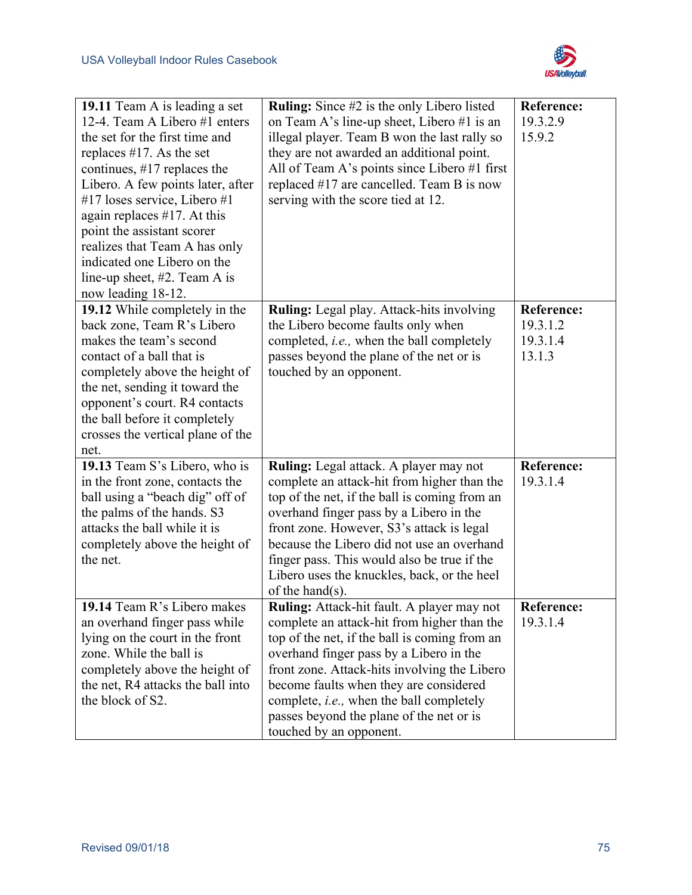

| 19.11 Team A is leading a set<br>12-4. Team A Libero #1 enters<br>the set for the first time and<br>replaces $#17$ . As the set<br>continues, $\#17$ replaces the<br>Libero. A few points later, after<br>#17 loses service, Libero #1<br>again replaces $#17$ . At this<br>point the assistant scorer<br>realizes that Team A has only<br>indicated one Libero on the<br>line-up sheet, $#2$ . Team A is<br>now leading 18-12. | <b>Ruling:</b> Since #2 is the only Libero listed<br>on Team A's line-up sheet, Libero #1 is an<br>illegal player. Team B won the last rally so<br>they are not awarded an additional point.<br>All of Team A's points since Libero #1 first<br>replaced #17 are cancelled. Team B is now<br>serving with the score tied at 12.                                                                            | <b>Reference:</b><br>19.3.2.9<br>15.9.2             |
|---------------------------------------------------------------------------------------------------------------------------------------------------------------------------------------------------------------------------------------------------------------------------------------------------------------------------------------------------------------------------------------------------------------------------------|------------------------------------------------------------------------------------------------------------------------------------------------------------------------------------------------------------------------------------------------------------------------------------------------------------------------------------------------------------------------------------------------------------|-----------------------------------------------------|
| 19.12 While completely in the<br>back zone, Team R's Libero<br>makes the team's second<br>contact of a ball that is<br>completely above the height of<br>the net, sending it toward the<br>opponent's court. R4 contacts<br>the ball before it completely<br>crosses the vertical plane of the<br>net.                                                                                                                          | <b>Ruling:</b> Legal play. Attack-hits involving<br>the Libero become faults only when<br>completed, <i>i.e.</i> , when the ball completely<br>passes beyond the plane of the net or is<br>touched by an opponent.                                                                                                                                                                                         | <b>Reference:</b><br>19.3.1.2<br>19.3.1.4<br>13.1.3 |
| 19.13 Team S's Libero, who is<br>in the front zone, contacts the<br>ball using a "beach dig" off of<br>the palms of the hands. S3<br>attacks the ball while it is<br>completely above the height of<br>the net.                                                                                                                                                                                                                 | <b>Ruling:</b> Legal attack. A player may not<br>complete an attack-hit from higher than the<br>top of the net, if the ball is coming from an<br>overhand finger pass by a Libero in the<br>front zone. However, S3's attack is legal<br>because the Libero did not use an overhand<br>finger pass. This would also be true if the<br>Libero uses the knuckles, back, or the heel<br>of the hand $(s)$ .   | <b>Reference:</b><br>19.3.1.4                       |
| 19.14 Team R's Libero makes<br>an overhand finger pass while<br>lying on the court in the front<br>zone. While the ball is<br>completely above the height of<br>the net, R4 attacks the ball into<br>the block of S2.                                                                                                                                                                                                           | Ruling: Attack-hit fault. A player may not<br>complete an attack-hit from higher than the<br>top of the net, if the ball is coming from an<br>overhand finger pass by a Libero in the<br>front zone. Attack-hits involving the Libero<br>become faults when they are considered<br>complete, <i>i.e.</i> , when the ball completely<br>passes beyond the plane of the net or is<br>touched by an opponent. | <b>Reference:</b><br>19.3.1.4                       |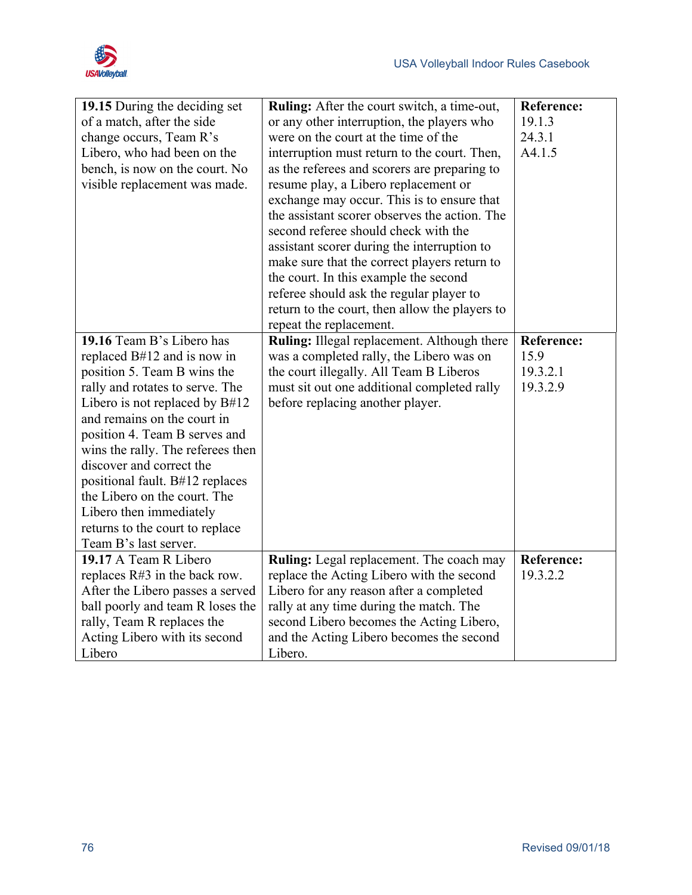

|                                   |                                                 | <b>Reference:</b> |
|-----------------------------------|-------------------------------------------------|-------------------|
| 19.15 During the deciding set     | Ruling: After the court switch, a time-out,     |                   |
| of a match, after the side        | or any other interruption, the players who      | 19.1.3            |
| change occurs, Team R's           | were on the court at the time of the            | 24.3.1            |
| Libero, who had been on the       | interruption must return to the court. Then,    | A4.1.5            |
| bench, is now on the court. No    | as the referees and scorers are preparing to    |                   |
| visible replacement was made.     | resume play, a Libero replacement or            |                   |
|                                   | exchange may occur. This is to ensure that      |                   |
|                                   | the assistant scorer observes the action. The   |                   |
|                                   | second referee should check with the            |                   |
|                                   | assistant scorer during the interruption to     |                   |
|                                   | make sure that the correct players return to    |                   |
|                                   | the court. In this example the second           |                   |
|                                   | referee should ask the regular player to        |                   |
|                                   | return to the court, then allow the players to  |                   |
|                                   | repeat the replacement.                         |                   |
| 19.16 Team B's Libero has         | Ruling: Illegal replacement. Although there     | <b>Reference:</b> |
| replaced B#12 and is now in       | was a completed rally, the Libero was on        | 15.9              |
| position 5. Team B wins the       | the court illegally. All Team B Liberos         | 19.3.2.1          |
| rally and rotates to serve. The   | must sit out one additional completed rally     | 19.3.2.9          |
| Libero is not replaced by $B#12$  | before replacing another player.                |                   |
| and remains on the court in       |                                                 |                   |
| position 4. Team B serves and     |                                                 |                   |
|                                   |                                                 |                   |
| wins the rally. The referees then |                                                 |                   |
| discover and correct the          |                                                 |                   |
| positional fault. B#12 replaces   |                                                 |                   |
| the Libero on the court. The      |                                                 |                   |
| Libero then immediately           |                                                 |                   |
| returns to the court to replace   |                                                 |                   |
| Team B's last server.             |                                                 |                   |
| 19.17 A Team R Libero             | <b>Ruling:</b> Legal replacement. The coach may | <b>Reference:</b> |
| replaces $R#3$ in the back row.   | replace the Acting Libero with the second       | 19.3.2.2          |
| After the Libero passes a served  | Libero for any reason after a completed         |                   |
| ball poorly and team R loses the  | rally at any time during the match. The         |                   |
| rally, Team R replaces the        | second Libero becomes the Acting Libero,        |                   |
| Acting Libero with its second     | and the Acting Libero becomes the second        |                   |
| Libero                            | Libero.                                         |                   |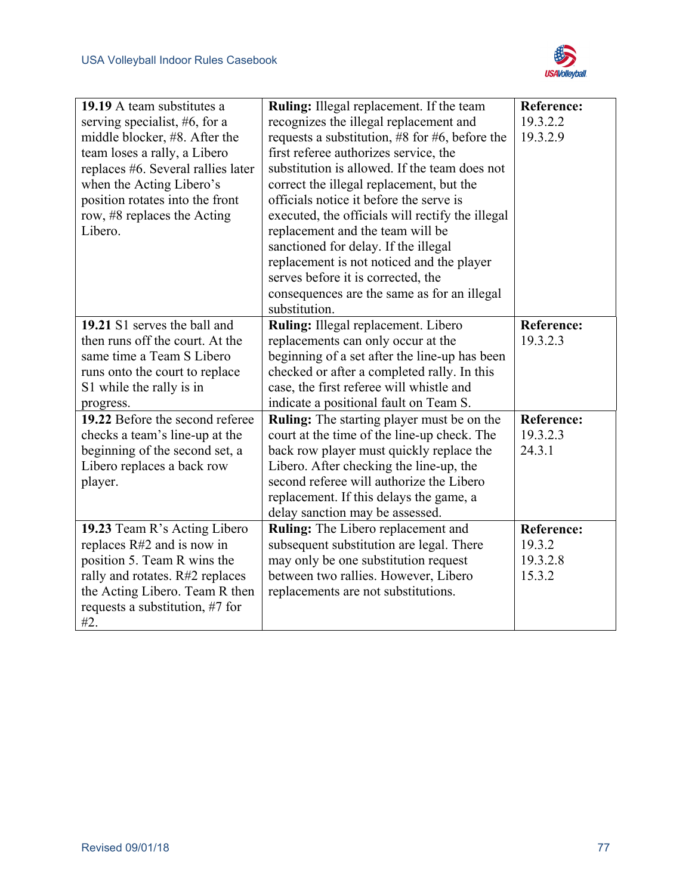

| 19.19 A team substitutes a<br>serving specialist, #6, for a<br>middle blocker, #8. After the<br>team loses a rally, a Libero<br>replaces #6. Several rallies later<br>when the Acting Libero's<br>position rotates into the front<br>row, #8 replaces the Acting<br>Libero.    | Ruling: Illegal replacement. If the team<br>recognizes the illegal replacement and<br>requests a substitution, $\#8$ for $\#6$ , before the<br>first referee authorizes service, the<br>substitution is allowed. If the team does not<br>correct the illegal replacement, but the<br>officials notice it before the serve is<br>executed, the officials will rectify the illegal<br>replacement and the team will be<br>sanctioned for delay. If the illegal<br>replacement is not noticed and the player<br>serves before it is corrected, the<br>consequences are the same as for an illegal<br>substitution. | <b>Reference:</b><br>19.3.2.2<br>19.3.2.9                                |
|--------------------------------------------------------------------------------------------------------------------------------------------------------------------------------------------------------------------------------------------------------------------------------|-----------------------------------------------------------------------------------------------------------------------------------------------------------------------------------------------------------------------------------------------------------------------------------------------------------------------------------------------------------------------------------------------------------------------------------------------------------------------------------------------------------------------------------------------------------------------------------------------------------------|--------------------------------------------------------------------------|
| 19.21 S1 serves the ball and<br>then runs off the court. At the<br>same time a Team S Libero<br>runs onto the court to replace<br>S1 while the rally is in<br>progress.<br>19.22 Before the second referee<br>checks a team's line-up at the<br>beginning of the second set, a | Ruling: Illegal replacement. Libero<br>replacements can only occur at the<br>beginning of a set after the line-up has been<br>checked or after a completed rally. In this<br>case, the first referee will whistle and<br>indicate a positional fault on Team S.<br><b>Ruling:</b> The starting player must be on the<br>court at the time of the line-up check. The<br>back row player must quickly replace the                                                                                                                                                                                                 | <b>Reference:</b><br>19.3.2.3<br><b>Reference:</b><br>19.3.2.3<br>24.3.1 |
| Libero replaces a back row<br>player.                                                                                                                                                                                                                                          | Libero. After checking the line-up, the<br>second referee will authorize the Libero<br>replacement. If this delays the game, a<br>delay sanction may be assessed.                                                                                                                                                                                                                                                                                                                                                                                                                                               |                                                                          |
| 19.23 Team R's Acting Libero<br>replaces R#2 and is now in<br>position 5. Team R wins the<br>rally and rotates. R#2 replaces<br>the Acting Libero. Team R then<br>requests a substitution, #7 for<br>#2.                                                                       | Ruling: The Libero replacement and<br>subsequent substitution are legal. There<br>may only be one substitution request<br>between two rallies. However, Libero<br>replacements are not substitutions.                                                                                                                                                                                                                                                                                                                                                                                                           | <b>Reference:</b><br>19.3.2<br>19.3.2.8<br>15.3.2                        |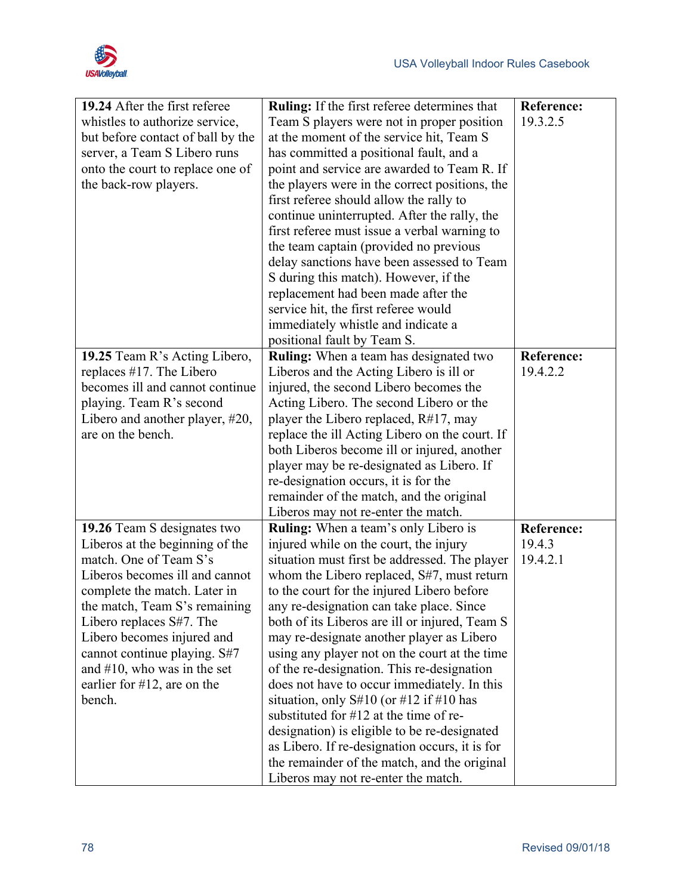

| 19.24 After the first referee     | <b>Ruling:</b> If the first referee determines that | <b>Reference:</b> |
|-----------------------------------|-----------------------------------------------------|-------------------|
| whistles to authorize service,    | Team S players were not in proper position          | 19.3.2.5          |
| but before contact of ball by the | at the moment of the service hit, Team S            |                   |
| server, a Team S Libero runs      | has committed a positional fault, and a             |                   |
| onto the court to replace one of  | point and service are awarded to Team R. If         |                   |
| the back-row players.             | the players were in the correct positions, the      |                   |
|                                   | first referee should allow the rally to             |                   |
|                                   | continue uninterrupted. After the rally, the        |                   |
|                                   | first referee must issue a verbal warning to        |                   |
|                                   | the team captain (provided no previous              |                   |
|                                   | delay sanctions have been assessed to Team          |                   |
|                                   | S during this match). However, if the               |                   |
|                                   | replacement had been made after the                 |                   |
|                                   | service hit, the first referee would                |                   |
|                                   | immediately whistle and indicate a                  |                   |
|                                   | positional fault by Team S.                         |                   |
| 19.25 Team R's Acting Libero,     | <b>Ruling:</b> When a team has designated two       | <b>Reference:</b> |
| replaces #17. The Libero          | Liberos and the Acting Libero is ill or             | 19.4.2.2          |
| becomes ill and cannot continue   | injured, the second Libero becomes the              |                   |
| playing. Team R's second          | Acting Libero. The second Libero or the             |                   |
| Libero and another player, #20,   | player the Libero replaced, $R#17$ , may            |                   |
| are on the bench.                 | replace the ill Acting Libero on the court. If      |                   |
|                                   | both Liberos become ill or injured, another         |                   |
|                                   | player may be re-designated as Libero. If           |                   |
|                                   | re-designation occurs, it is for the                |                   |
|                                   | remainder of the match, and the original            |                   |
|                                   | Liberos may not re-enter the match.                 |                   |
| 19.26 Team S designates two       | <b>Ruling:</b> When a team's only Libero is         | <b>Reference:</b> |
| Liberos at the beginning of the   | injured while on the court, the injury              | 19.4.3            |
| match. One of Team S's            | situation must first be addressed. The player       | 19.4.2.1          |
| Liberos becomes ill and cannot    | whom the Libero replaced, S#7, must return          |                   |
| complete the match. Later in      | to the court for the injured Libero before          |                   |
| the match, Team S's remaining     | any re-designation can take place. Since            |                   |
| Libero replaces S#7. The          | both of its Liberos are ill or injured, Team S      |                   |
| Libero becomes injured and        | may re-designate another player as Libero           |                   |
| cannot continue playing. S#7      | using any player not on the court at the time       |                   |
| and $#10$ , who was in the set    | of the re-designation. This re-designation          |                   |
| earlier for $#12$ , are on the    | does not have to occur immediately. In this         |                   |
| bench.                            | situation, only $S#10$ (or $#12$ if $#10$ has       |                   |
|                                   | substituted for #12 at the time of re-              |                   |
|                                   | designation) is eligible to be re-designated        |                   |
|                                   | as Libero. If re-designation occurs, it is for      |                   |
|                                   | the remainder of the match, and the original        |                   |
|                                   | Liberos may not re-enter the match.                 |                   |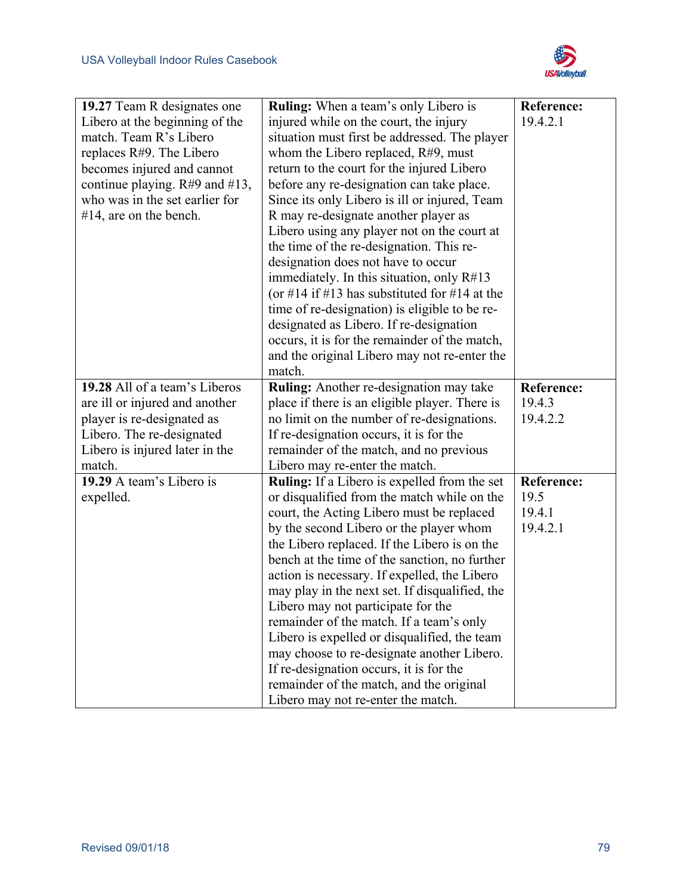

| 19.27 Team R designates one      | <b>Ruling:</b> When a team's only Libero is         | Reference:        |
|----------------------------------|-----------------------------------------------------|-------------------|
| Libero at the beginning of the   | injured while on the court, the injury              | 19.4.2.1          |
| match. Team R's Libero           | situation must first be addressed. The player       |                   |
| replaces R#9. The Libero         | whom the Libero replaced, R#9, must                 |                   |
| becomes injured and cannot       | return to the court for the injured Libero          |                   |
| continue playing. $R#9$ and #13, | before any re-designation can take place.           |                   |
| who was in the set earlier for   | Since its only Libero is ill or injured, Team       |                   |
| $#14$ , are on the bench.        | R may re-designate another player as                |                   |
|                                  | Libero using any player not on the court at         |                   |
|                                  | the time of the re-designation. This re-            |                   |
|                                  | designation does not have to occur                  |                   |
|                                  | immediately. In this situation, only $R#13$         |                   |
|                                  | (or #14 if #13 has substituted for #14 at the       |                   |
|                                  | time of re-designation) is eligible to be re-       |                   |
|                                  | designated as Libero. If re-designation             |                   |
|                                  | occurs, it is for the remainder of the match,       |                   |
|                                  | and the original Libero may not re-enter the        |                   |
|                                  | match.                                              |                   |
| 19.28 All of a team's Liberos    | <b>Ruling:</b> Another re-designation may take      | <b>Reference:</b> |
| are ill or injured and another   | place if there is an eligible player. There is      | 19.4.3            |
| player is re-designated as       | no limit on the number of re-designations.          | 19.4.2.2          |
| Libero. The re-designated        | If re-designation occurs, it is for the             |                   |
| Libero is injured later in the   | remainder of the match, and no previous             |                   |
| match.                           | Libero may re-enter the match.                      |                   |
| 19.29 A team's Libero is         | <b>Ruling:</b> If a Libero is expelled from the set | <b>Reference:</b> |
| expelled.                        | or disqualified from the match while on the         | 19.5              |
|                                  | court, the Acting Libero must be replaced           | 19.4.1            |
|                                  | by the second Libero or the player whom             | 19.4.2.1          |
|                                  | the Libero replaced. If the Libero is on the        |                   |
|                                  | bench at the time of the sanction, no further       |                   |
|                                  | action is necessary. If expelled, the Libero        |                   |
|                                  | may play in the next set. If disqualified, the      |                   |
|                                  | Libero may not participate for the                  |                   |
|                                  | remainder of the match. If a team's only            |                   |
|                                  | Libero is expelled or disqualified, the team        |                   |
|                                  | may choose to re-designate another Libero.          |                   |
|                                  | If re-designation occurs, it is for the             |                   |
|                                  | remainder of the match, and the original            |                   |
|                                  | Libero may not re-enter the match.                  |                   |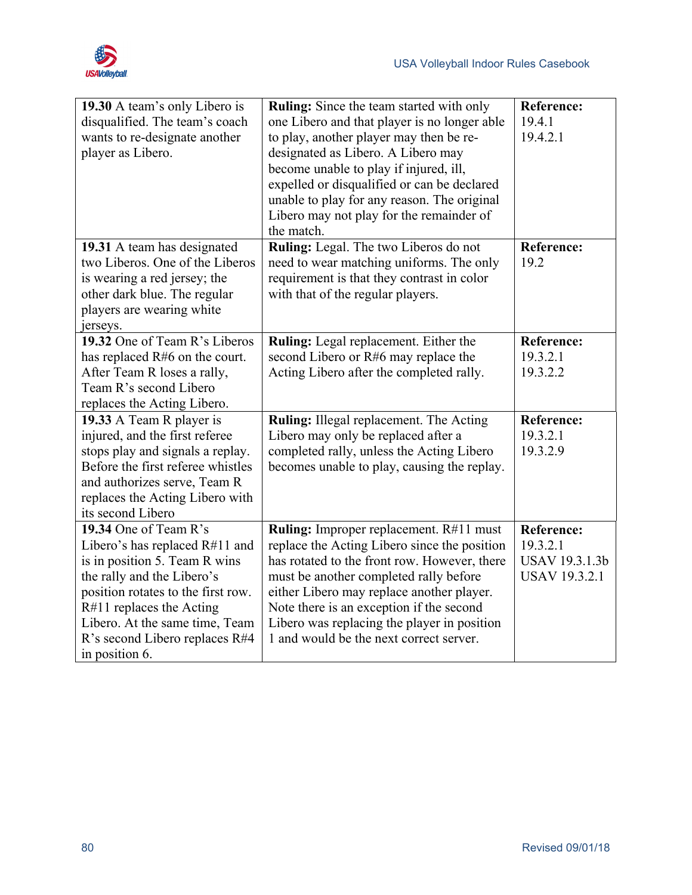

| 19.30 A team's only Libero is<br>disqualified. The team's coach<br>wants to re-designate another<br>player as Libero.                                                                                                                                                          | <b>Ruling:</b> Since the team started with only<br>one Libero and that player is no longer able<br>to play, another player may then be re-<br>designated as Libero. A Libero may<br>become unable to play if injured, ill,<br>expelled or disqualified or can be declared<br>unable to play for any reason. The original<br>Libero may not play for the remainder of<br>the match. | <b>Reference:</b><br>19.4.1<br>19.4.2.1                                        |
|--------------------------------------------------------------------------------------------------------------------------------------------------------------------------------------------------------------------------------------------------------------------------------|------------------------------------------------------------------------------------------------------------------------------------------------------------------------------------------------------------------------------------------------------------------------------------------------------------------------------------------------------------------------------------|--------------------------------------------------------------------------------|
| 19.31 A team has designated<br>two Liberos. One of the Liberos<br>is wearing a red jersey; the<br>other dark blue. The regular<br>players are wearing white<br>jerseys.                                                                                                        | Ruling: Legal. The two Liberos do not<br>need to wear matching uniforms. The only<br>requirement is that they contrast in color<br>with that of the regular players.                                                                                                                                                                                                               | <b>Reference:</b><br>19.2                                                      |
| 19.32 One of Team R's Liberos<br>has replaced R#6 on the court.<br>After Team R loses a rally,<br>Team R's second Libero<br>replaces the Acting Libero.                                                                                                                        | Ruling: Legal replacement. Either the<br>second Libero or R#6 may replace the<br>Acting Libero after the completed rally.                                                                                                                                                                                                                                                          | <b>Reference:</b><br>19.3.2.1<br>19.3.2.2                                      |
| 19.33 A Team R player is<br>injured, and the first referee<br>stops play and signals a replay.<br>Before the first referee whistles<br>and authorizes serve, Team R<br>replaces the Acting Libero with<br>its second Libero                                                    | Ruling: Illegal replacement. The Acting<br>Libero may only be replaced after a<br>completed rally, unless the Acting Libero<br>becomes unable to play, causing the replay.                                                                                                                                                                                                         | <b>Reference:</b><br>19.3.2.1<br>19.3.2.9                                      |
| 19.34 One of Team R's<br>Libero's has replaced R#11 and<br>is in position 5. Team R wins<br>the rally and the Libero's<br>position rotates to the first row.<br>R#11 replaces the Acting<br>Libero. At the same time, Team<br>R's second Libero replaces R#4<br>in position 6. | <b>Ruling:</b> Improper replacement. R#11 must<br>replace the Acting Libero since the position<br>has rotated to the front row. However, there<br>must be another completed rally before<br>either Libero may replace another player.<br>Note there is an exception if the second<br>Libero was replacing the player in position<br>1 and would be the next correct server.        | <b>Reference:</b><br>19.3.2.1<br><b>USAV 19.3.1.3b</b><br><b>USAV 19.3.2.1</b> |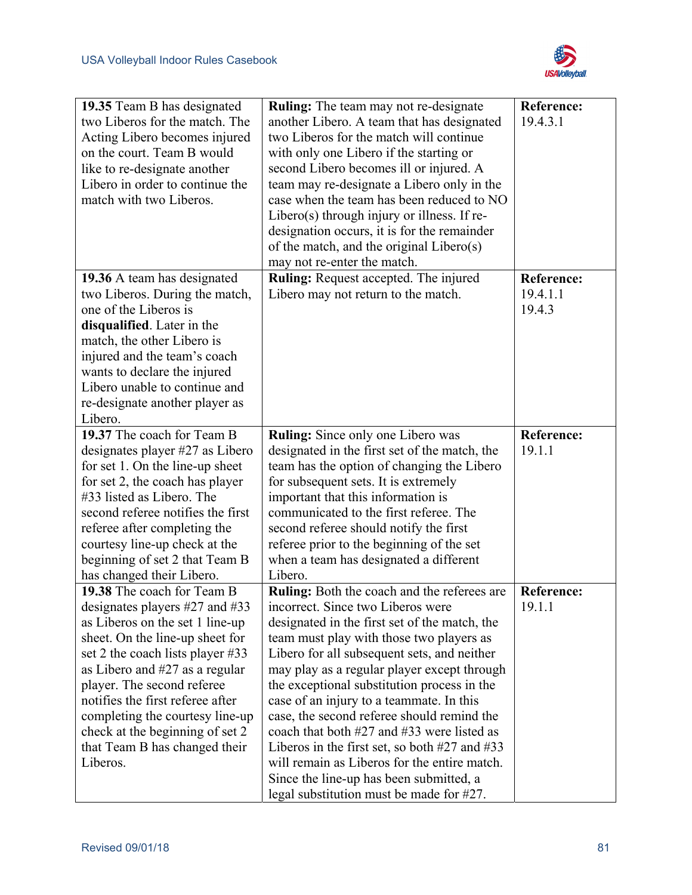

| 19.35 Team B has designated<br>two Liberos for the match. The<br>Acting Libero becomes injured<br>on the court. Team B would<br>like to re-designate another<br>Libero in order to continue the<br>match with two Liberos.                                                                                                                                                                          | Ruling: The team may not re-designate<br>another Libero. A team that has designated<br>two Liberos for the match will continue<br>with only one Libero if the starting or<br>second Libero becomes ill or injured. A<br>team may re-designate a Libero only in the<br>case when the team has been reduced to NO<br>Libero(s) through injury or illness. If re-<br>designation occurs, it is for the remainder<br>of the match, and the original Libero(s)<br>may not re-enter the match.                                                                                                                                                                       | <b>Reference:</b><br>19.4.3.1           |
|-----------------------------------------------------------------------------------------------------------------------------------------------------------------------------------------------------------------------------------------------------------------------------------------------------------------------------------------------------------------------------------------------------|----------------------------------------------------------------------------------------------------------------------------------------------------------------------------------------------------------------------------------------------------------------------------------------------------------------------------------------------------------------------------------------------------------------------------------------------------------------------------------------------------------------------------------------------------------------------------------------------------------------------------------------------------------------|-----------------------------------------|
| 19.36 A team has designated<br>two Liberos. During the match,<br>one of the Liberos is<br>disqualified. Later in the<br>match, the other Libero is<br>injured and the team's coach<br>wants to declare the injured<br>Libero unable to continue and<br>re-designate another player as<br>Libero.                                                                                                    | Ruling: Request accepted. The injured<br>Libero may not return to the match.                                                                                                                                                                                                                                                                                                                                                                                                                                                                                                                                                                                   | <b>Reference:</b><br>19.4.1.1<br>19.4.3 |
| 19.37 The coach for Team B<br>designates player #27 as Libero<br>for set 1. On the line-up sheet<br>for set 2, the coach has player<br>#33 listed as Libero. The<br>second referee notifies the first<br>referee after completing the<br>courtesy line-up check at the<br>beginning of set 2 that Team B<br>has changed their Libero.                                                               | <b>Ruling:</b> Since only one Libero was<br>designated in the first set of the match, the<br>team has the option of changing the Libero<br>for subsequent sets. It is extremely<br>important that this information is<br>communicated to the first referee. The<br>second referee should notify the first<br>referee prior to the beginning of the set<br>when a team has designated a different<br>Libero.                                                                                                                                                                                                                                                    | <b>Reference:</b><br>19.1.1             |
| 19.38 The coach for Team B<br>designates players $#27$ and $#33$<br>as Liberos on the set 1 line-up<br>sheet. On the line-up sheet for<br>set 2 the coach lists player #33<br>as Libero and $#27$ as a regular<br>player. The second referee<br>notifies the first referee after<br>completing the courtesy line-up<br>check at the beginning of set 2<br>that Team B has changed their<br>Liberos. | Ruling: Both the coach and the referees are<br>incorrect. Since two Liberos were<br>designated in the first set of the match, the<br>team must play with those two players as<br>Libero for all subsequent sets, and neither<br>may play as a regular player except through<br>the exceptional substitution process in the<br>case of an injury to a teammate. In this<br>case, the second referee should remind the<br>coach that both #27 and #33 were listed as<br>Liberos in the first set, so both $#27$ and $#33$<br>will remain as Liberos for the entire match.<br>Since the line-up has been submitted, a<br>legal substitution must be made for #27. | <b>Reference:</b><br>19.1.1             |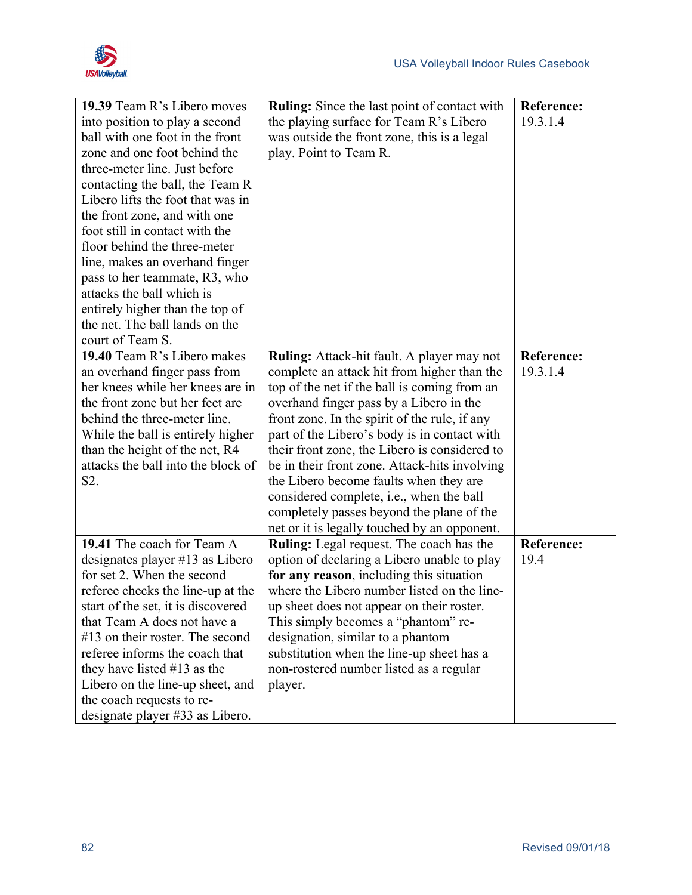

| 19.39 Team R's Libero moves        | <b>Ruling:</b> Since the last point of contact with | <b>Reference:</b> |
|------------------------------------|-----------------------------------------------------|-------------------|
| into position to play a second     | the playing surface for Team R's Libero             | 19.3.1.4          |
| ball with one foot in the front    | was outside the front zone, this is a legal         |                   |
| zone and one foot behind the       | play. Point to Team R.                              |                   |
| three-meter line. Just before      |                                                     |                   |
| contacting the ball, the Team R    |                                                     |                   |
| Libero lifts the foot that was in  |                                                     |                   |
| the front zone, and with one       |                                                     |                   |
| foot still in contact with the     |                                                     |                   |
| floor behind the three-meter       |                                                     |                   |
| line, makes an overhand finger     |                                                     |                   |
| pass to her teammate, R3, who      |                                                     |                   |
| attacks the ball which is          |                                                     |                   |
| entirely higher than the top of    |                                                     |                   |
| the net. The ball lands on the     |                                                     |                   |
| court of Team S.                   |                                                     |                   |
| 19.40 Team R's Libero makes        | <b>Ruling:</b> Attack-hit fault. A player may not   | <b>Reference:</b> |
| an overhand finger pass from       | complete an attack hit from higher than the         | 19.3.1.4          |
| her knees while her knees are in   | top of the net if the ball is coming from an        |                   |
| the front zone but her feet are    | overhand finger pass by a Libero in the             |                   |
| behind the three-meter line.       | front zone. In the spirit of the rule, if any       |                   |
| While the ball is entirely higher  | part of the Libero's body is in contact with        |                   |
| than the height of the net, R4     | their front zone, the Libero is considered to       |                   |
| attacks the ball into the block of | be in their front zone. Attack-hits involving       |                   |
| S2.                                | the Libero become faults when they are              |                   |
|                                    | considered complete, i.e., when the ball            |                   |
|                                    | completely passes beyond the plane of the           |                   |
|                                    | net or it is legally touched by an opponent.        |                   |
| 19.41 The coach for Team A         | Ruling: Legal request. The coach has the            | <b>Reference:</b> |
| designates player #13 as Libero    | option of declaring a Libero unable to play         | 19.4              |
| for set 2. When the second         | for any reason, including this situation            |                   |
| referee checks the line-up at the  | where the Libero number listed on the line-         |                   |
| start of the set, it is discovered | up sheet does not appear on their roster.           |                   |
| that Team A does not have a        | This simply becomes a "phantom" re-                 |                   |
| $#13$ on their roster. The second  | designation, similar to a phantom                   |                   |
| referee informs the coach that     | substitution when the line-up sheet has a           |                   |
| they have listed $#13$ as the      | non-rostered number listed as a regular             |                   |
| Libero on the line-up sheet, and   | player.                                             |                   |
| the coach requests to re-          |                                                     |                   |
| designate player #33 as Libero.    |                                                     |                   |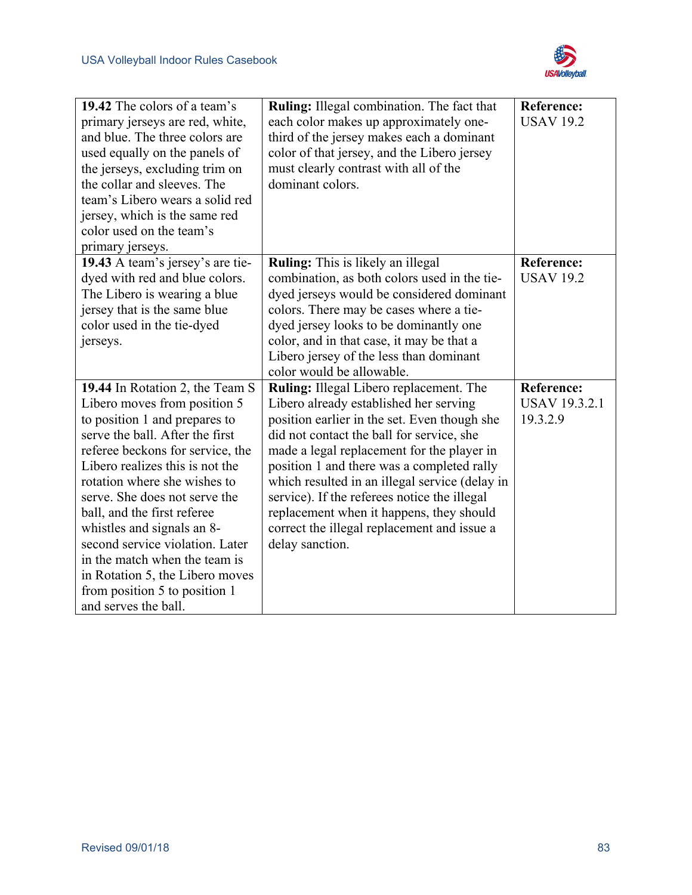

| 19.42 The colors of a team's<br>primary jerseys are red, white,<br>and blue. The three colors are<br>used equally on the panels of<br>the jerseys, excluding trim on<br>the collar and sleeves. The<br>team's Libero wears a solid red<br>jersey, which is the same red<br>color used on the team's<br>primary jerseys.                                                                                                                                                                                  | Ruling: Illegal combination. The fact that<br>each color makes up approximately one-<br>third of the jersey makes each a dominant<br>color of that jersey, and the Libero jersey<br>must clearly contrast with all of the<br>dominant colors.                                                                                                                                                                                                                                              | <b>Reference:</b><br><b>USAV 19.2</b>                 |
|----------------------------------------------------------------------------------------------------------------------------------------------------------------------------------------------------------------------------------------------------------------------------------------------------------------------------------------------------------------------------------------------------------------------------------------------------------------------------------------------------------|--------------------------------------------------------------------------------------------------------------------------------------------------------------------------------------------------------------------------------------------------------------------------------------------------------------------------------------------------------------------------------------------------------------------------------------------------------------------------------------------|-------------------------------------------------------|
| 19.43 A team's jersey's are tie-<br>dyed with red and blue colors.<br>The Libero is wearing a blue<br>jersey that is the same blue<br>color used in the tie-dyed<br>jerseys.                                                                                                                                                                                                                                                                                                                             | Ruling: This is likely an illegal<br>combination, as both colors used in the tie-<br>dyed jerseys would be considered dominant<br>colors. There may be cases where a tie-<br>dyed jersey looks to be dominantly one<br>color, and in that case, it may be that a<br>Libero jersey of the less than dominant<br>color would be allowable.                                                                                                                                                   | <b>Reference:</b><br><b>USAV 19.2</b>                 |
| 19.44 In Rotation 2, the Team S<br>Libero moves from position 5<br>to position 1 and prepares to<br>serve the ball. After the first<br>referee beckons for service, the<br>Libero realizes this is not the<br>rotation where she wishes to<br>serve. She does not serve the<br>ball, and the first referee<br>whistles and signals an 8-<br>second service violation. Later<br>in the match when the team is<br>in Rotation 5, the Libero moves<br>from position 5 to position 1<br>and serves the ball. | Ruling: Illegal Libero replacement. The<br>Libero already established her serving<br>position earlier in the set. Even though she<br>did not contact the ball for service, she<br>made a legal replacement for the player in<br>position 1 and there was a completed rally<br>which resulted in an illegal service (delay in<br>service). If the referees notice the illegal<br>replacement when it happens, they should<br>correct the illegal replacement and issue a<br>delay sanction. | <b>Reference:</b><br><b>USAV 19.3.2.1</b><br>19.3.2.9 |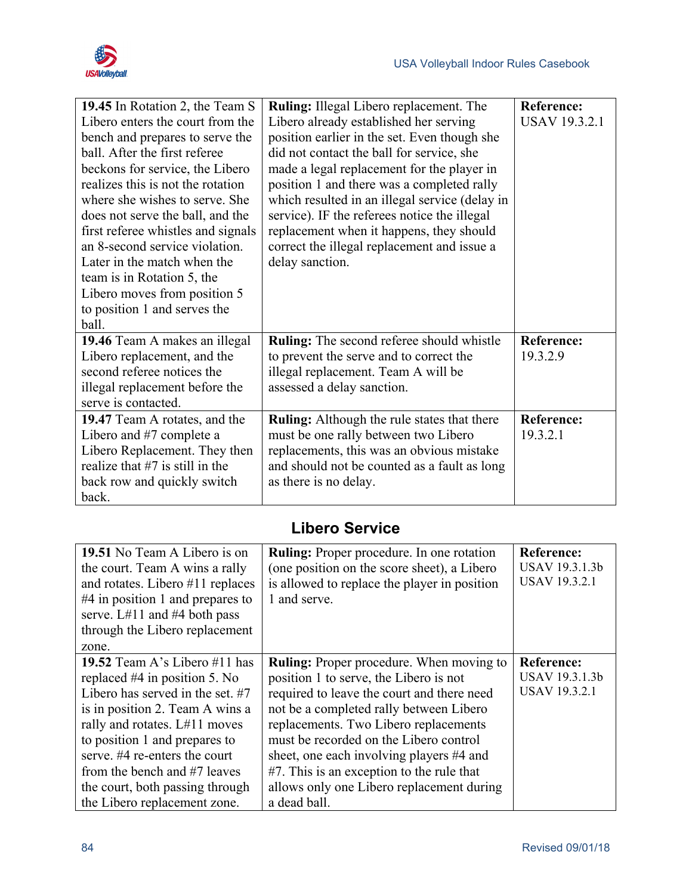

| 19.45 In Rotation 2, the Team S    | Ruling: Illegal Libero replacement. The            | <b>Reference:</b>    |
|------------------------------------|----------------------------------------------------|----------------------|
| Libero enters the court from the   | Libero already established her serving             | <b>USAV 19.3.2.1</b> |
| bench and prepares to serve the    | position earlier in the set. Even though she       |                      |
| ball. After the first referee      | did not contact the ball for service, she          |                      |
| beckons for service, the Libero    | made a legal replacement for the player in         |                      |
| realizes this is not the rotation  | position 1 and there was a completed rally         |                      |
| where she wishes to serve. She     | which resulted in an illegal service (delay in     |                      |
| does not serve the ball, and the   | service). IF the referees notice the illegal       |                      |
| first referee whistles and signals | replacement when it happens, they should           |                      |
| an 8-second service violation.     | correct the illegal replacement and issue a        |                      |
| Later in the match when the        | delay sanction.                                    |                      |
| team is in Rotation 5, the         |                                                    |                      |
| Libero moves from position 5       |                                                    |                      |
| to position 1 and serves the       |                                                    |                      |
| ball.                              |                                                    |                      |
| 19.46 Team A makes an illegal      | <b>Ruling:</b> The second referee should whistle   | <b>Reference:</b>    |
| Libero replacement, and the        | to prevent the serve and to correct the            | 19.3.2.9             |
| second referee notices the         | illegal replacement. Team A will be                |                      |
| illegal replacement before the     | assessed a delay sanction.                         |                      |
| serve is contacted.                |                                                    |                      |
| 19.47 Team A rotates, and the      | <b>Ruling:</b> Although the rule states that there | <b>Reference:</b>    |
| Libero and #7 complete a           | must be one rally between two Libero               | 19.3.2.1             |
| Libero Replacement. They then      | replacements, this was an obvious mistake          |                      |
| realize that $#7$ is still in the  | and should not be counted as a fault as long       |                      |
| back row and quickly switch        | as there is no delay.                              |                      |
| back.                              |                                                    |                      |

### **Libero Service**

| 19.51 No Team A Libero is on<br>the court. Team A wins a rally<br>and rotates. Libero $#11$ replaces<br>$#4$ in position 1 and prepares to<br>serve. $L#11$ and $#4$ both pass<br>through the Libero replacement<br>zone.                                                                                                                         | <b>Ruling:</b> Proper procedure. In one rotation<br>(one position on the score sheet), a Libero<br>is allowed to replace the player in position<br>1 and serve.                                                                                                                                                                                                                                                             | <b>Reference:</b><br>USAV 19.3.1.3b<br><b>USAV 19.3.2.1</b> |
|---------------------------------------------------------------------------------------------------------------------------------------------------------------------------------------------------------------------------------------------------------------------------------------------------------------------------------------------------|-----------------------------------------------------------------------------------------------------------------------------------------------------------------------------------------------------------------------------------------------------------------------------------------------------------------------------------------------------------------------------------------------------------------------------|-------------------------------------------------------------|
| 19.52 Team A's Libero $#11$ has<br>replaced $#4$ in position 5. No<br>Libero has served in the set. $#7$<br>is in position 2. Team A wins a<br>rally and rotates. L#11 moves<br>to position 1 and prepares to<br>serve, #4 re-enters the court<br>from the bench and #7 leaves<br>the court, both passing through<br>the Libero replacement zone. | <b>Ruling:</b> Proper procedure. When moving to<br>position 1 to serve, the Libero is not<br>required to leave the court and there need<br>not be a completed rally between Libero<br>replacements. Two Libero replacements<br>must be recorded on the Libero control<br>sheet, one each involving players #4 and<br>#7. This is an exception to the rule that<br>allows only one Libero replacement during<br>a dead ball. | <b>Reference:</b><br>USAV 19.3.1.3b<br><b>USAV 19.3.2.1</b> |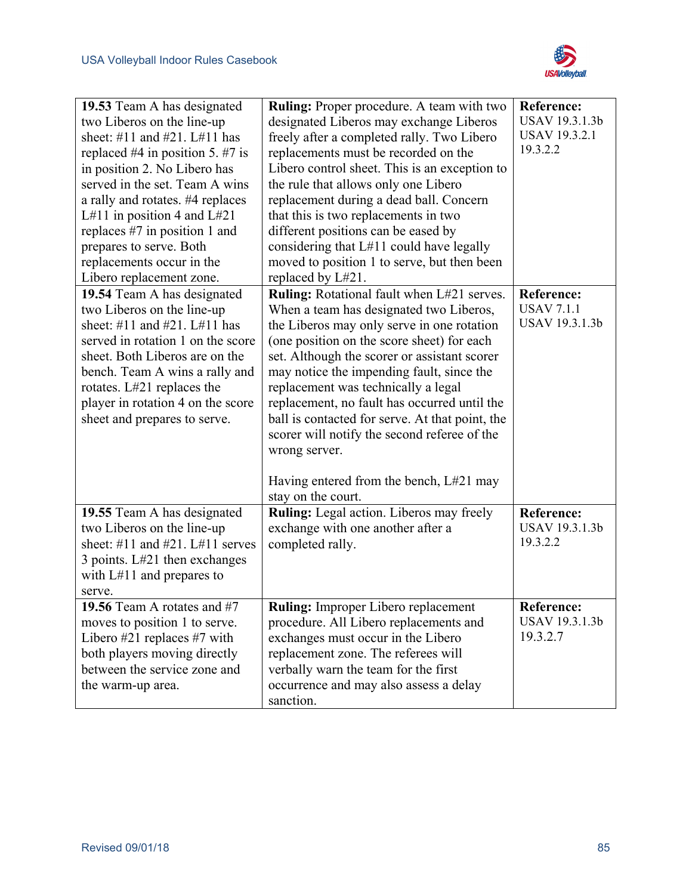

| 19.53 Team A has designated<br>two Liberos on the line-up<br>sheet: #11 and #21. L#11 has<br>replaced #4 in position 5. #7 is<br>in position 2. No Libero has<br>served in the set. Team A wins<br>a rally and rotates. #4 replaces<br>L#11 in position 4 and L#21<br>replaces $#7$ in position 1 and<br>prepares to serve. Both<br>replacements occur in the<br>Libero replacement zone. | Ruling: Proper procedure. A team with two<br>designated Liberos may exchange Liberos<br>freely after a completed rally. Two Libero<br>replacements must be recorded on the<br>Libero control sheet. This is an exception to<br>the rule that allows only one Libero<br>replacement during a dead ball. Concern<br>that this is two replacements in two<br>different positions can be eased by<br>considering that L#11 could have legally<br>moved to position 1 to serve, but then been<br>replaced by L#21.                                                     | <b>Reference:</b><br>USAV 19.3.1.3b<br><b>USAV 19.3.2.1</b><br>19.3.2.2 |
|-------------------------------------------------------------------------------------------------------------------------------------------------------------------------------------------------------------------------------------------------------------------------------------------------------------------------------------------------------------------------------------------|-------------------------------------------------------------------------------------------------------------------------------------------------------------------------------------------------------------------------------------------------------------------------------------------------------------------------------------------------------------------------------------------------------------------------------------------------------------------------------------------------------------------------------------------------------------------|-------------------------------------------------------------------------|
| 19.54 Team A has designated<br>two Liberos on the line-up<br>sheet: #11 and #21. $L#11$ has<br>served in rotation 1 on the score<br>sheet. Both Liberos are on the<br>bench. Team A wins a rally and<br>rotates. L#21 replaces the<br>player in rotation 4 on the score<br>sheet and prepares to serve.                                                                                   | <b>Ruling:</b> Rotational fault when L#21 serves.<br>When a team has designated two Liberos,<br>the Liberos may only serve in one rotation<br>(one position on the score sheet) for each<br>set. Although the scorer or assistant scorer<br>may notice the impending fault, since the<br>replacement was technically a legal<br>replacement, no fault has occurred until the<br>ball is contacted for serve. At that point, the<br>scorer will notify the second referee of the<br>wrong server.<br>Having entered from the bench, L#21 may<br>stay on the court. | <b>Reference:</b><br><b>USAV 7.1.1</b><br>USAV 19.3.1.3b                |
| 19.55 Team A has designated<br>two Liberos on the line-up<br>sheet: $\#11$ and $\#21$ . L $\#11$ serves<br>3 points. L#21 then exchanges<br>with $L#11$ and prepares to<br>serve.                                                                                                                                                                                                         | Ruling: Legal action. Liberos may freely<br>exchange with one another after a<br>completed rally.                                                                                                                                                                                                                                                                                                                                                                                                                                                                 | Reference:<br>USAV 19.3.1.3b<br>19.3.2.2                                |
| 19.56 Team A rotates and #7<br>moves to position 1 to serve.<br>Libero $#21$ replaces $#7$ with<br>both players moving directly<br>between the service zone and<br>the warm-up area.                                                                                                                                                                                                      | Ruling: Improper Libero replacement<br>procedure. All Libero replacements and<br>exchanges must occur in the Libero<br>replacement zone. The referees will<br>verbally warn the team for the first<br>occurrence and may also assess a delay<br>sanction.                                                                                                                                                                                                                                                                                                         | <b>Reference:</b><br><b>USAV 19.3.1.3b</b><br>19.3.2.7                  |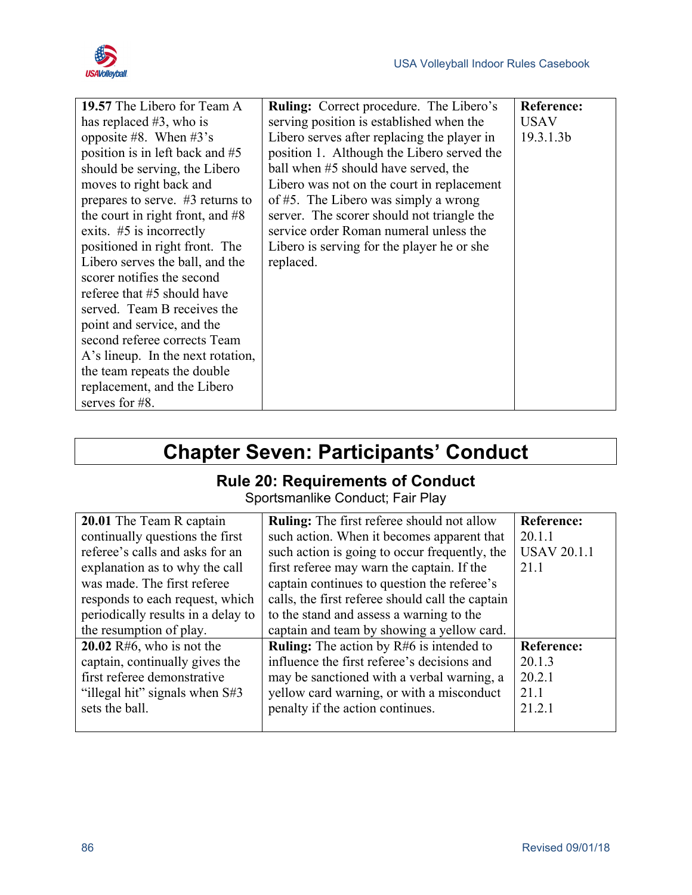

| 19.57 The Libero for Team A        | <b>Ruling:</b> Correct procedure. The Libero's | <b>Reference:</b> |
|------------------------------------|------------------------------------------------|-------------------|
| has replaced $#3$ , who is         | serving position is established when the       | <b>USAV</b>       |
| opposite #8. When $#3's$           | Libero serves after replacing the player in    | 19.3.1.3b         |
| position is in left back and #5    | position 1. Although the Libero served the     |                   |
| should be serving, the Libero      | ball when #5 should have served, the           |                   |
| moves to right back and            | Libero was not on the court in replacement     |                   |
| prepares to serve. $#3$ returns to | of $#5$ . The Libero was simply a wrong        |                   |
| the court in right front, and $#8$ | server. The scorer should not triangle the     |                   |
| exits. $#5$ is incorrectly         | service order Roman numeral unless the         |                   |
| positioned in right front. The     | Libero is serving for the player he or she     |                   |
| Libero serves the ball, and the    | replaced.                                      |                   |
| scorer notifies the second         |                                                |                   |
| referee that #5 should have        |                                                |                   |
| served. Team B receives the        |                                                |                   |
| point and service, and the         |                                                |                   |
| second referee corrects Team       |                                                |                   |
| A's lineup. In the next rotation,  |                                                |                   |
| the team repeats the double        |                                                |                   |
| replacement, and the Libero        |                                                |                   |
| serves for #8.                     |                                                |                   |

# **Chapter Seven: Participants' Conduct**

## **Rule 20: Requirements of Conduct**

Sportsmanlike Conduct; Fair Play

| 20.01 The Team R captain           | <b>Ruling:</b> The first referee should not allow | <b>Reference:</b>  |
|------------------------------------|---------------------------------------------------|--------------------|
| continually questions the first    | such action. When it becomes apparent that        | 20.1.1             |
| referee's calls and asks for an    | such action is going to occur frequently, the     | <b>USAV 20.1.1</b> |
| explanation as to why the call     | first referee may warn the captain. If the        | 21.1               |
| was made. The first referee        | captain continues to question the referee's       |                    |
| responds to each request, which    | calls, the first referee should call the captain  |                    |
| periodically results in a delay to | to the stand and assess a warning to the          |                    |
| the resumption of play.            | captain and team by showing a yellow card.        |                    |
| 20.02 $R#6$ , who is not the       | <b>Ruling:</b> The action by $R#6$ is intended to | <b>Reference:</b>  |
| captain, continually gives the     | influence the first referee's decisions and       | 20.1.3             |
| first referee demonstrative        | may be sanctioned with a verbal warning, a        | 20.2.1             |
| "illegal hit" signals when S#3     | yellow card warning, or with a misconduct         | 21.1               |
| sets the ball.                     | penalty if the action continues.                  | 21.2.1             |
|                                    |                                                   |                    |
|                                    |                                                   |                    |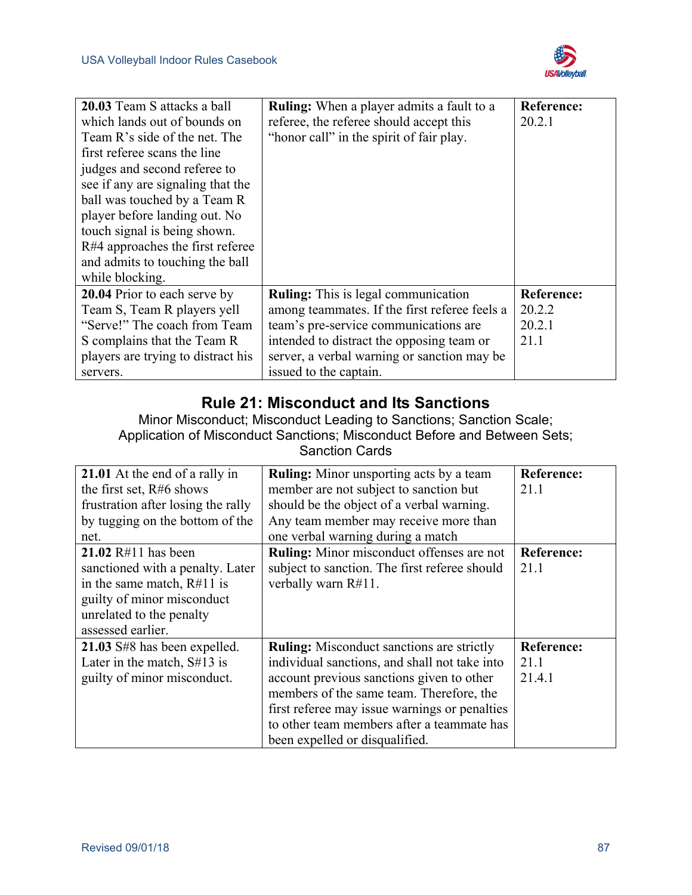

| 20.03 Team S attacks a ball        | <b>Ruling:</b> When a player admits a fault to a | <b>Reference:</b> |
|------------------------------------|--------------------------------------------------|-------------------|
| which lands out of bounds on       | referee, the referee should accept this          | 20.2.1            |
| Team R's side of the net. The      | "honor call" in the spirit of fair play.         |                   |
| first referee scans the line       |                                                  |                   |
| judges and second referee to       |                                                  |                   |
| see if any are signaling that the  |                                                  |                   |
| ball was touched by a Team R       |                                                  |                   |
| player before landing out. No      |                                                  |                   |
| touch signal is being shown.       |                                                  |                   |
| R#4 approaches the first referee   |                                                  |                   |
| and admits to touching the ball    |                                                  |                   |
| while blocking.                    |                                                  |                   |
| 20.04 Prior to each serve by       | <b>Ruling:</b> This is legal communication       | <b>Reference:</b> |
| Team S, Team R players yell        | among teammates. If the first referee feels a    | 20.2.2            |
| "Serve!" The coach from Team       | team's pre-service communications are            | 20.2.1            |
| S complains that the Team R        | intended to distract the opposing team or        | 21.1              |
| players are trying to distract his | server, a verbal warning or sanction may be      |                   |
| servers.                           | issued to the captain.                           |                   |

### **Rule 21: Misconduct and Its Sanctions**

Minor Misconduct; Misconduct Leading to Sanctions; Sanction Scale; Application of Misconduct Sanctions; Misconduct Before and Between Sets; Sanction Cards

| 21.01 At the end of a rally in<br>the first set, R#6 shows<br>frustration after losing the rally<br>by tugging on the bottom of the                                              | <b>Ruling:</b> Minor unsporting acts by a team<br>member are not subject to sanction but<br>should be the object of a verbal warning.<br>Any team member may receive more than                                                                                                                                              | <b>Reference:</b><br>21.1           |
|----------------------------------------------------------------------------------------------------------------------------------------------------------------------------------|-----------------------------------------------------------------------------------------------------------------------------------------------------------------------------------------------------------------------------------------------------------------------------------------------------------------------------|-------------------------------------|
| net.<br>21.02 $R#11$ has been<br>sanctioned with a penalty. Later<br>in the same match, $R#11$ is<br>guilty of minor misconduct<br>unrelated to the penalty<br>assessed earlier. | one verbal warning during a match<br>Ruling: Minor misconduct offenses are not<br>subject to sanction. The first referee should<br>verbally warn R#11.                                                                                                                                                                      | <b>Reference:</b><br>21.1           |
| 21.03 S#8 has been expelled.<br>Later in the match, $S#13$ is<br>guilty of minor misconduct.                                                                                     | <b>Ruling:</b> Misconduct sanctions are strictly<br>individual sanctions, and shall not take into<br>account previous sanctions given to other<br>members of the same team. Therefore, the<br>first referee may issue warnings or penalties<br>to other team members after a teammate has<br>been expelled or disqualified. | <b>Reference:</b><br>21.1<br>21.4.1 |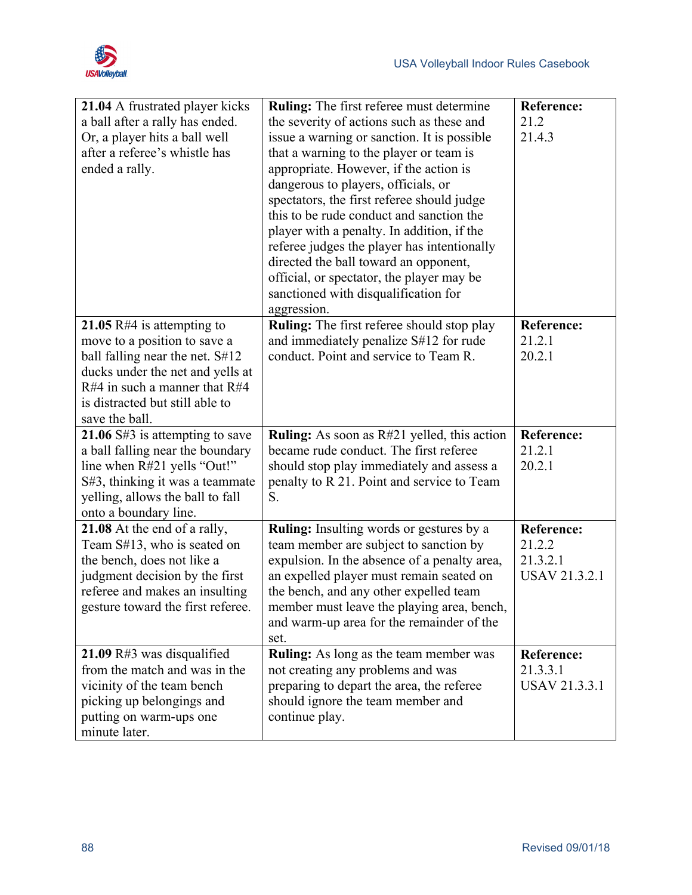

| 21.04 A frustrated player kicks<br>a ball after a rally has ended.<br>Or, a player hits a ball well<br>after a referee's whistle has<br>ended a rally.                                                                      | <b>Ruling:</b> The first referee must determine<br>the severity of actions such as these and<br>issue a warning or sanction. It is possible<br>that a warning to the player or team is<br>appropriate. However, if the action is<br>dangerous to players, officials, or<br>spectators, the first referee should judge<br>this to be rude conduct and sanction the<br>player with a penalty. In addition, if the<br>referee judges the player has intentionally<br>directed the ball toward an opponent,<br>official, or spectator, the player may be<br>sanctioned with disqualification for | <b>Reference:</b><br>21.2<br>21.4.3                             |
|-----------------------------------------------------------------------------------------------------------------------------------------------------------------------------------------------------------------------------|----------------------------------------------------------------------------------------------------------------------------------------------------------------------------------------------------------------------------------------------------------------------------------------------------------------------------------------------------------------------------------------------------------------------------------------------------------------------------------------------------------------------------------------------------------------------------------------------|-----------------------------------------------------------------|
| 21.05 R#4 is attempting to<br>move to a position to save a<br>ball falling near the net. S#12<br>ducks under the net and yells at<br>$R#4$ in such a manner that $R#4$<br>is distracted but still able to<br>save the ball. | aggression.<br><b>Ruling:</b> The first referee should stop play<br>and immediately penalize S#12 for rude<br>conduct. Point and service to Team R.                                                                                                                                                                                                                                                                                                                                                                                                                                          | Reference:<br>21.2.1<br>20.2.1                                  |
| 21.06 $\text{S}\#3$ is attempting to save<br>a ball falling near the boundary<br>line when R#21 yells "Out!"<br>S#3, thinking it was a teammate<br>yelling, allows the ball to fall<br>onto a boundary line.                | <b>Ruling:</b> As soon as R#21 yelled, this action<br>became rude conduct. The first referee<br>should stop play immediately and assess a<br>penalty to R 21. Point and service to Team<br>S.                                                                                                                                                                                                                                                                                                                                                                                                | <b>Reference:</b><br>21.2.1<br>20.2.1                           |
| 21.08 At the end of a rally,<br>Team S#13, who is seated on<br>the bench, does not like a<br>judgment decision by the first<br>referee and makes an insulting<br>gesture toward the first referee.                          | Ruling: Insulting words or gestures by a<br>team member are subject to sanction by<br>expulsion. In the absence of a penalty area,<br>an expelled player must remain seated on<br>the bench, and any other expelled team<br>member must leave the playing area, bench,<br>and warm-up area for the remainder of the<br>set.                                                                                                                                                                                                                                                                  | <b>Reference:</b><br>21.2.2<br>21.3.2.1<br><b>USAV 21.3.2.1</b> |
| 21.09 $R#3$ was disqualified<br>from the match and was in the<br>vicinity of the team bench<br>picking up belongings and<br>putting on warm-ups one<br>minute later.                                                        | Ruling: As long as the team member was<br>not creating any problems and was<br>preparing to depart the area, the referee<br>should ignore the team member and<br>continue play.                                                                                                                                                                                                                                                                                                                                                                                                              | <b>Reference:</b><br>21.3.3.1<br><b>USAV 21.3.3.1</b>           |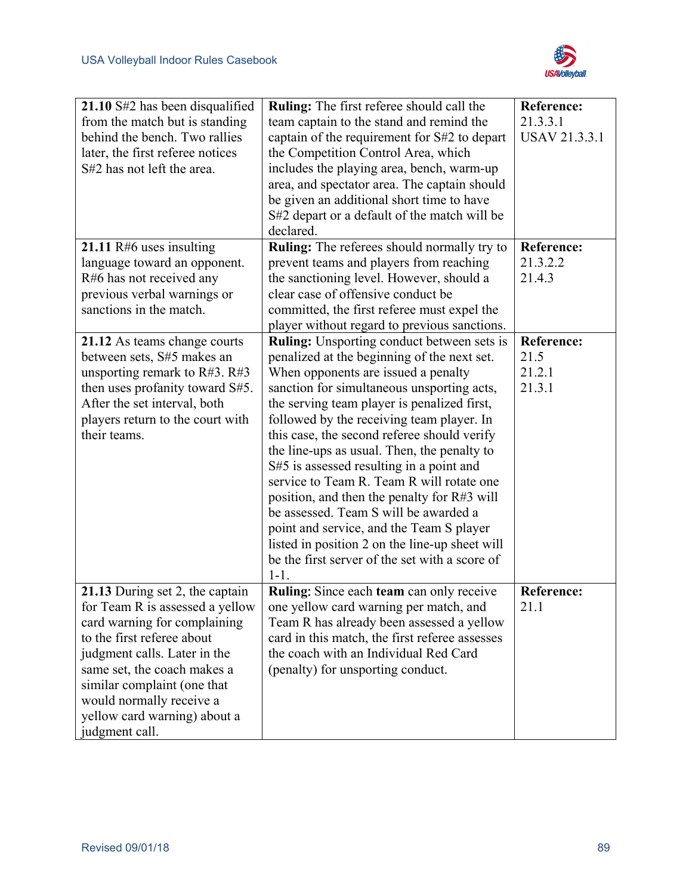

| 21.10 S#2 has been disqualified    | Ruling: The first referee should call the          | <b>Reference:</b>    |
|------------------------------------|----------------------------------------------------|----------------------|
| from the match but is standing     | team captain to the stand and remind the           | 21.3.3.1             |
| behind the bench. Two rallies      | captain of the requirement for S#2 to depart       | <b>USAV 21.3.3.1</b> |
| later, the first referee notices   | the Competition Control Area, which                |                      |
| S#2 has not left the area.         | includes the playing area, bench, warm-up          |                      |
|                                    | area, and spectator area. The captain should       |                      |
|                                    |                                                    |                      |
|                                    | be given an additional short time to have          |                      |
|                                    | S#2 depart or a default of the match will be       |                      |
|                                    | declared.                                          |                      |
| 21.11 $R#6$ uses insulting         | <b>Ruling:</b> The referees should normally try to | <b>Reference:</b>    |
| language toward an opponent.       | prevent teams and players from reaching            | 21.3.2.2             |
| R#6 has not received any           | the sanctioning level. However, should a           | 21.4.3               |
| previous verbal warnings or        | clear case of offensive conduct be                 |                      |
| sanctions in the match.            | committed, the first referee must expel the        |                      |
|                                    | player without regard to previous sanctions.       |                      |
| 21.12 As teams change courts       | <b>Ruling:</b> Unsporting conduct between sets is  | <b>Reference:</b>    |
| between sets, S#5 makes an         | penalized at the beginning of the next set.        | 21.5                 |
| unsporting remark to $R#3$ . $R#3$ | When opponents are issued a penalty                | 21.2.1               |
| then uses profanity toward S#5.    | sanction for simultaneous unsporting acts,         | 21.3.1               |
| After the set interval, both       | the serving team player is penalized first,        |                      |
| players return to the court with   | followed by the receiving team player. In          |                      |
| their teams.                       | this case, the second referee should verify        |                      |
|                                    | the line-ups as usual. Then, the penalty to        |                      |
|                                    | S#5 is assessed resulting in a point and           |                      |
|                                    | service to Team R. Team R will rotate one          |                      |
|                                    | position, and then the penalty for R#3 will        |                      |
|                                    | be assessed. Team S will be awarded a              |                      |
|                                    | point and service, and the Team S player           |                      |
|                                    | listed in position 2 on the line-up sheet will     |                      |
|                                    | be the first server of the set with a score of     |                      |
|                                    | $1 - 1.$                                           |                      |
| 21.13 During set 2, the captain    | Ruling. Since each team can only receive           | <b>Reference:</b>    |
| for Team R is assessed a yellow    | one yellow card warning per match, and             | 21.1                 |
|                                    |                                                    |                      |
| card warning for complaining       | Team R has already been assessed a yellow          |                      |
| to the first referee about         | card in this match, the first referee assesses     |                      |
| judgment calls. Later in the       | the coach with an Individual Red Card              |                      |
| same set, the coach makes a        | (penalty) for unsporting conduct.                  |                      |
| similar complaint (one that        |                                                    |                      |
| would normally receive a           |                                                    |                      |
| yellow card warning) about a       |                                                    |                      |
| judgment call.                     |                                                    |                      |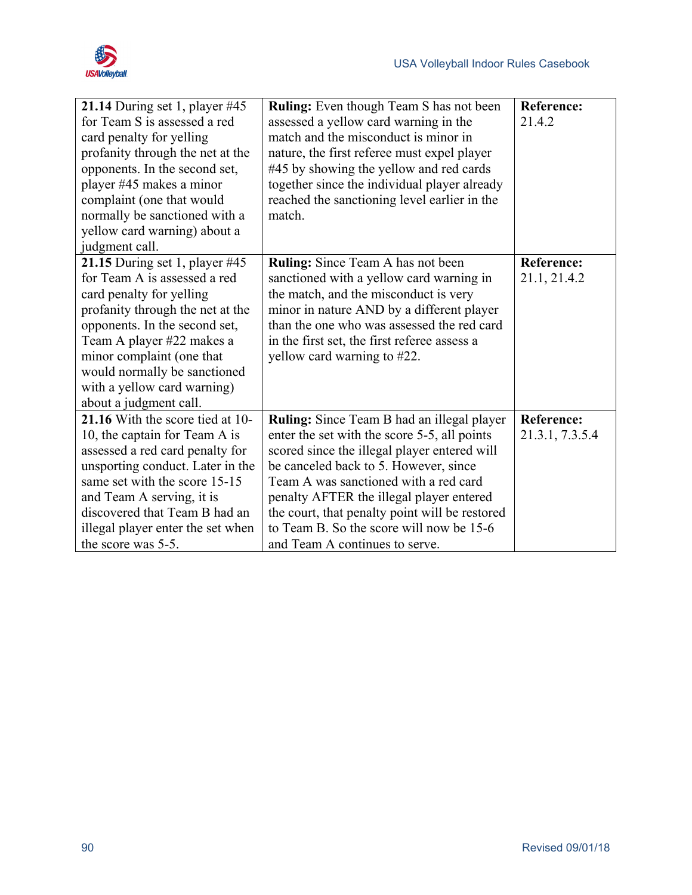

| 21.14 During set 1, player #45    | <b>Ruling:</b> Even though Team S has not been    | <b>Reference:</b> |
|-----------------------------------|---------------------------------------------------|-------------------|
| for Team S is assessed a red      | assessed a yellow card warning in the             | 21.4.2            |
| card penalty for yelling          | match and the misconduct is minor in              |                   |
| profanity through the net at the  | nature, the first referee must expel player       |                   |
| opponents. In the second set,     | #45 by showing the yellow and red cards           |                   |
| player #45 makes a minor          | together since the individual player already      |                   |
| complaint (one that would         | reached the sanctioning level earlier in the      |                   |
| normally be sanctioned with a     | match.                                            |                   |
| yellow card warning) about a      |                                                   |                   |
| judgment call.                    |                                                   |                   |
| 21.15 During set 1, player #45    | <b>Ruling:</b> Since Team A has not been          | <b>Reference:</b> |
| for Team A is assessed a red      | sanctioned with a yellow card warning in          | 21.1, 21.4.2      |
| card penalty for yelling          | the match, and the misconduct is very             |                   |
| profanity through the net at the  | minor in nature AND by a different player         |                   |
| opponents. In the second set,     | than the one who was assessed the red card        |                   |
| Team A player #22 makes a         | in the first set, the first referee assess a      |                   |
| minor complaint (one that         | yellow card warning to #22.                       |                   |
| would normally be sanctioned      |                                                   |                   |
| with a yellow card warning)       |                                                   |                   |
| about a judgment call.            |                                                   |                   |
| 21.16 With the score tied at 10-  | <b>Ruling:</b> Since Team B had an illegal player | <b>Reference:</b> |
| 10, the captain for Team A is     | enter the set with the score 5-5, all points      | 21.3.1, 7.3.5.4   |
| assessed a red card penalty for   | scored since the illegal player entered will      |                   |
| unsporting conduct. Later in the  | be canceled back to 5. However, since             |                   |
| same set with the score 15-15     | Team A was sanctioned with a red card             |                   |
| and Team A serving, it is         | penalty AFTER the illegal player entered          |                   |
| discovered that Team B had an     | the court, that penalty point will be restored    |                   |
| illegal player enter the set when | to Team B. So the score will now be 15-6          |                   |
| the score was 5-5.                | and Team A continues to serve.                    |                   |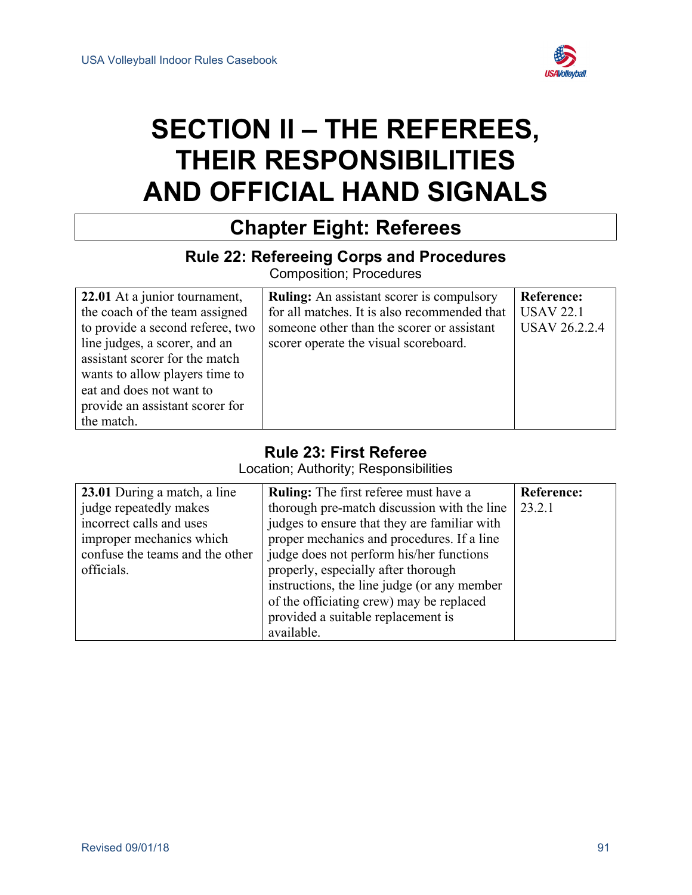

# **SECTION II – THE REFEREES, THEIR RESPONSIBILITIES AND OFFICIAL HAND SIGNALS**

# **Chapter Eight: Referees**

### **Rule 22: Refereeing Corps and Procedures**

Composition; Procedures

| 22.01 At a junior tournament,    | <b>Ruling:</b> An assistant scorer is compulsory | <b>Reference:</b>    |
|----------------------------------|--------------------------------------------------|----------------------|
| the coach of the team assigned   | for all matches. It is also recommended that     | <b>USAV 22.1</b>     |
| to provide a second referee, two | someone other than the scorer or assistant       | <b>USAV 26.2.2.4</b> |
| line judges, a scorer, and an    | scorer operate the visual scoreboard.            |                      |
| assistant scorer for the match   |                                                  |                      |
| wants to allow players time to   |                                                  |                      |
| eat and does not want to         |                                                  |                      |
| provide an assistant scorer for  |                                                  |                      |
| the match.                       |                                                  |                      |

### **Rule 23: First Referee**

Location; Authority; Responsibilities

| 23.01 During a match, a line    | <b>Ruling:</b> The first referee must have a | <b>Reference:</b> |
|---------------------------------|----------------------------------------------|-------------------|
| judge repeatedly makes          | thorough pre-match discussion with the line  | 23.2.1            |
| incorrect calls and uses        | judges to ensure that they are familiar with |                   |
| improper mechanics which        | proper mechanics and procedures. If a line   |                   |
| confuse the teams and the other | judge does not perform his/her functions     |                   |
| officials.                      | properly, especially after thorough          |                   |
|                                 | instructions, the line judge (or any member  |                   |
|                                 | of the officiating crew) may be replaced     |                   |
|                                 | provided a suitable replacement is           |                   |
|                                 | available.                                   |                   |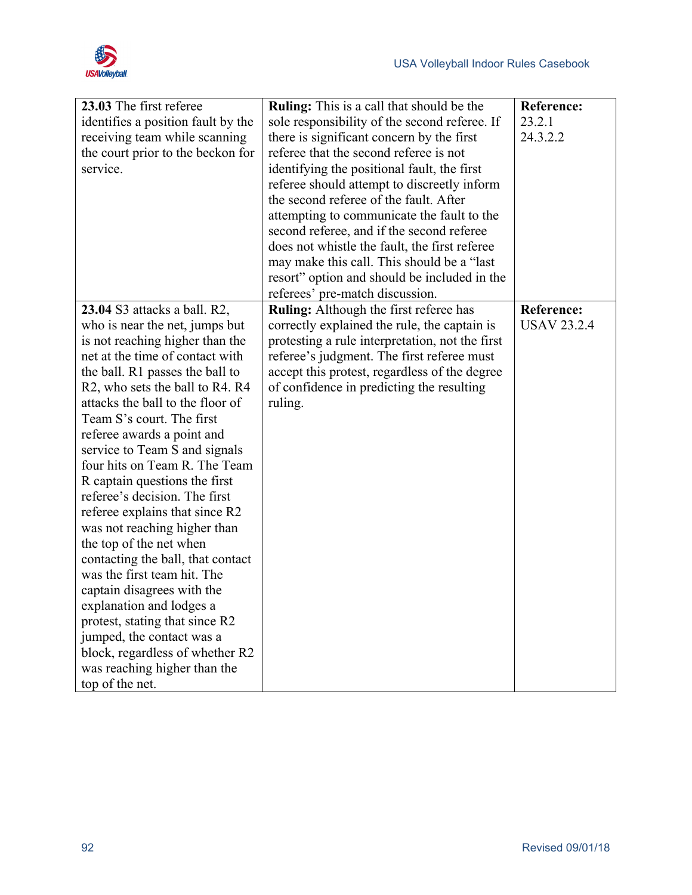

| 23.03 The first referee            | <b>Ruling:</b> This is a call that should be the | <b>Reference:</b>  |
|------------------------------------|--------------------------------------------------|--------------------|
| identifies a position fault by the | sole responsibility of the second referee. If    | 23.2.1             |
| receiving team while scanning      | there is significant concern by the first        | 24.3.2.2           |
| the court prior to the beckon for  | referee that the second referee is not           |                    |
| service.                           | identifying the positional fault, the first      |                    |
|                                    | referee should attempt to discreetly inform      |                    |
|                                    | the second referee of the fault. After           |                    |
|                                    | attempting to communicate the fault to the       |                    |
|                                    | second referee, and if the second referee        |                    |
|                                    | does not whistle the fault, the first referee    |                    |
|                                    | may make this call. This should be a "last"      |                    |
|                                    | resort" option and should be included in the     |                    |
|                                    | referees' pre-match discussion.                  |                    |
| 23.04 S3 attacks a ball. R2,       | <b>Ruling:</b> Although the first referee has    | <b>Reference:</b>  |
| who is near the net, jumps but     | correctly explained the rule, the captain is     | <b>USAV 23.2.4</b> |
| is not reaching higher than the    | protesting a rule interpretation, not the first  |                    |
| net at the time of contact with    | referee's judgment. The first referee must       |                    |
| the ball. R1 passes the ball to    | accept this protest, regardless of the degree    |                    |
| R2, who sets the ball to R4. R4    | of confidence in predicting the resulting        |                    |
| attacks the ball to the floor of   | ruling.                                          |                    |
| Team S's court. The first          |                                                  |                    |
| referee awards a point and         |                                                  |                    |
| service to Team S and signals      |                                                  |                    |
| four hits on Team R. The Team      |                                                  |                    |
| R captain questions the first      |                                                  |                    |
| referee's decision. The first      |                                                  |                    |
| referee explains that since R2     |                                                  |                    |
| was not reaching higher than       |                                                  |                    |
| the top of the net when            |                                                  |                    |
| contacting the ball, that contact  |                                                  |                    |
| was the first team hit. The        |                                                  |                    |
| captain disagrees with the         |                                                  |                    |
| explanation and lodges a           |                                                  |                    |
| protest, stating that since R2     |                                                  |                    |
| jumped, the contact was a          |                                                  |                    |
| block, regardless of whether R2    |                                                  |                    |
| was reaching higher than the       |                                                  |                    |
| top of the net.                    |                                                  |                    |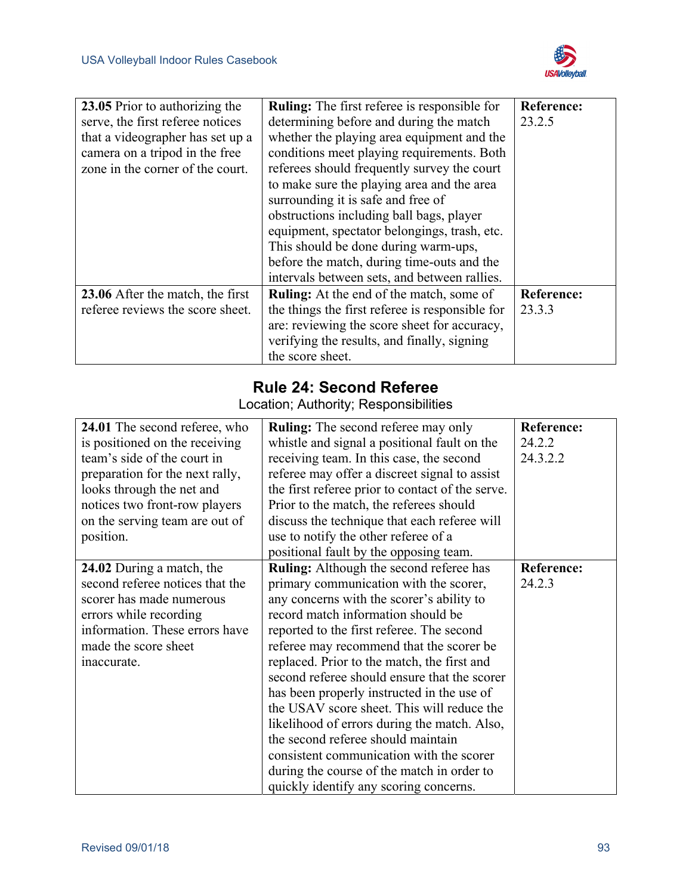

| 23.05 Prior to authorizing the   | <b>Ruling:</b> The first referee is responsible for | <b>Reference:</b> |
|----------------------------------|-----------------------------------------------------|-------------------|
| serve, the first referee notices | determining before and during the match             | 23.2.5            |
| that a videographer has set up a | whether the playing area equipment and the          |                   |
| camera on a tripod in the free   | conditions meet playing requirements. Both          |                   |
| zone in the corner of the court. | referees should frequently survey the court         |                   |
|                                  | to make sure the playing area and the area          |                   |
|                                  | surrounding it is safe and free of                  |                   |
|                                  | obstructions including ball bags, player            |                   |
|                                  | equipment, spectator belongings, trash, etc.        |                   |
|                                  | This should be done during warm-ups,                |                   |
|                                  | before the match, during time-outs and the          |                   |
|                                  | intervals between sets, and between rallies.        |                   |
| 23.06 After the match, the first | <b>Ruling:</b> At the end of the match, some of     | <b>Reference:</b> |
| referee reviews the score sheet. | the things the first referee is responsible for     | 23.3.3            |
|                                  | are: reviewing the score sheet for accuracy,        |                   |
|                                  | verifying the results, and finally, signing         |                   |
|                                  | the score sheet.                                    |                   |

### **Rule 24: Second Referee**

Location; Authority; Responsibilities

| 24.01 The second referee, who   | <b>Ruling:</b> The second referee may only       | <b>Reference:</b> |
|---------------------------------|--------------------------------------------------|-------------------|
| is positioned on the receiving  | whistle and signal a positional fault on the     | 24.2.2            |
| team's side of the court in     | receiving team. In this case, the second         | 24.3.2.2          |
| preparation for the next rally, | referee may offer a discreet signal to assist    |                   |
| looks through the net and       | the first referee prior to contact of the serve. |                   |
| notices two front-row players   | Prior to the match, the referees should          |                   |
| on the serving team are out of  | discuss the technique that each referee will     |                   |
| position.                       | use to notify the other referee of a             |                   |
|                                 | positional fault by the opposing team.           |                   |
| 24.02 During a match, the       | <b>Ruling:</b> Although the second referee has   | <b>Reference:</b> |
| second referee notices that the | primary communication with the scorer,           | 24.2.3            |
| scorer has made numerous        | any concerns with the scorer's ability to        |                   |
| errors while recording          | record match information should be               |                   |
| information. These errors have  | reported to the first referee. The second        |                   |
| made the score sheet            | referee may recommend that the scorer be         |                   |
| inaccurate.                     | replaced. Prior to the match, the first and      |                   |
|                                 | second referee should ensure that the scorer     |                   |
|                                 | has been properly instructed in the use of       |                   |
|                                 | the USAV score sheet. This will reduce the       |                   |
|                                 | likelihood of errors during the match. Also,     |                   |
|                                 | the second referee should maintain               |                   |
|                                 | consistent communication with the scorer         |                   |
|                                 | during the course of the match in order to       |                   |
|                                 | quickly identify any scoring concerns.           |                   |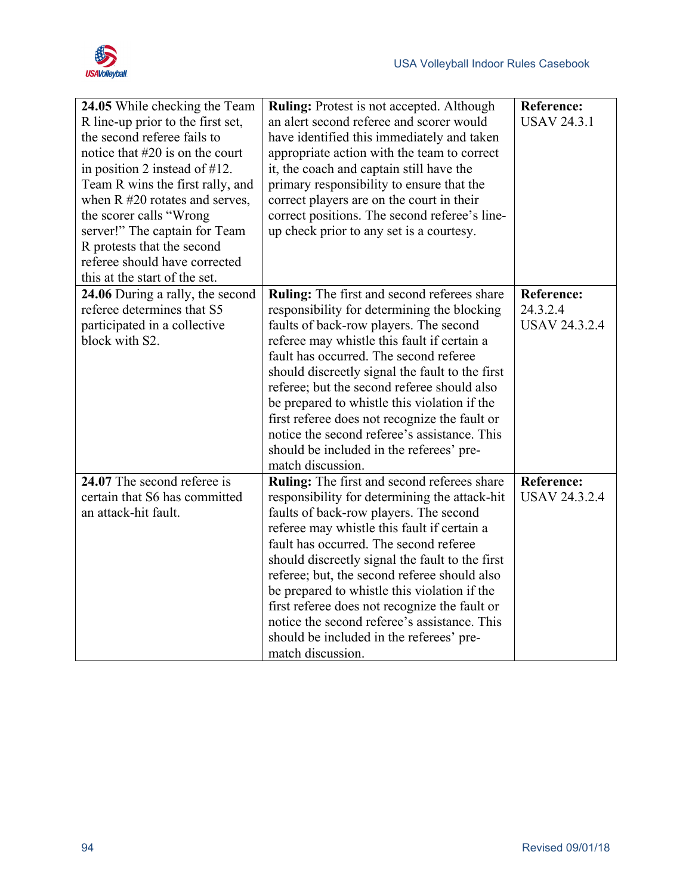

| 24.05 While checking the Team<br>R line-up prior to the first set,<br>the second referee fails to<br>notice that $#20$ is on the court<br>in position 2 instead of $#12$ .<br>Team R wins the first rally, and<br>when $R \#20$ rotates and serves,<br>the scorer calls "Wrong<br>server!" The captain for Team<br>R protests that the second<br>referee should have corrected | <b>Ruling:</b> Protest is not accepted. Although<br>an alert second referee and scorer would<br>have identified this immediately and taken<br>appropriate action with the team to correct<br>it, the coach and captain still have the<br>primary responsibility to ensure that the<br>correct players are on the court in their<br>correct positions. The second referee's line-<br>up check prior to any set is a courtesy.                                                                                                                                | <b>Reference:</b><br><b>USAV 24.3.1</b>               |
|--------------------------------------------------------------------------------------------------------------------------------------------------------------------------------------------------------------------------------------------------------------------------------------------------------------------------------------------------------------------------------|-------------------------------------------------------------------------------------------------------------------------------------------------------------------------------------------------------------------------------------------------------------------------------------------------------------------------------------------------------------------------------------------------------------------------------------------------------------------------------------------------------------------------------------------------------------|-------------------------------------------------------|
| this at the start of the set.                                                                                                                                                                                                                                                                                                                                                  |                                                                                                                                                                                                                                                                                                                                                                                                                                                                                                                                                             |                                                       |
| 24.06 During a rally, the second<br>referee determines that S5<br>participated in a collective<br>block with S2.                                                                                                                                                                                                                                                               | Ruling: The first and second referees share<br>responsibility for determining the blocking<br>faults of back-row players. The second<br>referee may whistle this fault if certain a<br>fault has occurred. The second referee<br>should discreetly signal the fault to the first<br>referee; but the second referee should also<br>be prepared to whistle this violation if the<br>first referee does not recognize the fault or<br>notice the second referee's assistance. This<br>should be included in the referees' pre-<br>match discussion.           | <b>Reference:</b><br>24.3.2.4<br><b>USAV 24.3.2.4</b> |
| 24.07 The second referee is<br>certain that S6 has committed<br>an attack-hit fault.                                                                                                                                                                                                                                                                                           | <b>Ruling:</b> The first and second referees share<br>responsibility for determining the attack-hit<br>faults of back-row players. The second<br>referee may whistle this fault if certain a<br>fault has occurred. The second referee<br>should discreetly signal the fault to the first<br>referee; but, the second referee should also<br>be prepared to whistle this violation if the<br>first referee does not recognize the fault or<br>notice the second referee's assistance. This<br>should be included in the referees' pre-<br>match discussion. | Reference:<br><b>USAV 24.3.2.4</b>                    |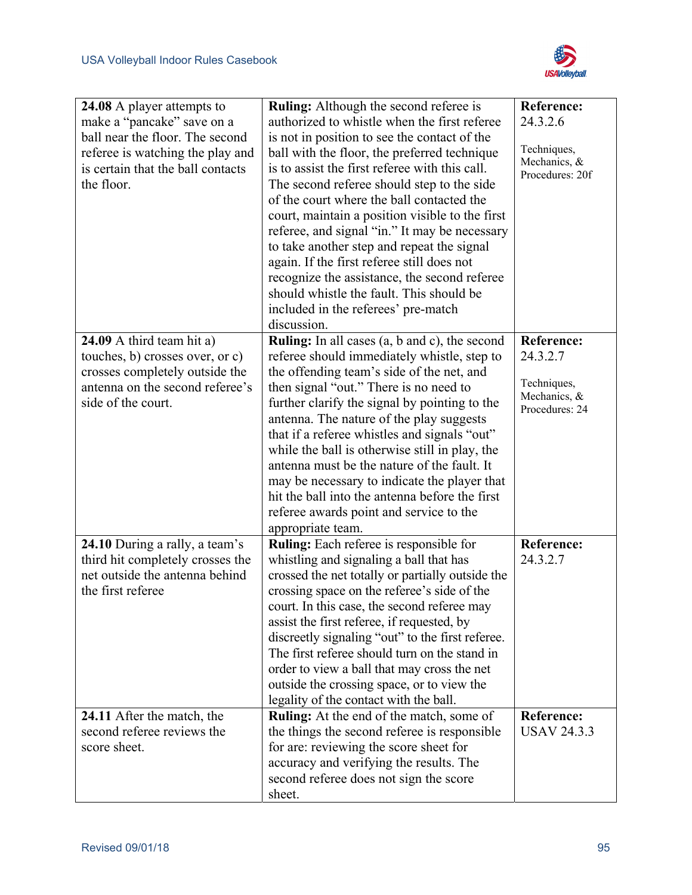

| 24.08 A player attempts to                               | <b>Ruling:</b> Although the second referee is                                            | <b>Reference:</b>                |
|----------------------------------------------------------|------------------------------------------------------------------------------------------|----------------------------------|
| make a "pancake" save on a                               | authorized to whistle when the first referee                                             | 24.3.2.6                         |
| ball near the floor. The second                          | is not in position to see the contact of the                                             |                                  |
| referee is watching the play and                         | ball with the floor, the preferred technique                                             | Techniques,                      |
| is certain that the ball contacts                        | is to assist the first referee with this call.                                           | Mechanics, &<br>Procedures: 20f  |
| the floor.                                               | The second referee should step to the side                                               |                                  |
|                                                          | of the court where the ball contacted the                                                |                                  |
|                                                          | court, maintain a position visible to the first                                          |                                  |
|                                                          | referee, and signal "in." It may be necessary                                            |                                  |
|                                                          | to take another step and repeat the signal                                               |                                  |
|                                                          | again. If the first referee still does not                                               |                                  |
|                                                          | recognize the assistance, the second referee                                             |                                  |
|                                                          | should whistle the fault. This should be                                                 |                                  |
|                                                          | included in the referees' pre-match                                                      |                                  |
|                                                          | discussion.                                                                              |                                  |
| 24.09 A third team hit a)                                | Ruling: In all cases (a, b and c), the second                                            | <b>Reference:</b>                |
| touches, b) crosses over, or c)                          | referee should immediately whistle, step to                                              | 24.3.2.7                         |
| crosses completely outside the                           | the offending team's side of the net, and                                                |                                  |
| antenna on the second referee's                          | then signal "out." There is no need to                                                   | Techniques,<br>Mechanics, &      |
| side of the court.                                       | further clarify the signal by pointing to the                                            | Procedures: 24                   |
|                                                          | antenna. The nature of the play suggests                                                 |                                  |
|                                                          | that if a referee whistles and signals "out"                                             |                                  |
|                                                          | while the ball is otherwise still in play, the                                           |                                  |
|                                                          | antenna must be the nature of the fault. It                                              |                                  |
|                                                          | may be necessary to indicate the player that                                             |                                  |
|                                                          | hit the ball into the antenna before the first                                           |                                  |
|                                                          | referee awards point and service to the                                                  |                                  |
|                                                          | appropriate team.                                                                        |                                  |
| 24.10 During a rally, a team's                           | <b>Ruling:</b> Each referee is responsible for                                           | <b>Reference:</b>                |
| third hit completely crosses the                         | whistling and signaling a ball that has                                                  | 24.3.2.7                         |
| net outside the antenna behind                           | crossed the net totally or partially outside the                                         |                                  |
| the first referee                                        | crossing space on the referee's side of the                                              |                                  |
|                                                          | court. In this case, the second referee may                                              |                                  |
|                                                          | assist the first referee, if requested, by                                               |                                  |
|                                                          | discreetly signaling "out" to the first referee.                                         |                                  |
|                                                          | The first referee should turn on the stand in                                            |                                  |
|                                                          | order to view a ball that may cross the net                                              |                                  |
|                                                          | outside the crossing space, or to view the                                               |                                  |
|                                                          | legality of the contact with the ball.                                                   |                                  |
| 24.11 After the match, the<br>second referee reviews the | Ruling: At the end of the match, some of<br>the things the second referee is responsible | Reference:<br><b>USAV 24.3.3</b> |
| score sheet.                                             |                                                                                          |                                  |
|                                                          | for are: reviewing the score sheet for                                                   |                                  |
|                                                          | accuracy and verifying the results. The<br>second referee does not sign the score        |                                  |
|                                                          | sheet.                                                                                   |                                  |
|                                                          |                                                                                          |                                  |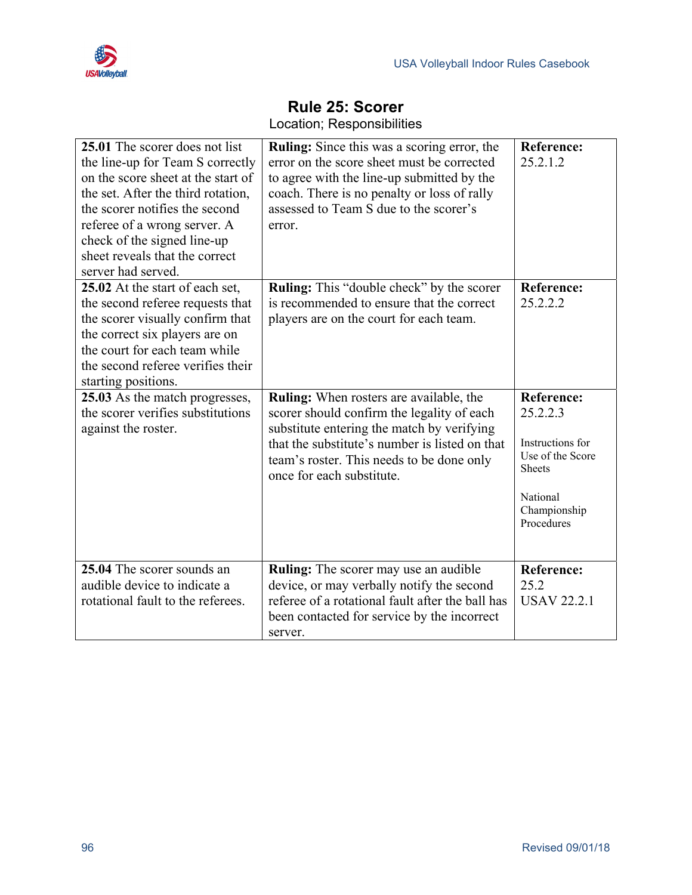

| 25.01 The scorer does not list<br>the line-up for Team S correctly<br>on the score sheet at the start of<br>the set. After the third rotation,<br>the scorer notifies the second<br>referee of a wrong server. A<br>check of the signed line-up<br>sheet reveals that the correct | <b>Ruling:</b> Since this was a scoring error, the<br>error on the score sheet must be corrected<br>to agree with the line-up submitted by the<br>coach. There is no penalty or loss of rally<br>assessed to Team S due to the scorer's<br>error.                      | <b>Reference:</b><br>25.2.1.2                                                                                                    |
|-----------------------------------------------------------------------------------------------------------------------------------------------------------------------------------------------------------------------------------------------------------------------------------|------------------------------------------------------------------------------------------------------------------------------------------------------------------------------------------------------------------------------------------------------------------------|----------------------------------------------------------------------------------------------------------------------------------|
| server had served.<br>25.02 At the start of each set,<br>the second referee requests that<br>the scorer visually confirm that<br>the correct six players are on<br>the court for each team while<br>the second referee verifies their<br>starting positions.                      | Ruling: This "double check" by the scorer<br>is recommended to ensure that the correct<br>players are on the court for each team.                                                                                                                                      | <b>Reference:</b><br>25.2.2.2                                                                                                    |
| 25.03 As the match progresses,<br>the scorer verifies substitutions<br>against the roster.                                                                                                                                                                                        | <b>Ruling:</b> When rosters are available, the<br>scorer should confirm the legality of each<br>substitute entering the match by verifying<br>that the substitute's number is listed on that<br>team's roster. This needs to be done only<br>once for each substitute. | <b>Reference:</b><br>25.2.2.3<br>Instructions for<br>Use of the Score<br><b>Sheets</b><br>National<br>Championship<br>Procedures |
| 25.04 The scorer sounds an<br>audible device to indicate a<br>rotational fault to the referees.                                                                                                                                                                                   | <b>Ruling:</b> The scorer may use an audible<br>device, or may verbally notify the second<br>referee of a rotational fault after the ball has<br>been contacted for service by the incorrect<br>server.                                                                | <b>Reference:</b><br>25.2<br><b>USAV 22.2.1</b>                                                                                  |

### **Rule 25: Scorer**  Location; Responsibilities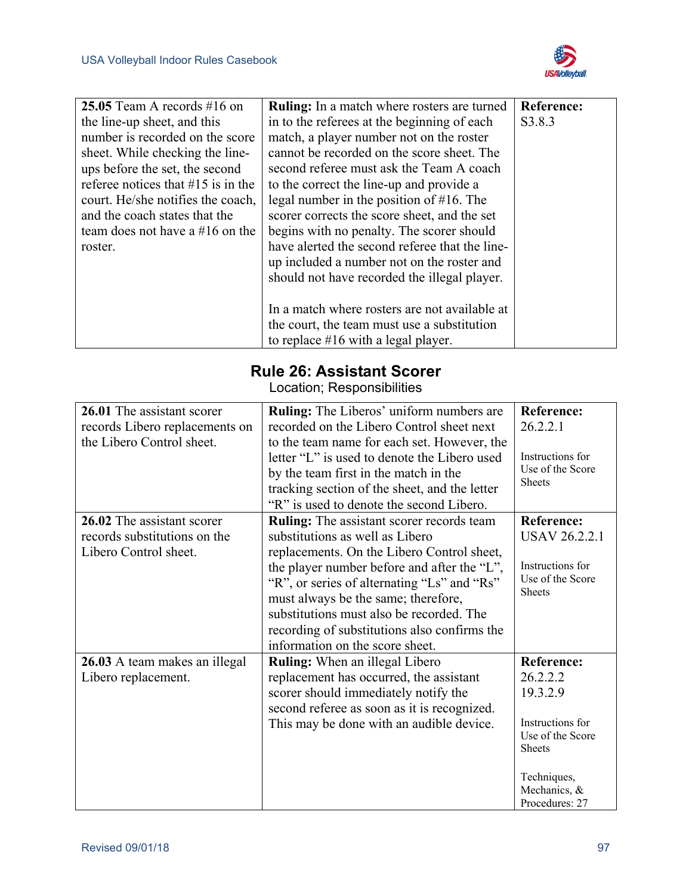

| 25.05 Team A records $#16$ on         | Ruling: In a match where rosters are turned    | Reference: |
|---------------------------------------|------------------------------------------------|------------|
| the line-up sheet, and this           | in to the referees at the beginning of each    | S3.8.3     |
| number is recorded on the score       | match, a player number not on the roster       |            |
| sheet. While checking the line-       | cannot be recorded on the score sheet. The     |            |
| ups before the set, the second        | second referee must ask the Team A coach       |            |
| referee notices that $\#15$ is in the | to the correct the line-up and provide a       |            |
| court. He/she notifies the coach,     | legal number in the position of $#16$ . The    |            |
| and the coach states that the         | scorer corrects the score sheet, and the set   |            |
| team does not have a $#16$ on the     | begins with no penalty. The scorer should      |            |
| roster.                               | have alerted the second referee that the line- |            |
|                                       | up included a number not on the roster and     |            |
|                                       | should not have recorded the illegal player.   |            |
|                                       |                                                |            |
|                                       | In a match where rosters are not available at  |            |
|                                       | the court, the team must use a substitution    |            |
|                                       | to replace $#16$ with a legal player.          |            |

## **Rule 26: Assistant Scorer**

Location; Responsibilities

| 26.01 The assistant scorer<br>records Libero replacements on<br>the Libero Control sheet. | <b>Ruling:</b> The Liberos' uniform numbers are<br>recorded on the Libero Control sheet next<br>to the team name for each set. However, the<br>letter "L" is used to denote the Libero used<br>by the team first in the match in the<br>tracking section of the sheet, and the letter<br>"R" is used to denote the second Libero.                                                                     | <b>Reference:</b><br>26.2.2.1<br>Instructions for<br>Use of the Score<br><b>Sheets</b>                                                              |
|-------------------------------------------------------------------------------------------|-------------------------------------------------------------------------------------------------------------------------------------------------------------------------------------------------------------------------------------------------------------------------------------------------------------------------------------------------------------------------------------------------------|-----------------------------------------------------------------------------------------------------------------------------------------------------|
| 26.02 The assistant scorer<br>records substitutions on the<br>Libero Control sheet.       | <b>Ruling:</b> The assistant scorer records team<br>substitutions as well as Libero<br>replacements. On the Libero Control sheet,<br>the player number before and after the "L",<br>"R", or series of alternating "Ls" and "Rs"<br>must always be the same; therefore,<br>substitutions must also be recorded. The<br>recording of substitutions also confirms the<br>information on the score sheet. | <b>Reference:</b><br><b>USAV 26.2.2.1</b><br>Instructions for<br>Use of the Score<br><b>Sheets</b>                                                  |
| 26.03 A team makes an illegal<br>Libero replacement.                                      | <b>Ruling:</b> When an illegal Libero<br>replacement has occurred, the assistant<br>scorer should immediately notify the<br>second referee as soon as it is recognized.<br>This may be done with an audible device.                                                                                                                                                                                   | <b>Reference:</b><br>26.2.2.2<br>19.3.2.9<br>Instructions for<br>Use of the Score<br><b>Sheets</b><br>Techniques,<br>Mechanics, &<br>Procedures: 27 |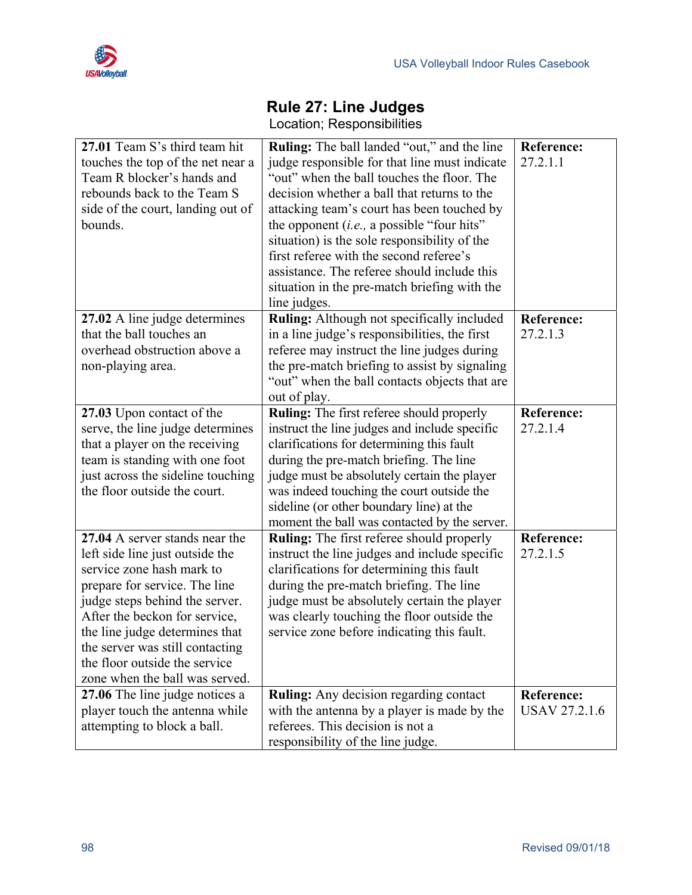

# **Rule 27: Line Judges**

|  | Location; Responsibilities |
|--|----------------------------|
|--|----------------------------|

| 27.01 Team S's third team hit     | <b>Ruling:</b> The ball landed "out," and the line | <b>Reference:</b>    |
|-----------------------------------|----------------------------------------------------|----------------------|
| touches the top of the net near a | judge responsible for that line must indicate      | 27.2.1.1             |
| Team R blocker's hands and        | "out" when the ball touches the floor. The         |                      |
| rebounds back to the Team S       | decision whether a ball that returns to the        |                      |
| side of the court, landing out of | attacking team's court has been touched by         |                      |
| bounds.                           | the opponent $(i.e., a possible "four hits"$       |                      |
|                                   | situation) is the sole responsibility of the       |                      |
|                                   | first referee with the second referee's            |                      |
|                                   | assistance. The referee should include this        |                      |
|                                   | situation in the pre-match briefing with the       |                      |
|                                   | line judges.                                       |                      |
| 27.02 A line judge determines     | <b>Ruling:</b> Although not specifically included  | <b>Reference:</b>    |
| that the ball touches an          | in a line judge's responsibilities, the first      | 27.2.1.3             |
| overhead obstruction above a      | referee may instruct the line judges during        |                      |
| non-playing area.                 | the pre-match briefing to assist by signaling      |                      |
|                                   | "out" when the ball contacts objects that are      |                      |
|                                   | out of play.                                       |                      |
| 27.03 Upon contact of the         | <b>Ruling:</b> The first referee should properly   | <b>Reference:</b>    |
| serve, the line judge determines  | instruct the line judges and include specific      | 27.2.1.4             |
| that a player on the receiving    | clarifications for determining this fault          |                      |
| team is standing with one foot    | during the pre-match briefing. The line            |                      |
| just across the sideline touching | judge must be absolutely certain the player        |                      |
| the floor outside the court.      | was indeed touching the court outside the          |                      |
|                                   | sideline (or other boundary line) at the           |                      |
|                                   | moment the ball was contacted by the server.       |                      |
| 27.04 A server stands near the    | <b>Ruling:</b> The first referee should properly   | <b>Reference:</b>    |
| left side line just outside the   | instruct the line judges and include specific      | 27.2.1.5             |
| service zone hash mark to         | clarifications for determining this fault          |                      |
| prepare for service. The line     | during the pre-match briefing. The line            |                      |
| judge steps behind the server.    | judge must be absolutely certain the player        |                      |
| After the beckon for service,     | was clearly touching the floor outside the         |                      |
| the line judge determines that    | service zone before indicating this fault.         |                      |
| the server was still contacting   |                                                    |                      |
| the floor outside the service     |                                                    |                      |
| zone when the ball was served.    |                                                    |                      |
| 27.06 The line judge notices a    | <b>Ruling:</b> Any decision regarding contact      | <b>Reference:</b>    |
| player touch the antenna while    | with the antenna by a player is made by the        | <b>USAV 27.2.1.6</b> |
| attempting to block a ball.       | referees. This decision is not a                   |                      |
|                                   | responsibility of the line judge.                  |                      |